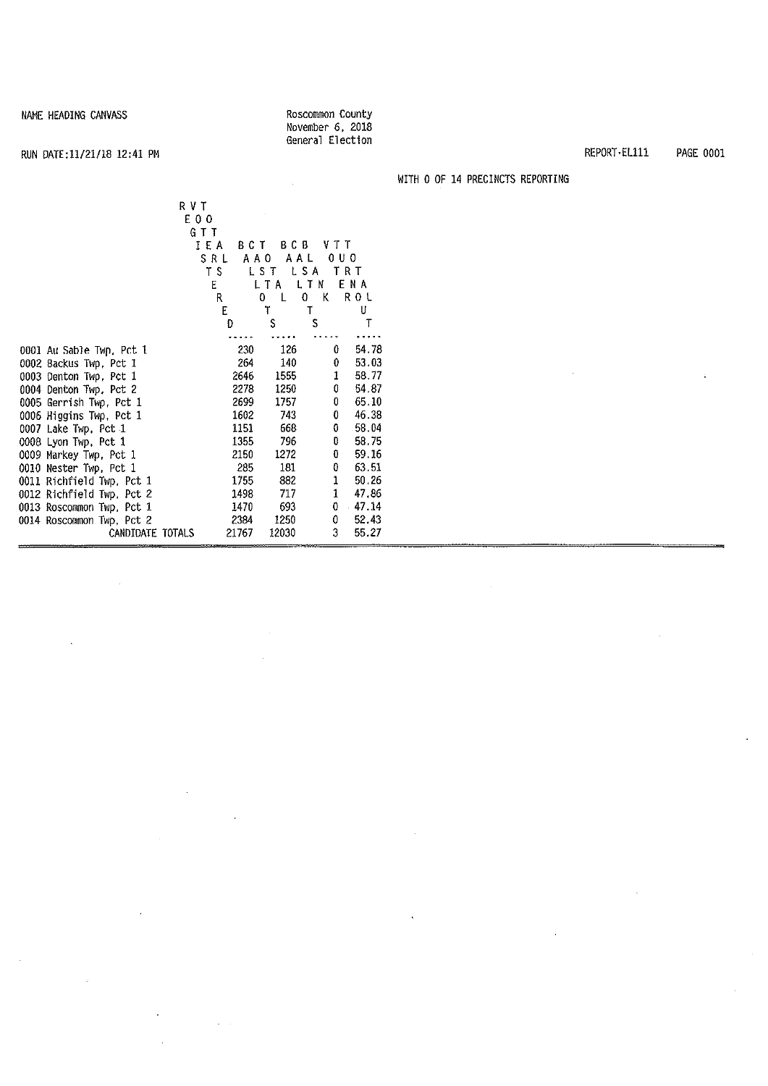Roscommon county November 6, 2018 General Election

### RUN DATE:11/21/18 12:41 PM

 $\hat{\boldsymbol{\beta}}$ 

 $\bar{z}$ 

 $\bar{\phantom{a}}$ 

WITH 0 OF 14 PRECINCTS REPORTING

| RVT<br>E 0 0<br>GTT       |       |               |            |       |
|---------------------------|-------|---------------|------------|-------|
| IEA                       | BCT   | BC B          | VTT        |       |
| SRL                       | A A O | AAL           | 0 U O      |       |
| ΤS                        |       | LST           | LSA<br>TRT |       |
| ε                         |       | L T A         | LTN        | ENA   |
|                           | R     | 0.<br>$\perp$ | 0.<br>к    | ROL   |
|                           | E     | T             | Т          | U     |
|                           | D     | S             | \$         | T     |
|                           |       |               |            |       |
| 0001 Au Sable Twn, Pct 1  | 230   | 126           | 0          | 54.78 |
| 0002 Backus Twp, Pct 1    | 264   | 140           | 0          | 53.03 |
| 0003 Denton Twp, Pct 1    | 2646  | 1555          | 1          | 58.77 |
| 0004 Denton Twp. Pct 2    | 2278  | 1250          | 0          | 54.87 |
| 0005 Gerrish Twp, Pct 1   | 2699  | 1757          | 0          | 65.10 |
| 0006 Higgins Twp, Pct 1   | 1602  | 743           | 0          | 46.38 |
| 0007 Lake Twp, Pct 1      | 1151  | 668           | 0          | 58.04 |
| 0008 Lyon Twp, Pct 1      | 1355  | 796           | O          | 58.75 |
| 0009 Markey Twp, Pct 1    | 2150  | 1272          | 0          | 59.16 |
| 0010 Nester Twp, Pct 1    | 285   | 181           | 0          | 63.51 |
| 0011 Richfield Twp. Pct 1 | 1755  | 882           | 1          | 50.26 |
| 0012 Richfield Twp, Pct 2 | 1498  | 717           | 1          | 47.86 |
| 0013 Roscommon Twp, Pct 1 | 1470  | 693           | 0          | 47.14 |
| 0014 Roscommon Twp, Pct 2 | 2384  | 1250          | 0          | 52.43 |
| CANDIDATE TOTALS          | 21767 | 12030         | 3          | 55.27 |

 $\mathcal{L}_{\mathcal{A}}$ 

 $\sqrt{1-\epsilon}$ 

REPORT·EL111 PAGE 0001

 $\ddot{\phantom{a}}$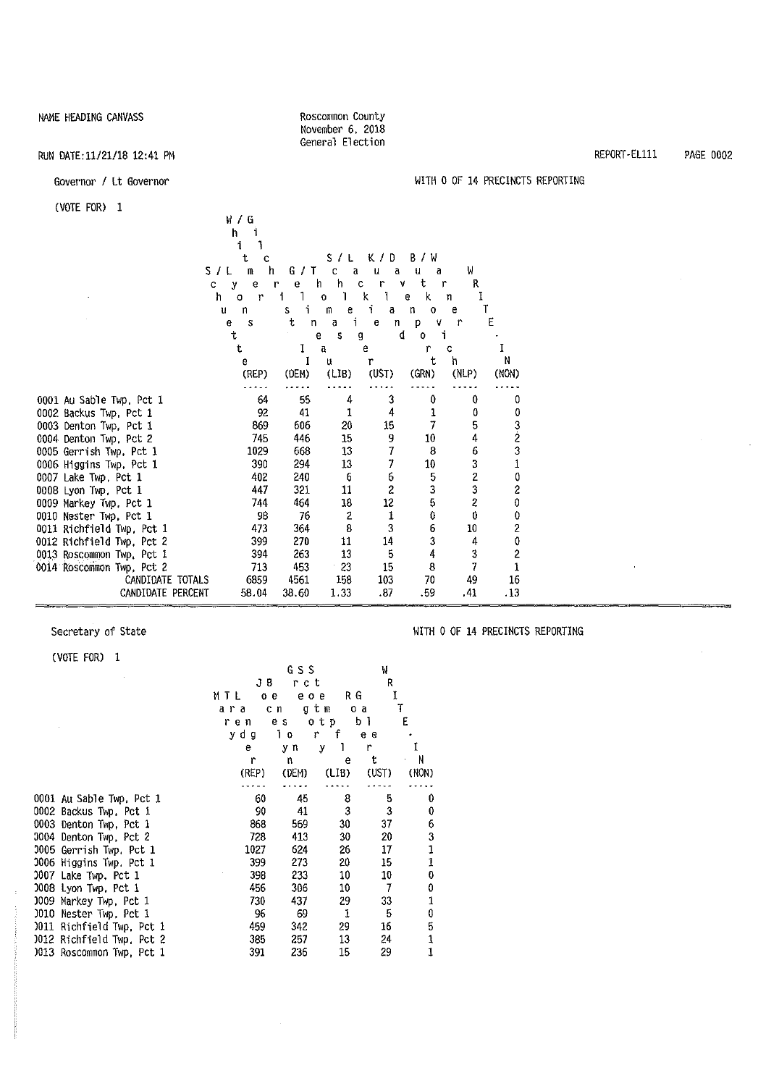**Roscommon County**  November 6, 2018 General Election

#### RUN DATE:11/21/18 12:41 PM

#### Governor/ Lt Governor

(VOTE FOR) 1

|                           | W / G             |         |              |                |              |                         |                |
|---------------------------|-------------------|---------|--------------|----------------|--------------|-------------------------|----------------|
|                           | h                 |         |              |                |              |                         |                |
|                           | i                 |         |              |                |              |                         |                |
|                           | t<br>c            |         | S.<br>7 L    | K/D            | B/W          |                         |                |
|                           | S/L<br>m<br>h     | G / T   | C<br>а       | u<br>a         | u<br>a       | W                       |                |
| C                         | е<br>y            | е<br>r  | ħ<br>h       | c<br>r<br>۷    | t            | R<br>r                  |                |
|                           | h<br>$\circ$<br>r |         | 0            | K<br>1         | k<br>e       | 1<br>n                  | T              |
|                           | u<br>n            | i.<br>s | m<br>е<br>i. | i<br>a         | n<br>$\circ$ | е                       |                |
|                           | e<br>S<br>t       | ŧ<br>n  | a<br>S<br>e  | e<br>n<br>d    | p<br>۷<br>0  | $\mathbf{r}$<br>i       | Е              |
|                           | t                 | I       | a            | g<br>e         | r            | Ċ                       |                |
|                           | e                 |         | u            | r              | t            | h                       | Ν              |
|                           | (REP)             | (DEM)   | (LIB)        | (UST)          | (GRN)        | (NLP)                   | (NON)          |
|                           |                   |         |              |                |              |                         |                |
| 0001 Au Sable Twp. Pct 1  | 64                | 55      | 4            | 3              | 0            | 0                       | 0              |
| 0002 Backus Twp. Pct 1    | 92                | 41      | 1            | 4              | 1            | 0                       | 0              |
| 0003 Denton Twp. Pct 1    | 869               | 606     | 20           | 15             | 7            | 5                       |                |
| 0004 Denton Twp. Pct 2    | 745               | 446     | 15           | 9              | 10           | 4                       | 3<br>2         |
| 0005 Gerrish Twp, Pct 1   | 1029              | 668     | 13           | 7              | 8            | 6                       | 3              |
| 0006 Higgins Twp, Pct 1   | 390               | 294     | 13           | 7              | 10           | 3                       | $\mathbf{1}$   |
| 0007 Lake Twp, Pct 1      | 402               | 240     | 6            | 6              | 5            | 2                       | 0              |
| 0008 Lyon Twp, Pct 1      | 447               | 321     | 11           | $\overline{c}$ | 3            | 3                       | 2              |
| 0009 Markey Twp. Pct 1    | 744               | 464     | 18           | 12             | 5            | $\overline{\mathbf{c}}$ | 0              |
| 0010 Nester Twp. Pct 1    | 98                | 76      | 2            | 1              | 0            | 0                       | 0              |
| 0011 Richfield Twp, Pct 1 | 473               | 364     | 8            | 3              | 6            | 10                      | 2              |
| 0012 Richfield Twp, Pct 2 | 399               | 270     | 11           | 14             | 3            | 4                       | $\pmb{0}$      |
| 0013 Roscommon Twp. Pct 1 | 394               | 263     | 13           | 5              | 4            | 3                       | $\overline{c}$ |
| 0014 Roscommon Twp, Pct 2 | 713               | 453     | 23           | 15             | 8            | 7                       | $\mathbf{1}$   |
| CANDIDATE TOTALS          | 6859              | 4561    | 158          | 103            | 70           | 49                      | 16             |
| CANDIDATE PERCENT         | 58.04             | 38.60   | 1.33         | .87            | .59          | .41                     | .13            |

#### Secretary of State

÷.

(VOTE FOR) 1

#### WITH O OF 14 PRECINCTS REPORTING

|                           | 11 I L I<br>Ð |
|---------------------------|---------------|
|                           | ara           |
|                           | ren           |
|                           | ydg           |
|                           | e.            |
|                           | r             |
|                           | (REP)         |
| 0001 Au Sable Twp, Pct 1  | 60            |
| 0002 Backus Twp, Pct 1    | 90            |
| 0003 Denton Twp, Pct 1    | 868           |
| 0004 Denton Twp, Pct 2    | 728           |
| 0005 Gerrish Twp, Pct 1   | 1027          |
| 0006 Higgins Twp. Pct 1   | 399           |
| 0007 Lake Twp, Pct 1      | 398           |
| 008 Lyon Twp. Pct 1       | 456           |
| 0009 Markey Twp, Pct 1    | 730           |
| 0010 Nester Twp. Pct 1    | 96            |
| 0011 Richfield Twp, Pct 1 | 459           |
| 0012 Richfield Twp, Pct 2 | 385           |
| 0013 Roscommon Twp, Pct 1 | 391           |
|                           |               |

G S S w JB rct<br>oe eoe R MTL oe eoe RG<br>ara cngtmoa I en g<mark>tmo a</mark><br>es otpbl T es otp b<mark>l</mark><br>lorfee E ydg lo r f e e e y n y l r I r n e t N (REP) (DEM) (LIB) (UST) CNONJ  $\ddotsc$  $\ldots$  $\frac{1}{2} \frac{1}{2} \frac{1}{2} \frac{1}{2} \frac{1}{2} \frac{1}{2} \frac{1}{2} \frac{1}{2} \frac{1}{2} \frac{1}{2} \frac{1}{2} \frac{1}{2} \frac{1}{2} \frac{1}{2} \frac{1}{2} \frac{1}{2} \frac{1}{2} \frac{1}{2} \frac{1}{2} \frac{1}{2} \frac{1}{2} \frac{1}{2} \frac{1}{2} \frac{1}{2} \frac{1}{2} \frac{1}{2} \frac{1}{2} \frac{1}{2} \frac{1}{2} \frac{1}{2} \frac{1}{2} \frac{$  $\ddotsc$ 60 45 8 5 0 90 41 3 3 0 868 569 30 37 6 413 30 20<br>624 26 17 3 1024 26 17<br>273 20 15 1 273 20 15<br>233 10 10 1 233  $\pmb{0}$ 456 306 10 7 0 437 1 96 69 1 5 0 342 29 16<br>257 13 24 5 257 13 24<br>236 15 29 1 236 1 REPORT-EL111 PAGE 0002

WITH O OF 14 PRECINCTS REPORTING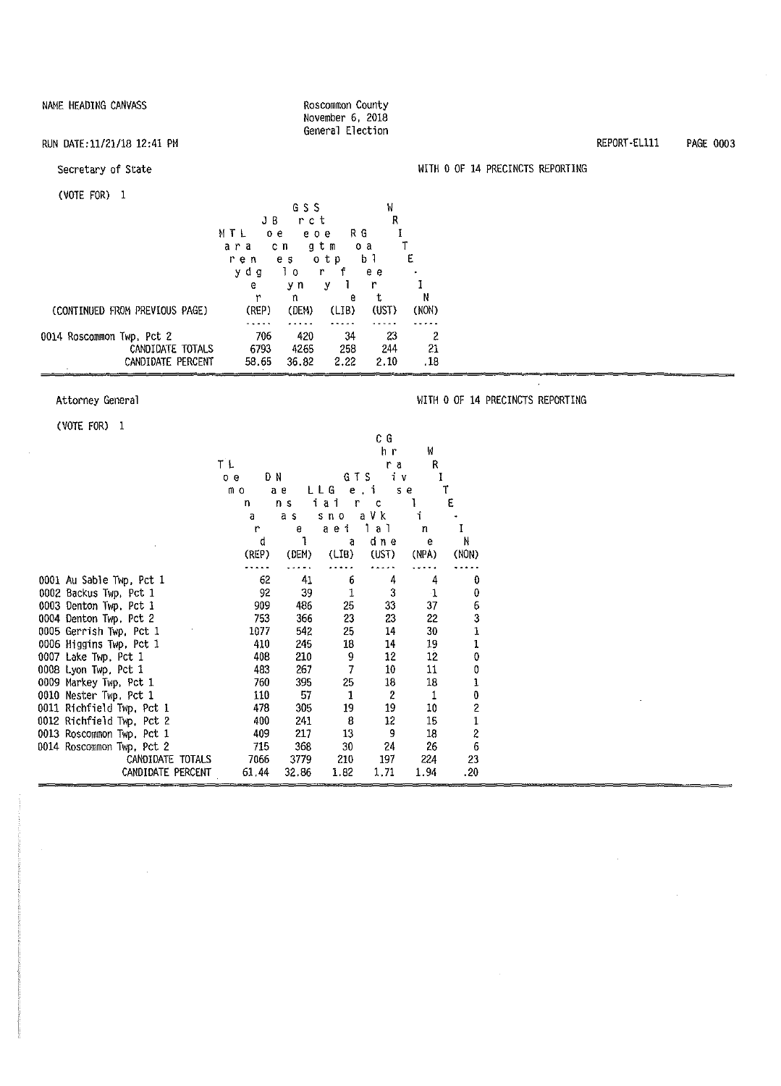#### Roscommon County November 6, 2018 General Election

#### RUN DATE:11/21/18 12:41 PM

#### Secretary of State

#### (VOTE FOR) 1

| .                                                                  | JB                   | GSS<br>rct           |                   | W<br>R            |                |
|--------------------------------------------------------------------|----------------------|----------------------|-------------------|-------------------|----------------|
|                                                                    | MTL<br>oе<br>ara     | e o e<br>gtm<br>c n  | RG                | o a               |                |
|                                                                    | ren<br>dα<br>У       | e s<br>ΙO<br>r       | otp<br>f          | b 1<br>e e        | E              |
|                                                                    | e<br>r               | уn<br>n              | у<br>e            | r<br>t            | N              |
| (CONTINUED FROM PREVIOUS PAGE)                                     | (REP)                | (DEM)                | (LIB)             | (UST)             | (NON)          |
| 0014 Roscommon Twp, Pct 2<br>CANDIDATE TOTALS<br>CANDIDATE PERCENT | 706<br>6793<br>58.65 | 420<br>4265<br>36,82 | 34<br>258<br>2.22 | 23<br>244<br>2.10 | 2<br>21<br>.18 |

#### Attorney General

#### WITH O OF 14 PRECINCTS REPORTING

WITH O OF 14 PRECINCTS REPORTING

(VOTE FOR) 1

÷,

|                           |          |       |              | СG    |              |             |  |
|---------------------------|----------|-------|--------------|-------|--------------|-------------|--|
|                           |          |       |              | h r   | W            |             |  |
|                           | ΤL       |       |              | r a   | R            |             |  |
|                           | DΝ<br>0e |       | GTS          | iу    | I            |             |  |
|                           | mо       | aе    | LLG<br>$e$ . | j.    | s e          |             |  |
|                           | n        | n s   | ai<br>r<br>ĺ | c     |              | E           |  |
|                           | a        | a s   | $S \cap O$   | a V k | î            |             |  |
|                           | r        | e     | aei          | a 1   | n            |             |  |
|                           | d        | 1     | a            | dine  | е            | Ν           |  |
|                           | (REP)    | (DEM) | (LIB)        | (UST) | (NPA)        | (NON)       |  |
|                           |          |       |              |       |              |             |  |
| 0001 Au Sable Twp, Pct 1  | 62       | 41    | 6            | 4     | 4            | O           |  |
| 0002 Backus Twp, Pct 1    | 92       | 39    | 1            | 3     | $\mathbf{1}$ | 0           |  |
| 0003 Denton Twp. Pct 1    | 909      | 486   | 25           | 33    | 37           | 6           |  |
| 0004 Denton Twp, Pct 2    | 753      | 366   | 23           | 23    | 22           | 3           |  |
| 0005 Gerrish Twp, Pct 1   | 1077     | 542   | 25           | 14    | 30           | 1           |  |
| 0006 Higgins Twp, Pct 1   | 410      | 245   | 18           | 14    | 19           | 1           |  |
| $0007$ Lake Twp, Pct $1$  | 408      | 210   | 9            | 12    | 12           | 0           |  |
| 0008 Lyon Twp, Pct 1      | 483      | 267   | 7            | 10    | 11           | 0           |  |
| 0009 Markey Twp, Pct 1    | 760      | 395   | 25           | 18    | 18           | ı           |  |
| 0010 Nester Twp, Pct 1    | 110      | 57    | 1            | 2     | 1            | 0           |  |
| 0011 Richfield Twp, Pct 1 | 478      | 305   | 19           | 19    | 10           | 2           |  |
| 0012 Richfield Twp, Pct 2 | 400      | 241   | 8            | 12    | 15           | $\mathbf 1$ |  |
| 0013 Roscommon Twp, Pct 1 | 409      | 217   | 13           | 9     | 18           | 2           |  |
| 0014 Roscommon Twp, Pct 2 | 715      | 368   | 30           | 24    | 26           | 6           |  |
| CANDIDATE TOTALS          | 7066     | 3779  | 210          | 197   | 224          | 23          |  |
| CANDIDATE PERCENT         | 61.44    | 32.86 | 1.82         | 1,71  | 1.94         | .20         |  |

REPORT-Ellll PAGE 0003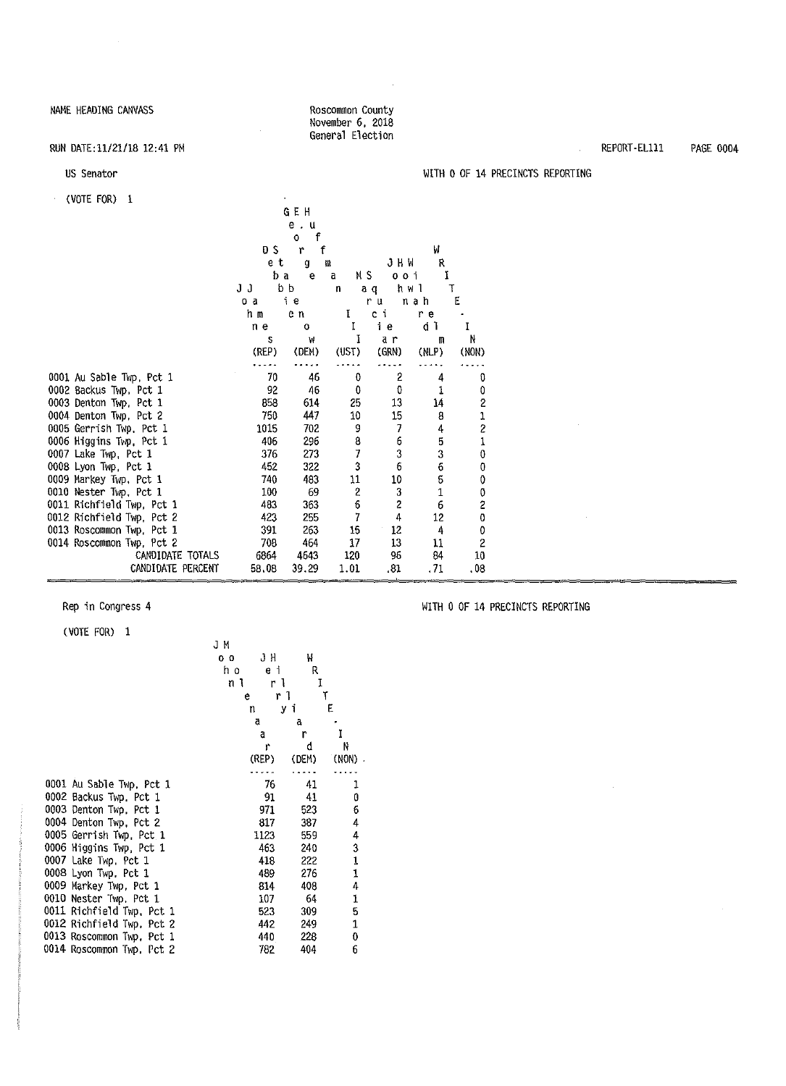#### RUN DATE:11/21/18 12:41 PM

#### US Senator

| (VOTE FOR)<br>-1          |       |        |                         |              |                     |                         |  |
|---------------------------|-------|--------|-------------------------|--------------|---------------------|-------------------------|--|
|                           |       | GEH    |                         |              |                     |                         |  |
|                           |       | e.u    |                         |              |                     |                         |  |
|                           |       | f<br>0 |                         |              |                     |                         |  |
|                           | DS    | f<br>r |                         |              | И                   |                         |  |
|                           | e t   | g      | a                       | JHW          | R                   |                         |  |
|                           | ba    | e      | N S<br>a                | 0 O İ        | I                   |                         |  |
|                           | JJ    | b b    | n                       | a q          | h w 1               | T                       |  |
|                           | оa    | iе     |                         | r u          | nah                 | E                       |  |
|                           | h m   | e n    | τ                       | сi           | r e                 |                         |  |
|                           | n e   | O      | I                       | ie           | d I                 | ī                       |  |
|                           | s     | W      | I                       | aη           | 冊                   | N                       |  |
|                           | (REP) | (DEM)  | (UST)                   | (GRN)        | (NLP)               | (NON)                   |  |
|                           |       |        |                         |              |                     |                         |  |
| 0001 Au Sable Twp, Pct 1  | 70    | 46     | 0                       | $\mathbf{2}$ | 4                   | 0                       |  |
| 0002 Backus Twp, Pct 1    | 92    | 46     | 0                       | 0            | 1                   | 0                       |  |
| 0003 Denton Twp, Pct 1    | 858   | 614    | 25                      | 13           | 14                  | $\overline{\mathbf{c}}$ |  |
| 0004 Denton Twp, Pct 2    | 750   | 447    | $10\,$                  | 15           | 8                   | 1                       |  |
| 0005 Gerrish Twp, Pct 1   | 1015  | 702    | 9                       | 7            | 4                   | $\frac{2}{1}$           |  |
| 0006 Higgins Twp, Pct 1   | 406   | 296    | 8                       | 6            | 5                   |                         |  |
| 0007 Lake Twp, Pct 1      | 376   | 273    | $\overline{7}$          | 3            | 3                   | $\pmb{0}$               |  |
| 0008 Lyon Twp, Pct 1      | 452   | 322    | 3                       | 6            | $\ddot{\mathbf{6}}$ | 0                       |  |
| 0009 Markey Twp, Pct 1    | 740   | 483    | 11                      | 10           | 5                   | 0                       |  |
| 0010 Nester Twp. Pct 1    | 100   | 69     | $\overline{\mathbf{c}}$ | 3            | $\mathbf 1$         | 0                       |  |
| 0011 Richfield Twp, Pct 1 | 483   | 363    | 6                       | 2            | 6                   | 2                       |  |
| 0012 Richfield Twp, Pct 2 | 423   | 255    | 7                       | 4            | 12                  | 0                       |  |
| 0013 Roscommon Twp, Pct 1 | 391   | 263    | 15                      | 12           | 4                   | 0                       |  |
| 0014 Roscommon Twp, Pct 2 | 708   | 464    | 17                      | 13           | 11                  | 2                       |  |
| CANDIDATE TOTALS          | 6864  | 4643   | 120                     | 96           | 84                  | 10                      |  |
| CANDIDATE PERCENT         | 58,08 | 39.29  | 1.01                    | .81          | .71                 | .08                     |  |
|                           |       |        |                         |              |                     |                         |  |

(VOTE FOR) 1

|                           | JМ<br>JH<br>0 <sub>0</sub><br>h o<br>еi<br>n I<br>r 1 | Ψ<br>R<br>I |              |  |
|---------------------------|-------------------------------------------------------|-------------|--------------|--|
|                           | r 1<br>e<br>n                                         | уi          | ۳<br>E       |  |
|                           | ā                                                     | a           |              |  |
|                           | a                                                     | r           | Ĩ            |  |
|                           | r                                                     | đ           | N            |  |
|                           | (REP)                                                 | (DEM)       | $(NON)$ .    |  |
|                           |                                                       |             |              |  |
| 0001 Au Sable Twp, Pct 1  | 76                                                    | 41          | 1            |  |
| 0002 Backus Twp. Pct 1    | 91                                                    | 41          | O            |  |
| 0003 Denton Twp. Pct 1    | 971                                                   | 523         | б            |  |
| 0004 Denton Twp, Pct 2    | 817                                                   | 387         | 4            |  |
| 0005 Gerrish Twp, Pct 1   | 1123                                                  | 559         | 4            |  |
| 0006 Higgins Twp, Pct 1   | 463                                                   | 240         | 3            |  |
| 0007 Lake Twp. Pct 1      | 418                                                   | 222         | 1,           |  |
| 0008 Lyon Twp. Pct 1      | 489                                                   | 276         | $\mathbf{1}$ |  |
| 0009 Markey Twp. Pct 1    | 814                                                   | 408         | 4            |  |
| 0010 Nester Twp. Pct 1    | 107                                                   | 64          | 1            |  |
| 0011 Richfield Twp, Pct 1 | 523                                                   | 309         | 5            |  |
| 0012 Richfield Twp, Pct 2 | 442                                                   | 249         | 1            |  |
| 0013 Roscommon Twp, Pct 1 | 440                                                   | 228         | 0            |  |
| 0014 Roscommon Twp, Pct 2 | 782                                                   | 404         | 6            |  |
|                           |                                                       |             |              |  |

Rep in Congress 4 WITH 0 OF 14 PRECINCTS REPORTING

REPORT-Ellll PAGE 0004

#### WITH O OF 14 PRECINCTS REPORTING

 $\mathcal{L}_{\rm{max}}$ 

 $\bar{\alpha}$ 

 $\sim$ 

Roscommon County November 6, 2018 General Election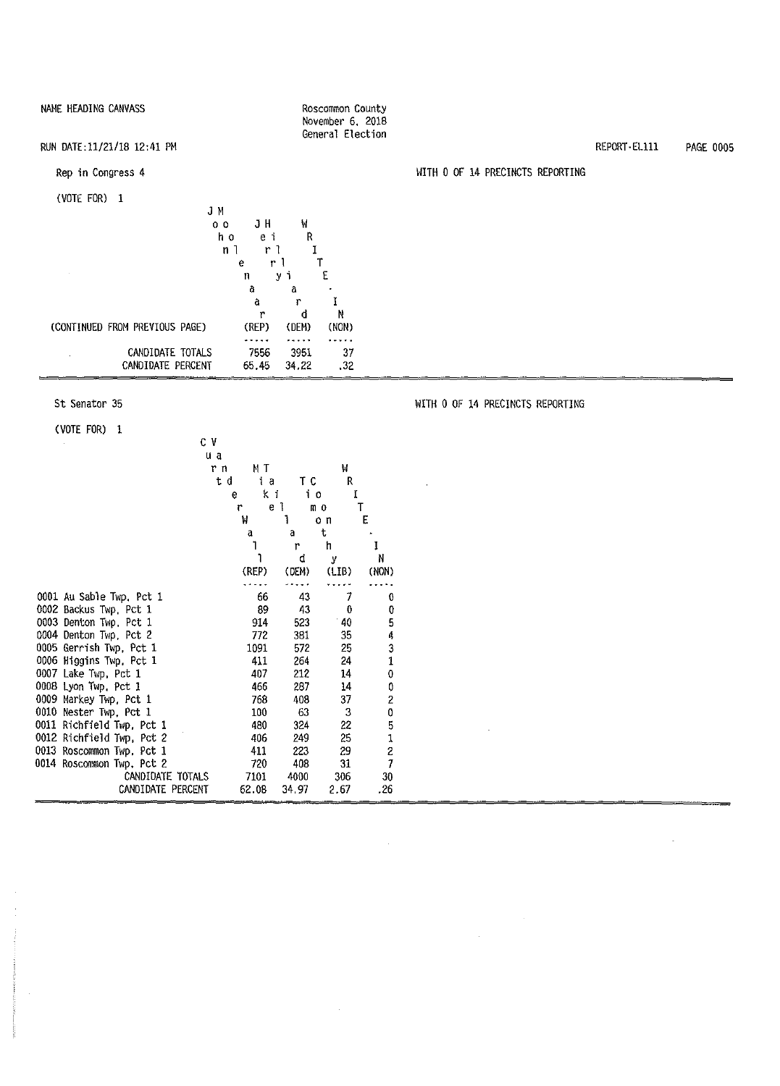| NAME HEADING CANVASS                                                                                                |                                                                                                                                                | Roscommon County<br>November 6, 2018<br>General Election |                                  |               |                  |
|---------------------------------------------------------------------------------------------------------------------|------------------------------------------------------------------------------------------------------------------------------------------------|----------------------------------------------------------|----------------------------------|---------------|------------------|
| RUN DATE:11/21/18 12:41 PM                                                                                          |                                                                                                                                                |                                                          |                                  | REPORT EL 111 | <b>PAGE 0005</b> |
| Rep in Congress 4                                                                                                   |                                                                                                                                                |                                                          | WITH 0 OF 14 PRECINCTS REPORTING |               |                  |
| (VOTE FOR) 1<br>JМ<br>0 <sub>0</sub><br>h o<br>n <sub>1</sub><br>(CONTINUED FROM PREVIOUS PAGE)<br>CANDIDATE TOTALS | W<br>JH<br>$\mathsf R$<br>еi<br>r 1<br>r <sub>1</sub><br>е<br>уi<br>n<br>a<br>а<br>â<br>r<br>đ<br>r<br>(REP)<br>(DEM)<br><br>.<br>7556<br>3951 | E<br>N<br>(NON)<br>.<br>37                               |                                  |               |                  |
| CANDIDATE PERCENT                                                                                                   | 65.45<br>34.22                                                                                                                                 | .32                                                      |                                  |               |                  |

 $\hat{\mathcal{A}}$ 

 $\sim$ 

#### St Senator 35

(VOTE FOR) 1

 $\bar{z}$ 

CV u a r n MT w ta TC<br>eki io  $k_i$  i e 1 r e1 mo T<br>W1 on E l on<br>at a a t l r h I 1 d y N (REP) (DEM) (LIB) (NON)  $\ldots$  .  $\sim$   $\sim$   $\sim$   $\sim$  $- - - \sim$  . . . . 0001 Au Sable Twp, Pct 1 66 43 7 0<br>0002 Backus Twp, Pct 1 89 43 0 0 0002 Backus Twp, Pct 1 89 43 0 0<br>0003 Denton Twp, Pct 1 914 523 40 5 0003 Denton Twp, Pct 1  $\begin{array}{cccc} 914 & 523 & 40 & 5 \\ 0004 & Denton Two, Pct 2 & 772 & 381 & 35 & 4 \end{array}$ 0004 Denton Twp, Pct 2 772 381 35 4<br>0005 Gerrish Twp, Pct 1 1091 572 25 3 0005 Gerrish Twp, Pct 1 1091 572 25 3<br>0006 Higgins Twp, Pct 1 411 264 24 1 0006 Higgins Twp, Pct 1 411 264 24 1<br>0007 Lake Twp, Pct 1 407 212 14 0 0007 Lake Twp, Pct 1 407 212 14 0<br>0008 Lyon Twp, Pct 1 466 287 14 0 0008 Lyon Twp, Pct 1  $\begin{array}{cccc} 0.008 & 287 & 14 & 0 \\ 0.009 & \text{Markey Two, Pct 1} & 768 & 408 & 37 & 2 \end{array}$ 0009 Markey Twp, Pct 1 768 408 37 2 0010 Nester Twp, Pct 1 100 63 3 0 0011 Richfield Twp, Pct 1 480 324 22 5<br>0012 Richfield Twp, Pct 2 406 249 25 1 0012 Richfield Twp, Pct 2 406 249 25 1<br>0013 Roscommon Twp, Pct 1 411 223 29 2 0013 Roscommon Twp, Pct 1 411 223 29 2<br>
0014 Roscommon Twp, Pct 2 720 408 31 7 0014 Roscommon Twp, Pct 2 720 408 31 7 CANDIDATE TOTALS 7101 4000 306 30 CANDIDATE PERCENT

WITH O OF 14 PRECINCTS REPORTING

 $\sim$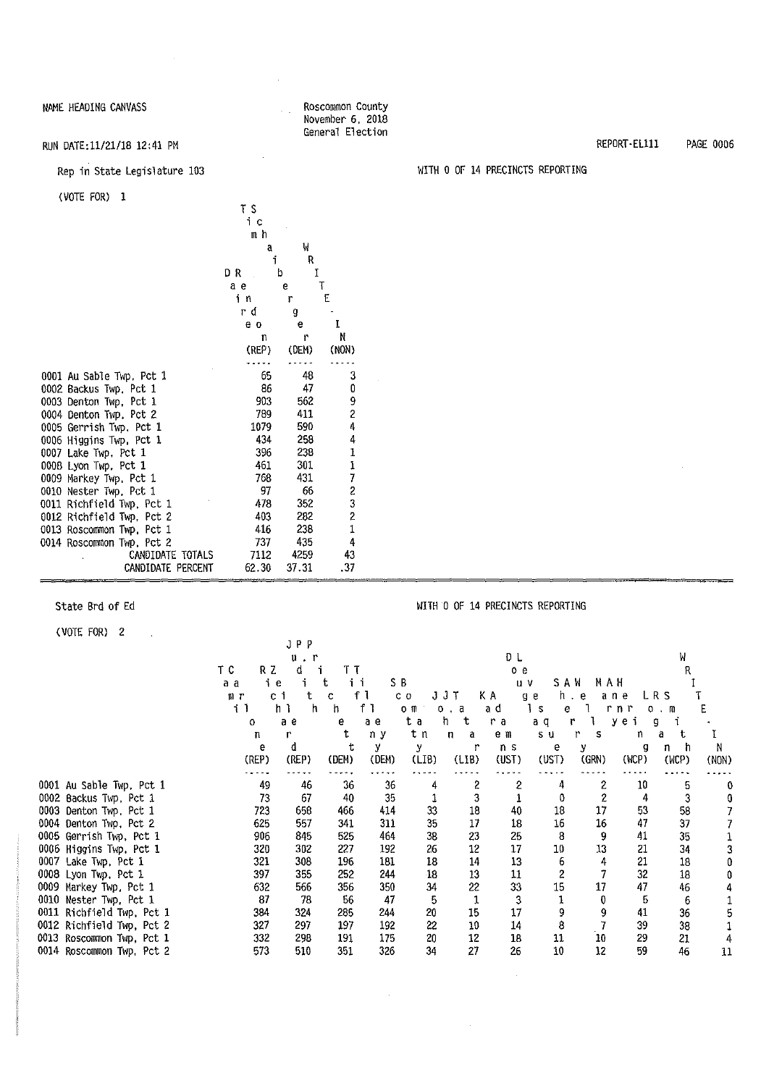#### NAME HEADING CANVASS ROSCOMMON COUNTY

#### (VOTE FOR) 1

|                           | ΤS    |        |               |
|---------------------------|-------|--------|---------------|
|                           | iс    |        |               |
|                           | mh    |        |               |
|                           | a     | W      |               |
|                           | f.    | R      |               |
|                           | DΚ    | I<br>b |               |
|                           | a e   | 6      | Ţ             |
|                           | i n   | r      | E             |
|                           | гd    | g      |               |
|                           | e o   | e      | Ĩ             |
|                           | n     | r      | N             |
|                           | (REP) | (DEM)  | (NON)         |
|                           |       |        |               |
| 0001 Au Sable Twp, Pct 1  | 65    | 48     | 3             |
| 0002 Backus Twp, Pct 1    | 86    | 47     | 0             |
| 0003 Denton Twp, Pct 1    | 903   | 562    | 9             |
| 0004 Denton Twp, Pct 2    | 789   | 411    | 2             |
| 0005 Gerrish Twp. Pct 1   | 1079  | 590    | 4             |
| 0006 Higgins Twp, Pct 1   | 434   | 258    | 4             |
| 0007 Lake Twp. Pct 1      | 396   | 238    |               |
| 0008 Lyon Twp, Pct 1      | 461   | 301    |               |
| 0009 Markey Twp, Pct 1    | 768   | 431    | 11723         |
| 0010 Nester Twp, Pct 1    | 97    | 66     |               |
| 0011 Richfield Twp, Pct 1 | 478   | 352    |               |
| 0012 Richfield Twp, Pct 2 | 403   | 282    | $\frac{2}{1}$ |
| 0013 Roscommon Twp. Pct 1 | 416   | 238    |               |
| 0014 Roscommon Twp, Pct 2 | 737   | 435    | 4             |
| CANDIDATE TOTALS          | 7112  | 4259   | 43            |
| CANDIDATE PERCENT         | 62.30 | 37.31  | .37           |

(VOTE FOR) 2

0014 Roscommon Twp, Pct 2

### State Brd of Ed WITH 0 OF 14 PRECINCTS REPORTING  $\bar{z}$ J p p u . r D L w TC RZ d i TT oe R a a ie it ii SB uv SAW MAH I<br>mrcitcfl co JJT KA geheaneLRS T mr citc fl co JJT KA geh.eaneLRS T il h l h h fl om o a ad is el rnr o m E o ae e ae ta ht ra aq r 1 yeigi

November 6, 2018 General Election

|                           | 0.    | а е   | е     | ае    | ւ օ   | -01<br>-11 | га    | au    |       | y e i | 9     |       |
|---------------------------|-------|-------|-------|-------|-------|------------|-------|-------|-------|-------|-------|-------|
|                           |       |       |       | nу    | tη    | n<br>a     | еm    | SU.   |       | n     | a     |       |
|                           |       |       |       |       |       |            | ns    | e     |       | g     | n     |       |
|                           | (REP) | (REP) | (DEN) | (DEM) | (LIB) | (LIB)      | (UST) | (UST) | (GRN) | (WCP) | (WCP) | (NON) |
|                           |       |       |       |       |       |            |       |       |       |       |       |       |
| 0001 Au Sable Twp, Pct 1  | 49    | 46    | 36    | 36    |       |            |       |       | 2     | 10    |       |       |
| 0002 Backus Twp, Pct 1    | 73    | 67    | 40    | 35    |       |            |       |       |       |       |       |       |
| 0003 Denton Twp. Pct 1    | 723   | 658   | 466   | 414   | 33    | 18         | 40    | 18    | 17    | 53    | 58    |       |
| 0004 Denton Twp. Pct 2    | 625   | 557   | 341   | 311   | 35    | 17         | 18    | 16    | 16    | 47    | 37    |       |
| 0005 Gerrish Twp. Pct 1   | 906   | 845   | 525   | 464   | 38    | 23         | 25    | 8     | 9     | 41    | 35    |       |
| 0006 Higgins Twp. Pct 1   | 320   | 302   | 227   | 192   | 26    | 12         | 17    | 10    | 13    | 21    | 34    |       |
| 0007<br>Lake Twp, Pct 1   | 321   | 308   | 196   | 181   | 18    | 14         | 13    |       |       | 21    | 18    |       |
| 0008 Lyon Twp, Pct 1      | 397   | 355   | 252   | 244   | -18   | 13         | 11    |       |       | 32    | 18    |       |
| 0009 Markey Twp, Pct 1    | 632   | 566   | 356   | 350   | 34    | 22         | 33    | 15    | 17    | 47    | 46    |       |
| 0010<br>Nester Twp, Pct 1 | 87    | 78    | 56    | 47    | 5     |            |       |       |       | b     | 6     |       |
| 0011 Richfield Twp, Pct 1 | 384   | 324   | 285   | 244   | 20    | 15         | 17    |       |       | 41    | 36    |       |
| 0012 Richfield Twp, Pct 2 | 327   | 297   | 197   | 192   | 22    | 10         | 14    |       |       | 39    | 38    |       |
| 0013 Roscommon Twp, Pct 1 | 332   | 298   | 191   | 175   | 20    | 12         | 18    | 11    | 10    | 29    | 21    |       |

0013 Roscommon Twp, Pct 1 332 298 191 175 20 12 18 11 10 29 21 4

l,

RUN DATE:11/21/18 12:41 PM REPORT-Ellll PAGE 0006

#### Rep in State Legislature 103 WITH O OF 14 PRECINCTS REPORTING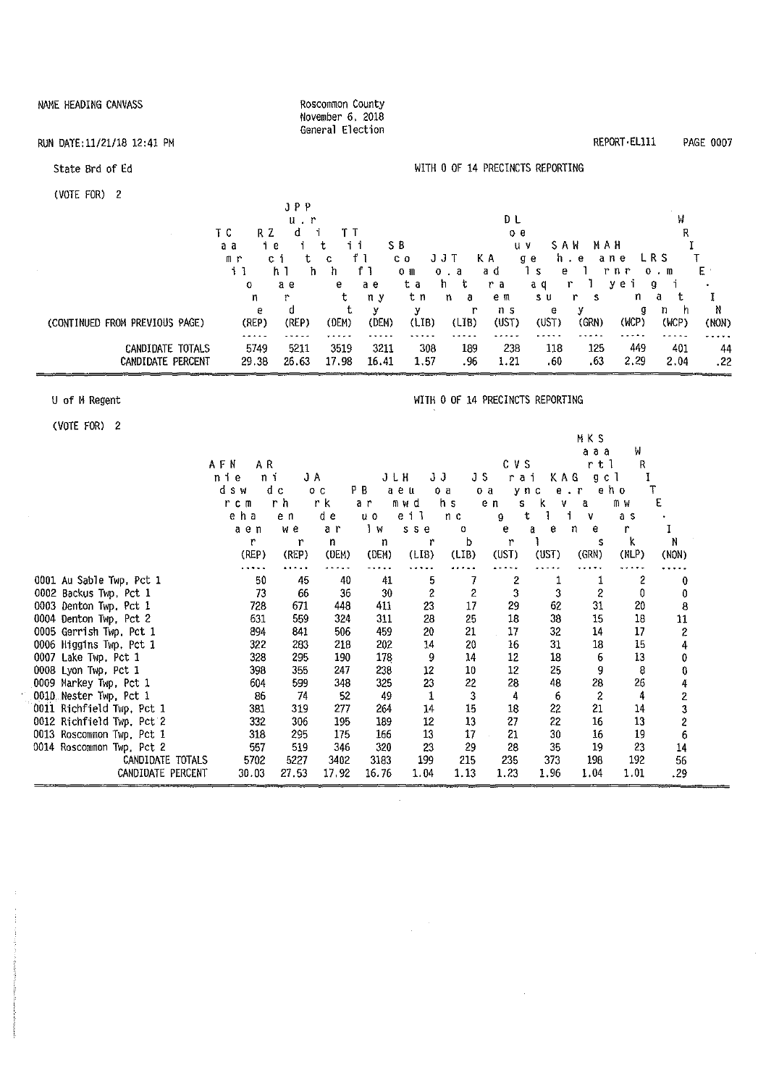| NAME HEADING CANVASS                  | Roscommon County<br>November 6, 2018                                                                                 |                                                                                                      |                                                                     |                  |
|---------------------------------------|----------------------------------------------------------------------------------------------------------------------|------------------------------------------------------------------------------------------------------|---------------------------------------------------------------------|------------------|
| RUN DATE: 11/21/18 12:41 PM           | General Election                                                                                                     |                                                                                                      | REPORT EL111                                                        | <b>PAGE 0007</b> |
| State Brd of Ed                       |                                                                                                                      | WITH 0 OF 14 PRECINCTS REPORTING                                                                     |                                                                     |                  |
| (VOTE FOR) 2                          | JPP                                                                                                                  |                                                                                                      |                                                                     |                  |
|                                       | $u$ . $r$<br>đ<br>ΤC<br>RZ<br>TΤ                                                                                     | D L<br>οe                                                                                            | W<br>R                                                              |                  |
|                                       | t<br>ii<br>i<br>iе<br>a a<br>f <sub>1</sub><br>сi<br>t<br>mr<br>$\mathbf C$<br>h<br>f <sub>1</sub><br>11<br>ħ<br>h 1 | SB.<br>$U$ $V$<br>JJT<br>ΚA<br>C <sub>0</sub><br>g e<br>1 <sub>s</sub><br>аd<br>$0$ $a$<br>$O$ $\Pi$ | SAW<br>MAH<br>LR S<br>h.e<br>ane<br>r n r<br>E.<br>e<br>$0 \cdot m$ |                  |
|                                       | a e<br>a e<br>$\circ$<br>е<br>t<br>n y<br>r<br>n                                                                     | h t<br>ta<br>r a<br>t n<br>n.<br>e m<br>a                                                            | yei<br>a q<br>r<br>g<br>t<br>n<br>s u<br>r<br>a<br>s                | I                |
| (CONTINUED FROM PREVIOUS PAGE)        | t<br>d<br>У<br>е<br>(REP)<br>(REP)<br>(DEM)<br>(DEM)<br>.                                                            | у<br>r<br>n <sub>s</sub><br>(LIB)<br>(L18)<br>(UST)                                                  | y<br>g<br>h,<br>n<br>е<br>(WCP)<br>(GRN)<br>(WCP)<br>(UST)          | N<br>(NON)       |
| CANDIDATE TOTALS<br>CANDIDATE PERCENT | 5211<br>5749<br>3519<br>3211<br>26.63<br>17.98<br>16.41<br>29.38                                                     | 308<br>189<br>238<br>1.57<br>.96<br>1.21                                                             | 449<br>118<br>125<br>401<br>.60<br>.63<br>2.29<br>2.04              | .<br>44<br>.22   |
| U of M Regent                         |                                                                                                                      | WITH 0 OF 14 PRECINCTS REPORTING                                                                     |                                                                     |                  |
| (VOTE FOR) 2                          |                                                                                                                      |                                                                                                      | MKS                                                                 |                  |
|                                       | AFN<br>AR.<br>nie ni<br>. <u>.</u>                                                                                   | CVS<br>$J H$ $J J$ $J S$ rai                                                                         | W<br>aaa<br>r t 1<br>R<br>Y A G<br>a c l                            |                  |

|                           | AFN<br>ΑR |       |                |                           |                |                | CVS      |          | r t 1     | R     |                  |
|---------------------------|-----------|-------|----------------|---------------------------|----------------|----------------|----------|----------|-----------|-------|------------------|
|                           | nie<br>ni | JA    |                |                           | JЈ<br>JLH      | JS             | rai      | KAG      | gcl       |       |                  |
|                           | dsw       | d c   | O <sub>C</sub> | ΡB                        | aeu            | o a            | o a      | ync<br>e | $\cdot$ r | eho   |                  |
|                           | r c n     | r h   | r k            | a r                       | mwd            | h s            | e n<br>s | ĸ<br>v   | a         | mw    | E                |
|                           | eha       | e n   | d e            | $\mathbf{u}$ $\mathbf{o}$ | eil            | n <sub>c</sub> | g        | ŧ.       | v         | a s   |                  |
|                           | aen       | w e   | ar             | $\frac{1}{2}$             | s s e          | 0              | е        | e<br>a   | е<br>n    |       |                  |
|                           | r         | r     | n              | n                         | r              | b              | r        |          | s         | k     | N                |
|                           | (REP)     | (REP) | (DEM)          | (DEM)                     | (LIB)          | (LIB)          | (UST)    | (UST)    | (GRN)     | (NLP) | (NON)            |
|                           |           |       |                |                           |                |                |          |          |           |       |                  |
| 0001 Au Sable Twp, Pct 1  | 50        | 45    | 40             | 41                        | 5              |                | 2        |          |           | 2     |                  |
| 0002 Backus Twp, Pct 1    | 73        | 66    | 36             | 30                        | $\overline{c}$ | 2              | 3        | 3        |           | 0     |                  |
| 0003 Denton Twp. Pct 1    | 728       | 671   | 448            | 411                       | 23             | 17             | 29       | 62       | 31        | 20    | 8                |
| 0004 Denton Twp, Pct 2    | 631       | 559   | 324            | 311                       | 28             | 25             | 18       | 38       | 15        | 18    | 11               |
| 0005 Gerrish Twp. Pct 1   | 894       | 841   | 506            | 459                       | 20             | 21             | 17       | 32       | 14        | 17    | $\boldsymbol{2}$ |
| 0006 Higgins Twp. Pct 1   | 322       | 283   | 218            | 202                       | 14             | 20             | 16       | 31       | 18        | 15    | 4                |
| 0007 Lake Twp. Pct 1      | 328       | 295   | 190            | 178                       | 9              | 14             | 12       | 18       | 6         | 13    | 0                |
| 0008 Lyon Twp. Pct 1      | 398       | 355   | 247            | 238                       | 12             | 10             | 12       | 25       | 9         | 8     |                  |
| 0009 Markey Twp, Pct 1    | 604       | 599   | 348            | 325                       | 23             | 22             | 28       | 48       | 28        | 26    |                  |
| 0010 Nester Twp. Pct 1    | 86        | 74    | 52             | 49                        | 1              | 3              | 4        | 6        | 2         | 4     | 2                |
| 0011 Richfield Twp. Pct 1 | 381       | 319   | 277            | 264                       | 14             | 15             | 18       | 22       | 21        | 14    | 3                |
| 0012 Richfield Twp, Pct 2 | 332       | 306   | 195            | 189                       | 12             | 13             | 27       | 22       | 16        | 13    | 2                |
| 0013 Roscommon Twp, Pct 1 | 318       | 295   | 175            | 166                       | 13             | 17             | 21       | 30       | 16        | 19    | 6                |
| 0014 Roscommon Twp, Pct 2 | 557       | 519   | 346            | 320                       | 23             | 29             | 28       | 35       | 19        | 23    | 14               |
| CANDIDATE TOTALS          | 5702      | 5227  | 3402           | 3183                      | 199            | 215            | 235      | 373      | 198       | 192   | 56               |
| CANDIDATE PERCENT         | 30.03     | 27.53 | 17.92          | 16.76                     | 1.04           | 1.13           | 1.23     | 1.96     | 1.04      | 1.01  | .29              |

 $\sim$   $\sim$ 

 $\mathcal{L}^{\text{max}}_{\text{max}}$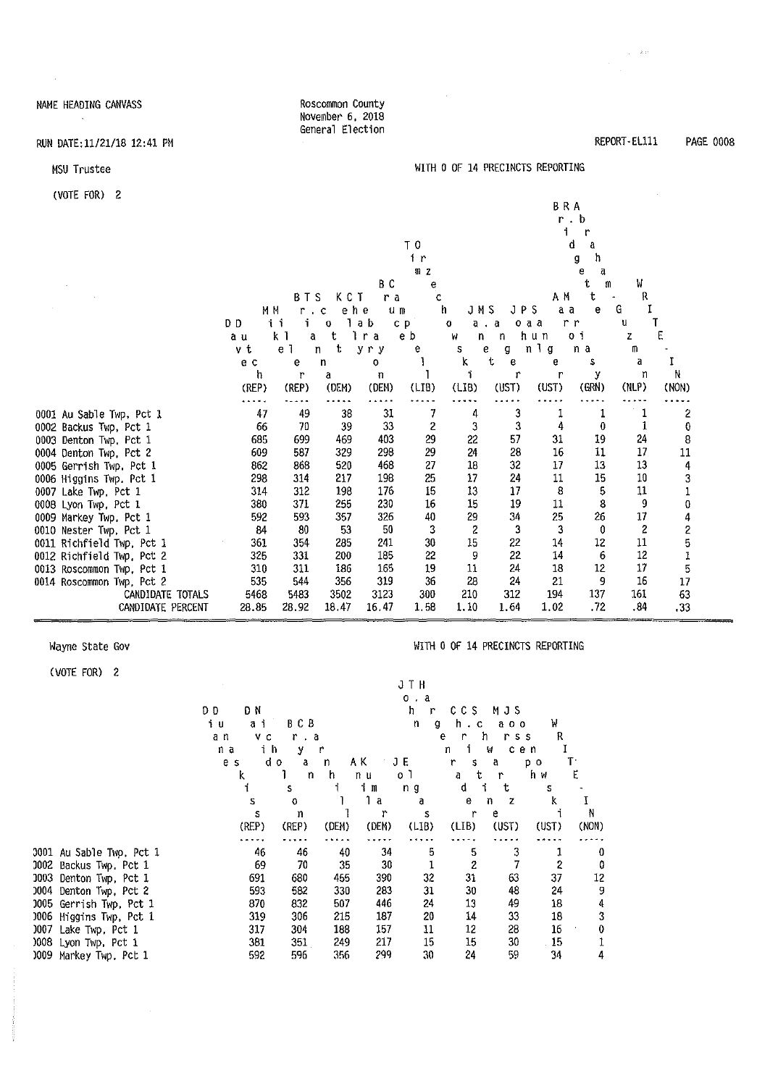#### NAME HEADING CANVASS  $\sim$   $\sim$

 $\sim$   $\sim$ 

#### RUN DATE:11/21/18 12:41 PM

#### MSU Trustee

(VOTE FOR) 2

| $\sqrt{2}$                                   |            |                |            |             |          |                |               | <b>BRA</b> | r.b      |          |                         |
|----------------------------------------------|------------|----------------|------------|-------------|----------|----------------|---------------|------------|----------|----------|-------------------------|
|                                              |            |                |            |             | ΤO       |                |               |            | d<br>a   |          |                         |
|                                              |            |                |            |             | 1r       |                |               |            | ħ<br>g   |          |                         |
|                                              |            |                |            |             | RZ       |                |               |            | е<br>d   |          |                         |
|                                              |            |                |            | ВC          |          |                |               |            | t<br>m   | W        |                         |
|                                              |            | ΒТ             | KCT<br>-S  | ra          | c        |                |               | A M        | t        | R        |                         |
|                                              | M M        | r              | ehe<br>¢   | $u_{\rm m}$ |          | JMS<br>h       | JPS           | аa         | е        | G        |                         |
|                                              | DD.        | ίí             | 0          | ab          | c p      | o              | o a a<br>а. а |            | r r      | U        |                         |
|                                              | a u        | k 1<br>a       | t          | r a         | e b      | W<br>n         | n             | hun        | 0 i      | Z        | Е                       |
|                                              | v t        | e <sub>1</sub> | t<br>n     | yry         | e        | S              | 6<br>g        | nlg        | n a      | m        |                         |
|                                              | e c        | е              | n          | 0           |          | k              | t<br>e        | e          | s        | a        |                         |
|                                              | h          | r              | a          | п           |          |                | r             | r          | у        | រា       | N                       |
|                                              | (REP)      | (REP)          | (DEM)      | (DEM)       | (LIB)    | (LIB)          | (UST)         | (UST)      | (GRN)    | (NLP)    | (NON)                   |
|                                              |            |                |            |             |          |                |               |            |          |          |                         |
| 0001 Au Sable Twp. Pct 1                     | 47         | 49             | 38         | 31          |          | 4              | 3             |            |          |          | 2                       |
| 0002 Backus Twp, Pct 1                       | 66         | 70             | 39         | 33          | 2        | 3              | 3             | 4          | 0        |          | 0                       |
| 0003 Denton Twp. Pct 1                       | 685        | 699            | 469        | 403         | 29       | 22             | 57            | 31         | 19       | 24       | 8                       |
| 0004 Denton Twp, Pct 2                       | 609        | 587            | 329        | 298         | 29       | 24             | 28            | 16         | 11       | 17<br>13 | 11                      |
| 0005 Gerrish Twp, Pct 1                      | 862        | 868<br>314     | 520<br>217 | 468<br>198  | 27<br>25 | 18<br>17       | 32<br>24      | 17<br>$11$ | 13<br>15 | 10       | 4                       |
| 0006 Higgins Twp. Pct 1                      | 298        |                |            | 176         | 15       |                | 17            | 8          | 5        | 11       | 3<br>$\mathbf 1$        |
| 0007 Lake Twp, Pct 1<br>0008 Lyon Twp, Pct 1 | 314<br>380 | 312<br>371     | 198<br>255 | 230         | 16       | 13<br>15       | 19            | 11         | 8        | 9        | 0                       |
| 0009 Markey Twp, Pct 1                       | 592        | 593            | 357        | 326         | 40       | 29             | 34            | 25         | 26       | 17       | 4                       |
| 0010 Nester Twp, Pct 1                       | 84         | 80             | 53         | 50          | 3        | $\overline{c}$ | 3             | 3          | 0        | 2        | $\overline{\mathbf{c}}$ |
| 0011 Richfield Twp, Pct 1                    | 361        | 354            | 285        | 241         | 30       | 15             | 22            | 14         | 12       | 11       | 5                       |
| 0012 Richfield Twp, Pct 2                    | 325        | 331            | 200        | 185         | 22       | 9              | 22            | 14         | 6        | 12       | 1                       |
| 0013 Roscommon Twp, Pct 1                    | 310        | 311            | 186        | 165         | 19       | 11             | 24            | 18         | 12       | 17       | 5                       |
| 0014 Roscommon Twp, Pct 2                    | 535        | 544            | 356        | 319         | 36       | 28             | 24            | 21         | 9        | 16       | 17                      |
| CANDIDATE TOTALS                             | 5468       | 5483           | 3502       | 3123        | 300      | 210            | 312           | 194        | 137      | 161      | 63                      |
| CANDIDATE PERCENT                            | 28.85      | 28.92          | 18.47      | 16,47       | 1.58     | 1.10           | 1.64          | 1.02       | .72      | .84      | .33                     |

Roscommon County November 6, 2018 General Election

#### Wayne State Gov

1001 Au Sable Twp. Pct 1 J002 Backus Twp, Pct 1 J003 Denton Twp, Pct I J004 Denton Twp, Pct 2 J005 Gerri sh Twp, Pct 1 J006 Higgins Twp, Pct 1 )007 Lake Twp, Pct 1 )008 Lyon Twp, Pct 1 )009 Markey Twp, Pct I

(VOTE FOR) 2

#### WITH O OF 14 PRECINCTS REPORTING

WITH O OF 14 PRECINCTS REPORTING

REPORT•ELlll

 $\gamma_{\rm eff} = 2.0$  .

PAGE 0008

|        |         |           |       |        | JTH               |              |                |       |       |
|--------|---------|-----------|-------|--------|-------------------|--------------|----------------|-------|-------|
|        |         |           |       |        | a<br>$0$ .        |              |                |       |       |
| D<br>Ð | ΟN      |           |       |        | h<br>r            | c c s        | MJS            |       |       |
| iυ     | i<br>đ. | BCB       |       |        | $\mathsf{n}$<br>g | h.<br>C      | a o o          | Ή     |       |
| a n    | V C     | r.<br>. 8 |       |        |                   | е<br>r       | h<br>r s s     | R     |       |
| na     | ih      | у         | r     |        |                   | j.<br>n      | M<br>cen       | Ĩ     |       |
|        | e s     | dο<br>a   | n     | AΚ     | JE                | r<br>s       | a              | p o   | T٠    |
|        | k       | 1<br>n    | h.    | n u    | 0 <sup>1</sup>    | t<br>a       | r              | hи    | E,    |
|        | f.      | S         | i     | i m    | n g               | d            | i.<br>t        | S     |       |
|        | S       | o         | 1     | 1<br>a | a                 | е            | n<br>Z         | k     | I     |
|        | s       | n         |       | r      | $\mathbf S$       | r            | e              |       | N     |
|        | (REP)   | (REP)     | (DEM) | (DEM)  | (LIB)             | (LIB)        | (UST)          | (UST) | (NON) |
|        |         |           |       |        |                   |              |                |       |       |
|        | 46      | 46        | 40    | 34     | 5                 | 5            | 3              | 1     | 0     |
|        | 69      | 70        | 35    | 30     | 1                 | $\mathbf{z}$ | $\overline{7}$ | 2     | 0     |
|        | 691     | 680       | 455   | 390    | 32                | 31           | 63             | 37    | 12    |
|        | 593     | 582       | 330   | 283    | 31                | 30           | 48             | 24    | 9     |
|        | 870     | 832       | 507   | 446    | 24                | 13           | 49             | 18    | 4     |
|        | 319     | 306       | 215   | 187    | 20                | 14           | 33             | 18    | 3     |
|        | 317     | 304       | 188   | 157    | 11                | 12           | 28             | 16    | 0     |
|        | 381     | 351       | 249   | 217    | 15                | 15           | 30             | 15    |       |
|        | 592     | 596       | 356   | 299    | 30                | 24           | 59             | 34    | 4     |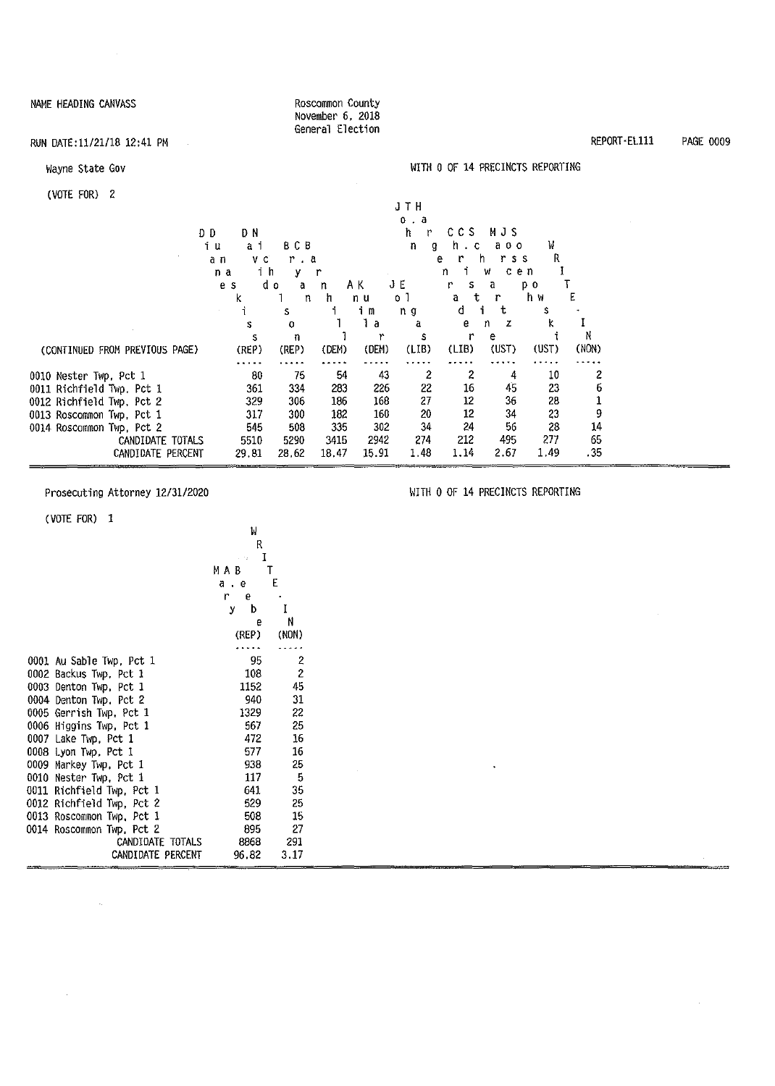| NAME HEADING CANVASS           |             |            | Roscommon County<br>November 6, 2018<br>General Election |       |           |        |               |                                  |                  |              |                  |
|--------------------------------|-------------|------------|----------------------------------------------------------|-------|-----------|--------|---------------|----------------------------------|------------------|--------------|------------------|
| RUN DATE: 11/21/18 12:41 PM    |             |            |                                                          |       |           |        |               |                                  |                  | REPORT-EL111 | <b>PAGE 0009</b> |
| Wayne State Gov                |             |            |                                                          |       |           |        |               | WITH 0 OF 14 PRECINCTS REPORTING |                  |              |                  |
| (VOTE FOR) $2$                 |             |            |                                                          |       |           |        |               |                                  |                  |              |                  |
|                                |             |            |                                                          |       | JTH       |        |               |                                  |                  |              |                  |
|                                |             |            |                                                          |       | 0. a      |        |               |                                  |                  |              |                  |
|                                | DN<br>D D   |            |                                                          |       | ħ.<br>r   | CCS.   | MJS           |                                  |                  |              |                  |
|                                | ίu<br>аi    | <b>BCB</b> |                                                          |       | n<br>g    | h.c    | aoo           | W                                |                  |              |                  |
|                                | $V$ C<br>an | $r$ a      |                                                          |       |           | r<br>e | S S<br>h<br>r | R                                |                  |              |                  |
|                                | ih<br>na    | У          | r                                                        |       |           | n      | cen<br>W      | 1                                |                  |              |                  |
|                                | e s         | dο<br>ã    | n                                                        | ΑK    | JΕ        | r<br>s | a             | pо                               |                  |              |                  |
|                                | ĸ           | n          | h                                                        | n u   | $\circ$ 1 | t<br>a | r             | h w                              | E                |              |                  |
|                                |             | s          |                                                          | im    | n g       | d      | t             | s                                |                  |              |                  |
|                                | s           | $\circ$    |                                                          | a     | a         | е      | z<br>n        | k                                |                  |              |                  |
|                                | s           | n          |                                                          | r     | s         | r      | е             |                                  | N                |              |                  |
| (CONTINUED FROM PREVIOUS PAGE) | (REP)       | (REP)      | (DEM)                                                    | (DEM) | (LIB)     | (LIB)  | (UST)         | (UST)                            | (NON)            |              |                  |
|                                | $\cdots$    |            |                                                          |       |           |        |               |                                  |                  |              |                  |
| 0010 Nester Twp, Pct 1         | 80          | 75         | 54                                                       | 43    | 2         | 2      | 4             | 10                               | $\boldsymbol{z}$ |              |                  |
| 0011 Richfield Twp, Pct 1      | 361         | 334        | 283                                                      | 226   | 22        | 16     | 45            | 23                               | $\boldsymbol{6}$ |              |                  |
| 0012 Richfield Twp, Pct 2      | 329         | 306        | 186                                                      | 168   | 27        | 12     | 36            | 28                               | 1                |              |                  |
| 0013 Roscommon Twp, Pct 1      | 317         | 300        | 182                                                      | 160   | 20        | 12     | 34            | 23                               | 9                |              |                  |
| 0014 Roscommon Twp, Pct 2      | 545         | 508        | 335                                                      | 302   | 34        | 24     | 56            | 28                               | 14               |              |                  |
| CANDIDATE TOTALS               | 5510        | 5290       | 3415                                                     | 2942  | 274       | 212    | 495           | 277                              | 65               |              |                  |
| CANDIDATE PERCENT              | 29.81       | 28.62      | 18.47                                                    | 15.91 | 1.48      | 1.14   | 2.67          | 1.49                             | .35              |              |                  |

18.47 15.91

 $\sim 10^7$ 

Prosecuting Attorney 12/31/2020

 $\sim$ 

 $\sim$ 

 $\sim$   $\sim$ 

CANDIDATE PERCENT

29.81

28,62

| (VOTE FOR)<br>1           |                       |
|---------------------------|-----------------------|
|                           | M                     |
|                           | R                     |
|                           | $\cdots$ I            |
|                           | МАВ<br>т              |
|                           | E<br>a.e              |
|                           | r.<br>e               |
|                           | I<br>y b              |
|                           | Ν<br>e                |
|                           | (NON)<br>(REP)        |
|                           |                       |
| 0001 Au Sable Twp, Pct 1  | 2<br>95               |
| 0002 Backus Twp. Pct 1    | $\overline{c}$<br>108 |
| 0003 Denton Twp, Pct 1    | 45<br>1152            |
| 0004 Denton Twp, Pct 2    | 31<br>940             |
| 0005 Gerrish Twp. Pct 1   | 22<br>1329            |
| 0006 Higgins Twp, Pct 1   | 25<br>567             |
| 0007 Lake Twp, Pct 1      | 16<br>472             |
| 0008 Lyon Twp, Pct 1      | 16<br>577             |
| 0009 Markey Twp, Pct 1    | 25<br>938             |
| 0010 Nester Twp, Pct 1    | -5<br>117             |
| 0011 Richfield Twp, Pct 1 | 35<br>641             |
| 0012 Richfield Twp, Pct 2 | 529<br>25             |
| 0013 Roscommon Twp, Pct 1 | 508<br>15             |
| 0014 Roscommon Twp, Pct 2 | 27<br>895             |
| CANDIDATE TOTALS          | 8868<br>- 291         |
| CANDIDATE PERCENT         | 96.82<br>3.17         |

WITH O OF 14 PRECINCTS REPORTING

 $\langle \cdot, \cdot \rangle$ 

à,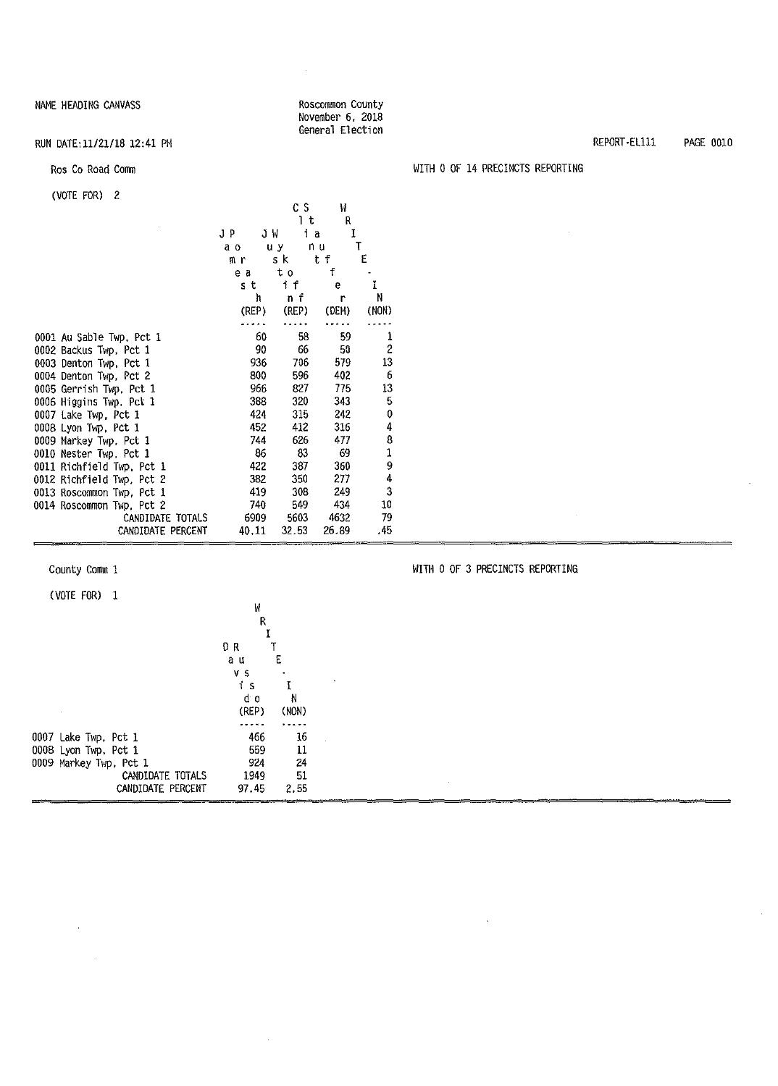#### Roscommon County November 6, 2018 General Election

 $\ddot{\phantom{0}}$ 

 $\sim$ 

 $\mathcal{A}_{\mathcal{A}}$ 

#### RUN DATE:11/21/18 12:41 PM

#### Ros Co Road Comm

### (VOTE FOR) 2

|                           |       | сs        | W     |                |
|---------------------------|-------|-----------|-------|----------------|
|                           |       | Ιt        | R     |                |
|                           | JP    | JW<br>i a | I     |                |
|                           | a o   | uу        | n u   | T              |
|                           | mг    | 5 k       | t f   | E              |
|                           | e a   | tο        | f     |                |
|                           | s t   | i f       | e     | Ï              |
|                           | ħ     | nf        | r     | N              |
|                           | (REP) | (REP)     | (DEM) | (NON)          |
|                           |       |           |       |                |
| 0001 Au Sable Twp. Pct 1  | 60    | 58        | 59    | 1              |
| 0002 Backus Twp, Pct 1    | 90    | 66        | 50    | $\overline{c}$ |
| 0003 Denton Twp, Pct 1    | 936   | 706       | 579   | 13             |
| 0004 Denton Twp, Pct 2    | 800   | 596       | 402   | 6              |
| 0005 Gerrish Twp, Pct 1   | 966   | 827       | 775   | 13             |
| 0006 Higgins Twp, Pct 1   | 388   | 320       | 343   | 5              |
| 0007 Lake Twp, Pct 1      | 424   | 315       | 242   | 0              |
| 0008 Lyon Twp, Pct 1      | 452   | 412       | 316   | 4              |
| 0009 Markey Twp, Pct 1    | 744   | 626       | 477   | 8              |
| 0010 Nester Twp, Pct 1    | 86    | 83        | 69    | $\frac{1}{9}$  |
| 0011 Richfield Twp, Pct 1 | 422   | 387       | 360   |                |
| 0012 Richfield Twp, Pct 2 | 382   | 350       | 277   | 4              |
| 0013 Roscommon Twp, Pct 1 | 419   | 308       | 249   | 3              |
| 0014 Roscommon Twp, Pct 2 | 740   | 549       | 434   | 10             |
| CANDIDATE TOTALS          | 6909  | 5603      | 4632  | 79             |
| CANDIDATE PERCENT         | 40.11 | 32.53     | 26.89 | .45            |

County Comm 1

(VOTE FOR) 1

 $\mathcal{L}$ 

| R                                   |  |
|-------------------------------------|--|
|                                     |  |
| I                                   |  |
| D R                                 |  |
| E<br>a u                            |  |
| v s                                 |  |
| í<br>-S                             |  |
| d o<br>N                            |  |
| (REP)<br>(NON)                      |  |
|                                     |  |
| 466<br>16<br>0007 Lake Twp. Pct 1   |  |
| 559<br>11<br>0008 Lyon Twp, Pct 1   |  |
| 24<br>924<br>0009 Markey Twp, Pct 1 |  |
| 51<br>1949<br>CANDIDATE TOTALS      |  |
| CANDIDATE PERCENT<br>97.45<br>2.55  |  |

### REPORT·EL111 PAGE 0010

#### WITH O OF 14 PRECINCTS REPORTING

WITM O OF 3 PRECINCTS REPORTING

 $\sim$ 

 $\sim$   $\sim$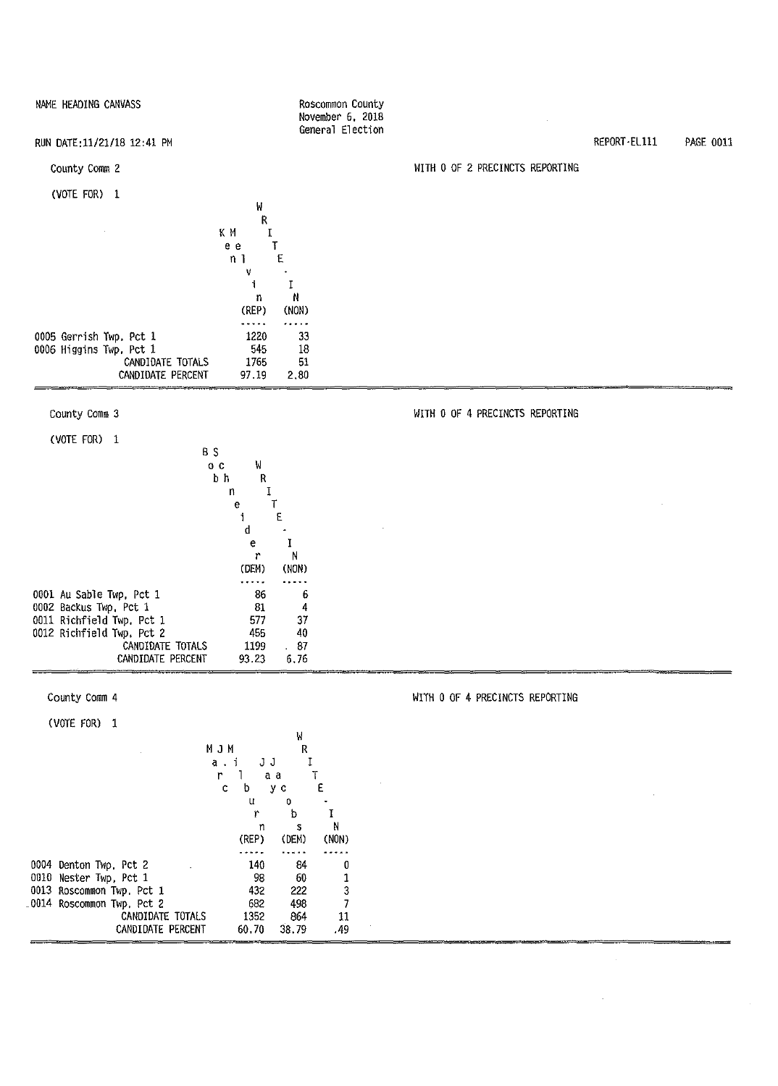| NAME HEADING CANVASS                                                 | Roscommon County<br>November 6, 2018 |                                 |              |                  |
|----------------------------------------------------------------------|--------------------------------------|---------------------------------|--------------|------------------|
| RUN DATE: 11/21/18 12:41 PM                                          | General Election                     |                                 | REPORT-EL111 | <b>PAGE 0011</b> |
| County Comm 2                                                        |                                      | WITH 0 OF 2 PRECINCTS REPORTING |              |                  |
| (VOTE FOR) 1                                                         |                                      |                                 |              |                  |
| W<br>R                                                               |                                      |                                 |              |                  |
| ΚM<br>$\mathbf I$<br>Ţ<br>e e                                        |                                      |                                 |              |                  |
| E<br>n <sub>1</sub><br>v                                             |                                      |                                 |              |                  |
| i<br>n                                                               | $\rm I$<br>N                         |                                 |              |                  |
| (REP)<br>.                                                           | (NON)<br>.                           |                                 |              |                  |
| 0005 Gerrish Twp. Pct 1<br>1220                                      | 33                                   |                                 |              |                  |
| 0006 Higgins Twp. Pct 1<br>545<br>1765<br>CANDIDATE TOTALS           | 18<br>51                             |                                 |              |                  |
| CANDIDATE PERCENT<br>97.19                                           | 2,80                                 |                                 |              |                  |
| County Comm 3                                                        |                                      | WITH 0 OF 4 PRECINCTS REPORTING |              |                  |
| (VOTE FOR) 1                                                         |                                      |                                 |              |                  |
| B S<br>0 C<br>W                                                      |                                      |                                 |              |                  |
| b h<br>${\sf R}$<br>$\mathbf I$<br>n                                 |                                      |                                 |              |                  |
| Τ<br>e<br>i<br>£                                                     |                                      |                                 |              |                  |
| d<br>е                                                               | I                                    |                                 |              |                  |
| r<br>(DEM)                                                           | N<br>(NON)                           |                                 |              |                  |
| .<br>0001 Au Sable Twp, Pct 1<br>86                                  | <br>6                                |                                 |              |                  |
| 0002 Backus Twp, Pct 1<br>81                                         | 4                                    |                                 |              |                  |
| 0011 Richfield Twp. Pct 1<br>577<br>0012 Richfield Twp. Pct 2<br>455 | 37<br>40                             |                                 |              |                  |
| CANDIDATE TOTALS<br>1199<br>CANDIDATE PERCENT<br>93.23               | 87<br>6.76                           |                                 |              |                  |
| County Comm 4                                                        |                                      | WITH 0 OF 4 PRECINCTS REPORTING |              |                  |
|                                                                      |                                      |                                 |              |                  |
| (VOTE FOR) 1                                                         | W                                    |                                 |              |                  |
| MJM<br>$a - i$<br>JJ                                                 | R<br>Ţ                               |                                 |              |                  |
| r<br>a a<br>1.<br>$\mathsf{C}$<br>b<br>y c                           | T<br>Е                               |                                 |              |                  |
| u<br>r                                                               | 0<br>$\mathbf I$<br>b                |                                 |              |                  |
| n<br>(REP)                                                           | N<br>s<br>(DEM)<br>(NON)             |                                 |              |                  |
| بالأسادة<br>0004 Denton Twp, Pct 2<br>140                            | .<br><br>84<br>0                     |                                 |              |                  |
| 0010 Nester Twp, Pct 1<br>98<br>0013 Roscommon Twp. Pct 1<br>432     | 60<br>1<br>3<br>222                  |                                 |              |                  |

 $\hat{\mathcal{F}}$ 

 $\hat{\mathcal{L}}$ 

432 222 682 498 1352 864 60.70 38. 79

CANDIDATE TOTALS CANDIDATE PERCENT

\_Q014 Roscommon Twp, Pct 2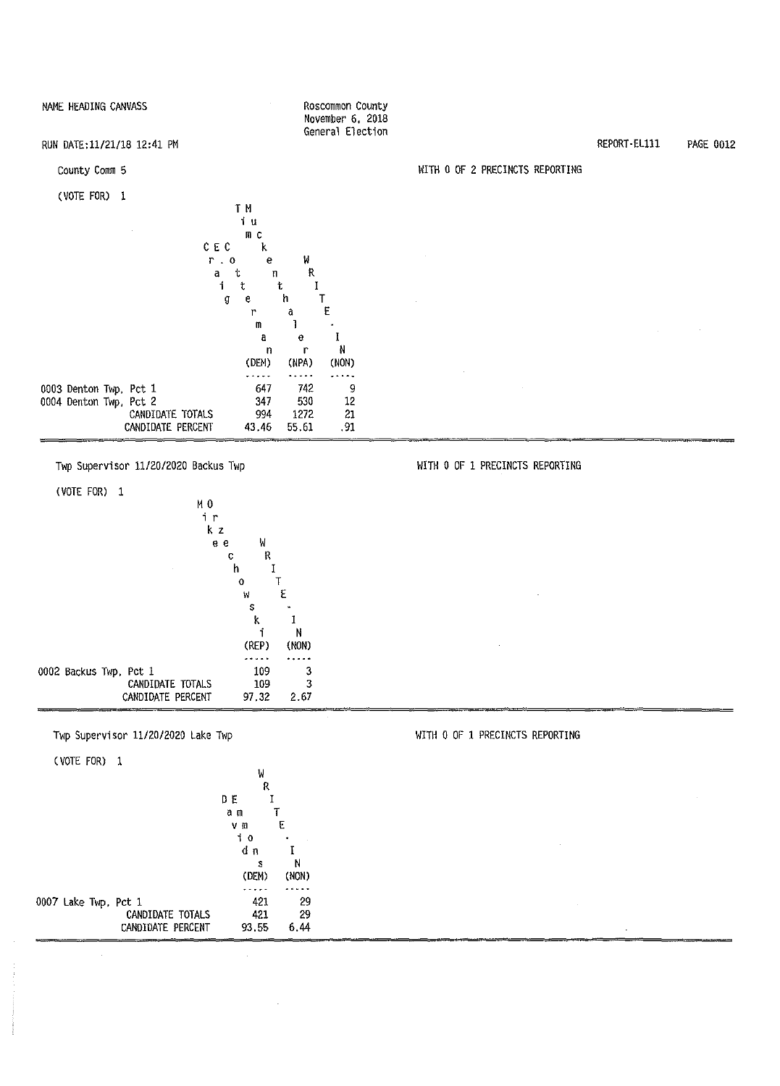

Twp Supervisor 11/20/2020 Backus Twp

(VOTE FOR) 1 M<sub>0</sub> i r **k** z e e W c R h I o T w E s<br>k  $\mathbf 1$ i **N**  (REP) (NON) . . . . . 0002 Backus Twp, Pct 1  $\begin{array}{cc} 109 & \hspace{1.5cm} 3 \\ 109 & \hspace{1.5cm} 3 \end{array}$ CANDIDATE TOTALS  $\begin{array}{cc} 109 & 3 \\ 7.32 & 2.67 \end{array}$ CANDIDATE PERCENT  $97,32$ 

Twp Supervisor 11/20/2020 Lake Twp

(VOTE FOR) 1

| . <i>.</i>           |                   |         | W   |       |
|----------------------|-------------------|---------|-----|-------|
|                      |                   |         | R   |       |
|                      |                   | DΕ      |     |       |
|                      |                   | āп      |     |       |
|                      |                   | v m     | E   |       |
|                      |                   | t<br>-0 |     |       |
|                      |                   | dη      |     |       |
|                      |                   |         | Ś   | Ν     |
|                      |                   | (DEM)   |     | (NON) |
|                      |                   |         |     |       |
| 0007 Lake Twp, Pct 1 |                   |         | 421 | 29    |
|                      | CANDIDATE TOTALS  |         | 421 | 29    |
|                      | CANDIDATE PERCENT | 93.55   |     | 6.44  |
|                      |                   |         |     |       |

#### WITH 0 OF 2 PRECINCTS REPORTING

#### WITH O OF 1 PRECINCTS REPORTING

WITH O OF **1** PRECINCTS REPORTING

REPORT-ELlll PAGE 0012

November 6, 2018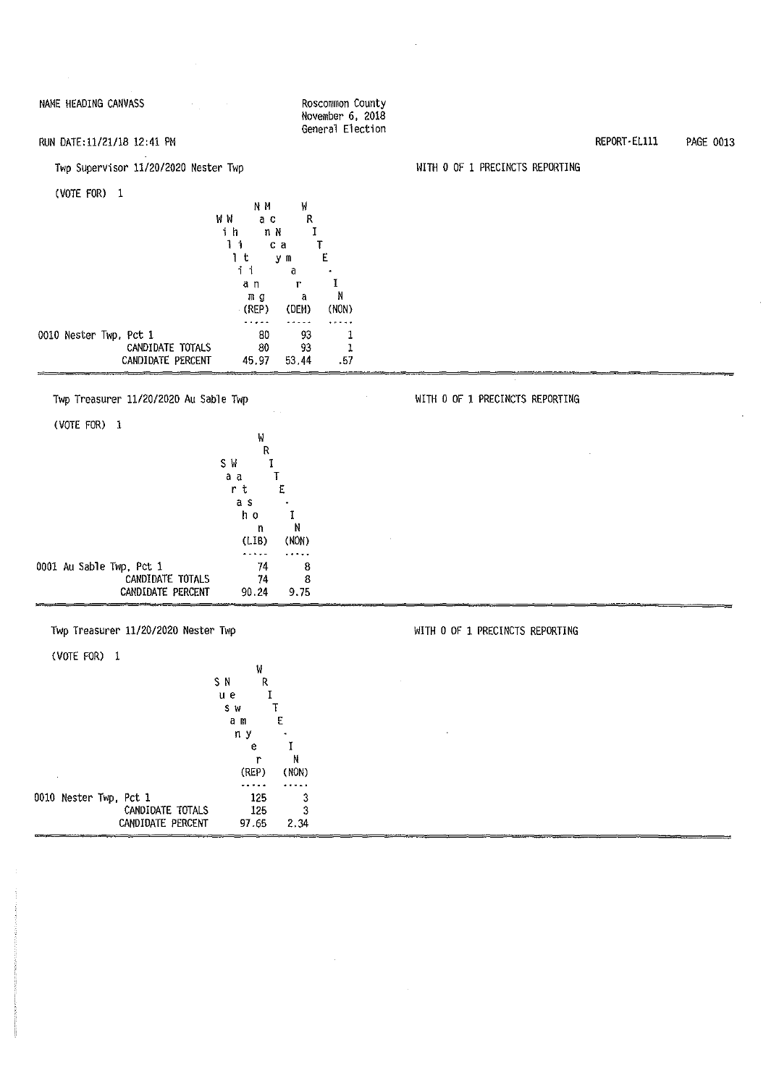NAME HEADING CANVASS ROSCOMMON COUNTY November 6, 2018 General Election

### RUN DATE:11/21118 12:41 PM

### Twp Supervisor 11/20/2020 Nester Twp

(VOTE FOR) l

|                        | NΜ     | W       |       |
|------------------------|--------|---------|-------|
|                        | W W    | R<br>аc |       |
|                        | i<br>h | nΝ      |       |
|                        | i      | са      |       |
|                        | t      | y<br>m  | Ë     |
|                        |        | a       |       |
|                        | aη     | r       |       |
|                        | mg     | a       | Ν     |
|                        | (REP)  | (DEM)   | (NON) |
|                        |        |         |       |
| 0010 Nester Twp, Pct 1 | 80     | 93      |       |
| CANDIDATE TOTALS       | 80     | 93      |       |
| CANDIDATE PERCENT      | 45.97  | 53.44   | . 57  |
|                        |        |         |       |

#### Twp Treasurer 11/20/2020 Au Sable Twp WITH 0 OF 1 PRECINCTS REPORTING

| (VOTE FOR)<br>- 1        |         |       |   |
|--------------------------|---------|-------|---|
|                          | W       |       |   |
|                          | R       |       |   |
|                          | SΜ<br>T |       |   |
|                          | a a     |       |   |
|                          | r<br>t  | E     |   |
|                          | a s     |       |   |
|                          | h o     |       |   |
|                          | n       | N     |   |
|                          | (LIB)   | (NON) | ٠ |
|                          |         |       |   |
| 0001 Au Sable Twp, Pct 1 | 74      | 8     |   |
| CANDIDATE TOTALS         | 74      | 8     |   |
| CANDIDATE PERCENT        | 90.24   | 9.75  |   |

### Twp Treasurer 11/20/2020 Nester Twp

(VOTE FOR) l

|                        | W              |  |
|------------------------|----------------|--|
|                        | SΝ<br>R        |  |
|                        | uе             |  |
|                        | S W            |  |
|                        | E<br>аm        |  |
|                        | пy             |  |
|                        | е              |  |
|                        | Ν              |  |
|                        | (NON)<br>(REP) |  |
|                        |                |  |
| 0010 Nester Twp, Pct 1 | 125<br>3       |  |
| CANDIDATE TOTALS       | 3<br>125       |  |
| CANDIDATE PERCENT      | 97.65<br>2.34  |  |

#### WITH O OF 1 PRECINCTS REPORTING

#### WITH O OF 1 PRECINCTS REPORTING

 $\sim$ 

REPORT-EL111 PAGE 0013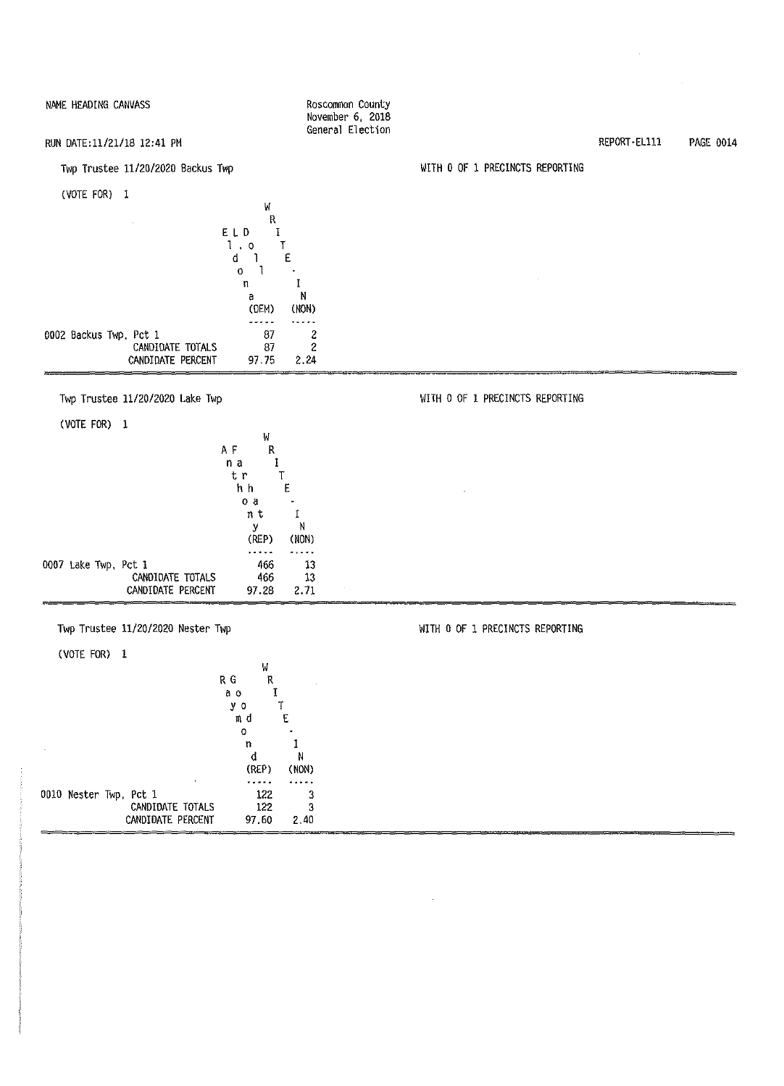RUN OATE:11/21/18 12:41 PM

Twp Trustee 11/20/2020 Backus Twp

(VOTE FOR) 1

|                        | R     |       |
|------------------------|-------|-------|
|                        | ELD   |       |
|                        | 0     |       |
|                        | d     | E     |
|                        | o     |       |
|                        | n     |       |
|                        | a     | Ν     |
|                        | (DEM) | (NON) |
|                        |       |       |
| 0002 Backus Twp, Pct 1 | 87    |       |
| CANDIDATE TOTALS       | 87    | 2     |
| CANDIDATE PERCENT      | 97.75 | 2.24  |
|                        |       |       |

Twp Trustee 11/20/2020 Lake Twp

(VOTE FOR) 1

|  |                      | W      |       |
|--|----------------------|--------|-------|
|  |                      | ΑF     | R     |
|  |                      | n a    |       |
|  |                      | t r    |       |
|  |                      | h h    | E     |
|  |                      | ٥<br>a |       |
|  |                      | n t    |       |
|  |                      | у      | N     |
|  |                      | (REP)  | (NON) |
|  |                      |        |       |
|  | 0007 Lake Twp, Pct 1 | 466    | 13    |
|  | CANDIDATE TOTALS     | 466    | 13    |
|  | CANDIDATE PERCENT    | 97.28  | 2.71  |

Twp Trustee 11/20/2020 Nester Twp

(VOTE FOR) 1

|                        | W       |       |
|------------------------|---------|-------|
|                        | RG<br>R |       |
|                        | aо      |       |
|                        | у<br>0  |       |
|                        | m d     | Ε     |
|                        | Ο       |       |
|                        | n       |       |
|                        |         | N     |
|                        | (REP)   | (NON) |
|                        |         |       |
| 0010 Nester Twp. Pct 1 | 122     | 3     |
| CANDIDATE TOTALS       | 122     | 3     |
| CANDIDATE PERCENT      | 97.60   | 2.40  |

Roscommon County November 6, 2018 General Election

w

WITH O OF 1 PRECINCTS REPORTING

WITH O OF 1 PRECINCTS REPORTING

WITH O OF 1 PRECINCTS REPORTING

REPORT-EL111 PAGE 0014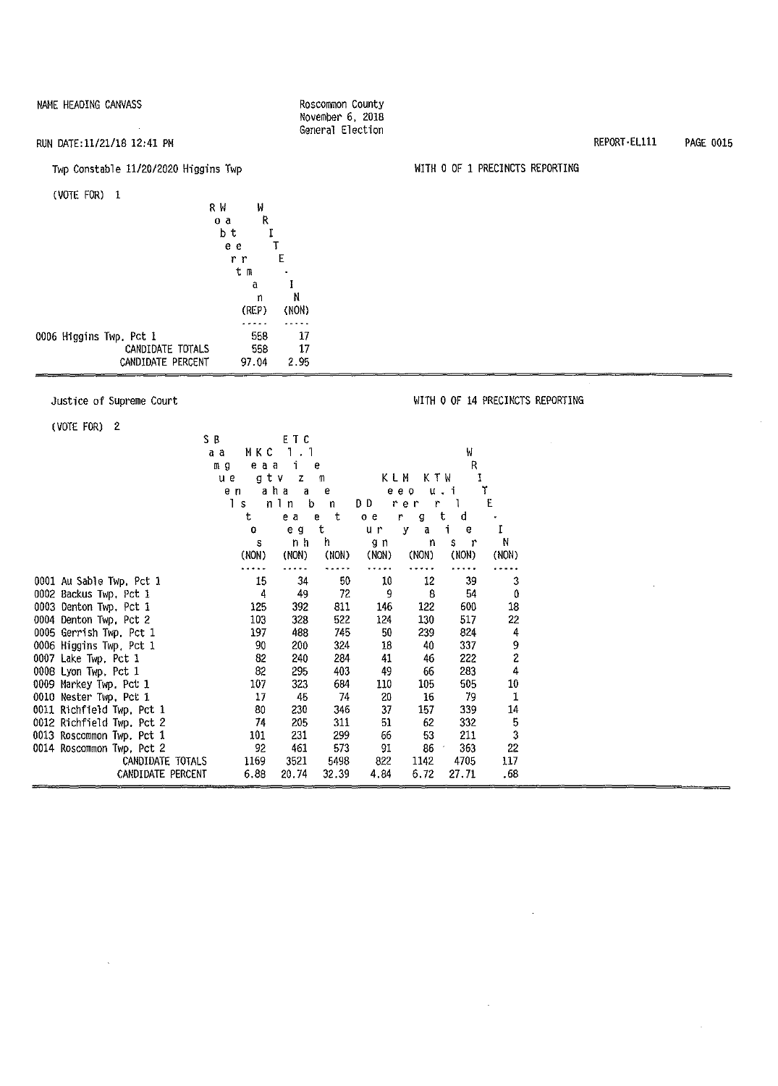Roscommon County November 6, 2018 General Election

#### RUN DATE:11/21/18 12:41 PM

#### Twp Constable 11/20/2020 Higgins Twp

(VOTE FOR) 1

|                         | R W<br>W |       |
|-------------------------|----------|-------|
|                         | R<br>o a |       |
|                         | bt       |       |
|                         | e e      |       |
|                         | r<br>r,  | E     |
|                         | tв       |       |
|                         | â        |       |
|                         | n        | N     |
|                         | (REP)    | (NON) |
|                         |          |       |
| 0006 Higgins Twp. Pct 1 | 558      | 17    |
| CANDIDATE TOTALS        | 558      | 17    |
| CANDIDATE PERCENT       | 97.04    | 2.95  |
|                         |          |       |

#### Justice of Supreme Court

 $\bar{\mathcal{A}}$ 

(VOTE FOR) 2

| ,,,,,,,,,,<br>SB.<br>a a  | MKC<br>eaa<br>m g<br>u e<br>e n<br>Ιs<br>t | ETC<br>$1 \cdot 1$<br>Ť<br>gtv<br>z<br>aha<br>a<br>b<br>nln<br>e a | e<br>M<br>e<br>$\mathbf{n}$<br>t<br>$\mathbf{e}$ | KLM<br>DD.<br>o <sub>e</sub> | KTW<br>e e o<br>rer<br>r<br>n<br>g | W<br>R<br>I<br>u.i<br>1<br>ŧ<br>d | ٢<br>E     |  |
|---------------------------|--------------------------------------------|--------------------------------------------------------------------|--------------------------------------------------|------------------------------|------------------------------------|-----------------------------------|------------|--|
|                           | 0                                          | e g                                                                | t                                                | u r                          | у<br>a                             | i.<br>e                           | I          |  |
|                           | s<br>(NON)                                 | n h<br>(NON)                                                       | h<br>(NON)                                       | g n<br>(NON)                 | n<br>(NON)                         | S<br>$\mathbf{r}$<br>(NON)        | N<br>(NON) |  |
| 0001 Au Sable Twp, Pct 1  | 15                                         | 34                                                                 | 50                                               | 10                           | 12                                 | 39                                | 3          |  |
| 0002 Backus Twp, Pct 1    | 4                                          | 49                                                                 | 72                                               | 9                            | 8                                  | 54                                | 0          |  |
| 0003 Denton Twp. Pct 1    | 125                                        | 392                                                                | 811                                              | 146                          | 122                                | 600                               | 18         |  |
| 0004 Denton Twp, Pct 2    | 103                                        | 328                                                                | 522                                              | 124                          | 130                                | 517                               | 22         |  |
| 0005 Gerrish Twp, Pct 1   | 197                                        | 488                                                                | 745                                              | 50                           | 239                                | 824                               | 4          |  |
| 0006 Higgins Twp, Pct 1   | 90                                         | 200                                                                | 324                                              | 18                           | 40                                 | 337                               | 9<br>2     |  |
| 0007 Lake Twp. Pct 1      | 82                                         | 240                                                                | 284                                              | 41                           | 46                                 | 222                               |            |  |
| 0008 Lyon Twp, Pct 1      | 82                                         | 295                                                                | 403                                              | 49                           | 66                                 | 283                               | 4          |  |
| 0009 Markey Twp. Pct 1    | 107                                        | 323                                                                | 684                                              | 110                          | 105                                | 505                               | 10         |  |
| 0010 Nester Twp. Pct 1    | 17                                         | 45                                                                 | 74                                               | 20                           | 16                                 | 79                                | 1          |  |
| 0011 Richfield Twp, Pct 1 | 80                                         | 230                                                                | 346                                              | 37                           | 157                                | 339                               | 14         |  |
| 0012 Richfield Twp. Pct 2 | 74                                         | 205                                                                | 311                                              | 51                           | 62                                 | 332                               | 5          |  |
| 0013 Roscommon Twp, Pct 1 | 101                                        | 231                                                                | 299                                              | 66                           | 53                                 | 211                               | 3          |  |
| 0014 Roscommon Twp, Pct 2 | 92                                         | 461                                                                | 573                                              | 91                           | 86                                 | 363                               | 22         |  |
| CANDIDATE TOTALS          | 1169                                       | 3521                                                               | 5498                                             | 822                          | 1142                               | 4705                              | 117        |  |
| CANDIDATE PERCENT         | 6.88                                       | 20.74                                                              | 32.39                                            | 4.84                         | 6.72                               | 27.71                             | . 68       |  |

#### REPORT•ELlll PAGE 0015

WITH O OF 1 PRECINCTS REPORTING

WITH O OF 14 PRECINCTS REPORTING

 $\ddot{\phantom{a}}$ 

 $\sim$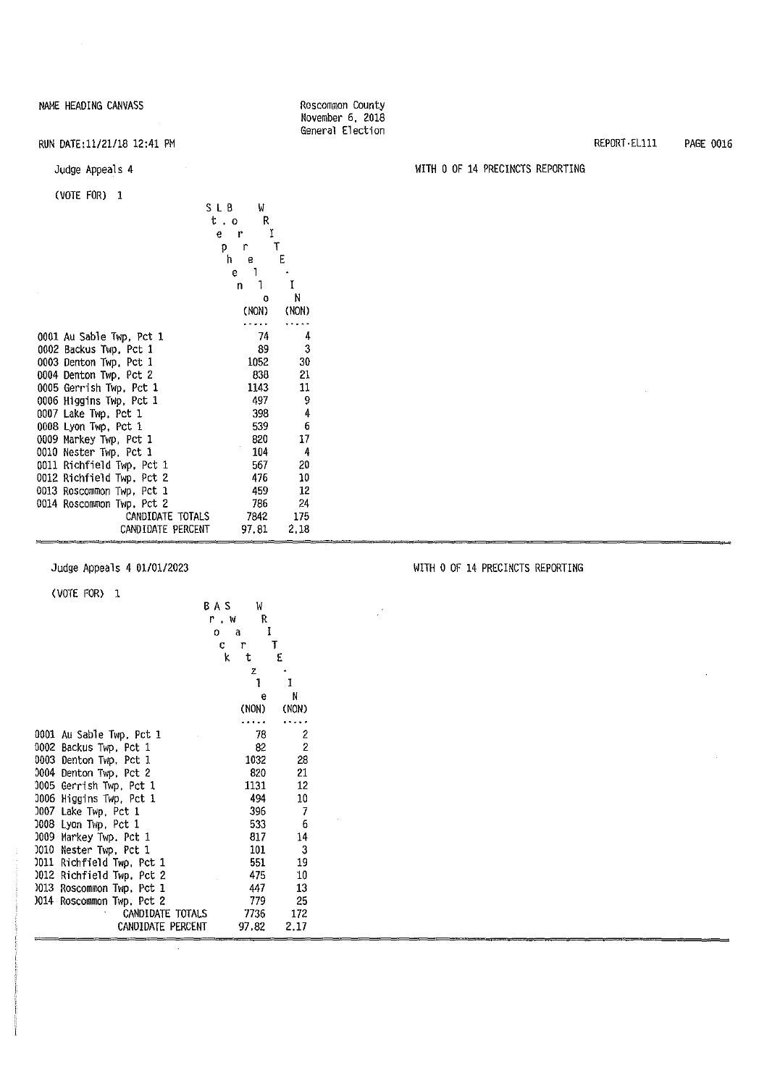$\mathcal{A}_\mathrm{c}$ 

RUN DATE:11/21/18 12:41 PM

#### Judge Appeals 4

#### (VOTE FOR) 1

|                              | SLB     | W     |       |
|------------------------------|---------|-------|-------|
|                              | t.o     | R     |       |
|                              | e.<br>r | I     |       |
|                              | р<br>r  |       | T     |
|                              | h<br>е  |       | E     |
|                              | 1<br>e  |       |       |
|                              | n       |       | Ĩ     |
|                              |         | o     | N     |
|                              | (NON)   |       | (NON) |
|                              |         |       |       |
| 0001 Au Sable Twp, Pct 1     |         | 74    | 4     |
| 0002 Backus Twp, Pct 1       |         | 89    | 3     |
| 0003 Denton Twp, Pct 1       |         | 1052  | 30    |
| 0004 Denton Twp, Pct 2       |         | 838   | 21    |
| 0005 Gerrish Twp, Pct 1      |         | 1143  | 11    |
| 0006 Higgins Twp, Pct 1      |         | 497   | 9     |
| 0007 Lake Twp, Pct 1         |         | 398   | 4     |
| 0008 Lyon Twp, Pct 1         |         | 539   | 6     |
| 0009 Markey Twp, Pct 1       |         | 820   | 17    |
| 0010 Nester Twp, Pct 1       |         | 104   | 4     |
| 0011 Richfield Twp. Pct 1    |         | 567   | 20    |
| 0012 Richfield Twp. Pct 2    |         | 476   | 10    |
| 0013 Roscommon Twp,<br>Pct 1 |         | 459.  | 12    |
| 0014 Roscommon Twp, Pct 2    |         | 786   | 24    |
| CANDIDATE TOTALS             |         | 7842. | 175   |
| CANDIDATE PERCENT            | 97.81   |       | 2.18  |
|                              |         |       |       |

 $\mathcal{L}^{\text{max}}_{\text{max}}$ 

Judge Appeals 4 01/01/2023

(VOTE FOR) 1

| 1 YULL I VII.<br>л,       | BAS | W      |                |
|---------------------------|-----|--------|----------------|
|                           | r.w | R      |                |
|                           | 0   | I<br>a |                |
|                           | c   | r      | T              |
|                           | k   | t      | E              |
|                           |     | z      |                |
|                           |     | 1      | 1              |
|                           |     | ė      | N              |
|                           |     | (NON)  | (NON)          |
|                           |     |        |                |
| 0001 Au Sable Twp. Pct 1  |     | 78     | 2              |
| 0002 Backus Twp, Pct 1    |     | 82     | $\overline{c}$ |
| 0003 Denton Twp, Pct 1    |     | 1032   | 28             |
| 0004 Denton Twp, Pct 2    |     | 820    | 21             |
| 0005 Gerrish Twp, Pct 1   |     | 1131   | 12             |
| 0006 Higgins Twp, Pct 1   |     | 494    | 10             |
| 0007 Lake Twp, Pct 1      |     | 396    | 7              |
| 008 Lyon Twp, Pct 1       |     | 533    | 6              |
| 0009 Markey Twp. Pct 1    |     | 817    | 14             |
| 0010 Nester Twp, Pct 1    |     | 101    | -3             |
| 0011 Richfield Twp, Pct 1 |     | 551    | 19             |
| 012 Richfield Twp, Pct 2  |     | 475    | 10             |
| )013 Roscommon Twp, Pct 1 |     | 447    | 13             |
| 1014 Roscommon Twp, Pct 2 |     | 779    | 25             |
| CANDIDATE TOTALS          |     | 7736   | 172            |
| CANDIDATE PERCENT         |     | 97.82  | 2.17           |

 $\ddot{\phantom{a}}$ 

Roscommon County November 6, 2018 General Election

#### WITH O OF 14 PRECINCTS REPORTING

WITH O OF 14 PRECINCTS REPORTING

 $\frac{1}{2}$ 

REPORT-EL111 PAGE 0016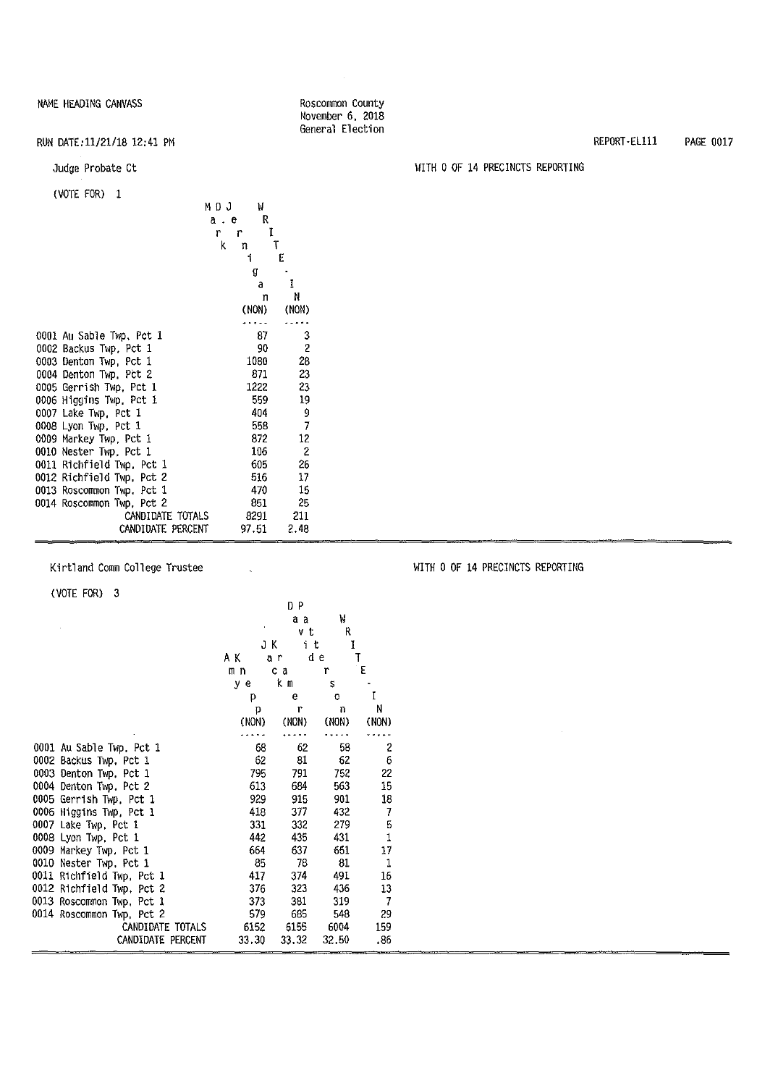#### Roscommon County November 6, 2018 General Election

### RUN DATE:11/21/18 12:41 PM

Judge Probate Ct

#### (VOTE FOR) 1

| IVULLIUIVI L              | MDJ<br>a e<br>r<br>r<br>k<br>'n. | W<br>R<br>Ĩ<br>Ť | T<br>E         |
|---------------------------|----------------------------------|------------------|----------------|
|                           |                                  | g                |                |
|                           |                                  | a                | I              |
|                           |                                  | n<br>(NON)       | N<br>(NON)     |
|                           |                                  |                  |                |
| 0001 Au Sable Twp. Pct 1  |                                  | 87               | 3              |
| 0002 Backus Twp. Pct 1    |                                  | 90               | 2              |
| 0003 Denton Twp Pct 1     |                                  | 1080             | 28             |
| 0004 Denton Twp, Pct 2    |                                  | 871              | 23             |
| 0005 Gerrish Twp, Pct 1   |                                  | 1222             | 23             |
| 0006 Higgins Twp. Pct 1   |                                  | 559              | 19             |
| 0007 Lake Twp, Pct 1      |                                  | 404              | 9              |
| 0008 Lyon Twp, Pct 1      |                                  | 558              | 7              |
| 0009 Markey Twp, Pct 1    |                                  | 872              | 12             |
| 0010 Nester Twp, Pct 1    |                                  | 106              | $\overline{c}$ |
| 0011 Richfield Twp, Pct 1 |                                  | 605              | 26             |
| 0012 Richfield Twp, Pct 2 |                                  | 516              | 17             |
| 0013 Roscommon Twp. Pct 1 |                                  | 470              | 15             |
| 0014 Roscommon Twp, Pct 2 |                                  | 851              | 25             |
| CANDIDATE TOTALS          |                                  | 8291             | - 211          |
| CANDIDATE PERCENT         |                                  | 97.51            | 2.48           |

Kirtland Comm College Trustee

(VOTE FOR) 3

|                           |       | DP       |       |                |
|---------------------------|-------|----------|-------|----------------|
|                           |       | aа       | W     |                |
|                           |       | νt       | R     |                |
|                           |       | JΚ<br>it | 1     |                |
|                           | ΑΚ    | āΓ       | d e   | T              |
|                           | mn    | c a      | r     | $\mathsf E$    |
|                           | y e   | kт       | S     |                |
|                           | p     | e        | O     | ĩ              |
|                           | p     | r        | n     | N              |
|                           | (NON) | (NON)    | (NON) | (NON)          |
|                           |       |          |       |                |
| 0001 Au Sable Twp, Pct 1  | 68    | 62       | 58    | 2              |
| 0002 Backus Twp, Pct 1    | 62    | 81       | 62    | 6              |
| 0003 Denton Twp. Pct 1    | 795   | 791      | 752   | 22             |
| 0004 Denton Twp, Pct 2    | 613   | 684      | 563   | 15             |
| 0005 Gerrish Twp, Pct 1   | 929   | 915      | 901   | 18             |
| 0006 Higgins Twp, Pct 1   | 418   | 377      | 432   | $\overline{7}$ |
| 0007 Lake Twp, Pct 1      | 331   | 332      | 279   | 5              |
| 0008 Lyon Twp, Pct 1      | 442   | 435      | 431   | $\mathbf{1}$   |
| 0009 Markey Twp. Pct 1    | 664   | 637      | 651   | 17             |
| 0010 Nester Twp, Pct 1    | 85    | 78       | 81    | 1              |
| 0011 Richfield Twp, Pct 1 | 417   | 374      | 491   | 16             |
| 0012 Richfield Twp, Pct 2 | 376   | 323      | 436   | 13             |
| 0013 Roscommon Twp. Pct 1 | 373   | 381      | 319   | $\overline{I}$ |
| 0014 Roscommon Twp, Pct 2 | 579   | 685      | 548   | 29             |
| CANDIDATE TOTALS          | 6152  | 6155     | 6004  | 159            |
| CANDIDATE PERCENT         | 33.30 | 33.32    | 32.50 | .86            |

 $\sim$ 

REPORT-Ellll PAGE 0017

### WITH O OF 14 PRECINCTS REPORTING

WITH O OF 14 PRECINCTS REPORTING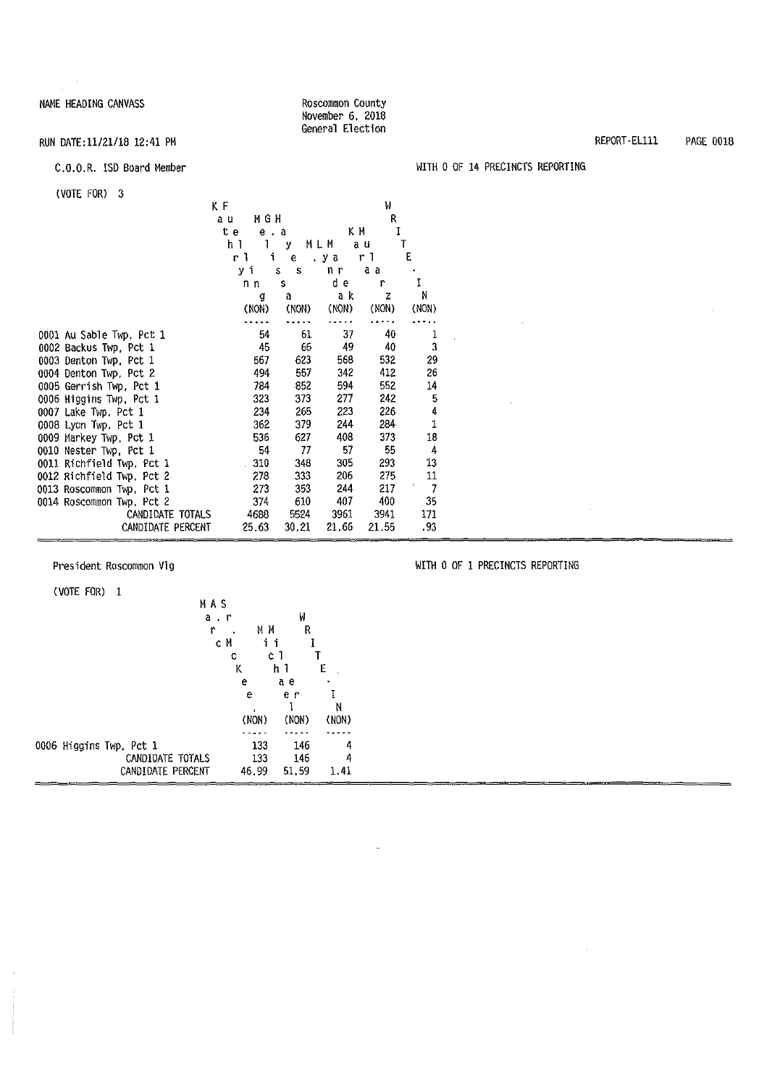#### Roscommon County November 6, 2018 General Election

### RUN DATE:11/21/18 12:41 PM

#### c.o.o.R. !SD Board Member

| $(VOTE FOR)$ 3            |                     |         |       |       |                    |  |
|---------------------------|---------------------|---------|-------|-------|--------------------|--|
|                           | ΚF                  |         |       | μ     |                    |  |
|                           | MGH<br>a u          |         |       | R     |                    |  |
|                           | t e                 | $e$ $a$ | КΜ    | I     |                    |  |
|                           | h 1<br>$\mathbf{1}$ | У       | MLM   | a u   | T                  |  |
|                           | r L                 | i.<br>e | .ya   | r 1   | E                  |  |
|                           | уi                  | s<br>s  | n r   | a a   |                    |  |
|                           | n n                 | s       | d e   | r     | I                  |  |
|                           | g                   | a       | a k   | z     | N                  |  |
|                           | (NON)               | (NON)   | (NON) | (NON) | (NON)              |  |
|                           |                     |         |       |       |                    |  |
| 0001 Au Sable Twp, Pct 1  | 54                  | 61      | 37    | 40    | 1                  |  |
| 0002 Backus Twp, Pct 1    | 45                  | 66      | 49    | 40    | 3                  |  |
| 0003 Denton Twp. Pct 1    | 567                 | 623     | 568   | 532   | 29                 |  |
| 0004 Denton Twp, Pct 2    | 494                 | 557     | 342   | 412   | 26                 |  |
| 0005 Gerrish Twp, Pct 1   | 784                 | 852     | 594   | 552   | 14                 |  |
| 0006 Higgins Twp, Pct 1   | 323                 | 373     | 277   | 242   | 5                  |  |
| 0007 Lake Twp. Pct 1      | 234                 | 265     | 223   | 226   | 4                  |  |
| 0008 Lyon Twp. Pct 1      | 362                 | 379     | 244   | 284   | $\mathbf 1$        |  |
| 0009 Markey Twp, Pct 1    | 536                 | 627     | 408   | 373   | 18                 |  |
| 0010 Nester Twp, Pct 1    | 54                  | 77      | 57    | 55    | 4                  |  |
| 0011 Richfield Twp, Pct 1 | 310                 | 348     | 305   | 293   | 13                 |  |
| 0012 Richfield Twp, Pct 2 | 278                 | 333     | 206   | 275   | 11<br>$\mathbf{v}$ |  |
| 0013 Roscommon Twp, Pct 1 | 273                 | 353     | 244   | 217   | 7                  |  |
| 0014 Roscommon Twp, Pct 2 | 374                 | 610     | 407   | 400   | 35                 |  |
| CANDIDATE TOTALS          | 4688                | 5524    | 3961  | 3941  | 171                |  |
| CANDIDATE PERCENT         | 25.63               | 30.21   | 21.66 | 21.55 | .93                |  |

President Roscommon V1g

(VOTE FOR) 1

|  |                         | МАS       |       |       |       |  |
|--|-------------------------|-----------|-------|-------|-------|--|
|  |                         | $a$ , $r$ |       | ₩     |       |  |
|  |                         | r         | MΜ    | R     |       |  |
|  |                         | cМ        | ii    |       |       |  |
|  |                         | С         |       | сı    |       |  |
|  |                         | K         |       | h I   | E     |  |
|  |                         |           | e     | a e   |       |  |
|  |                         |           | e     | e r   |       |  |
|  |                         |           |       |       | N     |  |
|  |                         |           | (NON) | (NON) | (NON) |  |
|  |                         |           |       |       |       |  |
|  | 0006 Higgins Twp, Pct 1 |           | 133   | 146   | 4     |  |
|  | CANDIDATE TOTALS        |           | 133   | 146   | 4     |  |
|  | CANDIDATE PERCENT       |           | 46.99 | 51,59 | 1.41  |  |

### WITH O OF 14 PRECINCTS REPORTING

WITH O OF 1 PRECINCTS REPORTING

 $\sim$ 

REPORT -ELlll PAGE 0018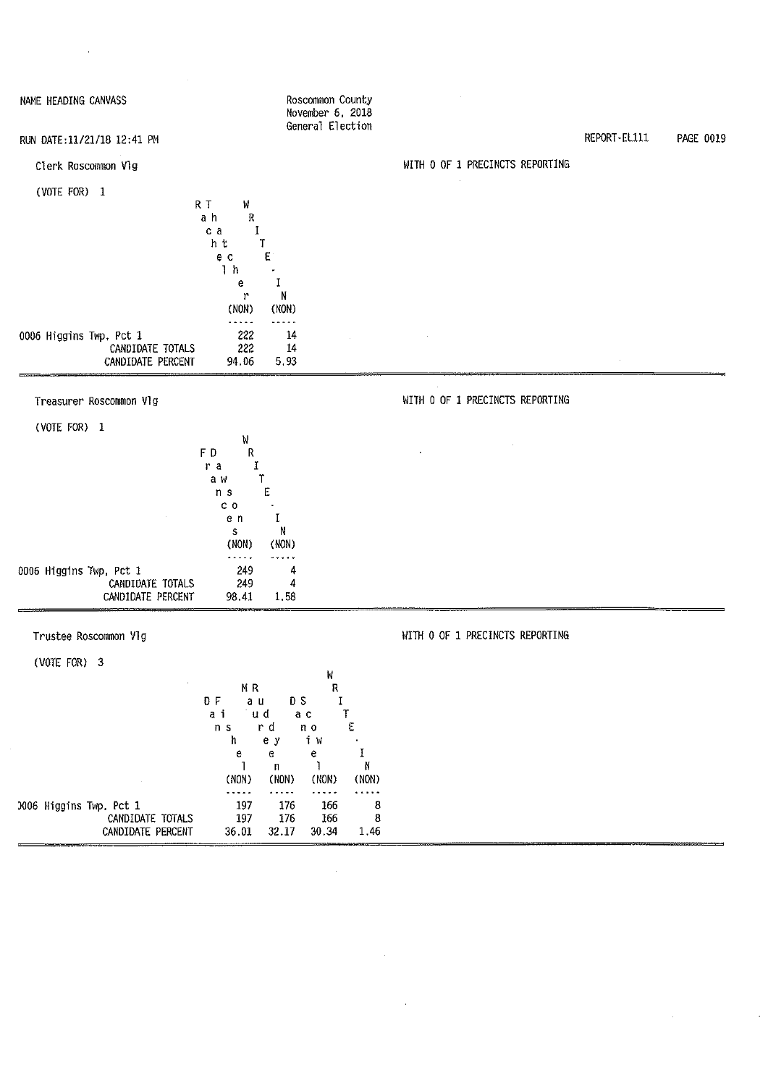| NAME HEADING CANVASS                                             | Roscommon County<br>November 6, 2018<br>General Election                                                                                                                                                                                                                                                           |                                 |              |           |
|------------------------------------------------------------------|--------------------------------------------------------------------------------------------------------------------------------------------------------------------------------------------------------------------------------------------------------------------------------------------------------------------|---------------------------------|--------------|-----------|
| RUN DATE:11/21/18 12:41 PM                                       |                                                                                                                                                                                                                                                                                                                    |                                 | REPORT-EL111 | PAGE 0019 |
| Clerk Roscommon Vlg                                              |                                                                                                                                                                                                                                                                                                                    | WITH 0 OF 1 PRECINCTS REPORTING |              |           |
| (VOTE FOR) 1                                                     | R T<br>W<br>ah<br>R<br>Ι.<br>c a<br>h t<br>Τ<br>E<br>e c<br>1 <sub>h</sub><br>Ι<br>e                                                                                                                                                                                                                               |                                 |              |           |
| 0006 Higgins Twp, Pct 1<br>CANDIDATE TOTALS<br>CANDIDATE PERCENT | N<br>$\mathbf{r}$<br>(NON)<br>(NON)<br>.<br>.<br>222<br>14<br>222<br>14<br>94.06<br>5.93                                                                                                                                                                                                                           |                                 |              |           |
| Treasurer Roscommon Vlg                                          |                                                                                                                                                                                                                                                                                                                    | WITH 0 OF 1 PRECINCTS REPORTING |              |           |
| (VOTE FOR) 1                                                     |                                                                                                                                                                                                                                                                                                                    |                                 |              |           |
|                                                                  | W<br>FD<br>R<br>1<br>ra<br>ͳ<br>a w<br>Ε<br>n s<br>c <sub>0</sub><br>I<br>e n<br>N<br>${\bf S}$<br>(NON)<br>(NON)<br>$\cdots$                                                                                                                                                                                      |                                 |              |           |
| 0006 Higgins Twp, Pct 1<br>CANDIDATE TOTALS<br>CANDIDATE PERCENT | 249<br>4<br>249<br>4<br>98.41<br>1.58                                                                                                                                                                                                                                                                              |                                 |              |           |
| Trustee Roscommon VIg                                            |                                                                                                                                                                                                                                                                                                                    | WITH 0 OF 1 PRECINCTS REPORTING |              |           |
| (VOTE FOR) 3                                                     |                                                                                                                                                                                                                                                                                                                    |                                 |              |           |
| 0006 Higgins Twp. Pct 1<br>CANDIDATE TOTALS                      | M<br>${\sf R}$<br>MR<br>0 F<br>$\bf I$<br>a u<br>D S<br>aі<br>∵u d<br>a c<br>$\mathbb T$<br>ε<br>r d<br>n <sub>s</sub><br>n <sub>o</sub><br>ħ<br>i W<br>e y<br>I<br>е<br>e<br>e<br>N<br>-1<br>n<br>(NON)<br>(NON)<br>(NON)<br>(NON)<br>.<br>$\cdots$<br>.<br>.<br>197<br>8<br>176<br>166<br>197<br>176<br>8<br>166 |                                 |              |           |
| CANDIDATE PERCENT                                                | 32.17<br>1.46<br>36.01<br>30.34                                                                                                                                                                                                                                                                                    |                                 |              |           |

 $\label{eq:2.1} \frac{1}{\sqrt{2}}\left(\frac{1}{\sqrt{2}}\right)^{2} \left(\frac{1}{\sqrt{2}}\right)^{2} \left(\frac{1}{\sqrt{2}}\right)^{2} \left(\frac{1}{\sqrt{2}}\right)^{2} \left(\frac{1}{\sqrt{2}}\right)^{2} \left(\frac{1}{\sqrt{2}}\right)^{2} \left(\frac{1}{\sqrt{2}}\right)^{2} \left(\frac{1}{\sqrt{2}}\right)^{2} \left(\frac{1}{\sqrt{2}}\right)^{2} \left(\frac{1}{\sqrt{2}}\right)^{2} \left(\frac{1}{\sqrt{2}}\right)^{2} \left(\$ 

 $\label{eq:2.1} \frac{1}{\sqrt{2}}\int_{\mathbb{R}^3}\frac{1}{\sqrt{2}}\left(\frac{1}{\sqrt{2}}\right)^2\frac{1}{\sqrt{2}}\left(\frac{1}{\sqrt{2}}\right)^2\frac{1}{\sqrt{2}}\left(\frac{1}{\sqrt{2}}\right)^2\frac{1}{\sqrt{2}}\left(\frac{1}{\sqrt{2}}\right)^2\frac{1}{\sqrt{2}}\left(\frac{1}{\sqrt{2}}\right)^2\frac{1}{\sqrt{2}}\frac{1}{\sqrt{2}}\frac{1}{\sqrt{2}}\frac{1}{\sqrt{2}}\frac{1}{\sqrt{2}}\frac{1}{\sqrt{2}}$ 

 $\label{eq:2.1} \frac{1}{\sqrt{2}}\int_{\mathbb{R}^3}\frac{1}{\sqrt{2}}\left(\frac{1}{\sqrt{2}}\right)^2\frac{1}{\sqrt{2}}\left(\frac{1}{\sqrt{2}}\right)^2\frac{1}{\sqrt{2}}\left(\frac{1}{\sqrt{2}}\right)^2\frac{1}{\sqrt{2}}\left(\frac{1}{\sqrt{2}}\right)^2.$ 

 $\label{eq:2.1} \frac{1}{\sqrt{2}}\left(\frac{1}{\sqrt{2}}\right)^{2} \left(\frac{1}{\sqrt{2}}\right)^{2} \left(\frac{1}{\sqrt{2}}\right)^{2} \left(\frac{1}{\sqrt{2}}\right)^{2} \left(\frac{1}{\sqrt{2}}\right)^{2} \left(\frac{1}{\sqrt{2}}\right)^{2} \left(\frac{1}{\sqrt{2}}\right)^{2} \left(\frac{1}{\sqrt{2}}\right)^{2} \left(\frac{1}{\sqrt{2}}\right)^{2} \left(\frac{1}{\sqrt{2}}\right)^{2} \left(\frac{1}{\sqrt{2}}\right)^{2} \left(\$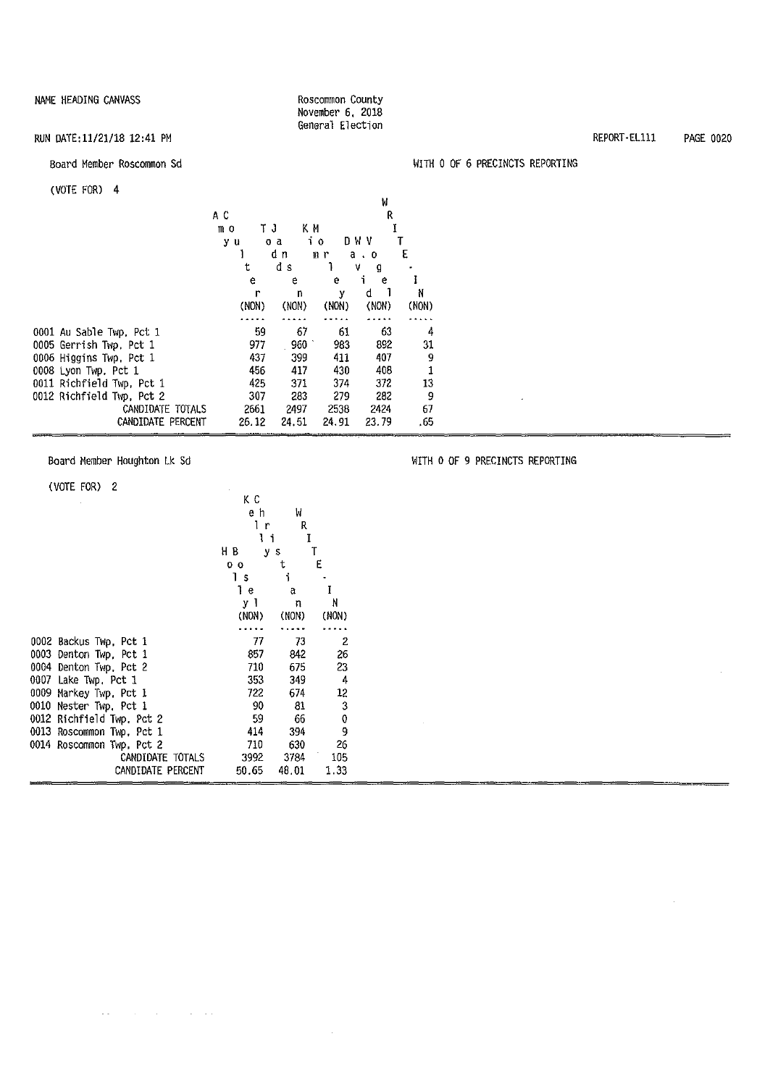#### Roscommon County November 6, 2018 General Election

#### RUN DATE:11/21/18 12:41 PM

#### Board Member Roscommon Sd

#### (VOTE FOR) 4

| 1101 L I UIV              |       |        |       | W        |       |
|---------------------------|-------|--------|-------|----------|-------|
|                           | АC    |        |       | R        |       |
|                           | mο    | ΤJ     | ΚM    |          |       |
|                           | y u   | o a    | 10    | D W V    |       |
|                           |       | dη     | mr    | а.<br>-0 | E     |
|                           | t     | đ<br>S |       | ۷<br>g   |       |
|                           | е     | e      | e     | i<br>e   |       |
|                           | r     | n      | у     | d        | Ν     |
|                           | (NON) | (NON)  | (NON) | (NON)    | (NON) |
|                           |       |        |       |          |       |
| 0001 Au Sable Twp, Pct 1  | 59    | 67     | 61    | 63       | 4     |
| 0005 Gerrish Twp, Pct 1   | 977   | 960    | 983   | 892      | 31    |
| 0006 Higgins Twp, Pct 1   | 437   | 399    | 411   | 407      | 9     |
| 0008 Lyon Twp, Pct 1      | 456   | 417    | 430   | 408      | 1     |
| 0011 Richfield Twp, Pct 1 | 425   | 371    | 374   | 372      | 13    |
| 0012 Richfield Twp, Pct 2 | 307   | 283    | 279   | 282      | 9     |
| CANDIDATE TOTALS          | 2661  | 2497   | 2538  | 2424     | 67    |
| CANDIDATE PERCENT         | 26.12 | 24.51  | 24.91 | 23.79    | . 65  |

Board Member Houghton Lk Sd

#### (VOTE FOR) 2

|      |                           | ΚC             |       |         |
|------|---------------------------|----------------|-------|---------|
|      |                           | e h            | W     |         |
|      |                           | Ιr             | R     |         |
|      |                           | Ιi             | I     |         |
|      |                           | HВ             | y s   |         |
|      |                           | 0 <sub>0</sub> | t     | E       |
|      |                           | 1s             | i     |         |
|      |                           | Ίe             | a     | I       |
|      |                           | уl             | n     | N       |
|      |                           | (NON)          | (NON) | (NON)   |
|      |                           |                |       |         |
|      | 0002 Backus Twp, Pct 1    | 77             | 73    | 2       |
|      | 0003 Denton Twp, Pct 1    | 857            | 842   | 26      |
|      | 0004 Denton Twp, Pct 2    | 710            | 675   | 23      |
|      | 0007 Lake Twp, Pct 1      | 353            | 349   | -4      |
|      | 0009 Markey Twp. Pct 1    | 722            | 674   | $12 \,$ |
| 0010 | Nester Twp, Pct 1         | 90             | 81    | 3       |
|      | 0012 Richfield Twp. Pct 2 | 59             | 66    | 0       |
|      | 0013 Roscommon Twp. Pct 1 | 414            | 394   | 9       |
|      | 0014 Roscommon Twp, Pct 2 | 710            | 630   | 26      |
|      | CANDIDATE TOTALS          | 3992           | 3784  | 105     |
|      | CANDIDATE PERCENT         | 50.65          | 48.01 | 1.33    |

 $\mathcal{A}(\mathbf{x})$  , and  $\mathcal{A}(\mathbf{x})$  , and  $\mathcal{A}(\mathbf{x})$  , and  $\mathcal{A}(\mathbf{x})$ 

#### WITH O OF 6 PRECINCTS REPORTING

WITH O OF 9 PRECINCTS REPORTING

 $\mathcal{A}^{\mathcal{A}}$ 

 $\mathcal{L}$ 

REPORT-Ellll PAGE 0020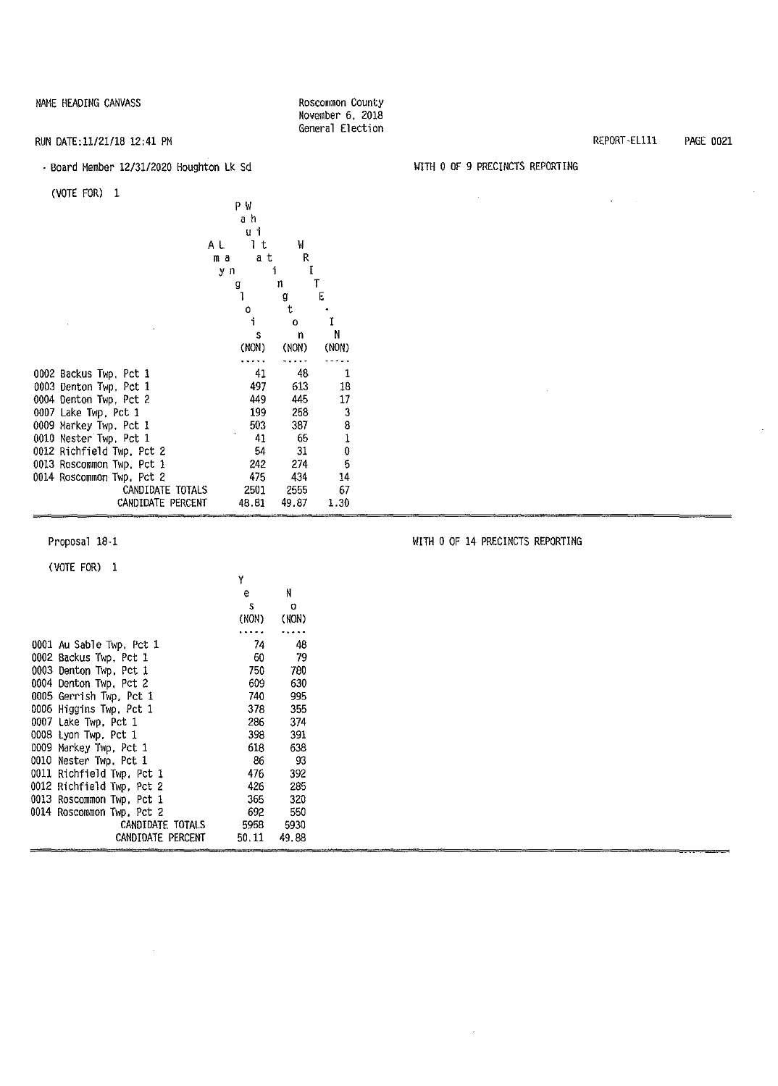#### RUN DATE:ll/21/18 12:41 PM

#### , Board Member 12/31/2020 Houghton Lk Sd

(VOTE FOR) 1

| www.ww                    | ΡW<br>аh<br>uί<br>Ιt<br>ΑL<br>a t<br>ma<br>уn | W<br>R<br>I<br>i |        |
|---------------------------|-----------------------------------------------|------------------|--------|
|                           | g<br>1                                        | n                | T<br>E |
|                           | Ó                                             | a<br>t.          |        |
|                           | i                                             | $\Omega$         | Ĩ      |
|                           | Ś                                             | n                | N      |
|                           | (NON)                                         | (NON)            | (NON)  |
|                           |                                               |                  |        |
| 0002 Backus Twp, Pct 1    | 41                                            | 48               | 1      |
| 0003 Denton Twp, Pct 1    | 497                                           | 613              | 18     |
| 0004 Denton Twp, Pct 2    | 449                                           | 445              | 17     |
| 0007 Lake Twp, Pct 1      | 199                                           | 258              | 3      |
| 0009 Markey Twp, Pct 1    | 503                                           | 387              | 8      |
| 0010 Nester Twp, Pct 1    | 41                                            | 65               | 1      |
| 0012 Richfield Twp, Pct 2 | 54                                            | 31               | 0      |
| 0013 Roscommon Twp, Pct 1 | 242                                           | 274              | 5      |
| 0014 Roscommon Twp. Pct 2 | 475                                           | 434              | 14     |
| CANDIDATE TOTALS          | 2501                                          | 2555             | 67     |
| CANDIDATE PERCENT         | 48.81                                         | 49.87            | 1.30   |

#### Proposal 18-1

(VOTE FOR) 1

|                           | Y     |          |
|---------------------------|-------|----------|
|                           | e     | N        |
|                           | s     | $\Omega$ |
|                           | (NON) | (NON)    |
|                           |       |          |
| 0001 Au Sable Twp, Pct 1  | 74    | 48       |
| 0002 Backus Twp. Pct 1    | 60.   | -79      |
| 0003 Denton Twp, Pct 1    | 750.  | 780      |
| 0004 Denton Twp, Pct 2    | 609   | 630      |
| 0005 Gerrish Twp, Pct 1   | 740   | 995      |
| 0006 Higgins Twp, Pct 1   | 378   | 355      |
| 0007 Lake Twp, Pct 1      | 286   | 374      |
| 0008 Lyon Twp, Pct 1      | 398   | 391      |
| 0009 Markey Twp, Pct 1    | 613.  | 638      |
| 0010 Nester Twp. Pct 1    | 86    | -93      |
| 0011 Richfield Twp, Pct 1 | 476   | 392      |
| 0012 Richfield Twp, Pct 2 | 426   | 285      |
| 0013 Roscommon Twp, Pct 1 | 365   | 320      |
| 0014 Roscommon Twp. Pct 2 | 692   | 550      |
| CANDIDATE TOTALS          | 5958  | 5930     |
| CANDIDATE PERCENT         | 50.11 | 49.88    |

REPORT-ELlll PAGE 0021

#### WITH O OF 9 PRECINCTS REPORTING

Roscommon County November 6, 2018 General Election

| $\sim 10^{11}$ km s $^{-1}$ |                      | the control of the control of |  |
|-----------------------------|----------------------|-------------------------------|--|
|                             |                      |                               |  |
|                             |                      |                               |  |
|                             |                      |                               |  |
|                             |                      |                               |  |
|                             |                      |                               |  |
|                             |                      |                               |  |
|                             |                      |                               |  |
|                             |                      |                               |  |
|                             |                      |                               |  |
|                             | and the state of the |                               |  |
|                             |                      |                               |  |
|                             |                      |                               |  |
|                             |                      |                               |  |
|                             |                      |                               |  |
|                             |                      |                               |  |
|                             |                      |                               |  |

WITH O OF 14 PRECINCTS REPORTING

 $\sim$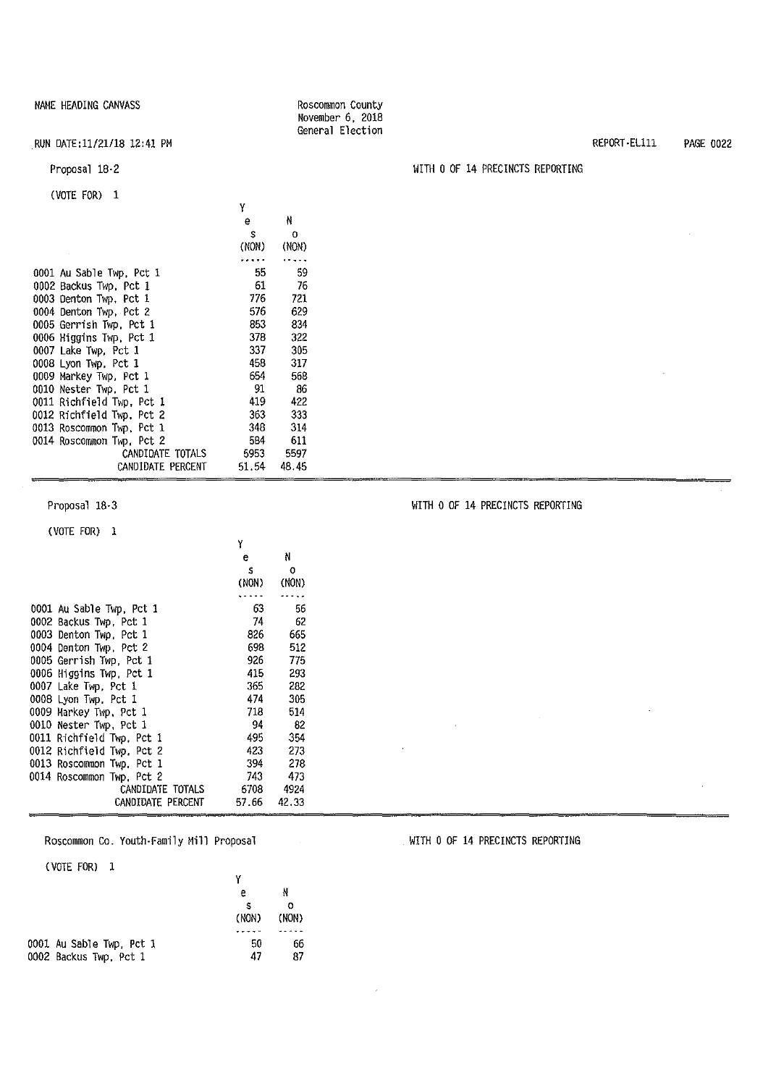RUN DATE:11/21/18 12:41 PM

Proposal 18-2

(VOTE FOR) 1

|                           | e.    | N     |
|---------------------------|-------|-------|
|                           | s.    | 0     |
|                           | (NON) | (NON) |
|                           |       |       |
| 0001 Au Sable Twp, Pct 1  | 55    | 59    |
| 0002 Backus Twp. Pct 1    | 61    | 76    |
| 0003 Denton Twp, Pct 1    | 776 — | 721   |
| 0004 Denton Twp. Pct 2    | 576 — | 629   |
| 0005 Gerrish Twp. Pct 1   | 853 — | 834   |
| 0006 Higgins Twp, Pct 1   | 378   | 322   |
| 0007 Lake Twp, Pct 1      | 337   | 305   |
| 0008 Lyon Twp, Pct 1      | 458 — | 317   |
| 0009 Markey Twp, Pct 1    | 654 - | 568   |
| 0010 Nester Twp, Pct 1    | - 91  | -86   |
| 0011 Richfield Twp, Pct 1 | 419 - | 422   |
| 0012 Richfield Twp, Pct 2 | 363   | 333   |
| 0013 Roscommon Twp, Pct 1 | 348   | 314   |
| 0014 Roscommon Twp. Pct 2 | 584 - | 611   |
| CANDIDATE TOTALS          | 5953  | 5597  |
| CANDIDATE PERCENT         | 51.54 | 48.45 |

y

Roscommon County November 6, 2018 General Election

Proposal 18-3

(VOTE FOR) 1

|                           | Y     |       |
|---------------------------|-------|-------|
|                           | e.    | N     |
|                           | s     | O     |
|                           | (NON) | (NON) |
|                           |       |       |
| 0001 Au Sable Twp, Pct 1  | 63.   | 56    |
| 0002 Backus Twp, Pct 1    | 74.   | 62    |
| 0003 Denton Twp. Pct 1    | 826 - | 665   |
| 0004 Denton Twp, Pct 2    | 698 - | 512   |
| 0005 Gerrish Twp. Pct 1   | 926   | 775   |
| 0006 Higgins Twp. Pct 1   | 415   | 293   |
| 0007 Lake Twp, Pct 1      | 365   | 282   |
| 0008 Lyon Twp, Pct 1      | 474 - | 305   |
| 0009 Markey Twp, Pct 1    | 718   | 514   |
| 0010 Nester Twp, Pct 1    | -94   | - 82  |
| 0011 Richfield Twp, Pct 1 | 495 — | 354   |
| 0012 Richfield Twp. Pct 2 | 423.  | 273   |
| 0013 Roscommon Twp, Pct 1 | 394   | 278   |
| 0014 Roscommon Twp, Pct 2 | 743   | 473   |
| CANDIDATE TOTALS          | 6708  | 4924  |
| CANDIDATE PERCENT         | 57.66 | 42,33 |
|                           |       |       |

Roscommon Co. Youth-Family Mill Proposal

(VOTE FOR) l

| е          | N          |  |
|------------|------------|--|
| s<br>(NON) | o<br>(NON) |  |
|            |            |  |
| 50         | 66         |  |
| 47         | 87         |  |
|            |            |  |

REPORT-Ellll PAGE 0022

### WITH O OF 14 PRECINCTS REPORTING

WITH O OF 14 PRECINCTS REPORTING

WITH O OF 14 PRECINCTS REPORTING

 $\sim 10^{-1}$ 

 $\bar{z}$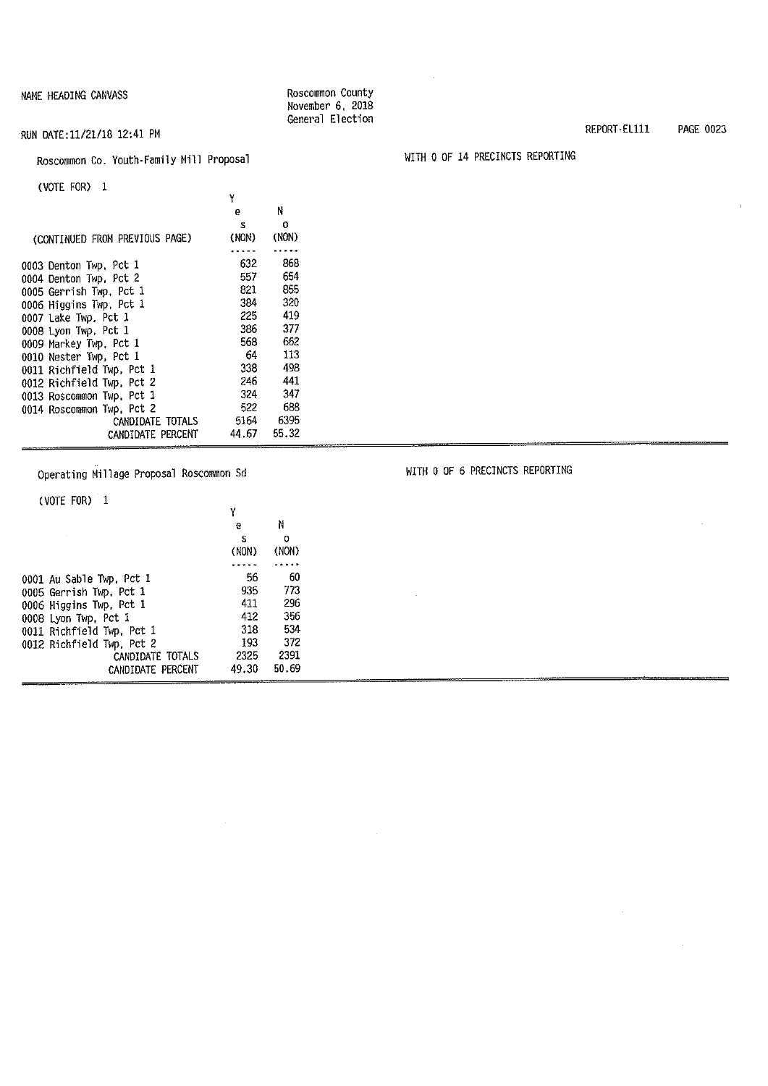#### RUN DATE:11/21/18 12:41 PM

### Roscommon Co. Youth-Family Mill Proposal

(VOTE FOR) l

|                                | Y     |       |
|--------------------------------|-------|-------|
|                                | e     | Ν     |
|                                | s     | 0     |
| (CONTINUED FROM PREVIOUS PAGE) | (NON) | (NON) |
|                                |       |       |
| 0003 Denton Twp. Pct 1         | 632   | 868   |
| 0004 Denton Twp. Pct 2         | 557   | 654   |
| 0005 Gerrish Twp, Pct 1        | 821 — | 855   |
| 0006 Higgins Twp, Pct 1        | 384 — | 320   |
| 0007 Lake Twp. Pct 1           | 225.  | 419   |
| 0008 Lyon Twp, Pct 1           | 386   | 377   |
| 0009 Markey Twp, Pct 1         | 568 — | 662   |
| 0010 Nester Twp, Pct 1         | 64 —  | 113   |
| 0011 Richfield Twp, Pct 1      | 338   | 498   |
| 0012 Richfield Twp, Pct 2      | 246   | 441   |
| 0013 Roscommon Twp. Pct 1      | 324   | 347   |
| 0014 Roscommon Twp, Pct 2      | 522   | 688   |
| CANDIDATE TOTALS               | 5164  | 6395  |
| CANDIDATE PERCENT              | 44.67 | 55.32 |

Operating Millage Proposal Roscommon Sd

#### (VOTE FOR) 1

| LVUIE FUNZ L              |       |       |  |
|---------------------------|-------|-------|--|
|                           | Υ     |       |  |
|                           | e     | Ν     |  |
|                           | s     | o     |  |
|                           | (NON) | (NON) |  |
|                           |       |       |  |
| 0001 Au Sable Twp, Pct 1  | 56    | 60    |  |
| 0005 Gerrish Twp. Pct 1   | 935   | 773   |  |
| 0006 Higgins Twp, Pct 1   | 411   | 296   |  |
| 0008 Lyon Twp, Pct 1      | 412   | 356   |  |
| 0011 Richfield Twp, Pct 1 | 318   | 534   |  |
| 0012 Richfield Twp, Pct 2 | 193   | 372   |  |
| CANDIDATE TOTALS          | 2325  | 2391  |  |
| CANDIDATE PERCENT         | 49.30 | 50.69 |  |
|                           |       |       |  |

Roscommon County November 6, 2018 General Election

WITH O OF 14 PRECINCTS REPORTING

WITH O OF 6 PRECINCTS REPORTING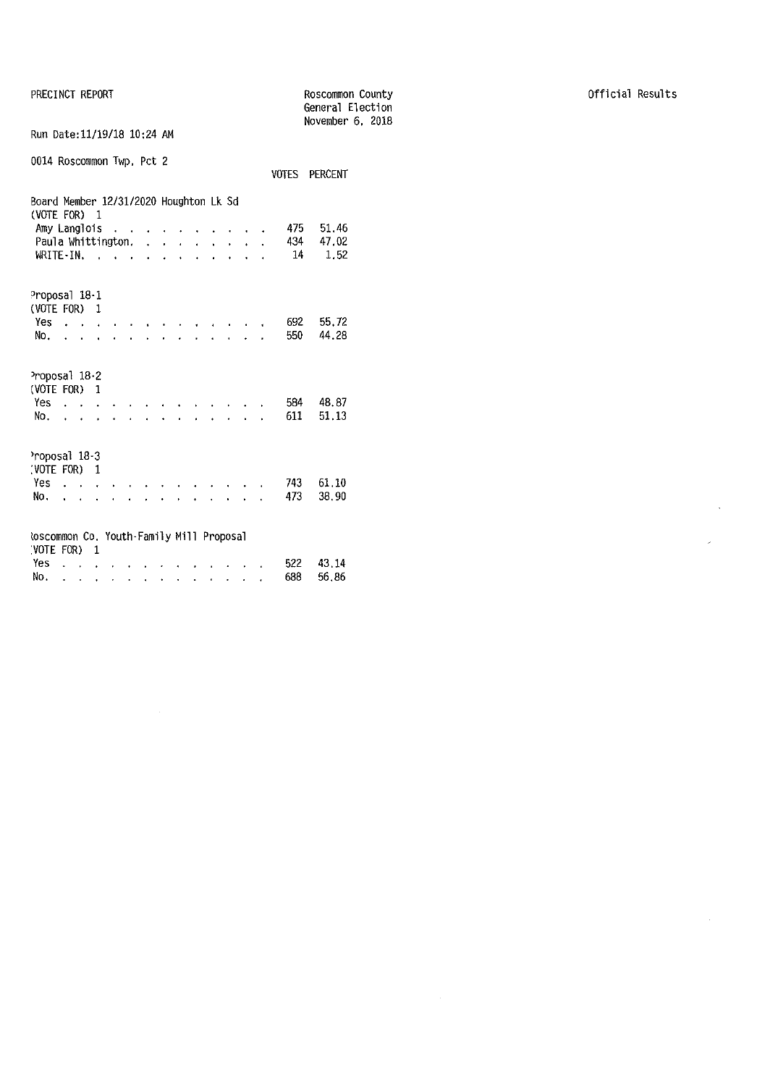PRECINCT REPORT

|                                                                      |                           |              |   |                  |           |        |                   |                                        |  |     |               | General Election<br>November 6, 2018 |
|----------------------------------------------------------------------|---------------------------|--------------|---|------------------|-----------|--------|-------------------|----------------------------------------|--|-----|---------------|--------------------------------------|
| Run Date: 11/19/18 10:24 AM                                          |                           |              |   |                  |           |        |                   |                                        |  |     |               |                                      |
| 0014 Roscommon Twp, Pct 2                                            |                           |              |   |                  |           |        |                   |                                        |  |     | VOTES PERCENT |                                      |
| Board Member 12/31/2020 Houghton Lk Sd<br>(VOTE FOR)<br>Amy Langlois |                           | $\mathbf{1}$ |   |                  |           |        |                   |                                        |  | 475 | 51.46         |                                      |
| Paula Whittington.                                                   |                           |              |   |                  |           | $\sim$ |                   |                                        |  | 434 | 47.02         |                                      |
| $WRITE-IN$ , , , ,                                                   |                           |              |   | $\mathbf{r}$     |           |        | $\sim$ 100 $\sim$ | $\mathbf{r} = \mathbf{r} + \mathbf{r}$ |  |     | 14<br>1.52    |                                      |
| Proposal 18-1<br>(VOTE FOR) 1                                        |                           |              |   |                  |           |        |                   |                                        |  |     |               |                                      |
| Yes                                                                  |                           |              |   |                  |           |        |                   |                                        |  | 692 | 55.72         |                                      |
| No.                                                                  |                           |              |   |                  |           |        |                   |                                        |  | 550 | 44.28         |                                      |
| Proposal 18-2<br>(VOTE FOR) 1                                        |                           |              |   |                  |           |        |                   |                                        |  |     |               |                                      |
| $Yes \ldots$                                                         |                           |              |   |                  |           |        |                   |                                        |  | 584 | 48.87         |                                      |
| No.                                                                  | $\mathbf{r} = \mathbf{r}$ |              |   |                  |           |        |                   |                                        |  | 611 | 51.13         |                                      |
| Proposal 18-3<br>(VOTE FOR) 1                                        |                           |              |   |                  |           |        |                   |                                        |  |     |               |                                      |
| Yes                                                                  |                           |              |   |                  |           |        |                   |                                        |  | 743 | 61.10         |                                      |
| No.                                                                  | $\mathbf{r} = \mathbf{r}$ |              |   |                  |           |        |                   |                                        |  | 473 | 38.90         |                                      |
| <b>Roscommon Co. Youth-Family Mill Proposal</b><br>(VOTE FOR)        |                           | $\mathbf{1}$ |   |                  |           |        |                   |                                        |  |     |               |                                      |
| Yes.                                                                 |                           |              |   |                  |           |        |                   |                                        |  | 522 | 43.14         |                                      |
| No.                                                                  |                           | $\bullet$    | ٠ | $\blacksquare$ . | $\bullet$ |        |                   |                                        |  | 688 | 56.86         |                                      |

Roscommon County

 $\sim$   $\sim$ 

 $\hat{\mathbf{z}}$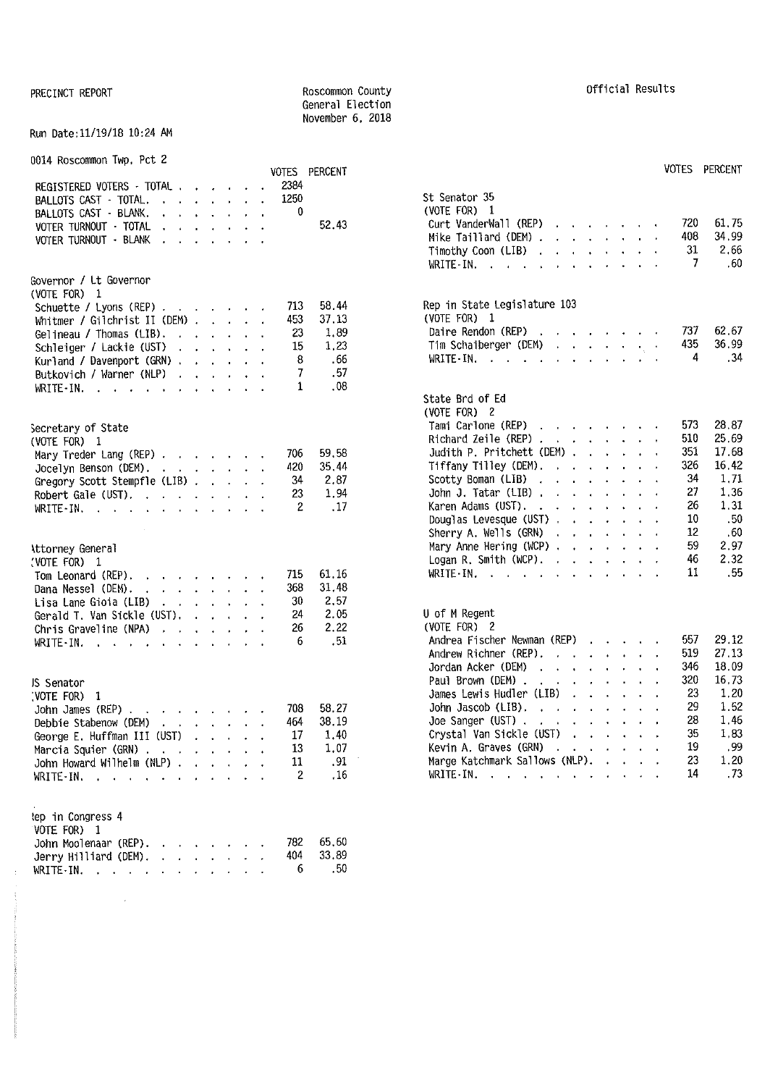#### PRECINCT REPORT **REPORT ROSCOMMON COUNTY** General Election November 6, 2018

#### Run Date:11/19/18 10:24 AM

0014 Roscommon Twp, Pct 2

|                                                                                          | VOTES PERCENT         | VOTES PERCENT                                                                                                                                                                                                                                                      |
|------------------------------------------------------------------------------------------|-----------------------|--------------------------------------------------------------------------------------------------------------------------------------------------------------------------------------------------------------------------------------------------------------------|
| REGISTERED VOTERS - TOTAL                                                                | 2384                  |                                                                                                                                                                                                                                                                    |
| BALLOTS CAST - TOTAL.<br><u>in the second contract of the second second</u>              | 1250                  | St Senator 35                                                                                                                                                                                                                                                      |
| BALLOTS CAST · BLANK.                                                                    | 0                     | (VOTE FOR) $1$                                                                                                                                                                                                                                                     |
| VOTER TURNOUT TOTAL                                                                      | 52.43                 | 61.75<br>Curt VanderWall (REP) $\cdots$ $\cdots$<br>720<br>408<br>34.99                                                                                                                                                                                            |
| VOTER TURNOUT · BLANK                                                                    |                       | Mike Taillard (DEM) $\ldots$ $\ldots$ $\ldots$                                                                                                                                                                                                                     |
|                                                                                          |                       | 2,66<br>31<br>Timothy Coon (LIB) $\ldots$ $\ldots$ $\ldots$                                                                                                                                                                                                        |
|                                                                                          |                       | -7<br>.60<br>WRITE-IN. $\cdots$ $\cdots$ $\cdots$                                                                                                                                                                                                                  |
| Governor / Lt Governor                                                                   |                       |                                                                                                                                                                                                                                                                    |
| (VOTE FOR) 1                                                                             |                       |                                                                                                                                                                                                                                                                    |
| Schuette / Lyons (REP)                                                                   | 58.44<br>713          | Rep in State Legislature 103                                                                                                                                                                                                                                       |
| Whitmer / Gilchrist II (DEM) $\ldots$ $\ldots$                                           | 37.13<br>453          | (VOTE FOR) 1<br>62.67<br>737                                                                                                                                                                                                                                       |
| Gelineau / Thomas $(LIB)$ .                                                              | 1.89<br>23            | Daire Rendon (REP) $\cdots$ $\cdots$ $\cdots$<br>36.99<br>435<br>Tim Schaiberger (DEM) $\cdots$ $\cdots$                                                                                                                                                           |
| Schleiger / Lackie (UST)                                                                 | 15<br>1,23            | .34<br>4                                                                                                                                                                                                                                                           |
| Kurland / Davenport (GRN)                                                                | 8<br>.66              | WRITE-IN.                                                                                                                                                                                                                                                          |
| Butkovich / Warner (NLP) $\cdot \cdot \cdot \cdot \cdot$                                 | .57<br>7              |                                                                                                                                                                                                                                                                    |
| WRITE-IN.                                                                                | .08<br>1              | State Brd of Ed                                                                                                                                                                                                                                                    |
|                                                                                          |                       | (VOTE FOR) 2                                                                                                                                                                                                                                                       |
|                                                                                          |                       | 28.87<br>573<br>Tami Carlone (REP)                                                                                                                                                                                                                                 |
| Secretary of State                                                                       |                       | 25.69<br>Richard Zeile (REP) $\cdots$ $\cdots$ $\cdots$<br>510                                                                                                                                                                                                     |
| (VOTE FOR) 1                                                                             |                       | 17.68<br>Judith P. Pritchett (DEM) $\cdots$ $\cdots$<br>351                                                                                                                                                                                                        |
| Mary Treder Lang (REP) $\cdot \cdot \cdot \cdot \cdot \cdot$                             | 59.58<br>706          | 326<br>16.42<br>Tiffany Tilley (DEM). $\cdot \cdot \cdot \cdot \cdot \cdot$                                                                                                                                                                                        |
| Jocelyn Benson (DEM),                                                                    | 35,44<br>420          | 1,71<br>34<br>Scotty Boman (LIB)                                                                                                                                                                                                                                   |
| Gregory Scott Stempfle (LIB)                                                             | 2.87<br>34<br>1.94    | 27<br>1,36<br>John J. Tatar (LIB) $\cdots$ $\cdots$ $\cdots$                                                                                                                                                                                                       |
| Robert Gale (UST).                                                                       | 23<br>.17<br>2        | Karen Adams (UST).<br>26<br>1.31                                                                                                                                                                                                                                   |
| WRITE-IN.                                                                                |                       | .50<br>Douglas Levesque (UST)<br>10                                                                                                                                                                                                                                |
|                                                                                          |                       | 12<br>.60<br>Sherry A. Wells $(GRN)$                                                                                                                                                                                                                               |
|                                                                                          |                       | 59<br>2.97<br>Mary Anne Hering (WCP) $\cdots$ $\cdots$ $\cdots$                                                                                                                                                                                                    |
| <b>\ttorney General</b>                                                                  |                       | 2.32<br>46<br>Logan R. Smith (WCP). $\cdot \cdot \cdot \cdot \cdot \cdot$                                                                                                                                                                                          |
| (VOTE FOR) 1                                                                             | 61.16<br>715          | 11<br>.55<br>WRITE IN, $\cdots$ , $\cdots$                                                                                                                                                                                                                         |
| $\mathcal{A}$ . The set of the set of the set of the $\mathcal{A}$<br>Tom Leonard (REP). | 31.48<br>368          |                                                                                                                                                                                                                                                                    |
| Dana Nessel (DEM).<br>and a series of the control of                                     | 2.57<br>30            |                                                                                                                                                                                                                                                                    |
| Lisa Lane Gioia (LIB) $\cdot \cdot \cdot \cdot \cdot$<br>Gerald T. Van Sickle (UST).     | 24<br>2.05            | U of M Regent                                                                                                                                                                                                                                                      |
| Chris Graveline (NPA) $\cdot \cdot \cdot \cdot \cdot$                                    | 2.22<br>26            | (VOTE FOR) 2                                                                                                                                                                                                                                                       |
| WRITE-IN $\cdots$ $\cdots$                                                               | 6<br>.51              | 29.12<br>Andrea Fischer Newman (REP)<br>557                                                                                                                                                                                                                        |
|                                                                                          |                       | 27,13<br>519<br>Andrew Richner (REP),                                                                                                                                                                                                                              |
|                                                                                          |                       | 18.09<br>346<br>Jordan Acker (DEM)<br>and the contract of the contract of                                                                                                                                                                                          |
| JS Senator                                                                               |                       | 320<br>16,73<br>Paul Brown (DEM).<br>the contract of the contract of the                                                                                                                                                                                           |
| VOTE FOR) 1                                                                              |                       | 1.20<br>James Lewis Hudler (LIB)<br>23                                                                                                                                                                                                                             |
| John James (REP).<br>المناطق والمناطق والمناطق                                           | 58.27<br>708          | 1.52<br>29<br>John Jascob (LIB).<br>and the contract of the contract of the contract of the contract of the contract of the contract of the contract of the contract of the contract of the contract of the contract of the contract of the contract of the contra |
| Debbie Stabenow (DEM)                                                                    | 38.19<br>464          | 1.46<br>28<br>Joe Sanger (UST), $\cdots$ $\cdots$ $\cdots$                                                                                                                                                                                                         |
| George E. Huffman III (UST)                                                              | 1.40<br>17            | 1,83<br>35<br>Crystal Van Sickle (UST)                                                                                                                                                                                                                             |
| Marcia Squier (GRN)                                                                      | 1.07<br>13            | .99<br>Kevin A. Graves (GRN)<br>19                                                                                                                                                                                                                                 |
| John Howard Wilhelm (NLP) $\ldots$ $\ldots$                                              | 11<br>.91             | 23<br>1.20<br>Marge Katchmark Sallows (NLP).                                                                                                                                                                                                                       |
| WRITE-IN.                                                                                | 2<br>.16              | .73<br>14<br>WRITE - IN                                                                                                                                                                                                                                            |
|                                                                                          |                       |                                                                                                                                                                                                                                                                    |
|                                                                                          |                       |                                                                                                                                                                                                                                                                    |
| tep in Congress 4<br>VOTE FOR) 1                                                         |                       |                                                                                                                                                                                                                                                                    |
| John Moolenaar (REP).                                                                    | 65,60<br>782          |                                                                                                                                                                                                                                                                    |
| Jerry Hilliard (DEM).<br><b><i>Charles Committee Committee States</i></b>                | 33.89<br>404          |                                                                                                                                                                                                                                                                    |
| WRITE-IN.                                                                                | .50 <sub>1</sub><br>6 |                                                                                                                                                                                                                                                                    |
|                                                                                          |                       |                                                                                                                                                                                                                                                                    |

 $\sim$   $\sim$ 

| Official Results |  |
|------------------|--|
|------------------|--|

| VOTES<br>2384                  | PERCENT                                    |                                                                                                                                                                                                                                                                                                                                                              |                        | VUIES PERCENT                 |
|--------------------------------|--------------------------------------------|--------------------------------------------------------------------------------------------------------------------------------------------------------------------------------------------------------------------------------------------------------------------------------------------------------------------------------------------------------------|------------------------|-------------------------------|
| 1250<br>0                      | 52.43                                      | St Senator 35<br>(VOTE FOR) 1<br>Curt VanderWall (REP)<br>and a strategic control of the strategic<br>Mike Taillard (DEM) .<br>and a state of the<br>$\mathbf{r}$<br>Timothy Coon (LIB).<br>$\ddot{\phantom{a}}$<br>$\ddot{\phantom{0}}$<br>$\ddot{\phantom{a}}$<br>$WRITE \cdot IN.$ $\ldots$<br>$\mathbf{L}$<br>L.<br>t.<br>$\overline{a}$<br>$\mathbf{r}$ | 720<br>408<br>31<br>-7 | 61,75<br>34.99<br>2.66<br>.60 |
| 713                            | 58.44                                      | Rep in State Legislature 103<br>(VOTE FOR) 1                                                                                                                                                                                                                                                                                                                 |                        |                               |
| 453<br>23<br>15<br>8<br>7<br>1 | 37,13<br>1.89<br>1.23<br>.66<br>.57<br>.08 | Daire Rendon (REP)<br>$\mathcal{A}^{\mathcal{A}}$ , where $\mathcal{A}^{\mathcal{A}}$ , and $\mathcal{A}^{\mathcal{A}}$ , and<br>$\ddot{\phantom{0}}$<br>and a state of the<br>Tim Schaiberger (DEM)<br>$\epsilon_{\rm c}$ , $\epsilon$<br>$WRITE - IN$ , , , , ,<br>$\ddot{\phantom{0}}$<br>$\ddot{\phantom{0}}$<br>$\mathbf{r}$<br>ä.                      | 737.<br>435<br>4       | 62.67<br>36.99<br>. 34        |
|                                |                                            | State Brd of Ed<br>(VOTE FOR) 2                                                                                                                                                                                                                                                                                                                              |                        |                               |
|                                |                                            | Tami Carlone (REP)<br>Richard Zeile (REP).<br>$\mathbf{r}$<br>$\mathbf{r}$<br>$\mathbf{L}^{\text{max}}$ and $\mathbf{L}^{\text{max}}$                                                                                                                                                                                                                        | 573.<br>510            | 28.87<br>25.69                |
| 706                            | 59.58                                      | Judith P. Pritchett (DEM) .<br>$1 - 1 - 1 = 1$<br>l.                                                                                                                                                                                                                                                                                                         | 351                    | 17.68                         |
| 420                            | 35.44                                      | Tiffany Tilley (DEM).<br>$\mathbf{r} = \mathbf{r} - \mathbf{r}$ , where $\mathbf{r} = \mathbf{r}$<br>$\ddot{\phantom{a}}$                                                                                                                                                                                                                                    | 326                    | 16.42                         |
| 34                             | 2.87                                       | Scotty Boman (LIB).<br>$\mathbf{r}$<br>$\mathbf{1}$ $\mathbf{1}$ $\mathbf{1}$ $\mathbf{1}$ $\mathbf{1}$<br>$\mathbf{r}$                                                                                                                                                                                                                                      | 34<br>27               | 1,71                          |
| 23                             | 1.94                                       | John J. Tatar (LIB).<br>$\sim 10^{-11}$<br>$\mathbf{r}$<br>$\cdot$ $\cdot$ $\cdot$<br>$\ddot{\phantom{0}}$<br>Karen Adams (UST). .<br>$\ddot{\phantom{0}}$<br>$\mathbf{L}$ and $\mathbf{L}$                                                                                                                                                                  | 26                     | 1.36<br>1.31                  |
| 2                              | .17                                        | $\sim$ $\sim$<br>Douglas Levesque (UST).<br>$2.12 - 1.12$<br>$\mathbf{r}$                                                                                                                                                                                                                                                                                    | 10                     | .50                           |
|                                |                                            | Sherry A. Wells (GRN)<br>$\mathbf{r}$<br>$\ddot{\phantom{a}}$                                                                                                                                                                                                                                                                                                | 12                     | .60                           |
|                                |                                            | Mary Anne Hering (WCP) $\cdots$ $\cdots$<br>i.                                                                                                                                                                                                                                                                                                               | 59                     | 2.97                          |
|                                |                                            | Logan R. Smith (WCP). .<br>$\ddot{\phantom{0}}$<br>$\mathbf{r}$<br>$\ddot{\phantom{a}}$<br>l.<br>$\mathbf{L}$                                                                                                                                                                                                                                                | 46                     | 2,32                          |
| 715                            | 61.16                                      | WRITE IN. $\cdots$<br>$\ddot{\phantom{0}}$<br>$\mathcal{L}^{\text{max}}$<br>$\cdot$<br>$\mathcal{L}^{\text{max}}$<br>l,                                                                                                                                                                                                                                      | 11                     | .55                           |
| 368                            | 31.48                                      |                                                                                                                                                                                                                                                                                                                                                              |                        |                               |
| 30                             | 2.57                                       |                                                                                                                                                                                                                                                                                                                                                              |                        |                               |
| 24                             | 2.05                                       | U of M Regent                                                                                                                                                                                                                                                                                                                                                |                        |                               |
| 26                             | 2,22                                       | (VOTE FOR) 2                                                                                                                                                                                                                                                                                                                                                 |                        |                               |
| 6                              | .51                                        | Andrea Fischer Newman (REP)                                                                                                                                                                                                                                                                                                                                  | 557                    | 29.12                         |
|                                |                                            | Andrew Richner (REP).<br><b>Carl Carl</b><br>$\mathbf{r}$<br>$\mathbf{A}^{\text{max}}$                                                                                                                                                                                                                                                                       | 519                    | 27.13                         |
|                                |                                            | Jordan Acker (DEM)<br>$\mathcal{A}^{\mathcal{A}}$ , $\mathcal{A}^{\mathcal{A}}$ ,<br>$\mathbf{r}$<br>$\ddot{\phantom{0}}$                                                                                                                                                                                                                                    | 346                    | 18.09                         |
|                                |                                            | Paul Brown (DEM).<br>the company of the company of<br>$\mathbf{r}$ .<br>$\ddot{\phantom{0}}$                                                                                                                                                                                                                                                                 | 320                    | 16,73                         |
|                                |                                            | James Lewis Hudler (LIB)<br><b>Contract Contract</b><br>$\mathbf{r}$                                                                                                                                                                                                                                                                                         | 23                     | 1.20                          |
| 708                            | 58.27                                      | John Jascob (LIB).<br>$\mathcal{L}_{\text{max}}$ and $\mathcal{L}_{\text{max}}$<br>$\ddot{\phantom{0}}$<br>$\mathbf{r}$<br>$\ddot{\phantom{0}}$<br>$\mathbf{r}$<br>J.                                                                                                                                                                                        | 29                     | 1.52                          |
| 464                            | 38.19                                      | Joe Sanger (UST)<br><b>Contractor</b><br>i.<br>$\sim 100$ km s $^{-1}$                                                                                                                                                                                                                                                                                       | 28                     | 1.46                          |
| 17                             | 1.40                                       | Crystal Van Sickle (UST)<br>$\mathcal{A}^{\text{max}}$<br>in 19<br>$\mathbf{r}$                                                                                                                                                                                                                                                                              | 35                     | 1,83                          |
| 13                             | 1.07                                       | Kevin A. Graves (GRN)<br>$\mathbf{r}$<br>$\mathbf{r}$ .<br>$\cdot$<br>$\mathbf{z} = \mathbf{z} + \mathbf{z}$ .                                                                                                                                                                                                                                               | 19                     | .99                           |
| 11                             | .91                                        | Marge Katchmark Sallows (NLP). .<br>$\mathbf{A}$                                                                                                                                                                                                                                                                                                             | 23                     | 1.20                          |
| $\overline{c}$                 | .16                                        | $WRITE IN.$ $\ldots$ $\ldots$<br>$\mathbf{r} = \mathbf{r}$<br>$\ddot{\phantom{0}}$<br>$\cdot$                                                                                                                                                                                                                                                                | 14                     | .73                           |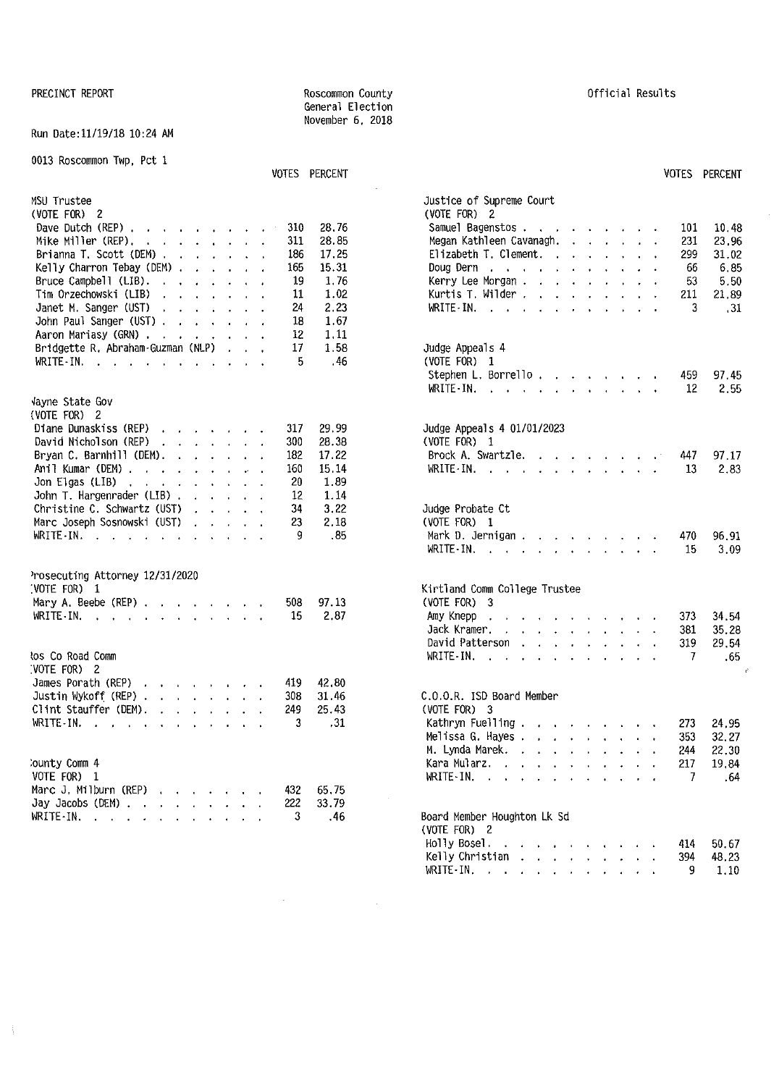#### Run Oate:11/19/18 10:24 AM

#### 0013 Roscommon Twp, Pct 1

| MSU Trustee<br>(VOTE FOR) 2<br>Dave Dutch (REP) $\cdots$ $\cdots$ $\cdots$<br>310<br>28.76                                          | Justice of Supreme Court<br>(VOTE FOR) 2<br>10.48<br>Samuel Bagenstos<br>101                                                                    |
|-------------------------------------------------------------------------------------------------------------------------------------|-------------------------------------------------------------------------------------------------------------------------------------------------|
| Mike Miller (REP).<br>311<br>28.85                                                                                                  | Megan Kathleen Cavanagh.<br>231<br>23,96                                                                                                        |
| 186<br>17.25<br>Brianna T. Scott (DEM)                                                                                              | Elizabeth T. Clement. $\cdots$ $\cdots$<br>299<br>31.02                                                                                         |
| 165<br>15.31<br>Kelly Charron Tebay (DEM)                                                                                           | 6,85<br>Doug Dern $\cdots$ $\cdots$ $\cdots$ $\cdots$ $\cdots$<br>66                                                                            |
| Bruce Campbell (LIB).<br>19<br>1.76<br>$\mathbf{a}$ and $\mathbf{a}$ are all $\mathbf{a}$ and $\mathbf{a}$                          | Kerry Lee Morgan<br>53<br>5.50                                                                                                                  |
| 1.02<br>Tim Orzechowski (LIB)<br>11<br>the contract of the contract of the                                                          | Kurtis T. Wilder<br>211<br>21.89                                                                                                                |
| Janet M. Sanger (UST)<br>24<br>2.23<br>$\mathbf{u} = \mathbf{u} + \mathbf{u} + \mathbf{u} + \mathbf{u} + \mathbf{u} + \mathbf{u}$   | 3.<br>.31                                                                                                                                       |
| John Paul Sanger (UST)<br>18<br>1.67                                                                                                |                                                                                                                                                 |
| 12<br>1.11<br>Aaron Mariasy (GRN)                                                                                                   |                                                                                                                                                 |
| 17<br>1.58<br>Bridgette R. Abraham-Guzman (NLP)                                                                                     | Judge Appeals 4                                                                                                                                 |
| .46<br>WRITE-IN.<br>5                                                                                                               | (VOTE FOR) 1                                                                                                                                    |
|                                                                                                                                     | Stephen L. Borrello.<br>97.45<br>459                                                                                                            |
|                                                                                                                                     | WRITE-IN.<br>2,55<br>$12 \,$<br>the contract of the contract of the contract of the contract of the contract of the contract of the contract of |
| vayne State Gov                                                                                                                     |                                                                                                                                                 |
| (VOTE FOR) 2                                                                                                                        |                                                                                                                                                 |
| Diane Dunaskiss (REP)<br>317<br>29.99                                                                                               | Judge Appeals 4 01/01/2023                                                                                                                      |
| 28.38<br>David Nicholson (REP) $\cdot \cdot \cdot \cdot \cdot \cdot$<br>300                                                         | (VOTE FOR) 1                                                                                                                                    |
| Bryan C. Barnhill (DEM). $\ldots$<br>17.22<br>182                                                                                   | Brock A. Swartzle.<br>97.17<br>447                                                                                                              |
| Anil Kumar (DEM)<br>15.14<br>160                                                                                                    | 2,83<br>WRITE-IN.<br>13                                                                                                                         |
| 20<br>1.89<br>Jon Elgas (LIB) $\cdots$ $\cdots$ $\cdots$ $\cdots$                                                                   |                                                                                                                                                 |
| John T. Hargenrader (LIB).<br>12<br>1.14<br>and the contract of the contract of                                                     |                                                                                                                                                 |
| 3.22<br>Christine C. Schwartz (UST)<br>34<br>$\mathcal{L}^{\text{c}}$ , and $\mathcal{L}^{\text{c}}$ , and $\mathcal{L}^{\text{c}}$ | Judge Probate Ct                                                                                                                                |
| Marc Joseph Sosnowski (UST)<br>2.18<br>23<br>and a strain and                                                                       | (VOTE FOR) 1                                                                                                                                    |
| WRITE-IN.<br>.85<br>9                                                                                                               | Mark D. Jernigan<br>470<br>96.91                                                                                                                |
|                                                                                                                                     | WRITE-IN.<br>15<br>3.09                                                                                                                         |
|                                                                                                                                     |                                                                                                                                                 |
| Prosecuting Attorney 12/31/2020                                                                                                     |                                                                                                                                                 |
| :VOTE FOR) 1                                                                                                                        | Kirtland Comm College Trustee                                                                                                                   |
| Mary A. Beebe (REP) $\ldots$ $\ldots$ $\ldots$<br>508<br>97.13                                                                      | $(VOTE FOR)$ 3                                                                                                                                  |
| 2.87<br>WRITE-IN.<br>-15                                                                                                            | 34.54<br>Amy Knepp<br>373<br>the contract of the contract of the contract of                                                                    |
|                                                                                                                                     | 35.28<br>Jack Kramer.<br>381                                                                                                                    |
|                                                                                                                                     | David Patterson<br>319<br>29.54                                                                                                                 |
| los Co Road Comm                                                                                                                    | WRITE-IN.<br>.65<br>-7                                                                                                                          |
| :VOTE FOR) 2                                                                                                                        |                                                                                                                                                 |
| James Porath (REP)<br>42.80<br>419                                                                                                  |                                                                                                                                                 |
| 31.46<br>Justin Wykoff (REP)<br>308                                                                                                 | C.O.O.R. ISD Board Member                                                                                                                       |
| Clint Stauffer (DEM).<br>249<br>25.43                                                                                               | $(VOTE FOR)$ 3                                                                                                                                  |
| WRITE-IN.<br>3<br>.31                                                                                                               | Kathryn Fuelling $\cdot$ , $\cdot$ , $\cdot$ , $\cdot$<br>24.95<br>273                                                                          |
|                                                                                                                                     | Melissa G. Hayes<br>353<br>32.27                                                                                                                |
|                                                                                                                                     | M. Lynda Marek.<br>244<br>22.30                                                                                                                 |
| <b>County Comm 4</b>                                                                                                                | Kara Mularz.<br>19,84<br>217                                                                                                                    |
| VOTE FOR) 1                                                                                                                         | WRITE-IN. $\cdots$ $\cdots$ $\cdots$<br>7<br>.64                                                                                                |
| Marc J. Milburn (REP)<br>65.75<br>432                                                                                               |                                                                                                                                                 |
| 222<br>33.79<br>Jay Jacobs (DEM) $\cdots$ $\cdots$ $\cdots$                                                                         |                                                                                                                                                 |
| WRITE-IN.<br>3<br>.46                                                                                                               | Board Member Houghton Lk Sd<br>$\mu$ $\sigma$ <sup><math>\tau</math></sup> $\sigma$ $\tau$ $\sigma$                                             |

 $\mathcal{A}^{\text{max}}_{\text{max}}$  and  $\mathcal{A}^{\text{max}}_{\text{max}}$ 

 $\sim$   $\sim$ 

# VOTES PERCENT VOTES PERCENT

| VOTE FOR) 2                                                                                                                                            | (VOTE FOR) 2                                    |
|--------------------------------------------------------------------------------------------------------------------------------------------------------|-------------------------------------------------|
| Dave Dutch (REP) $\cdots$ $\cdots$ $\cdots$<br>28.76<br>310                                                                                            | Samuel Bagenstos<br>10.48<br>101<br>$\sim$      |
| 311<br>28.85<br>Mike Miller (REP), $\ldots$ $\ldots$ $\ldots$ $\ldots$                                                                                 | 231<br>Megan Kathleen Cavanagh.<br>23.96        |
| 17.25<br>Brianna T. Scott (DEM)<br>186                                                                                                                 | Elizabeth T. Clement.<br>299<br>31.02           |
| Kelly Charron Tebay (DEM)<br>15.31<br>165                                                                                                              | Doug Dern r r r r r r r r r r r r<br>66<br>6.85 |
| Bruce Campbell (LIB). $\ldots$<br>19<br>1.76                                                                                                           | Kerry Lee Morgan<br>-53<br>5.50                 |
| Tim Orzechowski (LIB)<br>1.02<br>11<br>the contract of the contract of the contract of the contract of the contract of the contract of the contract of | Kurtis T. Wilder<br>211<br>21,89                |
| Janet M. Sanger (UST)<br>2.23<br>24                                                                                                                    | 3<br>.31                                        |
| 1.67<br>John Paul Sanger (UST)<br>18                                                                                                                   |                                                 |
| 1.11<br>Aaron Mariasy (GRN)<br>12                                                                                                                      |                                                 |
| Bridgette R. Abraham-Guzman (NLP)<br>17<br>1.58                                                                                                        | Judge Appeals 4                                 |
| 5.<br>.46<br>WRITE-IN.<br>the contract of the contract of the contract of                                                                              | (VOTE FOR) 1                                    |
|                                                                                                                                                        | Stephen L. Borrello.<br>97.45<br>459            |
|                                                                                                                                                        | WRITE-IN.<br>12<br>2.55                         |
|                                                                                                                                                        |                                                 |
| layne State Gov                                                                                                                                        |                                                 |
| VOTE FOR) 2                                                                                                                                            |                                                 |
| Diane Dunaskiss (REP)<br>29.99<br>317                                                                                                                  | Judge Appeals 4 01/01/2023                      |
| David Nicholson (REP)<br>300<br>28.38                                                                                                                  | (VOTE FOR) 1                                    |
| Bryan C. Barnhill (DEM). $\ldots$<br>182<br>17.22                                                                                                      | Brock A. Swartzle.<br>97.17<br>447              |
| 15.14<br>Anil Kumar (DEM)<br>160                                                                                                                       | WRITE-IN.<br>13<br>2.83                         |
| 1.89<br>Jon Elgas (LIB) $\ldots$ $\ldots$ $\ldots$ $\ldots$<br>20                                                                                      |                                                 |
| 1.14<br>John T. Hargenrader (LIB)<br>12                                                                                                                |                                                 |
| 3.22<br>Christine C. Schwartz (UST) $\ldots$<br>34                                                                                                     | Judge Probate Ct                                |
| Marc Joseph Sosnowski (UST)<br>23<br>2.18<br><b>Carl All Annual Carl</b>                                                                               | (VOTE FOR) 1                                    |
| .85<br>WRITE-IN.<br>9                                                                                                                                  | Mark D. Jernigan<br>96.91<br>470                |
|                                                                                                                                                        | WRITE-IN.<br>3.09<br>15                         |
|                                                                                                                                                        |                                                 |
| rosecuting Attorney 12/31/2020                                                                                                                         |                                                 |
| VOTE FOR) 1                                                                                                                                            | Kirtland Comm College Trustee                   |
| 97.13<br>Mary A. Beebe (REP)<br>508                                                                                                                    | $(VOTE FOR)$ 3                                  |
| 2.87<br>WRITE-IN.<br>15                                                                                                                                | Amy Knepp.<br>373<br>34,54                      |
|                                                                                                                                                        | Jack Kramer.<br>381<br>35.28                    |
|                                                                                                                                                        | David Patterson<br>29,54<br>319                 |
| os Co Road Comm                                                                                                                                        | WRITE-IN.<br>7<br>.65                           |
| VOTE FOR) 2                                                                                                                                            |                                                 |
| James Porath (REP)<br>42.80<br>419                                                                                                                     |                                                 |
| Justin Wykoff (REP) $\cdots$ $\cdots$ $\cdots$<br>31.46<br>308                                                                                         | C.O.O.R. ISD Board Member                       |
| Clint Stauffer (DEM).<br>25.43<br>249                                                                                                                  | $(VOTE FOR)$ 3                                  |
| WRITE-IN.<br>.31<br>3                                                                                                                                  | Kathryn Fuelling<br>24,95<br>273                |
|                                                                                                                                                        | Melissa G. Hayes<br>32.27<br>353                |
|                                                                                                                                                        | M. Lynda Marek.<br>22.30<br>244                 |
| ounty Comm 4                                                                                                                                           | Kara Mularz.<br>217<br>19.84                    |
| VOTE FOR) 1                                                                                                                                            | WRITE-IN.<br>-7<br>. 64                         |
| darc J. Milburn (REP)<br>65.75<br>432                                                                                                                  |                                                 |
| 33.79<br>Jay Jacobs (DEM) $\ldots$ , , , , , , , ,<br>222                                                                                              |                                                 |
| krite-in, , , , , , , , , , , ,<br>3<br>$-46$                                                                                                          | Board Member Houghton Lk Sd                     |
|                                                                                                                                                        | (VOTE FOR) 2                                    |
|                                                                                                                                                        | Holly Bosel.<br>414<br>50.67                    |
|                                                                                                                                                        | Kelly Christian<br>48.23<br>394                 |
|                                                                                                                                                        | WRITE-IN.<br>9<br>1.10                          |
|                                                                                                                                                        |                                                 |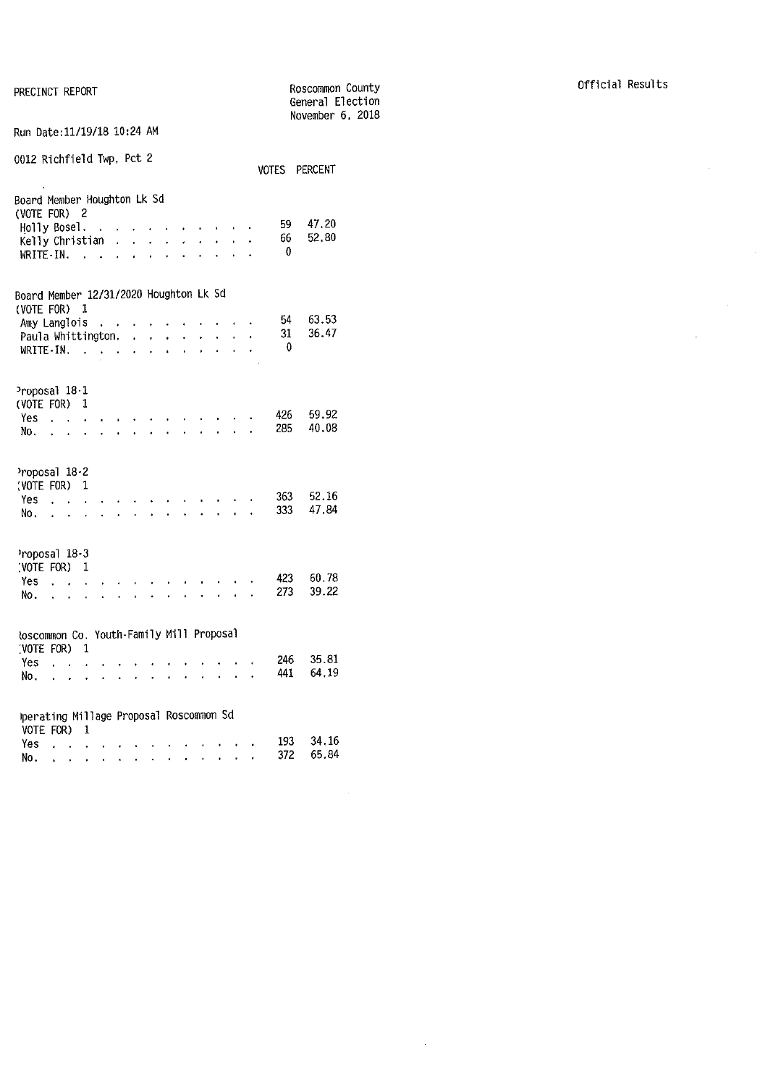|                                                        |                                        |                      |                      |                            |                           |                      |                                        |                                              |                                        |                                        |                            |    |              | General Election<br>November 6, 2018 |  |
|--------------------------------------------------------|----------------------------------------|----------------------|----------------------|----------------------------|---------------------------|----------------------|----------------------------------------|----------------------------------------------|----------------------------------------|----------------------------------------|----------------------------|----|--------------|--------------------------------------|--|
| Run Date: 11/19/18 10:24 AM                            |                                        |                      |                      |                            |                           |                      |                                        |                                              |                                        |                                        |                            |    |              |                                      |  |
| 0012 Richfield Twp, Pct 2                              |                                        |                      |                      |                            |                           |                      |                                        |                                              |                                        |                                        |                            |    |              | VOTES PERCENT                        |  |
| Board Member Houghton Lk Sd<br>(VOTE FOR) 2            |                                        |                      |                      |                            |                           |                      |                                        |                                              |                                        |                                        |                            |    |              |                                      |  |
| Holly Bosel.                                           |                                        |                      |                      |                            |                           |                      | $\cdot$                                | $\sim$                                       | $\ddot{\phantom{1}}$                   | ä,                                     | $\sim 10^{-11}$ km $^{-1}$ |    | 59.<br>66    | 47.20<br>52.80                       |  |
| Kelly Christian<br>$WRITE-IN.$ .                       |                                        |                      |                      |                            | L.<br>l.                  | $\mathbf{r}$         | $\ddot{\phantom{0}}$                   | $\ddot{\phantom{0}}$<br>$\ddot{\phantom{0}}$ | $\ddot{\phantom{0}}$<br>$\overline{a}$ | $\ddot{\phantom{a}}$                   | l.                         | l. | $\mathbf{0}$ |                                      |  |
| Board Member 12/31/2020 Houghton Lk Sd                 |                                        |                      |                      |                            |                           |                      |                                        |                                              |                                        |                                        |                            |    |              |                                      |  |
| (VOTE FOR) 1                                           |                                        |                      |                      |                            |                           |                      |                                        |                                              |                                        |                                        |                            |    |              |                                      |  |
| Amy Langlois                                           |                                        |                      |                      | $\blacksquare$             | $\sim$ $\sim$             |                      |                                        |                                              |                                        |                                        |                            |    | 54           | 63.53                                |  |
| Paula Whittington.                                     |                                        |                      |                      |                            |                           | $\mathbf{r}$         | $\mathbf{r}$                           | $\ddot{\phantom{0}}$                         |                                        |                                        | $\ddot{\phantom{0}}$       |    | 31<br>0      | 36.47                                |  |
| WRITE-IN.                                              |                                        |                      |                      | contractor and all         |                           |                      | $\mathbf{r}$                           | $\ddot{\phantom{a}}$                         | $\ddot{\phantom{0}}$                   | l,                                     | $\mathbf{r}$               | ¥. |              |                                      |  |
| Proposal 18-1<br>(VOTE FOR)                            |                                        |                      | 1                    |                            |                           |                      |                                        |                                              |                                        |                                        |                            |    |              |                                      |  |
| Yes.                                                   |                                        |                      | $\ddot{\phantom{0}}$ |                            |                           |                      |                                        |                                              |                                        |                                        |                            |    | 426          | 59.92                                |  |
| No.                                                    | $\sim$                                 |                      | $\ddot{\phantom{0}}$ | $\overline{a}$             |                           | $\ddot{\phantom{0}}$ | $\ddot{\phantom{0}}$                   | $\overline{a}$                               |                                        | ä.                                     | $\mathbf{r}$               |    | 285          | 40.08                                |  |
| Proposal 18-2<br>(VOTE FOR)                            |                                        |                      | 1                    |                            |                           |                      |                                        |                                              |                                        |                                        |                            |    |              |                                      |  |
| Yes                                                    | $\mathbf{r}$                           |                      | $\ddot{\phantom{0}}$ |                            |                           |                      |                                        |                                              |                                        |                                        |                            |    | 363          | 52.16                                |  |
| No.                                                    |                                        | $\ddot{\phantom{0}}$ |                      |                            | $\mathbf{L}^{\text{max}}$ |                      |                                        |                                              |                                        |                                        | $\overline{a}$             |    | 333          | 47.84                                |  |
| Proposal 18-3<br>(VOTE FOR)                            |                                        |                      | 1                    |                            |                           |                      |                                        |                                              |                                        |                                        |                            |    |              |                                      |  |
| Yes.                                                   |                                        | $\sim$               |                      |                            |                           |                      |                                        |                                              |                                        |                                        |                            |    | 423          | 60.78                                |  |
| NO.                                                    |                                        | ä,                   |                      |                            |                           |                      |                                        |                                              |                                        |                                        | $\ddot{\phantom{a}}$       |    | 273          | 39.22                                |  |
| toscommon Co. Youth-Family Mill Proposal               |                                        |                      |                      |                            |                           |                      |                                        |                                              |                                        |                                        |                            |    |              |                                      |  |
| (VOTE FOR)                                             |                                        |                      | $\mathbf{1}$         |                            |                           |                      |                                        |                                              |                                        |                                        |                            |    | 246          | 35.81                                |  |
| Yes<br>No.                                             | $\overline{a}$<br>$\ddot{\phantom{0}}$ | $\ddot{\phantom{0}}$ | $\ddot{\phantom{0}}$ | l.                         |                           |                      |                                        |                                              |                                        |                                        |                            |    | 441          | 64.19                                |  |
|                                                        |                                        |                      |                      |                            |                           |                      |                                        |                                              |                                        |                                        |                            |    |              |                                      |  |
| Iperating Millage Proposal Roscommon Sd<br>VOTE FOR) 1 |                                        |                      |                      |                            |                           |                      |                                        |                                              |                                        |                                        |                            |    |              |                                      |  |
| Yes                                                    | $\Delta \sim 10^{-11}$                 |                      | $\mathbf{r}$         |                            |                           |                      |                                        |                                              |                                        | and a straightful control of the state |                            |    | 193          | 34.16                                |  |
| Nο.                                                    |                                        |                      |                      | the company of the company |                           |                      | $\mathbf{r} = \mathbf{r} + \mathbf{r}$ | $\sim$                                       | $\bullet$                              | $\bullet$ .                            | $\bullet$                  | í, | 372          | 65.84                                |  |

 $\sim 10^{-1}$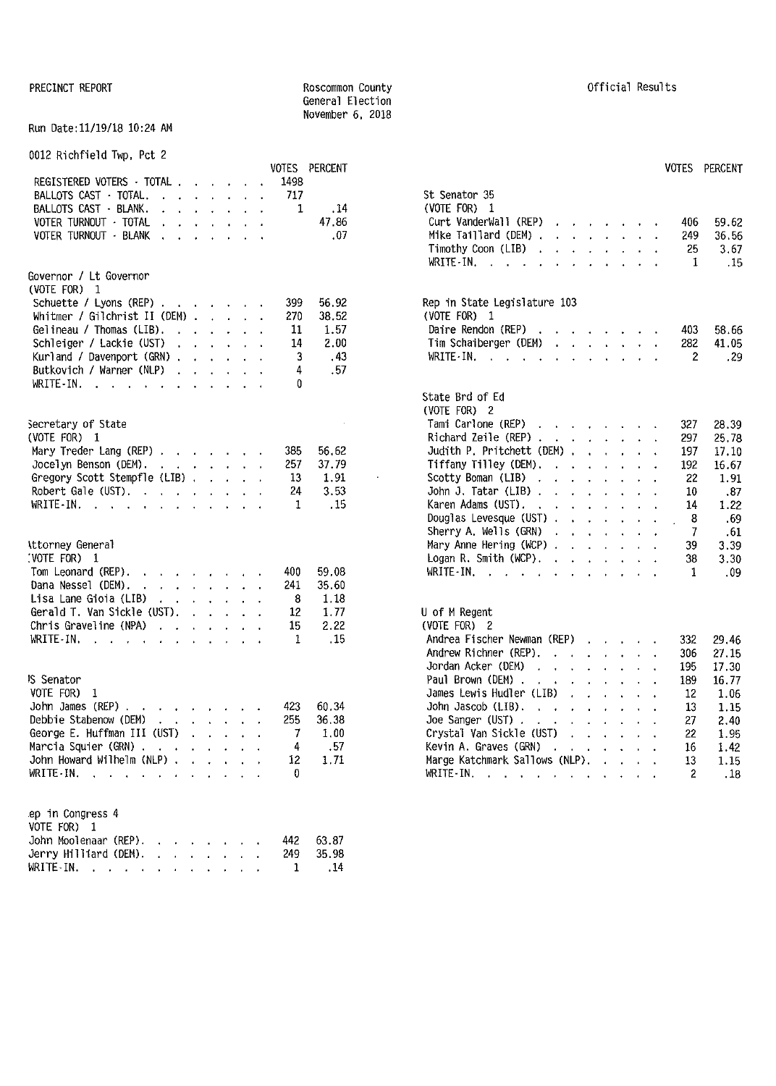#### Run Date:11/19/18 10:24 AM

#### 0012 Richfield Twp, Pct 2

| REGISTERED VOTERS - TOTAL                                             | 1498         | VOTES PERCENT | <b>VOTES</b>                                                                                                                                                                                                                                                        | PERCENT                |
|-----------------------------------------------------------------------|--------------|---------------|---------------------------------------------------------------------------------------------------------------------------------------------------------------------------------------------------------------------------------------------------------------------|------------------------|
| BALLOTS CAST · TOTAL.                                                 | 717          |               | St Senator 35                                                                                                                                                                                                                                                       |                        |
| BALLOTS CAST - BLANK.<br>the contract of the contract of              | 1            | .14           | (VOTE FOR) $1$                                                                                                                                                                                                                                                      |                        |
| VOTER TURNOUT - TOTAL                                                 |              | 47.86         | Curt VanderWall (REP)<br>the contract of the contract of the con-                                                                                                                                                                                                   | 406<br>59.62           |
| VOTER TURNOUT - BLANK<br>the contract of the contract of the          |              | .07           | Mike Taillard (DEM)                                                                                                                                                                                                                                                 | 36.56<br>249           |
|                                                                       |              |               | Timothy Coon (LIB)                                                                                                                                                                                                                                                  | 25<br>3.67             |
|                                                                       |              |               | WRITE-IN.                                                                                                                                                                                                                                                           | .15<br>1               |
| Governor / Lt Governor                                                |              |               |                                                                                                                                                                                                                                                                     |                        |
| (VOTE FOR) 1                                                          |              |               |                                                                                                                                                                                                                                                                     |                        |
| Schuette / Lyons (REP)                                                | 399          | 56.92         | Rep in State Legislature 103                                                                                                                                                                                                                                        |                        |
| Whitmer / Gilchrist II (DEM) $\ldots$ $\ldots$                        | 270          | 38.52         | (VOTE FOR) 1                                                                                                                                                                                                                                                        |                        |
| Gelineau / Thomas (LIB). $\ldots$ $\ldots$                            | 11           | 1.57          | Daire Rendon (REP) $\cdots$ $\cdots$ $\cdots$                                                                                                                                                                                                                       | 403<br>58.66           |
| Schleiger / Lackie (UST)                                              | 14           | 2.00          | Tim Schaiberger (DEM)                                                                                                                                                                                                                                               | 282<br>41.05           |
| Kurland / Davenport (GRN)                                             | 3            | .43           | WRITE-IN, $\cdots$ $\cdots$ $\cdots$ $\cdots$                                                                                                                                                                                                                       | -29<br>2               |
| Butkovich / Warner (NLP)                                              | 4            | .57           |                                                                                                                                                                                                                                                                     |                        |
| WRITE-IN.                                                             | 0            |               |                                                                                                                                                                                                                                                                     |                        |
|                                                                       |              |               | State Brd of Ed                                                                                                                                                                                                                                                     |                        |
|                                                                       |              |               | (VOTE FOR) 2                                                                                                                                                                                                                                                        |                        |
| Secretary of State                                                    |              |               | Tami Carlone (REP)                                                                                                                                                                                                                                                  | 327<br>28.39           |
| (VOTE FOR) 1                                                          |              |               | Richard Zeile (REP)                                                                                                                                                                                                                                                 | 297<br>25.78           |
| Mary Treder Lang (REP)                                                | 385          | 56.62         | Judith P. Pritchett (DEM)                                                                                                                                                                                                                                           | 17.10<br>197           |
| Jocelyn Benson (DEM). $\cdot \cdot \cdot \cdot \cdot \cdot$           | 257          | 37.79         | Tiffany Tilley (DEM), $\cdot \cdot \cdot \cdot \cdot$                                                                                                                                                                                                               | 192<br>16.67           |
| Gregory Scott Stempfle (LIB)                                          | 13           | 1.91          | Scotty Boman (LIB)                                                                                                                                                                                                                                                  | 22<br>1.91             |
| Robert Gale (UST).                                                    | 24           | 3.53          | John J. Tatar (LIB) $\cdots$ $\cdots$ $\cdots$                                                                                                                                                                                                                      | .87<br>10              |
| WRITE-IN.                                                             | 1            | . 15          | Karen Adams (UST).                                                                                                                                                                                                                                                  | 1.22<br>14             |
|                                                                       |              |               | Douglas Levesque (UST) $\cdot \cdot \cdot \cdot \cdot \cdot$                                                                                                                                                                                                        | 8<br>.69               |
|                                                                       |              |               | Sherry A. Wells (GRN)                                                                                                                                                                                                                                               | 7<br>.61               |
| Attorney General                                                      |              |               | Mary Anne Hering (WCP)                                                                                                                                                                                                                                              | 3.39<br>39             |
| (VOTE FOR) 1                                                          |              |               | Logan R. Smith (WCP), $\ldots$ , $\ldots$                                                                                                                                                                                                                           | 38<br>3.30             |
| Tom Leonard (REP).<br>and a series of the control of                  | 400          | 59.08         | WRITE-IN, $\cdots$ $\cdots$ $\cdots$ $\cdots$                                                                                                                                                                                                                       | .09<br>1               |
| Dana Nessel (DEM).<br>the contract of the contract of the             | 241          | 35.60         |                                                                                                                                                                                                                                                                     |                        |
| Lisa Lane Gioia (LIB) $\cdot$ $\cdot$ $\cdot$ $\cdot$ $\cdot$ $\cdot$ | 8            | 1.18          |                                                                                                                                                                                                                                                                     |                        |
| Gerald T. Van Sickle (UST).                                           | 12           | 1.77          | U of M Regent                                                                                                                                                                                                                                                       |                        |
| Chris Graveline (NPA) $\cdots$ $\cdots$                               | 15           | 2.22          | (VOTE FOR) 2                                                                                                                                                                                                                                                        |                        |
| WRITE-IN.                                                             | 1            | .15           | Andrea Fischer Newman (REP)                                                                                                                                                                                                                                         | 332<br>29.46           |
|                                                                       |              |               | Andrew Richner (REP).                                                                                                                                                                                                                                               | 306<br>27.15           |
|                                                                       |              |               | Jordan Acker (DEM)<br>the contract of the contract of the con-                                                                                                                                                                                                      | 17.30<br>195           |
| <b>IS Senator</b>                                                     |              |               | Paul Brown (DEM).<br>the company of the company of the                                                                                                                                                                                                              | 16.77<br>189           |
| VOTE FOR) 1                                                           |              |               | James Lewis Hudler (LIB)<br>and the contract of the contract of the con-                                                                                                                                                                                            | 1.06<br>12             |
| John James (REP) $\ldots$ , $\ldots$ , $\ldots$                       | 423          | 60.34         | John Jascob (LIB).                                                                                                                                                                                                                                                  | 13<br>1.15             |
| Debbie Stabenow (DEM)<br>the contract of the contract of              | 255          | 36.38         | Joe Sanger (UST) $\ldots$ $\ldots$ $\ldots$ $\ldots$                                                                                                                                                                                                                | 27<br>2.40             |
| George E. Huffman III (UST)                                           |              | 1,00          | Crystal Van Sickle (UST)                                                                                                                                                                                                                                            | 1.95<br>22             |
| Marcia Squier (GRN)                                                   | 4            | .57           | Kevin A. Graves (GRN)<br><b><i>Charles Committee Committee State Committee Committee State Committee Committee Committee Committee Committee Committee Committee Committee Committee Committee Committee Committee Committee Committee Committee Committee </i></b> | 1.42<br>16             |
| John Howard Wilhelm (NLP)                                             | 12           | 1.71          | Marge Katchmark Sallows (NLP).                                                                                                                                                                                                                                      | 13<br>1.15             |
| WRITE-IN. $\cdots$ $\cdots$ $\cdots$                                  | $\mathbf{0}$ |               | WRITE-IN.                                                                                                                                                                                                                                                           | $\overline{c}$<br>. 18 |
| ep in Congress 4                                                      |              |               |                                                                                                                                                                                                                                                                     |                        |
| VOTE FOR) 1                                                           |              |               |                                                                                                                                                                                                                                                                     |                        |
| John Moolenaar (REP).<br>the contract of the contract of              | 442          | 63.87         |                                                                                                                                                                                                                                                                     |                        |
| Jerry Hilliard (DEM).                                                 | 249          | 35.98         |                                                                                                                                                                                                                                                                     |                        |
| WRITE-IN.                                                             | 1            | .14           |                                                                                                                                                                                                                                                                     |                        |
|                                                                       |              |               |                                                                                                                                                                                                                                                                     |                        |

General Election November 6, 2018

| St Senator 35                                                                                        |                             |                                                                                                                                                                                                                                                                                                                                                                                                                                                           |                      |                                            |                           |                                            |                      |                |       |
|------------------------------------------------------------------------------------------------------|-----------------------------|-----------------------------------------------------------------------------------------------------------------------------------------------------------------------------------------------------------------------------------------------------------------------------------------------------------------------------------------------------------------------------------------------------------------------------------------------------------|----------------------|--------------------------------------------|---------------------------|--------------------------------------------|----------------------|----------------|-------|
| (VOTE FOR)<br>1                                                                                      |                             |                                                                                                                                                                                                                                                                                                                                                                                                                                                           |                      |                                            |                           |                                            |                      |                |       |
| Curt VanderWall (REP)                                                                                |                             |                                                                                                                                                                                                                                                                                                                                                                                                                                                           |                      |                                            |                           |                                            |                      | 406            | 59.62 |
| Mike Taillard (DEM).                                                                                 |                             | $\mathbf{r} = \mathbf{r} + \mathbf{r} + \mathbf{r}$ .                                                                                                                                                                                                                                                                                                                                                                                                     |                      |                                            |                           | $\mathbf{r} = \mathbf{r} \cdot \mathbf{r}$ |                      | 249            | 36.56 |
| Timothy Coon (LIB).                                                                                  |                             | $\mathbf{r} = \mathbf{r} + \mathbf{r} + \mathbf{r}$ .                                                                                                                                                                                                                                                                                                                                                                                                     |                      |                                            | <b>Contract Contract</b>  |                                            | $\ddot{\phantom{a}}$ | 25             | 3.67  |
| WRITE-IN.<br>$\sim$ $\sim$ $\sim$<br>l,                                                              |                             | $\ddot{\phantom{0}}$                                                                                                                                                                                                                                                                                                                                                                                                                                      | $\mathbf{L}$         | $\ddot{\phantom{a}}$                       | $\ddot{\phantom{a}}$      | $\cdot$                                    |                      | 1              | .15   |
| Rep in State Legislature 103                                                                         |                             |                                                                                                                                                                                                                                                                                                                                                                                                                                                           |                      |                                            |                           |                                            |                      |                |       |
| (VOTE FOR)<br>1                                                                                      |                             |                                                                                                                                                                                                                                                                                                                                                                                                                                                           |                      |                                            |                           |                                            |                      |                |       |
| Daire Rendon (REP)                                                                                   |                             | المناطق المناطق المناطق                                                                                                                                                                                                                                                                                                                                                                                                                                   |                      |                                            |                           |                                            |                      | 403            | 58.66 |
| Tim Schaiberger (DEM)                                                                                | $\mathcal{L}^{\mathcal{L}}$ | $\Delta \sim 10^{11}$ km s $^{-1}$                                                                                                                                                                                                                                                                                                                                                                                                                        |                      |                                            | $\Delta \phi$             | $\sim$ $\sim$                              |                      | 282            | 41.05 |
| WRITE · IN.<br><b>Contract Contract Contract</b>                                                     |                             | $\mathbf{r}$ and $\mathbf{r}$ and $\mathbf{r}$ and $\mathbf{r}$                                                                                                                                                                                                                                                                                                                                                                                           |                      |                                            |                           |                                            |                      | 2              | .29   |
| State Brd of Ed                                                                                      |                             |                                                                                                                                                                                                                                                                                                                                                                                                                                                           |                      |                                            |                           |                                            |                      |                |       |
| (VOTE FOR)<br>- 2                                                                                    |                             |                                                                                                                                                                                                                                                                                                                                                                                                                                                           |                      |                                            |                           |                                            |                      |                |       |
| Tami Carlone (REP)                                                                                   |                             |                                                                                                                                                                                                                                                                                                                                                                                                                                                           |                      |                                            |                           |                                            |                      | 327            | 28.39 |
| Richard Zeile (REP)                                                                                  |                             |                                                                                                                                                                                                                                                                                                                                                                                                                                                           | $\mathbf{r}$         | $\ddot{\phantom{0}}$                       |                           |                                            |                      | 297            | 25.78 |
| Judith P. Pritchett (DEM).                                                                           |                             |                                                                                                                                                                                                                                                                                                                                                                                                                                                           | $\mathbf{r}$ .       | ¥.                                         | $\mathbf{r}$              | Ĭ.                                         |                      | 197            | 17.10 |
| Tiffany Tilley (DEM).                                                                                |                             |                                                                                                                                                                                                                                                                                                                                                                                                                                                           | $\mathbf{v}^{(i)}$   | ¥.                                         | ä.                        |                                            |                      | 192            | 16.67 |
| Scotty Boman (LIB)<br>$\sim 10^{-11}$                                                                | i.                          | $\ddot{\phantom{0}}$                                                                                                                                                                                                                                                                                                                                                                                                                                      | $\ddot{\phantom{0}}$ | $\ddot{\phantom{0}}$                       | ò.                        |                                            |                      | -22            | 1.91  |
| John J. Tatar (LIB) $\ldots$                                                                         |                             | $\mathcal{L}^{\pm}$                                                                                                                                                                                                                                                                                                                                                                                                                                       | $\sim$               | $\cdot$                                    | $\bullet$                 |                                            | $\ddot{\phantom{0}}$ | 10             | .87   |
| Karen Adams (UST). .<br>Douglas Levesque (UST)<br>Sherry A Meller (UST)                              |                             | $\ddot{\phantom{0}}$                                                                                                                                                                                                                                                                                                                                                                                                                                      | $\ddot{\phantom{0}}$ | k.                                         | ä.                        |                                            |                      | 14             | 1.22  |
|                                                                                                      |                             | $\ddot{\phantom{0}}$                                                                                                                                                                                                                                                                                                                                                                                                                                      | $\ddot{\phantom{0}}$ | $\ddot{\phantom{0}}$                       |                           |                                            |                      | - 8            | .69   |
| Sherry A. Wells (GRN)                                                                                |                             |                                                                                                                                                                                                                                                                                                                                                                                                                                                           | $\mathbf{v}$         | $\sim$                                     | $\mathcal{L}^{(1)}$       | a.                                         |                      | 7              | .61   |
| Mary Anne Hering (WCP).                                                                              |                             | $\sim$                                                                                                                                                                                                                                                                                                                                                                                                                                                    | $\mathbf{z}^{(i)}$   | $\sim$                                     | $\mathbf{r}^{(1)}$        | $\mathbf{r}$                               |                      | 39             | 3.39  |
| Logan R. Smith (WCP),                                                                                |                             |                                                                                                                                                                                                                                                                                                                                                                                                                                                           |                      | $\mathbf{r} = \mathbf{r}$                  | $\mathbf{A}^{\text{max}}$ | $\ddot{\phantom{0}}$                       |                      | 38             | 3.30  |
| WRITE IN, $\cdots$ $\cdots$                                                                          |                             |                                                                                                                                                                                                                                                                                                                                                                                                                                                           |                      | $\mathbf{r} = \mathbf{r} \cdot \mathbf{r}$ | i.                        | $\mathbf{L}$                               |                      | 1              | .09.  |
| U of M Regent                                                                                        |                             |                                                                                                                                                                                                                                                                                                                                                                                                                                                           |                      |                                            |                           |                                            |                      |                |       |
| (VOTE FOR) 2                                                                                         |                             |                                                                                                                                                                                                                                                                                                                                                                                                                                                           |                      |                                            |                           |                                            |                      |                |       |
| Andrea Fischer Newman (REP)                                                                          |                             |                                                                                                                                                                                                                                                                                                                                                                                                                                                           |                      |                                            | <b>Contract Contract</b>  |                                            |                      | 332            | 29.46 |
| Andrew Richner (REP).                                                                                |                             | $\mathcal{L}(\mathcal{L}^{\mathcal{L}}(\mathcal{L}^{\mathcal{L}}(\mathcal{L}^{\mathcal{L}}(\mathcal{L}^{\mathcal{L}}(\mathcal{L}^{\mathcal{L}}(\mathcal{L}^{\mathcal{L}}(\mathcal{L}^{\mathcal{L}}(\mathcal{L}^{\mathcal{L}}(\mathcal{L}^{\mathcal{L}}(\mathcal{L}^{\mathcal{L}}(\mathcal{L}^{\mathcal{L}}(\mathcal{L}^{\mathcal{L}}(\mathcal{L}^{\mathcal{L}}(\mathcal{L}^{\mathcal{L}}(\mathcal{L}^{\mathcal{L}}(\mathcal{L}^{\mathcal{L}}(\mathcal{L}$ |                      | $\epsilon$                                 | $\mathbf{r}^{(i)}$        |                                            |                      | 306            | 27.15 |
| Jordan Acker (DEM).                                                                                  | $\sim$                      | $\ddot{\phantom{0}}$                                                                                                                                                                                                                                                                                                                                                                                                                                      | $\ddot{\phantom{0}}$ | $\cdot$                                    |                           |                                            |                      | 195            | 17.30 |
| Paul Brown (DEM).<br>$\sim 10^{-10}$ km s $^{-1}$                                                    |                             | $\overline{a}$                                                                                                                                                                                                                                                                                                                                                                                                                                            | $\ddot{\phantom{a}}$ | l.                                         | l.                        |                                            |                      | 189            | 16.77 |
| James Lewis Hudler (LIB).                                                                            |                             |                                                                                                                                                                                                                                                                                                                                                                                                                                                           | ¥.                   | $\epsilon$                                 | $\ddot{\phantom{0}}$      |                                            |                      | 12             | 1.06  |
| John Jascob (LIB).                                                                                   |                             | $\bullet$ .                                                                                                                                                                                                                                                                                                                                                                                                                                               | $\mathbf{r}$         | $\ddot{\phantom{0}}$                       | l.                        |                                            |                      | 13             | 1.15  |
| Joe Sanger (UST).<br>$\sim 10^{-10}$                                                                 | $\bullet$ .                 | $\ddot{\phantom{0}}$                                                                                                                                                                                                                                                                                                                                                                                                                                      | $\ddot{\phantom{0}}$ | i.                                         | i.                        | i.                                         | $\ddot{\phantom{0}}$ | 27             | 2.40  |
| Crystal Van Sickle (UST)                                                                             |                             | $\mathbf{r}$                                                                                                                                                                                                                                                                                                                                                                                                                                              | $\mathbf{r}$         | $\mathbf{r}$                               | $\mathbf{r}^{(i)}$        | ¥.                                         |                      | 22             | 1.95  |
| Kevin A. Graves (GRN) .<br>Kevin A. Graves (GRN)  .  .  .<br>Marge Katchmark Sallows (NLP).          |                             |                                                                                                                                                                                                                                                                                                                                                                                                                                                           |                      | ¥.                                         | $\mathbf{A}^{\text{max}}$ | i.                                         |                      | 16             | 1.42  |
|                                                                                                      |                             |                                                                                                                                                                                                                                                                                                                                                                                                                                                           |                      |                                            | $\mathcal{L}^{\pm}$       | $\ddot{\phantom{0}}$                       |                      | 13             | 1.15  |
| WRITE-IN.<br>ä,<br>$\mathcal{O}(\mathcal{A})$ . The set of the set of the $\mathcal{O}(\mathcal{A})$ |                             |                                                                                                                                                                                                                                                                                                                                                                                                                                                           |                      | ٠                                          | $\cdot$                   | ٠                                          |                      | $\overline{c}$ | . 18  |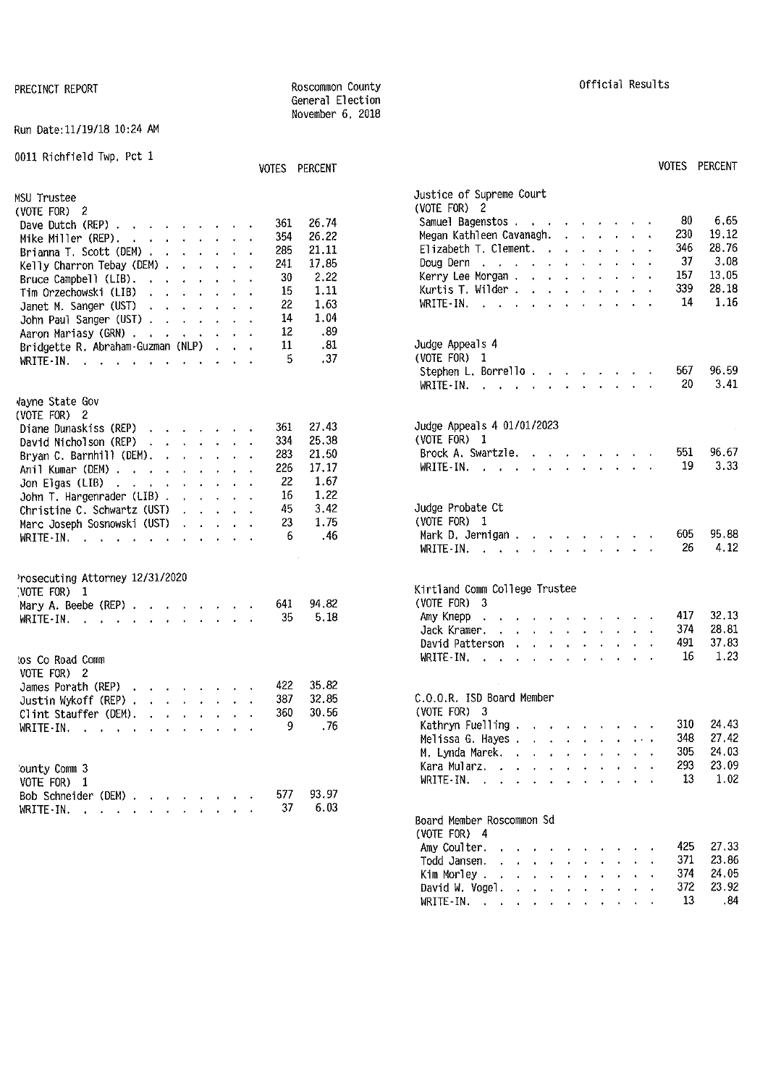#### Run Date:11/19/18 10:24 AM

0011 Richfield Twp, Pct 1

|                                                                                    | VUIES PERUENT |       |                                                                              |
|------------------------------------------------------------------------------------|---------------|-------|------------------------------------------------------------------------------|
| MSU Trustee                                                                        |               |       | Justice of Supreme Court                                                     |
| (VOTE FOR) $2$                                                                     |               |       | (VOTE FOR) 2                                                                 |
|                                                                                    | 361           | 26.74 | 6.65<br>80<br>Samuel Bagenstos                                               |
| Dave Dutch (REP) $\cdot \cdot \cdot \cdot \cdot \cdot \cdot$                       | 354           | 26.22 | 230<br>19.12<br>Megan Kathleen Cavanagh.                                     |
| Mike Miller (REP) $\cdots$ $\cdots$ $\cdots$                                       |               | 21.11 | 346<br>28,76<br>Elizabeth T. Clement.                                        |
| Brianna T. Scott (DEM) $\cdots$ $\cdots$                                           | 285           |       | 37<br>3.08                                                                   |
| Kelly Charron Tebay (DEM) $\cdots$                                                 | 241           | 17.85 | Doug Dern, $\ldots$ , $\ldots$ , $\ldots$ , $\ldots$                         |
| Bruce Campbell (LIB).<br>and the contract of the state of the                      | 30            | 2.22  | 157<br>13.05<br>Kerry Lee Morgan.                                            |
| Tim Orzechowski (LIB)                                                              | 15            | 1.11  | 339<br>28.18<br>Kurtis T. Wilder                                             |
| Janet M. Sanger (UST)<br>the contract of the contract of                           | 22            | 1.63  | 14<br>1.16<br>WRITE-IN, $\cdots$ , $\cdots$                                  |
| John Paul Sanger (UST)                                                             | 14            | 1.04  |                                                                              |
| Aaron Mariasy (GRN)                                                                | 12            | .89   |                                                                              |
| Bridgette R. Abraham-Guzman (NLP) .<br>$\sim$ $\sim$                               | 11            | .81   | Judge Appeals 4                                                              |
|                                                                                    | 5             | .37   | (VOTE FOR) 1                                                                 |
|                                                                                    |               |       | 96.59<br>567<br>Stephen L. Borrello                                          |
|                                                                                    |               |       | 20<br>3.41<br>WRITE-IN. $\cdots$ $\cdots$ $\cdots$                           |
|                                                                                    |               |       |                                                                              |
| Wayne State Gov                                                                    |               |       |                                                                              |
| (VOTE FOR) 2                                                                       |               |       | Judge Appeals 4 01/01/2023                                                   |
| Diane Dunaskiss (REP) $\cdot \cdot \cdot \cdot \cdot$                              | 361           | 27.43 |                                                                              |
| David Nicholson (REP) $\cdot \cdot \cdot \cdot \cdot$                              | 334           | 25.38 | (VOTE FOR) 1                                                                 |
| Bryan C. Barnhill (DEM). $\cdot \cdot \cdot \cdot$                                 | 283           | 21.50 | 96.67<br>Brock A. Swartzle.<br>551                                           |
| Anil Kumar (DEM)                                                                   | 226           | 17.17 | 3.33<br>19<br>WRITE - IN. $\cdots$                                           |
| Jon Elgas (LIB) $\cdots$ $\cdots$ $\cdots$                                         | 22            | 1.67  |                                                                              |
| John T, Hargenrader (LIB) $\ldots$ , $\ldots$                                      | 16            | 1.22  |                                                                              |
| Christine C. Schwartz (UST)<br><b>Contract Contract Contract Contract Contract</b> | 45            | 3.42  | Judge Probate Ct                                                             |
| Marc Joseph Sosnowski (UST)<br>and the company of the company                      | 23            | 1.75  | (VOTE FOR) 1                                                                 |
| WRITE-IN. $\cdots$ $\cdots$ $\cdots$                                               | 6             | .46   | 95.88<br>605<br>Mark D. Jernigan                                             |
|                                                                                    |               |       | 26<br>4.12<br>WRITE-IN, $\cdots$ , $\cdots$                                  |
|                                                                                    |               |       |                                                                              |
| Prosecuting Attorney 12/31/2020                                                    |               |       |                                                                              |
| NOTE FOR) 1                                                                        |               |       | Kirtland Comm College Trustee                                                |
| Mary A. Beebe (REP)                                                                | 641           | 94.82 | $(VOTE FOR)$ 3                                                               |
|                                                                                    | 35            | 5.18  | 32.13<br>417<br>Amy Knepp<br>the companion of the companion of the companion |
| WRITE-IN. $\cdots$                                                                 |               |       | 374<br>28.81<br>Jack Kramer.                                                 |
|                                                                                    |               |       | 491<br>37.83                                                                 |
|                                                                                    |               |       | David Patterson                                                              |
| tos Co Road Comm                                                                   |               |       | 1.23<br>16<br>WRITE-IN. $\cdots$ $\cdots$ $\cdots$                           |
| VOTE FOR) 2                                                                        |               |       |                                                                              |
| James Porath (REP) $\cdot$                                                         | 422           | 35.82 |                                                                              |
|                                                                                    | 387           | 32.85 | C.O.O.R. ISD Board Member                                                    |
| Clint Stauffer (DEM). $\cdot$                                                      | 360           | 30.56 | $(VOTE FOR)$ 3                                                               |
| WRITE-IN.                                                                          | 9             | .76   | 310<br>24.43<br>Kathryn Fuelling $\cdots$ $\cdots$ $\cdots$                  |
|                                                                                    |               |       | 27.42<br>348<br>Melissa G. Hayes                                             |
|                                                                                    |               |       | 305<br>24.03<br>M. Lynda Marek.                                              |
|                                                                                    |               |       | 293<br>23.09<br>Kara Mularz, , , , , , , , , , , ,                           |
| <b>Jounty Comm 3</b>                                                               |               |       | 13<br>1.02<br>WRITE - IN. $\cdots$                                           |
| VOTE FOR) 1                                                                        |               |       |                                                                              |
| Bob Schneider (DEM)                                                                | 577           | 93.97 |                                                                              |
| WRITE-IN. $\cdots$ $\cdots$                                                        | 37            | 6.03  |                                                                              |
|                                                                                    |               |       | Board Member Roscommon Sd                                                    |

General Election November 6, 2018

|     | VOTES PERCENT |                                                                                                                                                                           | <b>VOTES</b> | PERCENT |
|-----|---------------|---------------------------------------------------------------------------------------------------------------------------------------------------------------------------|--------------|---------|
| 361 | 26.74         | Justice of Supreme Court<br>(VOTE FOR)<br>2<br>Samuel Bagenstos                                                                                                           | 80           | 6.65    |
| 354 | 26.22         | $\mathbf{r} = \mathbf{r} \times \mathbf{r}$ and $\mathbf{r} = \mathbf{r} \times \mathbf{r}$<br>Megan Kathleen Cavanagh.                                                   | 230          | 19.12   |
| 285 | 21.11         | Elizabeth T. Clement. .<br>$\mathbf{r} = \mathbf{r} + \mathbf{r}$<br>$\ddot{\phantom{0}}$<br>$\ddot{\phantom{0}}$                                                         | 346          | 28.76   |
| 241 | 17.85         | Doug Dern<br>$\mathbf{z} = \mathbf{z} + \mathbf{z}$ , where $\mathbf{z}$<br>and the contract of the contract of<br>$\ddot{\phantom{0}}$                                   | 37           | 3.08    |
| 30  | 2.22          | Kerry Lee Morgan                                                                                                                                                          | 157          | 13.05   |
| 15  | 1.11          | Kurtis T. Wilder<br>$\bullet$                                                                                                                                             | 339          | 28.18   |
| 22  | 1.63          | WRITE-IN.<br>and a strong control of the strong strong and<br><b>Carl Adams</b>                                                                                           | 14           | 1.16    |
| 14  | 1.04          |                                                                                                                                                                           |              |         |
| 12  | .89           |                                                                                                                                                                           |              |         |
| 11  | .81           | Judge Appeals 4                                                                                                                                                           |              |         |
| 5   | .37           | (VOTE FOR) 1                                                                                                                                                              |              |         |
|     |               | Stephen L. Borrello                                                                                                                                                       | 567          | 96.59   |
|     |               | WRITE-IN.<br>$\mathcal{L}^{\text{c}}$ , $\mathcal{L}^{\text{c}}$ , $\mathcal{L}^{\text{c}}$ , $\mathcal{L}^{\text{c}}$ , $\mathcal{L}^{\text{c}}$                         | 20           | 3.41    |
|     |               |                                                                                                                                                                           |              |         |
|     |               |                                                                                                                                                                           |              |         |
| 361 | 27.43         | Judge Appeals 4 01/01/2023                                                                                                                                                |              |         |
| 334 | 25.38         | (VOTE FOR) 1                                                                                                                                                              | 551          | 96.67   |
| 283 | 21,50         | Brock A. Swartzle.<br>and a state of the state<br>$\sim$<br>$\mathbf{L} = \mathbf{L} \times \mathbf{L}$                                                                   | 19           |         |
| 226 | 17.17         | and a state<br>an dan s<br>WRITE-IN.<br><b>Contract Contract Street</b>                                                                                                   |              | 3.33    |
| 22  | 1.67          |                                                                                                                                                                           |              |         |
| 16  | 1.22          |                                                                                                                                                                           |              |         |
| 45  | 3.42          | Judge Probate Ct                                                                                                                                                          |              |         |
| 23  | 1.75          | (VOTE FOR) 1                                                                                                                                                              |              |         |
| 6   | .46           | Mark D. Jernigan.<br>$\cdot$ $\cdot$ $\cdot$                                                                                                                              | 605          | 95.88   |
|     |               | WRITE-IN.<br>÷.<br>$\sim$<br>$\ddot{\phantom{0}}$<br>$\cdots$                                                                                                             | 26           | 4.12    |
|     |               |                                                                                                                                                                           |              |         |
|     |               | Kirtland Comm College Trustee                                                                                                                                             |              |         |
| 641 | 94.82         | (VOTE FOR) 3                                                                                                                                                              |              |         |
| 35  | 5.18          | Amy Knepp<br>and a series of the series of the                                                                                                                            | 417          | 32.13   |
|     |               | Jack Kramer.<br>$\ddot{\phantom{0}}$<br>$\sim$                                                                                                                            | 374          | 28.81   |
|     |               | David Patterson<br>$\mathbf{r}$<br>$\mathbf{z} = \mathbf{z} + \mathbf{z}$<br>$\ddot{\phantom{0}}$<br>$\ddot{\phantom{0}}$<br>$\ddot{\phantom{0}}$<br>$\ddot{\phantom{a}}$ | 491          | 37.83   |
|     |               | WRITE-IN.<br>$\ddot{\phantom{a}}$<br>$\sim$<br>$\sim$<br>$\mathbf{r}$<br>$\ddot{\phantom{a}}$<br>$\ddot{\phantom{a}}$<br>$\ddot{\phantom{a}}$<br>$\mathbf{a}$             | 16           | 1.23    |
| 422 | 35,82         |                                                                                                                                                                           |              |         |
| 387 | 32.85         | C.O.O.R. ISD Board Member                                                                                                                                                 |              |         |
| 360 | 30.56         | (VOTE FOR)<br>- 3                                                                                                                                                         |              |         |
| g   | . 76          | Kathryn Fuelling.<br>$\mathbf{v} = \mathbf{v}$ .<br><b>Contract Contract</b>                                                                                              | 310          | 24,43   |
|     |               | Melissa G. Hayes .<br><b>Contract Contract</b>                                                                                                                            | 348          | 27.42   |
|     |               | M. Lynda Marek.<br>V.<br>$\mathbf{r}$<br>i.                                                                                                                               | 305          | 24.03   |
|     |               | Kara Mularz.<br>¥.<br>$\mathbf{r}$<br>$\mathbf{r}$<br>$\mathbf{v}^{(i)}$<br>$\ddot{\phantom{a}}$<br>$\ddot{\phantom{0}}$                                                  | 293          | 23.09   |
|     |               | WRITE-IN.<br>$\sim$<br>$\ddot{\phantom{0}}$<br>$\ddot{\phantom{0}}$                                                                                                       | 13           | 1.02    |
| 577 | 93.97         |                                                                                                                                                                           |              |         |
| 37  | 6.03          |                                                                                                                                                                           |              |         |
|     |               | Board Member Roscommon Sd                                                                                                                                                 |              |         |
|     |               | (VOTE FOR) 4                                                                                                                                                              |              |         |
|     |               | Amy Coulter.                                                                                                                                                              | 425          | 27,33   |
|     |               | Todd Jansen.<br><b>Contract Contract</b>                                                                                                                                  | 371          | 23.86   |
|     |               | Kim Morley.<br>the contract of the con-<br>$\epsilon$<br>$\mathbf{r}$                                                                                                     | 374          | 24.05   |
|     |               | David W. Vogel.<br>$\mathbf{r}$<br>$\ddot{\phantom{0}}$                                                                                                                   | 372          | 23.92   |
|     |               | $WRITE-IN.$<br>$\ddotsc$<br>$\cdot$ $\cdot$ $\cdot$<br>$\sim$<br>$\mathbf{A}$                                                                                             | 13           | .84     |

### PRECINCT REPORT **REPORT ROSCOMMON** County **ROSCOMMON** County **COUNTY COUNTY COUNTY COUNTY COUNTY COUNTY COUNTY COUNTY COUNTY COUNTY COUNTY COUNTY COUNTY COUNTY COUNTY COUNTY COUNTY COUNT**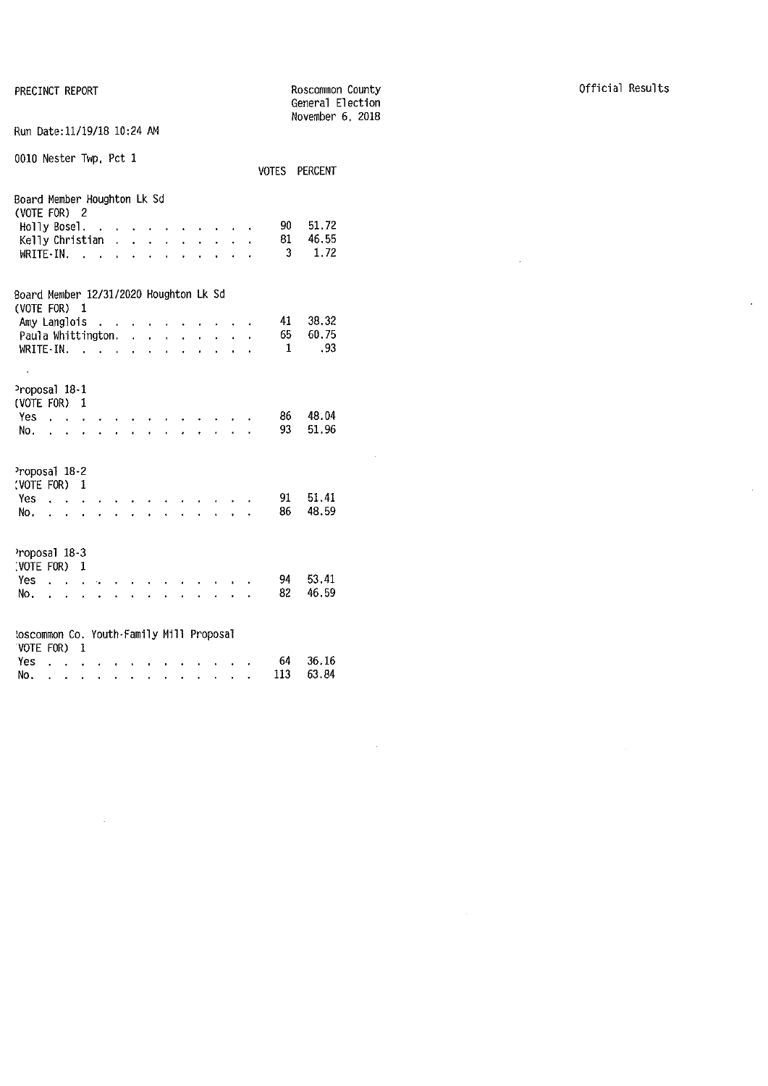|                                                                                                             |                                                                           |                                                       |   |                      |                      |                            |                                      |                                      |                      |                           |              |                      |                          | General Election<br>November 6, 2018 |  |  |
|-------------------------------------------------------------------------------------------------------------|---------------------------------------------------------------------------|-------------------------------------------------------|---|----------------------|----------------------|----------------------------|--------------------------------------|--------------------------------------|----------------------|---------------------------|--------------|----------------------|--------------------------|--------------------------------------|--|--|
| Run Date: 11/19/18 10:24 AM                                                                                 |                                                                           |                                                       |   |                      |                      |                            |                                      |                                      |                      |                           |              |                      |                          |                                      |  |  |
| 0010 Nester Twp, Pct 1                                                                                      |                                                                           |                                                       |   |                      |                      |                            |                                      |                                      |                      |                           |              |                      | VOTES PERCENT            |                                      |  |  |
| Board Member Houghton Lk Sd<br>(VOTE FOR) 2<br>Holly Bosel.<br>Kelly Christian<br>WRITE-IN.                 |                                                                           |                                                       |   | $\mathbf{r}$         | $\ddot{\phantom{a}}$ | $\ddot{\phantom{0}}$       | $\ddot{\phantom{0}}$                 | $\ddot{\phantom{a}}$                 |                      |                           |              |                      | 90<br>81<br>3            | 51.72<br>46.55<br>1.72               |  |  |
| Board Member 12/31/2020 Houghton Lk Sd<br>(VOTE FOR) 1<br>Amy Langlois<br>Paula Whittington.<br>$WRITE-IN.$ |                                                                           |                                                       |   | $\ddot{\phantom{1}}$ |                      | $\ddot{\phantom{a}}$<br>ä, | $\mathbf{r}$<br>$\ddot{\phantom{0}}$ | $\mathbf{r}$<br>$\ddot{\phantom{0}}$ | $\ddot{\phantom{a}}$ | $\ddot{\phantom{0}}$      |              |                      | 41<br>65<br>$\mathbf{1}$ | 38.32<br>60.75<br>.93                |  |  |
| Proposal 18-1<br>(VOTE FOR)<br>Yes<br>No.                                                                   | $\sim$                                                                    | 1                                                     |   |                      |                      |                            |                                      |                                      |                      |                           |              |                      | 86 -<br>93               | 48.04<br>51.96                       |  |  |
| Proposal 18-2<br>(VOTE FOR)<br>Yes<br>No.                                                                   | $\mathbf{r}$ $\mathbf{r}$<br>$\mathbf{r} = \mathbf{r} \cdot \mathbf{r}$ . | $\ddot{\phantom{a}}$                                  | 1 |                      |                      |                            |                                      |                                      |                      |                           |              |                      | 91.<br>86                | 51.41<br>48.59                       |  |  |
| Proposal 18-3<br>(VOTE FOR) 1<br>Yes<br>No.                                                                 |                                                                           | $\overline{a}$                                        |   |                      | a li                 | l.                         |                                      |                                      |                      |                           | $\mathbf{r}$ | $\ddot{\phantom{0}}$ | 94<br>82                 | 53.41<br>46.59                       |  |  |
| toscommon Co. Youth-Family Mill Proposal<br>VOTE FOR)<br>Yes.<br>No.                                        | $\ddot{\phantom{0}}$                                                      | 1<br>$\sim$ $\sim$ $\sim$<br>$\sigma_{\rm{max}}=0.01$ |   |                      |                      |                            |                                      | and a strong control of the state of |                      | $\mathbf{r} = \mathbf{r}$ | $\mathbf{r}$ |                      | 64<br>113                | 36.16<br>63.84                       |  |  |

 $\sim 10^{-11}$ 

 $\hat{\mathcal{A}}$ 

 $\sim$   $\sim$ 

 $\mathcal{L}^{\text{max}}_{\text{max}}$  and  $\mathcal{L}^{\text{max}}_{\text{max}}$ 

 $\label{eq:2.1} \frac{1}{\sqrt{2}}\left(\frac{1}{\sqrt{2}}\right)^{2} \left(\frac{1}{\sqrt{2}}\right)^{2} \left(\frac{1}{\sqrt{2}}\right)^{2} \left(\frac{1}{\sqrt{2}}\right)^{2} \left(\frac{1}{\sqrt{2}}\right)^{2} \left(\frac{1}{\sqrt{2}}\right)^{2} \left(\frac{1}{\sqrt{2}}\right)^{2} \left(\frac{1}{\sqrt{2}}\right)^{2} \left(\frac{1}{\sqrt{2}}\right)^{2} \left(\frac{1}{\sqrt{2}}\right)^{2} \left(\frac{1}{\sqrt{2}}\right)^{2} \left(\$ 

 $\mathcal{L}^{\text{max}}_{\text{max}}$  and  $\mathcal{L}^{\text{max}}_{\text{max}}$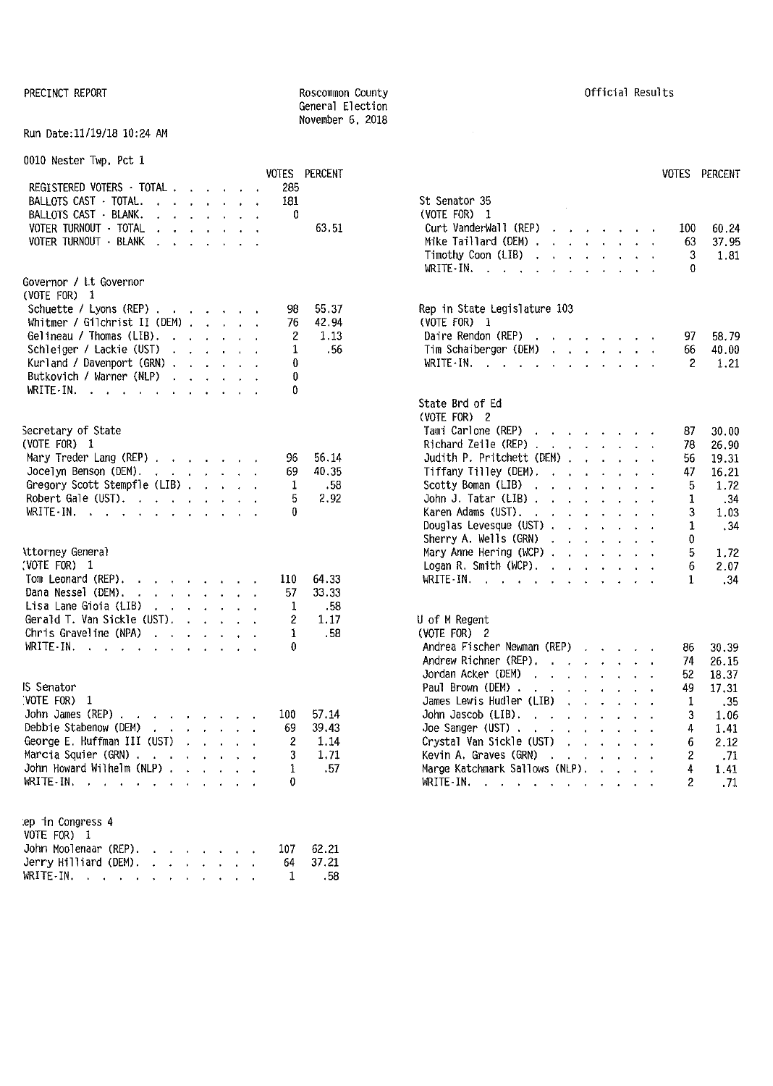#### Run Date:11/19/18 10:24 AM

0010 Nester Twp, Pct 1

|                                                                                                                                                                                                                                                               |                                                                                                                                                                                                                                   |  |          | VOTES PERCENT  | VOTES PERCENT                                                                                                                 |       |
|---------------------------------------------------------------------------------------------------------------------------------------------------------------------------------------------------------------------------------------------------------------|-----------------------------------------------------------------------------------------------------------------------------------------------------------------------------------------------------------------------------------|--|----------|----------------|-------------------------------------------------------------------------------------------------------------------------------|-------|
| REGISTERED VOTERS - TOTAL.                                                                                                                                                                                                                                    | <b><i>Charles Committee Committee States</i></b>                                                                                                                                                                                  |  | 285      |                |                                                                                                                               |       |
| BALLOTS CAST · TOTAL.<br>the contract of the contract of the contract of the contract of the contract of the contract of the contract of                                                                                                                      |                                                                                                                                                                                                                                   |  | 181      |                | St Senator 35                                                                                                                 |       |
| BALLOTS CAST · BLANK.<br>the contract of the contract of the                                                                                                                                                                                                  |                                                                                                                                                                                                                                   |  | 0        |                | (VOTE FOR) 1                                                                                                                  |       |
| VOTER TURNOUT - TOTAL<br>$\mathbf{r}$ and $\mathbf{r}$ are the set of the set of the set of the set of the set of the set of the set of the set of the set of the set of the set of the set of the set of the set of the set of the set of the set of the set |                                                                                                                                                                                                                                   |  |          | 63.51          | Curt VanderWall (REP)<br>100<br><b><i>Contract Contract Artists</i></b>                                                       | 60.24 |
| VOTER TURNOUT · BLANK                                                                                                                                                                                                                                         |                                                                                                                                                                                                                                   |  |          |                | Mike Taillard (DEM)<br>63                                                                                                     | 37.95 |
|                                                                                                                                                                                                                                                               |                                                                                                                                                                                                                                   |  |          |                | Timothy Coon (LIB) $\cdots$ $\cdots$ $\cdots$<br>3                                                                            | 1.81  |
|                                                                                                                                                                                                                                                               |                                                                                                                                                                                                                                   |  |          |                | WRITE-IN.<br>0                                                                                                                |       |
| Governor / Lt Governor                                                                                                                                                                                                                                        |                                                                                                                                                                                                                                   |  |          |                |                                                                                                                               |       |
| (VOTE FOR) 1                                                                                                                                                                                                                                                  |                                                                                                                                                                                                                                   |  |          |                |                                                                                                                               |       |
|                                                                                                                                                                                                                                                               |                                                                                                                                                                                                                                   |  |          |                |                                                                                                                               |       |
| Schuette / Lyons (REP) $\cdots$ $\cdots$ $\cdots$                                                                                                                                                                                                             |                                                                                                                                                                                                                                   |  | 98<br>76 | 55.37<br>42.94 | Rep in State Legislature 103                                                                                                  |       |
| Whitmer / Gilchrist II (DEM) $\ldots$ $\ldots$                                                                                                                                                                                                                |                                                                                                                                                                                                                                   |  |          |                | (VOTE FOR) 1                                                                                                                  |       |
| Gelineau / Thomas (LIB),                                                                                                                                                                                                                                      |                                                                                                                                                                                                                                   |  | 2        | 1.13           | Daire Rendon (REP)<br>97.                                                                                                     | 58.79 |
| Schleiger / Lackie (UST)                                                                                                                                                                                                                                      |                                                                                                                                                                                                                                   |  | 1        | -56            | Tim Schaiberger (DEM)<br>66                                                                                                   | 40.00 |
| Kurland / Davenport (GRN)                                                                                                                                                                                                                                     |                                                                                                                                                                                                                                   |  | 0        |                | WRITE-IN.<br>2                                                                                                                | 1.21  |
| Butkovich / Warner (NLP)                                                                                                                                                                                                                                      |                                                                                                                                                                                                                                   |  | 0        |                |                                                                                                                               |       |
| WRITE-IN.                                                                                                                                                                                                                                                     |                                                                                                                                                                                                                                   |  | 0        |                |                                                                                                                               |       |
|                                                                                                                                                                                                                                                               |                                                                                                                                                                                                                                   |  |          |                | State Brd of Ed                                                                                                               |       |
|                                                                                                                                                                                                                                                               |                                                                                                                                                                                                                                   |  |          |                | (VOTE FOR) 2                                                                                                                  |       |
| Secretary of State                                                                                                                                                                                                                                            |                                                                                                                                                                                                                                   |  |          |                | Tami Carlone (REP)<br>87                                                                                                      | 30.00 |
| (VOTE FOR) 1                                                                                                                                                                                                                                                  |                                                                                                                                                                                                                                   |  |          |                | Richard Zeile (REP)<br>78                                                                                                     | 26.90 |
| Mary Treder Lang (REP) $\ldots$ $\ldots$ $\ldots$                                                                                                                                                                                                             |                                                                                                                                                                                                                                   |  | 96       | 56.14          | Judith P. Pritchett (DEM)<br>56                                                                                               | 19.31 |
| Jocelyn Benson (DEM).                                                                                                                                                                                                                                         |                                                                                                                                                                                                                                   |  | 69       | 40.35          | Tiffany Tilley (DEM).<br>16.21<br>47                                                                                          |       |
| Gregory Scott Stempfle (LIB)                                                                                                                                                                                                                                  |                                                                                                                                                                                                                                   |  | 1        | . 58           | Scotty Boman (LIB)<br>5                                                                                                       | 1.72  |
| Robert Gale (UST). $\cdot \cdot \cdot \cdot \cdot \cdot \cdot$                                                                                                                                                                                                |                                                                                                                                                                                                                                   |  | 5        | 2.92           | John J. Tatar (LIB)<br>1                                                                                                      | .34   |
| WRITE-IN.                                                                                                                                                                                                                                                     |                                                                                                                                                                                                                                   |  | 0        |                | Karen Adams (UST),<br>3                                                                                                       | 1.03  |
|                                                                                                                                                                                                                                                               |                                                                                                                                                                                                                                   |  |          |                | Douglas Levesque (UST)<br>1                                                                                                   | .34   |
|                                                                                                                                                                                                                                                               |                                                                                                                                                                                                                                   |  |          |                | Sherry A. Wells (GRN)<br>0                                                                                                    |       |
| Attorney General                                                                                                                                                                                                                                              |                                                                                                                                                                                                                                   |  |          |                | Mary Anne Hering (WCP) $\ldots$ $\ldots$ $\ldots$<br>5                                                                        | 1.72  |
| VOTE FOR) 1                                                                                                                                                                                                                                                   |                                                                                                                                                                                                                                   |  |          |                | Logan R. Smith (WCP).<br>6                                                                                                    | 2.07  |
| Tom Leonard (REP).<br>the contract of the contract of                                                                                                                                                                                                         |                                                                                                                                                                                                                                   |  | 110      | 64.33          | WRITE-IN. $\cdots$<br>1.<br>$\sim 10^{-1}$ and $\sim 10^{-1}$                                                                 | .34   |
| Dana Nessel (DEM).<br>the contract of the contract of                                                                                                                                                                                                         |                                                                                                                                                                                                                                   |  | 57       | 33.33          |                                                                                                                               |       |
| Lisa Lane Gioia (LIB)                                                                                                                                                                                                                                         |                                                                                                                                                                                                                                   |  | 1        | - 58           |                                                                                                                               |       |
| Gerald T. Van Sickle (UST).                                                                                                                                                                                                                                   | $\mathbf{r}$ . The set of the set of the set of the set of the set of the set of the set of the set of the set of the set of the set of the set of the set of the set of the set of the set of the set of the set of the set of t |  | 2        | 1.17           | U of M Regent                                                                                                                 |       |
| Chris Graveline (NPA) $\cdot \cdot \cdot \cdot \cdot \cdot$                                                                                                                                                                                                   |                                                                                                                                                                                                                                   |  | 1        | .58            | (VOTE FOR) 2                                                                                                                  |       |
|                                                                                                                                                                                                                                                               |                                                                                                                                                                                                                                   |  | 0        |                |                                                                                                                               |       |
| WRITE IN. $\cdots$ $\cdots$ $\cdots$ $\cdots$                                                                                                                                                                                                                 |                                                                                                                                                                                                                                   |  |          |                | Andrea Fischer Newman (REP)<br>86<br>30.39                                                                                    |       |
|                                                                                                                                                                                                                                                               |                                                                                                                                                                                                                                   |  |          |                | Andrew Richner (REP).<br>26.15<br>74                                                                                          |       |
|                                                                                                                                                                                                                                                               |                                                                                                                                                                                                                                   |  |          |                | Jordan Acker (DEM)<br>52<br>18.37<br>$\mathbf{a}$ and $\mathbf{a}$ are all $\mathbf{a}$ and $\mathbf{a}$ are all $\mathbf{a}$ |       |
| IS Senator                                                                                                                                                                                                                                                    |                                                                                                                                                                                                                                   |  |          |                | Paul Brown (DEM),<br>49<br>17.31                                                                                              |       |
| VOTE FOR) 1                                                                                                                                                                                                                                                   |                                                                                                                                                                                                                                   |  |          |                | James Lewis Hudler (LIB)<br>1                                                                                                 | .35   |
| John James (REP).<br>the contract of the contract of the contract of the contract of the contract of the contract of the contract of                                                                                                                          |                                                                                                                                                                                                                                   |  | 100      | 57.14          | John Jascob (LIB). $\cdot \cdot \cdot \cdot \cdot$<br>3                                                                       | 1.06  |
| Debbie Stabenow (DEM)<br>and the contract of the state of                                                                                                                                                                                                     |                                                                                                                                                                                                                                   |  | 69       | 39.43          | Joe Sanger (UST) $\cdots$ $\cdots$<br>4                                                                                       | 1.41  |
| George E. Huffman III (UST)                                                                                                                                                                                                                                   |                                                                                                                                                                                                                                   |  | 2        | 1.14           | Crystal Van Sickle (UST)<br>6                                                                                                 | 2.12  |
| Marcia Squier (GRN)                                                                                                                                                                                                                                           |                                                                                                                                                                                                                                   |  | 3        | 1.71           | Kevin A. Graves (GRN)<br>2                                                                                                    | .71   |
| John Howard Wilhelm (NLP)                                                                                                                                                                                                                                     |                                                                                                                                                                                                                                   |  | 1        | .57            | Marge Katchmark Sallows (NLP),<br>4                                                                                           | 1.41  |
| WRITE-IN, $\cdots$ , $\cdots$ , $\cdots$                                                                                                                                                                                                                      |                                                                                                                                                                                                                                   |  | 0        |                | WRITE-IN.<br>2                                                                                                                | .71   |
|                                                                                                                                                                                                                                                               |                                                                                                                                                                                                                                   |  |          |                |                                                                                                                               |       |
|                                                                                                                                                                                                                                                               |                                                                                                                                                                                                                                   |  |          |                |                                                                                                                               |       |
| ep in Congress 4                                                                                                                                                                                                                                              |                                                                                                                                                                                                                                   |  |          |                |                                                                                                                               |       |
| VOTE FOR) 1                                                                                                                                                                                                                                                   |                                                                                                                                                                                                                                   |  |          |                |                                                                                                                               |       |
| John Moolenaar (REP).<br>the contract of the contract of                                                                                                                                                                                                      |                                                                                                                                                                                                                                   |  | 107      | 62.21          |                                                                                                                               |       |
| Jerry Hilliard (DEM).<br>the contract of the contract of                                                                                                                                                                                                      |                                                                                                                                                                                                                                   |  | 64       | 37.21          |                                                                                                                               |       |
| WRITE-IN.                                                                                                                                                                                                                                                     |                                                                                                                                                                                                                                   |  | 1        | .58            |                                                                                                                               |       |
|                                                                                                                                                                                                                                                               |                                                                                                                                                                                                                                   |  |          |                |                                                                                                                               |       |

| 285                                                   | VOTES PERCENT                         |                                                                                                                                                                                                                                                                                                                                                                                                                                                                                                                                                                                                                                                                                                                                                                                                                                                                                      | <b>VOTES</b><br>PERCENT                                                                                                       |
|-------------------------------------------------------|---------------------------------------|--------------------------------------------------------------------------------------------------------------------------------------------------------------------------------------------------------------------------------------------------------------------------------------------------------------------------------------------------------------------------------------------------------------------------------------------------------------------------------------------------------------------------------------------------------------------------------------------------------------------------------------------------------------------------------------------------------------------------------------------------------------------------------------------------------------------------------------------------------------------------------------|-------------------------------------------------------------------------------------------------------------------------------|
| 181<br>0                                              | 63.51                                 | St Senator 35<br>(VOTE FOR)<br>1<br>Curt VanderWall (REP)<br>Mike Taillard (DEM).<br>$\ddot{\phantom{a}}$<br>$\ddot{\phantom{a}}$<br>$\ddot{\phantom{0}}$<br>i.<br>Timothy Coon (LIB).<br>l.<br>a.<br>WRITE IN.<br>$\sim$ $\sim$ $\sim$                                                                                                                                                                                                                                                                                                                                                                                                                                                                                                                                                                                                                                              | 100<br>60.24<br>63<br>37.95<br>3<br>1.81<br>0                                                                                 |
| 98<br>76<br>2<br>$\mathbf{1}$<br>0<br>0<br>0          | 55.37<br>42.94<br>1.13<br>.56         | Rep in State Legislature 103<br>(VOTE FOR)<br>1<br>Daire Rendon (REP)<br><b>Carl Adams</b><br>Tim Schaiberger (DEM)<br>l.<br>$\mathbf{A}$<br>$\mathbf{r}$<br>$\mathbf{r}$<br>WRITE IN.<br>$\overline{a}$<br>$\ddot{\phantom{0}}$<br>$\ddot{\phantom{0}}$<br>$\mathbf{r}$<br>$\cdot$                                                                                                                                                                                                                                                                                                                                                                                                                                                                                                                                                                                                  | 97<br>58.79<br>66<br>40.00<br>$\overline{2}$<br>1.21                                                                          |
| 96<br>69<br>1<br>5<br>0                               | 56.14<br>40.35<br>.58<br>2.92         | State Brd of Ed<br>(VOTE FOR) 2<br>Tami Carlone (REP)<br>$\mathbf{r} = \mathbf{r} + \mathbf{r}$ , where $\mathbf{r} = \mathbf{r} + \mathbf{r}$<br>$\mathbf{v}$<br>Richard Zeile (REP).<br>$\ddot{\phantom{0}}$<br>$\mathbf{L}$<br>$\mathbf{r}$<br>$\mathbf{r}$<br>$\ddot{\phantom{a}}$<br>Judith P. Pritchett (DEM)<br>$\mathbf{r}$<br>$\ddot{\phantom{a}}$<br>$\ddot{\phantom{0}}$<br>Tiffany Tilley (DEM).<br>$\ddot{\phantom{a}}$<br>Scotty Boman (LIB)<br>$\sim$<br>$\ddot{\phantom{a}}$<br>J.<br>$\ddot{\phantom{a}}$<br>John J. Tatar (LIB) .<br>$\mathbf{r}$<br>l.<br>Karen Adams (UST).<br>$\sim$<br>ä,<br>Douglas Levesque (UST).<br>$\ddot{\phantom{0}}$<br>$\ddot{\phantom{0}}$<br>$\mathbf{r}$<br>Sherry A. Wells (GRN)<br>$\ddot{\phantom{0}}$<br>$\mathbf{r}$<br>Mary Anne Hering (WCP).<br>t.<br>$\ddot{\phantom{0}}$<br>$\ddot{\phantom{0}}$<br>$\ddot{\phantom{0}}$ | 87<br>30.00<br>78<br>26.90<br>19.31<br>56<br>47<br>16.21<br>1.72<br>5<br>.34<br>1<br>3<br>1.03<br>1<br>. 34<br>0<br>5<br>1.72 |
| 110<br>57<br>$\mathbf{1}$<br>$\overline{c}$<br>1<br>0 | 64.33<br>33.33<br>-58<br>1.17<br>.58  | Logan R. Smith $(WCP)$ . .<br>$\mathbf{r}$<br>WRITE-IN.<br>$\ddot{\phantom{a}}$<br>$\ddot{\phantom{a}}$<br>$\ddot{\phantom{a}}$<br>$\ddot{\phantom{0}}$<br>$\sim 10^{-1}$<br>U of M Regent<br>(VOTE FOR) 2<br>Andrea Fischer Newman (REP)<br>$\ddot{\phantom{0}}$<br>$\ddot{\phantom{0}}$<br>$\ddot{\phantom{0}}$<br>Andrew Richner (REP).<br>$\mathbb{R}^2$<br>$\cdot$<br>$\ddot{\phantom{0}}$                                                                                                                                                                                                                                                                                                                                                                                                                                                                                      | 6<br>2.07<br>$\mathbf{1}$<br>.34<br>86<br>30.39<br>26.15<br>74                                                                |
| 100<br>69<br>$\overline{\mathbf{c}}$<br>3<br>1<br>0   | 57.14<br>39.43<br>1.14<br>1.71<br>.57 | Jordan Acker (DEM)<br>l.<br>J.<br>Paul Brown (DEM).<br>ò.<br>James Lewis Hudler (LIB)<br>$\mathbf{r}$<br>l.<br>John Jascob (LIB).<br>$\ddot{\phantom{0}}$<br>$\ddot{\phantom{0}}$<br>$\ddot{\phantom{0}}$<br>$\ddot{\phantom{a}}$<br>Joe Sanger (UST) .<br>Crystal Van Sickle (UST)<br>$\ddot{\phantom{a}}$<br>$\mathbf{L}$<br>Kevin A. Graves (GRN)<br>Marge Katchmark Sallows (NLP).<br>WRITE-IN.<br>$\sim 10^{-11}$<br>$\bullet$                                                                                                                                                                                                                                                                                                                                                                                                                                                  | 52<br>18.37<br>49<br>17.31<br>1<br>. 35<br>3<br>1.06<br>4<br>1.41<br>2.12<br>6<br>2<br>.71<br>4<br>1.41<br>2<br>. 71          |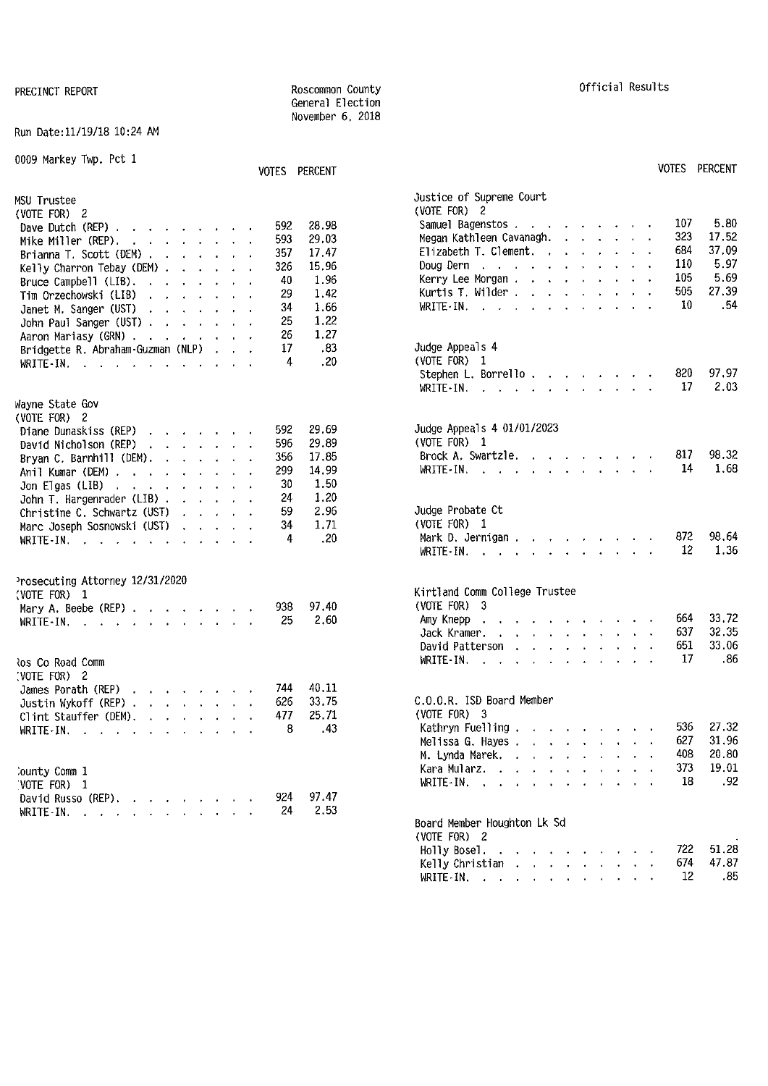#### Run Date:11/19/18 10:24 AM

| 0009 Markey Twp. Pct 1                                                                                                                                                                                                                                                                                                                                                                                                                                                    | VOTES PERCENT                                                                                                                                               | VOTES PERCENT                                                                                                                                                                                                                                                                                                                                                                                 |                                                        |
|---------------------------------------------------------------------------------------------------------------------------------------------------------------------------------------------------------------------------------------------------------------------------------------------------------------------------------------------------------------------------------------------------------------------------------------------------------------------------|-------------------------------------------------------------------------------------------------------------------------------------------------------------|-----------------------------------------------------------------------------------------------------------------------------------------------------------------------------------------------------------------------------------------------------------------------------------------------------------------------------------------------------------------------------------------------|--------------------------------------------------------|
| MSU Trustee<br>(VOTE FOR) 2<br>Dave Dutch (REP) $\cdots$ $\cdots$ $\cdots$<br>Mike Miller (REP). $\cdot$<br>Brianna T. Scott (DEM)<br>Kelly Charron Tebay (DEM) $\ldots$ $\ldots$<br>Bruce Campbell (LIB).<br>Tim Orzechowski (LIB)<br>and the contract of the contract of<br>Janet M. Sanger (UST)<br>and the contract of the state of<br>John Paul Sanger (UST)<br>Aaron Mariasy (GRN)<br>Bridgette R. Abraham-Guzman (NLP)<br>WRITE-IN, $\cdots$ , $\cdots$ , $\cdots$ | 592<br>28.98<br>29.03<br>593<br>357<br>17.47<br>15.96<br>326<br>1.96<br>40<br>29<br>1.42<br>1.66<br>34<br>1.22<br>25<br>26<br>1.27<br>.83<br>17<br>.20<br>4 | Justice of Supreme Court<br>(VOTE FOR) 2<br>107<br>Samuel Bagenstos<br>323<br>Megan Kathleen Cavanagh.<br>684<br>Elizabeth T. Clement.<br>110<br>Doug Dern $\cdots$ $\cdots$ $\cdots$ $\cdots$<br>105<br>Kerry Lee Morgan<br>505<br>Kurtis T. Wilder $\ldots$ $\ldots$ $\ldots$ $\ldots$<br>10<br>WRITE IN.<br>Judge Appeals 4<br>(VOTE FOR) $1$                                              | 5.80<br>17.52<br>37.09<br>5.97<br>5.69<br>27.39<br>.54 |
|                                                                                                                                                                                                                                                                                                                                                                                                                                                                           |                                                                                                                                                             | 820<br>Stephen L. Borrello<br>17<br>WRITE-IN, $\cdots$ $\cdots$ $\cdots$                                                                                                                                                                                                                                                                                                                      | 97.97<br>2.03                                          |
| Wayne State Gov<br>(VOTE FOR) $2$<br>Diane Dunaskiss (REP)<br>David Nicholson (REP) $\cdot \cdot \cdot \cdot \cdot$<br>Bryan C. Barnhill (DEM). $\ldots$ $\ldots$ $\ldots$<br>Anil Kumar (DEM)<br>Jon Elgas (LIB) $\ldots$ $\ldots$ $\ldots$ $\ldots$<br>John T. Hargenrader (LIB) $\ldots$ $\ldots$<br>Christine C. Schwartz (UST)<br>and the contract of the con-<br>Marc Joseph Sosnowski (UST)<br>WRITE-IN.                                                           | 592<br>29.69<br>29.89<br>596<br>17.85<br>356<br>299<br>14,99<br>1.50<br>30<br>1,20<br>24<br>2.96<br>59<br>34<br>1.71<br>.20<br>4                            | Judge Appeals 4 01/01/2023<br>(VOTE FOR) 1<br>Brock A. Swartzle.<br>817<br>14<br>WRITE-IN, $\cdots$ $\cdots$ $\cdots$ $\cdots$<br>Judge Probate Ct<br>(VOTE FOR) 1<br>872<br>Mark D. Jernigan<br>12<br>WRITE - IN. $\cdots$ $\cdots$ $\cdots$ $\cdots$ $\cdots$                                                                                                                               | 98.32<br>1.68<br>98.64<br>1.36                         |
| Prosecuting Attorney 12/31/2020<br>(VOTE FOR) 1<br>Mary A. Beebe (REP) $\ldots$ $\ldots$ $\ldots$<br>WRITE-IN, $\cdots$ , $\cdots$ , $\cdots$<br>los Co Road Comm                                                                                                                                                                                                                                                                                                         | 97.40<br>938<br>2.60<br>25                                                                                                                                  | Kirtland Comm College Trustee<br>$(VOTE FOR)$ 3<br>664<br>Amy Knepp<br>the companion of the companion of the companion of the companion of the companion of the companion of the companion of the companion of the companion of the companion of the companion of the companion of the companion of t<br>637<br>Jack Kramer.<br>651<br>David Patterson<br>17<br>WRITE-IN, $\cdots$ , $\cdots$ | 33,72<br>32.35<br>33.06<br>.86                         |
| (VOTE FOR) 2<br>James Porath (REP)<br>Justin Wykoff (REP)<br>Clint Stauffer (DEM).<br>and a series of the con-<br>WRITE-IN.                                                                                                                                                                                                                                                                                                                                               | 40.11<br>744<br>33.75<br>626<br>25.71<br>477<br>43<br>8                                                                                                     | C.O.O.R. ISD Board Member<br>(VOTE FOR) 3<br>536<br>Kathryn Fuelling<br>627<br>Melissa G. Hayes<br>408<br>M. Lynda Marek.                                                                                                                                                                                                                                                                     | 27.32<br>31.96<br>20.80                                |
| County Comm 1<br>VOTE FOR) 1<br>David Russo (REP).<br>WRITE-IN.                                                                                                                                                                                                                                                                                                                                                                                                           | 97.47<br>924<br>2.53<br>24                                                                                                                                  | 373<br>Kara Mularz.<br>18<br>WRITE-IN. $\cdots$ $\cdots$<br>Board Member Houghton Lk Sd                                                                                                                                                                                                                                                                                                       | 19.01<br>.92                                           |

General Election November 6, 2018

| UIES | PERUENT |
|------|---------|
|      |         |
|      |         |
|      |         |

| SU Trustee                                                                                                                                                                                                                                              | Justice of Supreme Court                                                                                                                                                                                       |
|---------------------------------------------------------------------------------------------------------------------------------------------------------------------------------------------------------------------------------------------------------|----------------------------------------------------------------------------------------------------------------------------------------------------------------------------------------------------------------|
| VOTE FOR) 2                                                                                                                                                                                                                                             | (VOTE FOR) 2                                                                                                                                                                                                   |
| 28.98                                                                                                                                                                                                                                                   | 5.80                                                                                                                                                                                                           |
| 592                                                                                                                                                                                                                                                     | 107                                                                                                                                                                                                            |
| Dave Dutch (REP) $\cdots$ $\cdots$ $\cdots$                                                                                                                                                                                                             | Samuel Bagenstos                                                                                                                                                                                               |
| 29.03                                                                                                                                                                                                                                                   | 323                                                                                                                                                                                                            |
| 593                                                                                                                                                                                                                                                     | 17.52                                                                                                                                                                                                          |
| Mike Miller (REP).                                                                                                                                                                                                                                      | Megan Kathleen Cavanagh.                                                                                                                                                                                       |
| 357                                                                                                                                                                                                                                                     | 37.09                                                                                                                                                                                                          |
| 17.47                                                                                                                                                                                                                                                   | 684                                                                                                                                                                                                            |
| Brianna T. Scott (DEM)                                                                                                                                                                                                                                  | Elizabeth T. Clement.                                                                                                                                                                                          |
| 15.96                                                                                                                                                                                                                                                   | 5.97                                                                                                                                                                                                           |
| 326                                                                                                                                                                                                                                                     | 110                                                                                                                                                                                                            |
| Kelly Charron Tebay (DEM) $\cdots$ $\cdots$                                                                                                                                                                                                             | Doug Dern                                                                                                                                                                                                      |
| 1.96                                                                                                                                                                                                                                                    | 5.69                                                                                                                                                                                                           |
| 40                                                                                                                                                                                                                                                      | 105                                                                                                                                                                                                            |
| Bruce Campbell (LIB).                                                                                                                                                                                                                                   | Kerry Lee Morgan                                                                                                                                                                                               |
| 1.42                                                                                                                                                                                                                                                    | 27.39                                                                                                                                                                                                          |
| 29                                                                                                                                                                                                                                                      | 505                                                                                                                                                                                                            |
| Tim Orzechowski (LIB)                                                                                                                                                                                                                                   | Kurtis T. Wilder $\ldots$ $\ldots$ $\ldots$ $\ldots$                                                                                                                                                           |
| 1.66                                                                                                                                                                                                                                                    | .54                                                                                                                                                                                                            |
| 34                                                                                                                                                                                                                                                      | 10                                                                                                                                                                                                             |
| Janet M. Sanger (UST)                                                                                                                                                                                                                                   | WRITE IN, $\cdots$ $\cdots$ $\cdots$                                                                                                                                                                           |
| 1.22                                                                                                                                                                                                                                                    | Judge Appeals 4                                                                                                                                                                                                |
| 25                                                                                                                                                                                                                                                      | .83                                                                                                                                                                                                            |
| John Paul Sanger (UST)                                                                                                                                                                                                                                  | (VOTE FOR) 1                                                                                                                                                                                                   |
| 26                                                                                                                                                                                                                                                      | .20                                                                                                                                                                                                            |
| 1.27                                                                                                                                                                                                                                                    | Stephen L. Borrello.                                                                                                                                                                                           |
| Aaron Mariasy (GRN)                                                                                                                                                                                                                                     | 97.97                                                                                                                                                                                                          |
| 17                                                                                                                                                                                                                                                      | 820                                                                                                                                                                                                            |
| Bridgette R. Abraham-Guzman (NLP)                                                                                                                                                                                                                       | 2.03                                                                                                                                                                                                           |
| 4                                                                                                                                                                                                                                                       | 17                                                                                                                                                                                                             |
| WRITE-IN, $\cdots$ , $\cdots$ , $\cdots$ , $\cdots$                                                                                                                                                                                                     | WRITE IN, $\cdots$ , $\cdots$                                                                                                                                                                                  |
| ayne State Gov                                                                                                                                                                                                                                          |                                                                                                                                                                                                                |
| VOTE FOR) 2<br>29.69<br>592<br>Diane Dunaskiss (REP)<br>29.89<br>596<br>David Nicholson (REP) $\cdots$ $\cdots$<br>17.85<br>356<br>Bryan C. Barnhill (DEM).<br>14.99<br>299<br>Anil Kumar (DEM)<br>1.50<br>30<br>Jon Elgas (LIB) $\ldots$<br>1,20<br>24 | Judge Appeals 4 01/01/2023<br>(VOTE FOR) 1<br>Brock A. Swartzle.<br>98.32<br>817<br>1.68<br>14<br>WRITE-IN, $\cdots$ $\cdots$ $\cdots$                                                                         |
| John T. Hargenrader (LIB) $\ldots$ $\ldots$                                                                                                                                                                                                             | Judge Probate Ct                                                                                                                                                                                               |
| 2.96                                                                                                                                                                                                                                                    | $(VOTE$ FOR) $1$                                                                                                                                                                                               |
| 59                                                                                                                                                                                                                                                      | 98.64                                                                                                                                                                                                          |
| Christine C. Schwartz (UST)                                                                                                                                                                                                                             | 872                                                                                                                                                                                                            |
| 1.71                                                                                                                                                                                                                                                    | .20                                                                                                                                                                                                            |
| Marc Joseph Sosnowski (UST)                                                                                                                                                                                                                             | Mark D. Jernigan.                                                                                                                                                                                              |
| 34                                                                                                                                                                                                                                                      | 12                                                                                                                                                                                                             |
| 4                                                                                                                                                                                                                                                       | 1.36                                                                                                                                                                                                           |
| WRITE-IN.                                                                                                                                                                                                                                               | WRITE $\cdot$ IN, $\cdot$ , $\cdot$ , $\cdot$ , $\cdot$ , $\cdot$ , $\cdot$ , $\cdot$                                                                                                                          |
| rosecuting Attorney 12/31/2020<br>VOTE FOR) 1<br>97.40<br>938<br>Mary A. Beebe (REP) $\cdots$ $\cdots$ $\cdots$<br>25<br>WRITE-IN.<br>and the contract of the contract of the con-<br>os Co Road Comm                                                   | Kirtland Comm College Trustee<br>(VOTE FOR) $3$<br>33.72<br>664<br>Amy Knepp.<br>2.60<br>32.35<br>637<br>Jack Kramer.<br>33.06<br>651<br>David Patterson<br>17<br>.86<br>WRITE-IN.                             |
| VOTE FOR) 2                                                                                                                                                                                                                                             | C.O.O.R. ISD Board Member                                                                                                                                                                                      |
| 40.11                                                                                                                                                                                                                                                   | (VOTE FOR) 3                                                                                                                                                                                                   |
| James Porath (REP)                                                                                                                                                                                                                                      | 27.32                                                                                                                                                                                                          |
| 744                                                                                                                                                                                                                                                     | Kathryn Fuelling                                                                                                                                                                                               |
| 33.75                                                                                                                                                                                                                                                   | 536                                                                                                                                                                                                            |
| 626                                                                                                                                                                                                                                                     | $-43$                                                                                                                                                                                                          |
| Justin Wykoff (REP)                                                                                                                                                                                                                                     | 31.96                                                                                                                                                                                                          |
| 25.71                                                                                                                                                                                                                                                   | 627                                                                                                                                                                                                            |
| 477                                                                                                                                                                                                                                                     | Melissa G. Hayes                                                                                                                                                                                               |
| Clint Stauffer (DEM),                                                                                                                                                                                                                                   | 20.80                                                                                                                                                                                                          |
| 8                                                                                                                                                                                                                                                       | 408                                                                                                                                                                                                            |
| WRITE-IN.                                                                                                                                                                                                                                               | M. Lynda Marek.                                                                                                                                                                                                |
| ounty Comm 1                                                                                                                                                                                                                                            | 373                                                                                                                                                                                                            |
| VOTE FOR) 1                                                                                                                                                                                                                                             | 19.01                                                                                                                                                                                                          |
| 97.47                                                                                                                                                                                                                                                   | Kara Mularz.                                                                                                                                                                                                   |
| 924                                                                                                                                                                                                                                                     | .92                                                                                                                                                                                                            |
| David Russo (REP).                                                                                                                                                                                                                                      | -18                                                                                                                                                                                                            |
| 24                                                                                                                                                                                                                                                      | WRITE-IN, $\cdots$ $\cdots$ $\cdots$ $\cdots$                                                                                                                                                                  |
| WRITE-IN.                                                                                                                                                                                                                                               | 2.53                                                                                                                                                                                                           |
|                                                                                                                                                                                                                                                         | Board Member Houghton Lk Sd<br>(VOTE FOR) 2<br>51.28<br>722<br>Holly Bosel $\cdots$ $\cdots$ $\cdots$<br>47.87<br>674<br>Kelly Christian<br>12 <sup>2</sup><br>.85<br>WRITE-IN, $\cdots$ , $\cdots$ , $\cdots$ |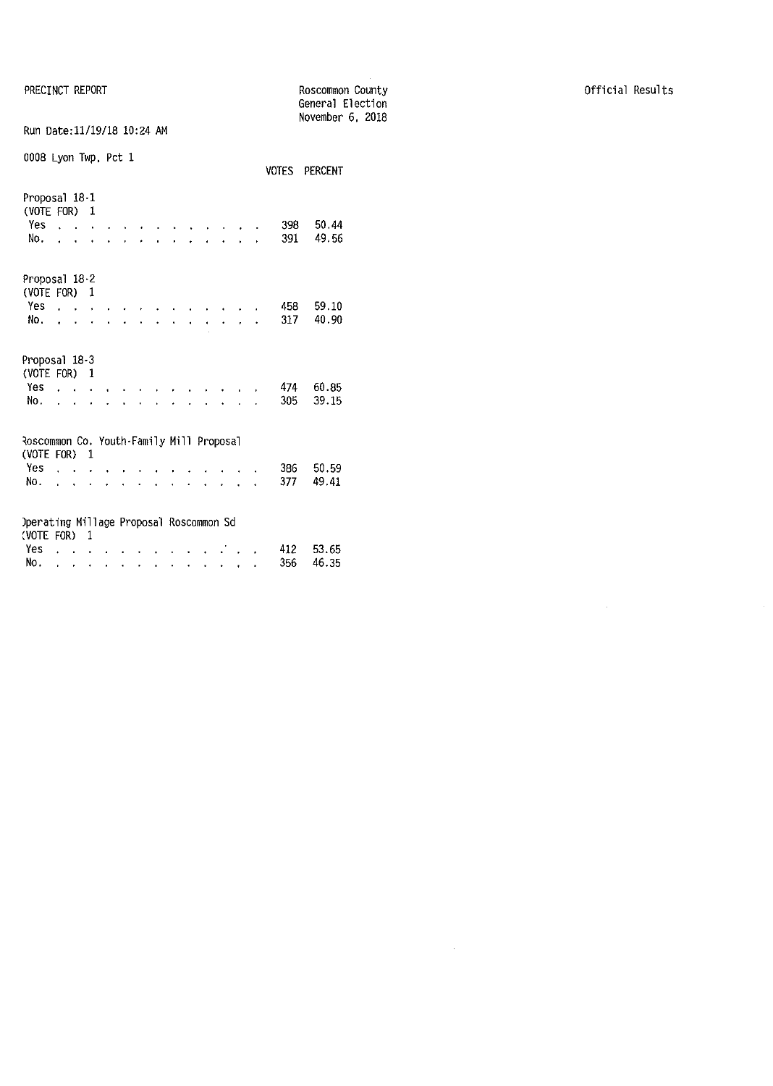PRECINCT REPORT

|                                                          |              |                               |   |  |           |                      |  |        |  |     | General Election |  |
|----------------------------------------------------------|--------------|-------------------------------|---|--|-----------|----------------------|--|--------|--|-----|------------------|--|
| Run Date:11/19/18 10:24 AM                               |              |                               |   |  |           |                      |  |        |  |     | November 6, 2018 |  |
| 0008 Lyon Twp, Pct 1                                     |              |                               |   |  |           |                      |  |        |  |     | VOTES PERCENT    |  |
| Proposal 18-1<br>(VOTE FOR)                              |              |                               | 1 |  |           |                      |  |        |  |     |                  |  |
| Yes                                                      |              |                               |   |  |           |                      |  |        |  | 398 | 50.44            |  |
| No.                                                      |              |                               |   |  |           |                      |  |        |  | 391 | 49.56            |  |
| Proposal 18-2<br>(VOTE FOR)                              |              |                               | 1 |  |           |                      |  |        |  |     |                  |  |
| Yes                                                      |              | $\mathbf{r}$ and $\mathbf{r}$ |   |  |           |                      |  |        |  | 458 | 59.10            |  |
| No.                                                      |              |                               |   |  |           |                      |  |        |  | 317 | 40.90            |  |
| Proposal 18-3<br>(VOTE FOR)                              |              |                               | 1 |  |           |                      |  |        |  |     |                  |  |
| Yes                                                      | $\mathbf{L}$ |                               |   |  |           |                      |  |        |  | 474 | 60.85            |  |
| No.                                                      | $\mathbf{L}$ |                               |   |  |           |                      |  |        |  | 305 | 39.15            |  |
| Roscommon Co. Youth-Family Mill Proposal<br>(VOTE FOR) 1 |              |                               |   |  |           |                      |  |        |  |     |                  |  |
| Yes                                                      |              |                               |   |  |           |                      |  |        |  | 386 | 50.59            |  |
| No.                                                      | ä.           | $\ddot{\phantom{0}}$          |   |  |           |                      |  | $\sim$ |  | 377 | 49.41            |  |
| Operating Millage Proposal Roscommon Sd                  |              |                               |   |  |           |                      |  |        |  |     |                  |  |
| (VOTE FOR) 1<br>Yes.                                     |              |                               |   |  |           |                      |  |        |  | 412 | 53.65            |  |
| No.                                                      |              |                               |   |  |           |                      |  |        |  | 356 | 46.35            |  |
|                                                          | ï            |                               | ۰ |  | $\bullet$ | $\ddot{\phantom{0}}$ |  | ¥      |  |     |                  |  |

Roscommon County

 $\frac{1}{2} \left( \frac{1}{2} \right) \frac{1}{2} \left( \frac{1}{2} \right)$ 

 $\mathcal{L}^{\text{max}}_{\text{max}}$  and  $\mathcal{L}^{\text{max}}_{\text{max}}$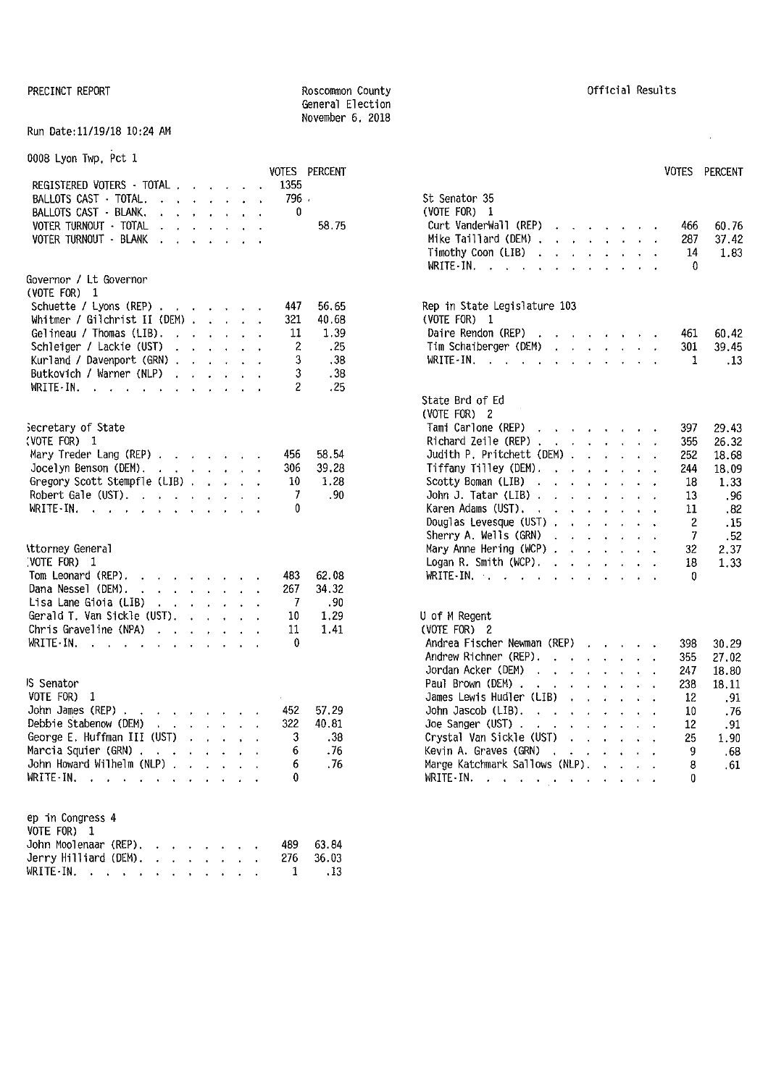#### PRECINCT REPORT **REPORT ROSCOMMON COUNTY REGISTER REGISTER CONTY CONTY CONTY CONTY CONTY CONTY CONTY CONTY CONTY CONTY CONTY CONTY CONTY CONTY CONTY CONTY CONTY CONTY CONTY CON** General Election November 6, 2018

### Run Date:11/19/18 10:24 AM

| 0008 Lyon Twp, Pct 1 |  |  |
|----------------------|--|--|

|                                                                                                                                                                                            |      | VOTES PERCENT                          | VOTES PERCENT                                                      |       |
|--------------------------------------------------------------------------------------------------------------------------------------------------------------------------------------------|------|----------------------------------------|--------------------------------------------------------------------|-------|
| REGISTERED VOTERS - TOTAL                                                                                                                                                                  | 1355 |                                        |                                                                    |       |
| BALLOTS CAST TOTAL,                                                                                                                                                                        | 796  |                                        | St Senator 35                                                      |       |
| BALLOTS CAST - BLANK,<br>$\begin{array}{cccccccccccccc} \bullet & \bullet & \bullet & \bullet & \bullet & \bullet & \bullet & \bullet & \bullet & \bullet & \bullet & \bullet \end{array}$ | 0    |                                        | (VOTE FOR) 1                                                       |       |
| VOTER TURNOUT - TOTAL<br>the contract of the contract of                                                                                                                                   |      | 58.75                                  | Curt VanderWall (REP) $\cdots$ $\cdots$<br>466                     | 60.76 |
| VOTER TURNOUT - BLANK<br>the contract of the contract of                                                                                                                                   |      |                                        | Mike Taillard (DEM)<br>287                                         | 37.42 |
|                                                                                                                                                                                            |      |                                        | Timothy Coon (LIB) $\cdots$ $\cdots$ $\cdots$<br>14                | 1.83  |
|                                                                                                                                                                                            |      |                                        | WRITE-IN.<br>$\mathbf{0}$                                          |       |
| Governor / Lt Governor                                                                                                                                                                     |      |                                        |                                                                    |       |
| (VOTE FOR) $1$                                                                                                                                                                             |      |                                        |                                                                    |       |
| Schuette / Lyons (REP)                                                                                                                                                                     | 447  | 56.65                                  | Rep in State Legislature 103                                       |       |
| Whitmer / Gilchrist II (DEM) $\ldots$ $\ldots$                                                                                                                                             | 321  | 40.68                                  | (VOTE FOR) 1                                                       |       |
| Gelineau / Thomas (LIB). $\cdot$                                                                                                                                                           | 11   | 1.39                                   | Daire Rendon (REP)<br>461                                          | 60.42 |
| Schleiger / Lackie (UST)                                                                                                                                                                   | 2    | .25                                    | Tim Schaiberger (DEM)<br>301                                       | 39.45 |
| Kurland / Davenport (GRN)                                                                                                                                                                  | 3    | .38                                    | WRITE-IN.<br>1                                                     | .13   |
| Butkovich / Warner (NLP)                                                                                                                                                                   | 3    | .38                                    |                                                                    |       |
| WRITE-IN.                                                                                                                                                                                  | 2    | .25                                    |                                                                    |       |
|                                                                                                                                                                                            |      |                                        | State Brd of Ed                                                    |       |
|                                                                                                                                                                                            |      |                                        | (VOTE FOR) 2                                                       |       |
| Secretary of State                                                                                                                                                                         |      |                                        | Tami Carlone (REP)<br>397                                          | 29.43 |
| (VOTE FOR) 1                                                                                                                                                                               |      |                                        | Richard Zeile (REP) , , , , , , , , ,<br>355                       | 26.32 |
| Mary Treder Lang (REP)                                                                                                                                                                     | 456  | 58.54                                  | Judith P. Pritchett (DEM) $\ldots$ $\ldots$<br>252                 | 18.68 |
| Jocelyn Benson (DEM). $\cdot$                                                                                                                                                              | 306  | 39.28                                  | Tiffany Tilley (DEM). $\cdot \cdot \cdot \cdot \cdot \cdot$<br>244 | 18.09 |
| Gregory Scott Stempfle (LIB)                                                                                                                                                               | -10  | 1.28                                   | Scotty Boman (LIB) $\ldots$ $\ldots$ $\ldots$<br>18                | 1.33  |
| Robert Gale (UST). $\ldots$ $\ldots$ $\ldots$ .                                                                                                                                            | 7    | .90                                    | John J. Tatar (LIB) $\ldots$ $\ldots$ $\ldots$<br>13               | .96   |
| WRITE-IN. $\cdots$ $\cdots$ $\cdots$                                                                                                                                                       | 0    |                                        | Karen Adams (UST),<br>11<br>the contract of the contract of        | $-82$ |
|                                                                                                                                                                                            |      |                                        | Douglas Levesque (UST) $\cdot \cdot \cdot \cdot \cdot \cdot$<br>2  | .15   |
|                                                                                                                                                                                            |      |                                        | Sherry A. Wells $(GRN)$ ,<br>7                                     | .52   |
| <b>\ttorney General</b>                                                                                                                                                                    |      |                                        | Mary Anne Hering (WCP) $\ldots$ $\ldots$ $\ldots$<br>32            | 2.37  |
| (VOTE FOR) 1                                                                                                                                                                               |      |                                        | Logan R. Smith (WCP). $\cdot$<br>18                                | 1.33  |
| Tom Leonard (REP).                                                                                                                                                                         | 483  | 62.08                                  | WRITE-IN, $\cdots$ $\cdots$ $\cdots$ $\cdots$<br>0                 |       |
| Dana Nessel (DEM).                                                                                                                                                                         | 267  | 34.32                                  |                                                                    |       |
| Lisa Lane Gioia (LIB)                                                                                                                                                                      | 7    | .90                                    |                                                                    |       |
| Gerald T. Van Sickle (UST).                                                                                                                                                                | 10   | 1.29                                   | U of M Regent                                                      |       |
| Chris Graveline (NPA) $\cdots$ , , , , ,                                                                                                                                                   | 11   | 1.41                                   | (VOTE FOR) 2                                                       |       |
| WRITE IN. $\cdots$ $\cdots$ $\cdots$ $\cdots$                                                                                                                                              | 0    |                                        | Andrea Fischer Newman (REP)<br>398                                 | 30.29 |
|                                                                                                                                                                                            |      |                                        | Andrew Richner (REP).<br>355                                       | 27.02 |
|                                                                                                                                                                                            |      |                                        | Jordan Acker (DEM)<br>247                                          | 18.80 |
| <sub>IS</sub> Senator                                                                                                                                                                      |      |                                        | Paul Brown (DEM)<br>238                                            | 18.11 |
| VOTE FOR) 1                                                                                                                                                                                |      |                                        | James Lewis Hudler (LIB)<br>12                                     | .91   |
| John James (REP).<br>and the company of the company of                                                                                                                                     | 452  | 57.29                                  | John Jascob (LIB).<br>10                                           |       |
| Debbie Stabenow (DEM)                                                                                                                                                                      | 322  | 40.81                                  | 12                                                                 | .76   |
| George E. Huffman III (UST)                                                                                                                                                                |      | $\mathcal{R}$ and $\mathcal{R}$<br>.38 | Crystal Van Sickle (UST)<br>25                                     | .91   |
| Marcia Squier (GRN)                                                                                                                                                                        | 6    | . 76                                   |                                                                    | 1.90  |
| John Howard Wilhelm (NLP)                                                                                                                                                                  | 6    |                                        | Kevin A. Graves (GRN)<br>9.                                        | .68   |
|                                                                                                                                                                                            | 0    | .76                                    | Marge Katchmark Sallows (NLP).<br>8                                | .61   |
| WRITE-IN.                                                                                                                                                                                  |      |                                        | WRITE-IN.<br>0                                                     |       |
|                                                                                                                                                                                            |      |                                        |                                                                    |       |
| ep in Congress 4                                                                                                                                                                           |      |                                        |                                                                    |       |
| VOTE FOR) 1                                                                                                                                                                                |      |                                        |                                                                    |       |
| John Moolenaar (REP).                                                                                                                                                                      | 489  | 63.84                                  |                                                                    |       |
| Jerry Hilliard (DEM). $\ldots$                                                                                                                                                             | 276  | 36.03                                  |                                                                    |       |
| WRITE-IN.                                                                                                                                                                                  | 1    | .13                                    |                                                                    |       |
|                                                                                                                                                                                            |      |                                        |                                                                    |       |

 $\mathcal{L}^{\text{max}}_{\text{max}}$ 

|                                                                                                                                                                                  |  |  |                | VOTES PERCENT |                                                                                                                                                                                                                                                                  | VOTES    | PERCENT |
|----------------------------------------------------------------------------------------------------------------------------------------------------------------------------------|--|--|----------------|---------------|------------------------------------------------------------------------------------------------------------------------------------------------------------------------------------------------------------------------------------------------------------------|----------|---------|
| REGISTERED VOTERS - TOTAL , , , , , , ,                                                                                                                                          |  |  | 1355           |               |                                                                                                                                                                                                                                                                  |          |         |
| BALLOTS CAST · TOTAL.                                                                                                                                                            |  |  | 796.           |               | St Senator 35                                                                                                                                                                                                                                                    |          |         |
| BALLOTS CAST - BLANK.<br>$\mathcal{A}$ , and $\mathcal{A}$ , and $\mathcal{A}$ , and $\mathcal{A}$                                                                               |  |  | 0              |               | (VOTE FOR) 1                                                                                                                                                                                                                                                     |          |         |
| VOTER TURNOUT - TOTAL<br>$\begin{array}{cccccccccccccc} \bullet & \bullet & \bullet & \bullet & \bullet & \bullet & \bullet & \bullet & \bullet & \bullet & \bullet \end{array}$ |  |  |                | 58.75         | Curt VanderWall (REP)                                                                                                                                                                                                                                            | 466      | 60.76   |
| VOTER TURNOUT - BLANK<br>the contract of the contract of the                                                                                                                     |  |  |                |               | Mike Taillard (DEM)                                                                                                                                                                                                                                              | 287      | 37.42   |
|                                                                                                                                                                                  |  |  |                |               | Timothy Coon (LIB) $\cdots$ $\cdots$ $\cdots$                                                                                                                                                                                                                    | 14       | 1.83    |
| iovernor / Lt Governor<br>VOTE FOR) 1                                                                                                                                            |  |  |                |               | WRITE IN.<br>the contract of the contract of the contract of                                                                                                                                                                                                     | 0        |         |
| Schuette / Lyons (REP) $\cdot \cdot \cdot \cdot \cdot$                                                                                                                           |  |  | 447            | 56.65         | Rep in State Legislature 103                                                                                                                                                                                                                                     |          |         |
| Whitmer / Gilchrist II (DEM) $\ldots$ $\ldots$                                                                                                                                   |  |  | 321            | 40.68         | (VOTE FOR) 1                                                                                                                                                                                                                                                     |          |         |
| Gelineau / Thomas (LIB). $\ldots$                                                                                                                                                |  |  | 11             | 1.39          | Daire Rendon (REP) $\ldots$ $\ldots$ $\ldots$                                                                                                                                                                                                                    | 461      | 60.42   |
| Schleiger / Lackie (UST) $\cdot \cdot \cdot \cdot$                                                                                                                               |  |  | $\overline{c}$ | - 25          | Tim Schaiberger (DEM)                                                                                                                                                                                                                                            | 301      | 39.45   |
| Kurland / Davenport (GRN)                                                                                                                                                        |  |  | 3              | .38           | WRITE-IN.                                                                                                                                                                                                                                                        | 1        | .13     |
| Butkovich / Warner (NLP)                                                                                                                                                         |  |  | 3              | . 38          |                                                                                                                                                                                                                                                                  |          |         |
| WRITE·IN.<br>the contract of the contract of the contract of the contract of the contract of the contract of the contract of                                                     |  |  | 2              | .25           |                                                                                                                                                                                                                                                                  |          |         |
|                                                                                                                                                                                  |  |  |                |               | State Brd of Ed                                                                                                                                                                                                                                                  |          |         |
|                                                                                                                                                                                  |  |  |                |               | (VOTE FOR) 2                                                                                                                                                                                                                                                     |          |         |
| ecretary of State                                                                                                                                                                |  |  |                |               | Tami Carlone (REP)                                                                                                                                                                                                                                               | 397      | 29.43   |
| VOTE FOR) 1                                                                                                                                                                      |  |  |                |               | Richard Zeile (REP), $\cdot \cdot \cdot \cdot \cdot$                                                                                                                                                                                                             | 355      | 26.32   |
| Mary Treder Lang (REP) $\cdots$ $\cdots$ $\cdots$                                                                                                                                |  |  | 456            | 58.54         | Judith P. Pritchett (DEM)                                                                                                                                                                                                                                        | 252      | 18.68   |
| Jocelyn Benson (DEM).                                                                                                                                                            |  |  | 306            | 39.28         | Tiffany Tilley (DEM).                                                                                                                                                                                                                                            | 244      | 18.09   |
| Gregory Scott Stempfle (LIB) $\ldots$ $\ldots$                                                                                                                                   |  |  | 10             | 1.28          | Scotty Boman (LIB)                                                                                                                                                                                                                                               | 18       | 1.33    |
| Robert Gale (UST). $\cdot$                                                                                                                                                       |  |  | 7              | .90           | John J. Tatar (LIB)                                                                                                                                                                                                                                              | 13       | -96     |
| WRITE-IN.                                                                                                                                                                        |  |  | 0              |               | Karen Adams (UST),                                                                                                                                                                                                                                               | 11       | .82     |
|                                                                                                                                                                                  |  |  |                |               | Douglas Levesque (UST) $\cdot \cdot \cdot \cdot \cdot$                                                                                                                                                                                                           | 2        | .15     |
|                                                                                                                                                                                  |  |  |                |               | Sherry A. Wells $(GRN)$                                                                                                                                                                                                                                          | 7        | .52     |
| ttorney General                                                                                                                                                                  |  |  |                |               | Mary Anne Hering (WCP)                                                                                                                                                                                                                                           | 32       | 2.37    |
| VOTE FOR) 1                                                                                                                                                                      |  |  |                |               | Logan R. Smith (WCP). $\cdot \cdot \cdot \cdot \cdot \cdot$                                                                                                                                                                                                      | 18       | 1.33    |
| Fom Leonard (REP).                                                                                                                                                               |  |  | 483            | 62.08         | WRITE-IN, $\cdots$ $\cdots$ $\cdots$                                                                                                                                                                                                                             | 0        |         |
| Dana Nessel (DEM).                                                                                                                                                               |  |  | 267            | 34.32         |                                                                                                                                                                                                                                                                  |          |         |
| the contract of the contract of the<br>Lisa Lane Gioia (LIB)                                                                                                                     |  |  |                |               |                                                                                                                                                                                                                                                                  |          |         |
|                                                                                                                                                                                  |  |  | -7             | .90           |                                                                                                                                                                                                                                                                  |          |         |
| Gerald T. Van Sickle (UST). $\ldots$                                                                                                                                             |  |  | 10             | 1.29          | U of M Regent                                                                                                                                                                                                                                                    |          |         |
| Chris Graveline (NPA) $\ldots$ , , , , .                                                                                                                                         |  |  | 11             | 1.41          | (VOTE FOR) 2                                                                                                                                                                                                                                                     |          |         |
| WRITE-IN.                                                                                                                                                                        |  |  | 0              |               | Andrea Fischer Newman (REP)                                                                                                                                                                                                                                      | 398      | 30.29   |
|                                                                                                                                                                                  |  |  |                |               | Andrew Richner (REP).                                                                                                                                                                                                                                            | 355      | 27.02   |
|                                                                                                                                                                                  |  |  |                |               | Jordan Acker (DEM)<br><b><i>Contract Contract Contract Contract Contract Contract Contract Contract Contract Contract Contract Contract Contract Contract Contract Contract Contract Contract Contract Contract Contract Contract Contract Contract Cont</i></b> | 247      | 18.80   |
| S Senator                                                                                                                                                                        |  |  |                |               | Paul Brown (DEM)                                                                                                                                                                                                                                                 | 238      | 18.11   |
| /OTE FOR)<br>-1                                                                                                                                                                  |  |  |                |               | James Lewis Hudler (LIB)                                                                                                                                                                                                                                         | 12       | . 91    |
| John James (REP) $\cdots$ $\cdots$ $\cdots$ $\cdots$                                                                                                                             |  |  | 452            | 57.29         | John Jascob (LIB).                                                                                                                                                                                                                                               | 10       | .76     |
| ebbie Stabenow (DEM)<br>the contract of the contract of                                                                                                                          |  |  | 322            | 40.81         |                                                                                                                                                                                                                                                                  | 12       | .91     |
| deorge E. Huffman III (UST)                                                                                                                                                      |  |  | 3              | .38           | Crystal Van Sickle (UST)                                                                                                                                                                                                                                         | 25       | 1.90    |
| Marcia Squier (GRN)                                                                                                                                                              |  |  | 6              | .76           | Kevin A. Graves (GRN)                                                                                                                                                                                                                                            | 9        | .68     |
| John Howard Wilhelm (NLP) $\ldots$ $\ldots$                                                                                                                                      |  |  | 6              | .76           | Marge Katchmark Sallows (NLP).                                                                                                                                                                                                                                   | 8        | . 61    |
| RITE IN.<br>and the company of the company of the company of                                                                                                                     |  |  | 0              |               | WRITE-IN.<br>عاده المناط المناط المناط المناط المناط                                                                                                                                                                                                             | $\Omega$ |         |
|                                                                                                                                                                                  |  |  |                |               |                                                                                                                                                                                                                                                                  |          |         |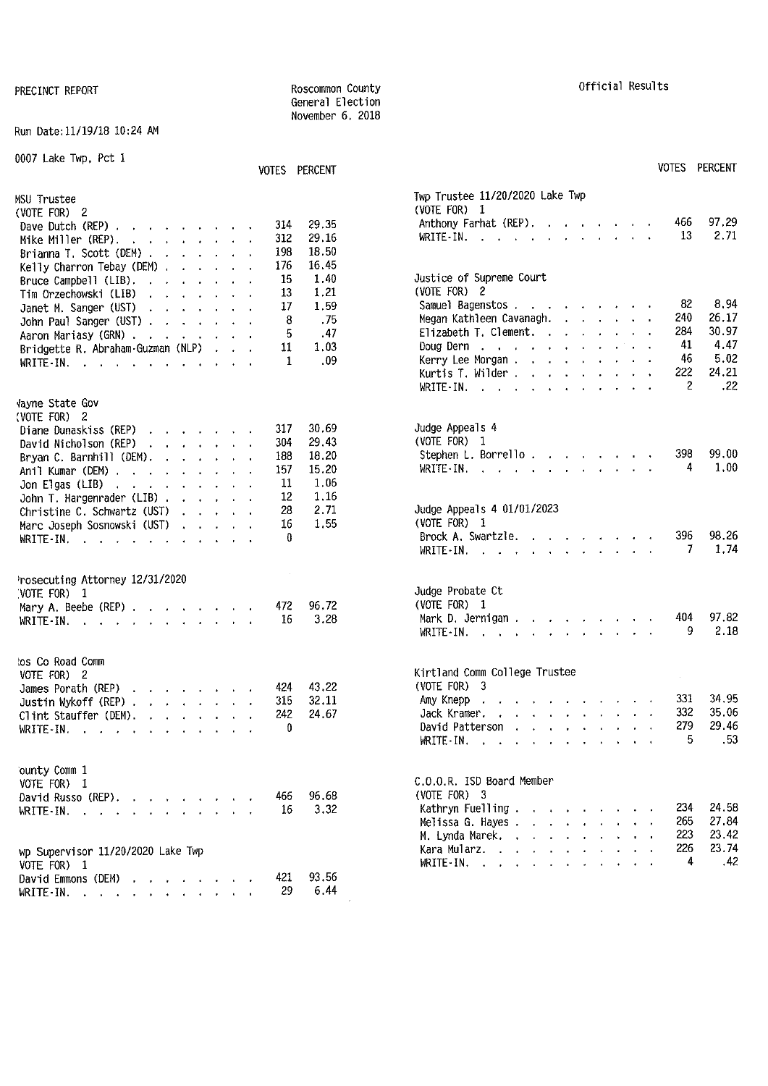#### Run Oate:11/19/18 10:24 AM

| 0007 Lake Twp, Pct 1                                                                                                                                                                                                                                                                                                                                                                      | VOTES PERCENT                                                                                                             | <b>VOTES PERCENT</b>                                                                                                                                                                                                                                                                                                                                      |
|-------------------------------------------------------------------------------------------------------------------------------------------------------------------------------------------------------------------------------------------------------------------------------------------------------------------------------------------------------------------------------------------|---------------------------------------------------------------------------------------------------------------------------|-----------------------------------------------------------------------------------------------------------------------------------------------------------------------------------------------------------------------------------------------------------------------------------------------------------------------------------------------------------|
| MSU Trustee<br>(VOTE FOR) 2<br>Dave Dutch $(REP)$ , , , , , , , , ,<br>Mike Miller (REP). $\cdot \cdot \cdot \cdot \cdot \cdot$<br>Brianna T. Scott (DEM)                                                                                                                                                                                                                                 | 29,35<br>314<br>29,16<br>312<br>18.50<br>198<br>16.45<br>176                                                              | Twp Trustee 11/20/2020 Lake Twp<br>(VOTE FOR) 1<br>97.29<br>466<br>Anthony Farhat (REP).<br>2.71<br>13<br>WRITE-IN.                                                                                                                                                                                                                                       |
| Kelly Charron Tebay (DEM)<br>Bruce Campbell (LIB). $\ldots$ $\ldots$ $\ldots$<br>Tim Orzechowski (LIB)<br>and the contract of the con-<br>Janet M. Sanger (UST) $\cdot \cdot \cdot \cdot \cdot \cdot$<br>John Paul Sanger (UST)<br>Aaron Mariasy (GRN)<br>Bridgette R. Abraham-Guzman (NLP)<br>WRITE IN, $\cdot$ , $\cdot$ , $\cdot$ , $\cdot$ , $\cdot$ , $\cdot$ , $\cdot$              | 15<br>1.40<br>1.21<br>13<br>17<br>1.59<br>.75<br>8<br>.47<br>5<br>1.03<br>11<br>.09<br>1                                  | Justice of Supreme Court<br>(VOTE FOR) 2<br>8,94<br>82<br>Samuel Bagenstos<br>26.17<br>240<br>Megan Kathleen Cavanagh.<br>30.97<br>284<br>Elizabeth T. Clement.<br>4.47<br>41<br>Doug Dern $\ldots$ $\ldots$ $\ldots$ $\ldots$<br>5.02<br>46<br>Kerry Lee Morgan.<br>222<br>24.21<br>Kurtis T. Wilder<br>2<br>.22<br>WRITE IN. $\cdots$ $\cdots$ $\cdots$ |
| Vayne State Gov<br>(VOTE FOR) 2<br>Diane Dunaskiss (REP)<br>David Nicholson (REP)<br>the company of the company of the company of<br>Bryan C. Barnhill (DEM). $\ldots$ $\ldots$ $\ldots$<br>Anil Kumar (DEM), , , , , , , , , ,<br>Jon Elgas (LIB) $\cdots$ $\cdots$ $\cdots$<br>John T. Hargenrader $(LIB)$<br>Christine C. Schwartz $(UST)$<br>Marc Joseph Sosnowski (UST)<br>WRITE-IN. | 30.69<br>317<br>29,43<br>304<br>18.20<br>188<br>15.20<br>157<br>1.06<br>11<br>12<br>1.16<br>2.71<br>28<br>16<br>1.55<br>0 | Judge Appeals 4<br>(VOTE FOR) 1<br>99.00<br>398<br>Stephen L. Borrello.<br>1.00<br>4<br>WRITE-IN, $\cdots$ $\cdots$ $\cdots$ $\cdots$<br>Judge Appeals 4 01/01/2023<br>(VOTE FOR) $1$<br>396<br>98.26<br>Brock A. Swartzle.                                                                                                                               |
| Prosecuting Attorney 12/31/2020<br>NOTE FOR) 1<br>Mary A. Beebe (REP) $\cdots$ $\cdots$ $\cdots$<br>WRITE-IN. $\cdots$ $\cdots$ $\cdots$                                                                                                                                                                                                                                                  | 96.72<br>472<br>3.28<br>16                                                                                                | 1.74<br>7<br>Judge Probate Ct<br>(VOTE FOR) 1<br>97.82<br>404<br>Mark D. Jernigan $\cdots$ $\cdots$ $\cdots$                                                                                                                                                                                                                                              |
| tos Co Road Comm<br>VOTE FOR) 2<br>James Porath (REP)<br>Justin Wykoff (REP) $\cdots$ $\cdots$ $\cdots$<br>Clint Stauffer (DEM). $\cdot \cdot \cdot \cdot \cdot \cdot$<br>WRITE-IN. $\cdots$ $\cdots$ $\cdots$                                                                                                                                                                            | 43.22<br>424<br>315<br>32.11<br>24.67<br>242<br>$\mathbf{v}$                                                              | 2.18<br>9<br>WRITE-IN.<br>Kirtland Comm College Trustee<br>(VOTE FOR) 3<br>331<br>34.95<br>Amy Knepp<br>the contract of the contract of the contract of the contract of the contract of the contract of the contract of<br>332<br>35.06<br>Jack Kramer.<br>29.46<br>279<br>David Patterson<br>.53<br>5.<br>WRITE-IN.                                      |
| ounty Comm 1<br>VOTE FOR) 1<br>David Russo (REP),<br>WRITE-IN. $\cdots$ $\cdots$ $\cdots$<br>wp Supervisor 11/20/2020 Lake Twp<br>VOTE FOR) 1                                                                                                                                                                                                                                             | 96.68<br>466<br>3.32<br>16                                                                                                | C.O.O.R. ISD Board Member<br>$(VOTE FOR)$ 3<br>24.58<br>234<br>Kathryn Fuelling<br>265<br>27.84<br>Melissa G. Hayes.<br>223<br>23.42<br>M. Lynda Marek.<br>226<br>23.74<br>Kara Mularz.<br>the contract of the contract of the<br>.42<br>4<br>WRITE IN, $\cdots$                                                                                          |
| David Emmons (DEM)<br>WRITE $\cdot$ IN.                                                                                                                                                                                                                                                                                                                                                   | 93.56<br>421<br>6.44<br>29                                                                                                |                                                                                                                                                                                                                                                                                                                                                           |

General Election November 6, 2018

|                   | VOTES PERCENT           |                                                                                                                                                                                                  | VUILS PERUENI              |
|-------------------|-------------------------|--------------------------------------------------------------------------------------------------------------------------------------------------------------------------------------------------|----------------------------|
| 314<br>312<br>198 | 29.35<br>29,16<br>18.50 | Twp Trustee 11/20/2020 Lake Twp<br>(VOTE FOR) $1$<br>Anthony Farhat (REP).<br>the contract of the contract<br>$\mathbf{A} = \mathbf{A} \mathbf{A}$<br>WRITE IN.<br>$\mathbf{r}$ and $\mathbf{r}$ | 466<br>97.29<br>13<br>2.71 |
| 176<br>15         | 16.45<br>1.40           | Justice of Supreme Court                                                                                                                                                                         |                            |
| 13                | 1.21                    | (VOTE FOR) 2<br>Samuel Bagenstos                                                                                                                                                                 | 82<br>8.94                 |
| 17<br>8           | 1,59<br>.75             | Megan Kathleen Cavanagh.                                                                                                                                                                         | 240<br>26.17               |
| 5                 | .47                     | Elizabeth T. Clement.                                                                                                                                                                            | 284<br>30.97               |
| 11                | 1.03                    | Doug Dern                                                                                                                                                                                        | 4.47<br>41                 |
| $\mathbf{1}$      | .09                     | Kerry Lee Morgan.                                                                                                                                                                                | 46<br>5.02                 |
|                   |                         | Kurtis T. Wilder                                                                                                                                                                                 | 24.21<br>222               |
|                   |                         | WRITE IN, $\cdots$ , $\cdots$                                                                                                                                                                    | $\mathbf{2}$<br>.22        |
|                   | 30.69                   | Judge Appeals 4                                                                                                                                                                                  |                            |
| 317<br>304        | 29.43                   | (VOTE FOR) 1                                                                                                                                                                                     |                            |
| 188               | 18.20                   | Stephen L. Borrello.                                                                                                                                                                             | 398<br>99.00               |
| 157               | 15.20                   | $WRITE - IN.$<br>and a strain and a strain of                                                                                                                                                    | 4<br>1.00                  |
| 11                | 1.06                    |                                                                                                                                                                                                  |                            |
| 12                | 1,16                    |                                                                                                                                                                                                  |                            |
| 28                | 2.71                    | Judge Appeals 4 01/01/2023                                                                                                                                                                       |                            |
| 16<br>0           | 1.55                    | (VOTE FOR) $1$<br>Brock A. Swartzle.                                                                                                                                                             | 396<br>98.26               |
|                   |                         | $WRITE-IN.$<br>and a series of the contract of the                                                                                                                                               | 1.74<br>7                  |
|                   |                         |                                                                                                                                                                                                  |                            |
|                   |                         | Judge Probate Ct                                                                                                                                                                                 |                            |
| 472               | 96.72                   | (VOTE FOR) $1$                                                                                                                                                                                   |                            |
| 16                | 3.28                    | Mark D. Jernigan.                                                                                                                                                                                | 404<br>97.82               |
|                   |                         | $WRITE-IN.$                                                                                                                                                                                      | 9<br>2.18                  |
|                   |                         | Kirtland Comm College Trustee                                                                                                                                                                    |                            |
| 424               | 43.22                   | (VOTE FOR) 3                                                                                                                                                                                     |                            |
| 315               | 32.11                   | Amy Knepp<br>$\mathbf{r}$ , $\mathbf{r}$ , $\mathbf{r}$ , $\mathbf{r}$ , $\mathbf{r}$ , $\mathbf{r}$ , $\mathbf{r}$ , $\mathbf{r}$                                                               | 331<br>34.95               |
| 242               | 24.67                   | and the contract of the state of<br>$\ddot{\phantom{0}}$<br>Jack Kramer.                                                                                                                         | 332<br>35.06               |
| 0                 |                         | David Patterson<br>$\mathbf{r} = \mathbf{r} \cdot \mathbf{r}$                                                                                                                                    | 279<br>29.46               |
|                   |                         | WRITE - IN.<br>$\bullet$ .<br>$\mathcal{L}(\mathcal{A})$ and $\mathcal{A}(\mathcal{A})$ and $\mathcal{A}(\mathcal{A})$                                                                           | 5<br>.53                   |
|                   |                         | C.O.O.R. ISD Board Member                                                                                                                                                                        |                            |
| 466               | 96.68                   | $(VOTE FOR)$ 3                                                                                                                                                                                   |                            |
| 16                | 3.32                    | Kathryn Fuelling.<br>$\cdot$ $\cdot$                                                                                                                                                             | 234<br>24.58               |
|                   |                         | Melissa G. Hayes.<br>$\mathbf{r}$ and $\mathbf{r}$<br>$\Delta \sim 10^4$                                                                                                                         | 265<br>27.84               |
|                   |                         | M. Lynda Marek.<br>$\Delta$<br>$\mathbf{r}$<br>$\ddot{\phantom{0}}$<br>$\mathbf{v}^{(1)}$                                                                                                        | 223<br>23.42               |
|                   |                         | Kara Mularz                                                                                                                                                                                      | 226<br>23 74               |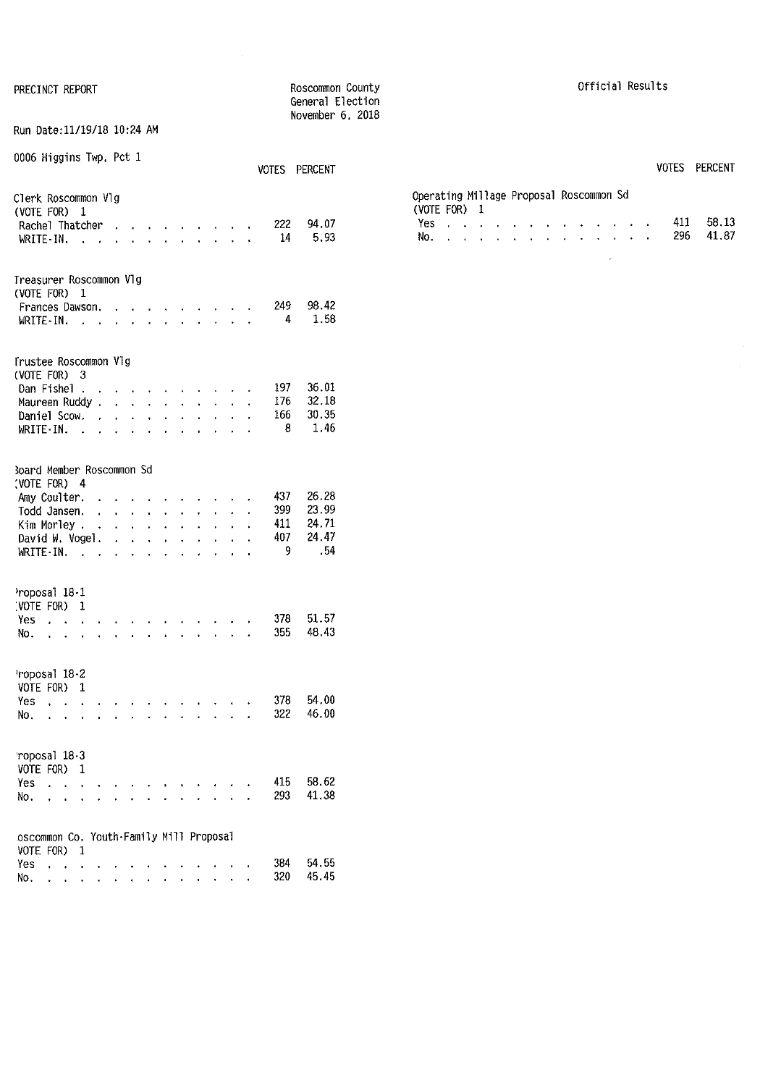| PRECINCT REPORT                                             |    |                                             |                                        |              |                                        |                      |                 |                                                                                            |                | Roscommon County<br>General Election<br>November 6, 2018 |  |
|-------------------------------------------------------------|----|---------------------------------------------|----------------------------------------|--------------|----------------------------------------|----------------------|-----------------|--------------------------------------------------------------------------------------------|----------------|----------------------------------------------------------|--|
| Run Date:11/19/18 10:24 AM                                  |    |                                             |                                        |              |                                        |                      |                 |                                                                                            |                |                                                          |  |
| 0006 Higgins Twp, Pct 1                                     |    |                                             |                                        |              |                                        |                      |                 |                                                                                            | VOTES          | <b>PERCENT</b>                                           |  |
| Clerk Roscommon Vlg<br>(VOTE FOR) 1                         |    |                                             |                                        |              |                                        |                      |                 |                                                                                            |                |                                                          |  |
| Rachel Thatcher                                             | t. |                                             |                                        |              |                                        |                      |                 | and a state of the state of                                                                | 222            | 94.07                                                    |  |
| WRITE-IN.<br>$\sim$ $\sim$ $\sim$                           |    | $\mathbf{r} = \mathbf{r}$                   |                                        |              |                                        |                      |                 | $\mathbf{r} = \mathbf{r} - \mathbf{r} = \mathbf{r} - \mathbf{r} = \mathbf{r} - \mathbf{r}$ | 14             | 5.93                                                     |  |
| Treasurer Roscommon Vlg<br>(VOTE FOR) 1                     |    |                                             |                                        |              |                                        |                      |                 |                                                                                            |                |                                                          |  |
| Frances Dawson.                                             |    |                                             |                                        |              | $\mathbf{r} = \mathbf{r}$              |                      |                 |                                                                                            | 249            | 98.42                                                    |  |
| $WRITE-IN.$                                                 |    | $\ddot{\phantom{0}}$                        |                                        |              | $\ddot{\phantom{a}}$                   |                      |                 |                                                                                            | $\overline{4}$ | 1.58                                                     |  |
| Trustee Roscommon Vlg<br>(VOTE FOR) 3                       |    |                                             |                                        |              |                                        |                      |                 |                                                                                            |                |                                                          |  |
| Dan Fishel                                                  |    | <b>All Angeles</b>                          |                                        | $\bullet$    |                                        |                      |                 |                                                                                            | 197            | 36.01                                                    |  |
| Maureen Ruddy.                                              |    |                                             |                                        |              |                                        | l.                   | $\sim 10^{-11}$ |                                                                                            | 176            | 32.18                                                    |  |
| Daniel Scow. .                                              |    | $\mathbf{r} = \mathbf{r} \times \mathbf{r}$ | $\ddot{\phantom{0}}$                   |              | $\mathbf{r} = \mathbf{r} \mathbf{r}$ . | l,                   |                 | $\mathbf{L} = \mathbf{L}$                                                                  | 166            | 30.35                                                    |  |
| WRITE-IN.<br><b>Carl Adam</b>                               |    | $\mathbf{r} = \mathbf{r} \mathbf{r}$ .      | $\ddot{\phantom{0}}$                   |              | $\overline{a}$                         |                      |                 |                                                                                            | - 8            | 1.46                                                     |  |
| <b>Board Member Roscommon Sd</b><br>(VOTE FOR) 4            |    |                                             |                                        |              |                                        |                      |                 |                                                                                            |                |                                                          |  |
| Amy Coulter. .                                              |    |                                             |                                        | $\bullet$    |                                        |                      |                 |                                                                                            | 437            | 26.28                                                    |  |
| Todd Jansen.                                                |    |                                             |                                        |              | $\ddot{\phantom{0}}$                   | $\mathbf{L}$         |                 | $\ddotsc$                                                                                  | 399            | 23.99                                                    |  |
| Kim Morley                                                  |    |                                             |                                        |              | $\ddot{\phantom{0}}$                   | $\ddot{\phantom{0}}$ |                 | $\mathbf{r} = \mathbf{r}$                                                                  | 411            | 24.71                                                    |  |
| David W. Vogel.<br>WRITE IN.                                |    | $\mathbf{r}$<br>$\mathbf{r}$                | $\mathbf{A}^{\mathrm{max}}$<br>$\cdot$ | $\mathbf{r}$ | $\mathbf{L}^{\text{max}}$<br>J.        |                      |                 |                                                                                            | 407<br>9       | 24.47<br>.54                                             |  |
| Proposal 18-1                                               |    |                                             |                                        |              |                                        |                      |                 |                                                                                            |                |                                                          |  |
| (VOTE FOR) 1<br>Yes                                         |    |                                             |                                        |              |                                        |                      |                 |                                                                                            | 378            | 51.57                                                    |  |
| $\mathbf{r} = \mathbf{r} \mathbf{r}$<br>No.<br>$\sim$<br>l, |    |                                             |                                        |              |                                        |                      |                 |                                                                                            | 355            | 48.43                                                    |  |
| roposal 18-2<br>VOTE FOR)<br>1                              |    |                                             |                                        |              |                                        |                      |                 |                                                                                            |                |                                                          |  |
| Yes<br>$\ddot{\phantom{0}}$                                 |    |                                             |                                        |              |                                        |                      |                 |                                                                                            | 378            | 54.00                                                    |  |
| No.                                                         |    |                                             |                                        |              |                                        |                      |                 |                                                                                            | 322            | 46.00                                                    |  |
| roposal 18-3<br>VOTE FOR) 1                                 |    |                                             |                                        |              |                                        |                      |                 |                                                                                            |                |                                                          |  |
| Yes                                                         |    |                                             |                                        |              |                                        |                      |                 |                                                                                            | 415            | 58.62                                                    |  |
| No.                                                         |    |                                             |                                        |              |                                        |                      |                 |                                                                                            | 293            | 41.38                                                    |  |
| oscommon Co. Youth-Family Mill Proposal<br>VOTE FOR)<br>1   |    |                                             |                                        |              |                                        |                      |                 |                                                                                            |                |                                                          |  |
| Yes<br>$\ddot{\phantom{0}}$                                 |    |                                             |                                        |              |                                        |                      |                 |                                                                                            | 384            | 54.55                                                    |  |
| No.                                                         |    |                                             |                                        |              |                                        |                      |                 |                                                                                            | 320            | 45.45                                                    |  |

No. . . . . . . . . . . . . . .

45.45

Official Results

Operating Millage Proposal Roscommon Sd (VOTE FOR) 1 Yes No. . . . . . . . VOTES PERCENT 411 58.13 296 41.87

 $\sim$ 

 $\hat{\phi}$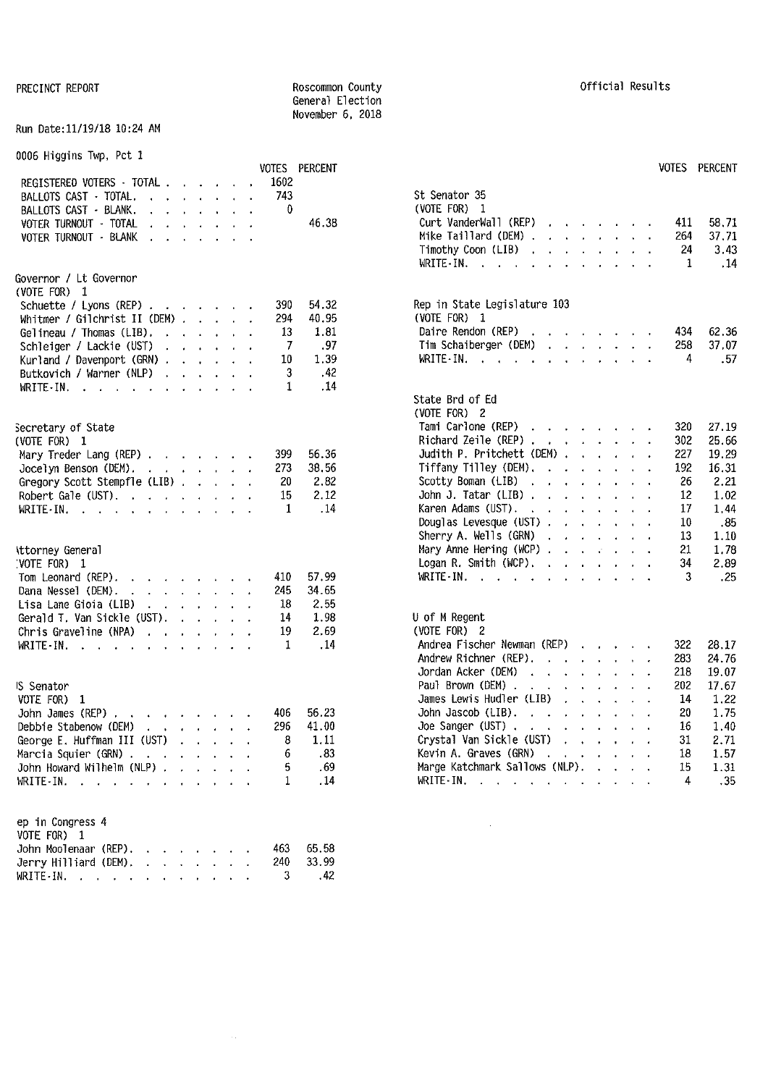#### PRECINCT REPORT **REPORT REGISTER** ROSCOMMON County **COUNTY COUNTY COUNTY COUNTY COUNTY CONTY COUNTY COUNTY COUNTY COUNTY COUNTY COUNTY COUNTY COUNTY COUNTY COUNTY COUNTY COUNTY COUNTY** General Election November 6, 2018

#### Run Date:11/19/18 10:24 AM

|  | 0006 Higgins Twp, Pct 1 |  |  |  |  |
|--|-------------------------|--|--|--|--|
|--|-------------------------|--|--|--|--|

|                                                                                                                                                                                                                                                               |              | VOTES PERCENT |                                                                                                                                       |     | VOTES PERCENT |
|---------------------------------------------------------------------------------------------------------------------------------------------------------------------------------------------------------------------------------------------------------------|--------------|---------------|---------------------------------------------------------------------------------------------------------------------------------------|-----|---------------|
| REGISTERED VOTERS - TOTAL                                                                                                                                                                                                                                     | 1602         |               |                                                                                                                                       |     |               |
| BALLOTS CAST · TOTAL.                                                                                                                                                                                                                                         | 743          |               | St Senator 35                                                                                                                         |     |               |
| BALLOTS CAST - BLANK.<br><b><i>Contract American American</i></b>                                                                                                                                                                                             | 0            |               | (VOTE FOR) $1$                                                                                                                        |     |               |
| VOTER TURNOUT - TOTAL<br>$\mathbf{r}$ and $\mathbf{r}$ are the set of the set of the set of the set of the set of the set of the set of the set of the set of the set of the set of the set of the set of the set of the set of the set of the set of the set |              | 46.38         | Curt VanderWall (REP)                                                                                                                 | 411 | 58.71         |
| VOTER TURNOUT - BLANK<br>the contract of the contract of                                                                                                                                                                                                      |              |               | Mike Taillard (DEM)                                                                                                                   | 264 | 37.71         |
|                                                                                                                                                                                                                                                               |              |               | Timothy Coon (LIB)                                                                                                                    | 24  | 3.43          |
|                                                                                                                                                                                                                                                               |              |               | WRITE-IN.                                                                                                                             | -1  | .14           |
| Governor / Lt Governor                                                                                                                                                                                                                                        |              |               |                                                                                                                                       |     |               |
| (VOTE FOR) 1                                                                                                                                                                                                                                                  |              |               |                                                                                                                                       |     |               |
| Schuette / Lyons (REP) $\cdot \cdot \cdot \cdot \cdot \cdot$                                                                                                                                                                                                  | 390          | 54,32         | Rep in State Legislature 103                                                                                                          |     |               |
| Whitmer / Gilchrist II (DEM) $\ldots$ $\ldots$                                                                                                                                                                                                                | 294          | 40.95         | (VOTE FOR) 1                                                                                                                          |     |               |
| Gelineau / Thomas (LIB). $\ldots$                                                                                                                                                                                                                             | -13          | 1.81          | Daire Rendon (REP)<br>the contract of the contract of the                                                                             | 434 | 62.36         |
| Schleiger / Lackie (UST)<br>and the contract of the contract of                                                                                                                                                                                               | 7            | .97           | Tim Schaiberger (DEM)                                                                                                                 | 258 | 37.07         |
| Kurland / Davenport (GRN)                                                                                                                                                                                                                                     | 10           | 1.39          | WRITE-IN.                                                                                                                             | 4   | .57           |
| Butkovich / Warner (NLP)                                                                                                                                                                                                                                      | 3            | .42           |                                                                                                                                       |     |               |
| WRITE-IN. $\cdot$                                                                                                                                                                                                                                             | 1            | .14           |                                                                                                                                       |     |               |
|                                                                                                                                                                                                                                                               |              |               | State Brd of Ed                                                                                                                       |     |               |
|                                                                                                                                                                                                                                                               |              |               | (VOTE FOR) 2                                                                                                                          |     |               |
| Secretary of State                                                                                                                                                                                                                                            |              |               | Tami Carlone (REP)                                                                                                                    | 320 | 27.19         |
| (VOTE FOR) 1                                                                                                                                                                                                                                                  |              |               | Richard Zeile (REP)                                                                                                                   | 302 | 25.66         |
| Mary Treder Lang (REP)                                                                                                                                                                                                                                        | 399          | 56.36         | Judith P. Pritchett (DEM) $\cdots$ $\cdots$                                                                                           | 227 | 19.29         |
| Jocelyn Benson (DEM). $\cdot \cdot \cdot \cdot \cdot \cdot$                                                                                                                                                                                                   | 273          | 38.56         | Tiffany Tilley (DEM). $\cdot \cdot \cdot \cdot \cdot \cdot$                                                                           | 192 | 16.31         |
| Gregory Scott Stempfle (LIB)                                                                                                                                                                                                                                  | 20           | 2,82          | Scotty Boman (LIB)                                                                                                                    | 26  | 2.21          |
| Robert Gale (UST).                                                                                                                                                                                                                                            | 15           | 2.12          | John J. Tatar (LIB) $\cdots$ $\cdots$ $\cdots$                                                                                        | 12  | 1.02          |
| WRITE-IN.                                                                                                                                                                                                                                                     | 1            | .14           | Karen Adams (UST).                                                                                                                    | 17  | 1.44          |
|                                                                                                                                                                                                                                                               |              |               | Douglas Levesque (UST)                                                                                                                | 10  | .85           |
|                                                                                                                                                                                                                                                               |              |               | Sherry A. Wells (GRN)                                                                                                                 | 13  | 1.10          |
| Attorney General                                                                                                                                                                                                                                              |              |               | Mary Anne Hering (WCP)                                                                                                                | 21  | 1.78          |
| VOTE FOR) 1                                                                                                                                                                                                                                                   |              |               | Logan R. Smith (WCP).                                                                                                                 | 34  | 2.89          |
| Tom Leonard (REP).<br>and a series of the series of                                                                                                                                                                                                           | 410          | 57.99         | WRITE-IN.                                                                                                                             | 3   | .25           |
| Dana Nessel (DEM).<br>the contract of the contract of the contract of the contract of the contract of the contract of the contract of                                                                                                                         | 245          | 34.65         |                                                                                                                                       |     |               |
|                                                                                                                                                                                                                                                               | 18           | 2.55          |                                                                                                                                       |     |               |
| Lisa Lane Gioia (LIB) $\cdot \cdot \cdot \cdot \cdot$                                                                                                                                                                                                         | 14           | 1.98          | U of M Regent                                                                                                                         |     |               |
| Gerald T. Van Sickle (UST). $\cdot \cdot \cdot \cdot$                                                                                                                                                                                                         |              |               |                                                                                                                                       |     |               |
| Chris Graveline (NPA)                                                                                                                                                                                                                                         | 19           | 2.69          | (VOTE FOR) 2                                                                                                                          |     |               |
| WRITE - IN. $\cdots$                                                                                                                                                                                                                                          | 1            | .14           | Andrea Fischer Newman (REP)                                                                                                           | 322 | 28.17         |
|                                                                                                                                                                                                                                                               |              |               | Andrew Richner (REP).                                                                                                                 | 283 | 24 76         |
|                                                                                                                                                                                                                                                               |              |               | Jordan Acker (DEM)<br>the contract of the contract of the contract of the contract of the contract of the contract of the contract of | 218 | 19.07         |
| IS Senator                                                                                                                                                                                                                                                    |              |               | Paul Brown (DEM).<br>the company of the company of the company of                                                                     | 202 | 17.67         |
| VOTE FOR) 1                                                                                                                                                                                                                                                   |              |               | James Lewis Hudler (LIB)<br>$\mathbf{r}$ , $\mathbf{r}$ , $\mathbf{r}$ , $\mathbf{r}$ , $\mathbf{r}$                                  | 14  | 1.22          |
| John James (REP)                                                                                                                                                                                                                                              | 406          | 56.23         | John Jascob (LIB).<br>$\mathbf{r}$ , $\mathbf{r}$ , $\mathbf{r}$ , $\mathbf{r}$ , $\mathbf{r}$ , $\mathbf{r}$                         | 20  | 1.75          |
| Debbie Stabenow (DEM)                                                                                                                                                                                                                                         | 296          | 41.00         | Joe Sanger (UST)                                                                                                                      | 16  | 1.40          |
| George E. Huffman III (UST)                                                                                                                                                                                                                                   | 8            | 1.11          | Crystal Van Sickle (UST)                                                                                                              | 31  | 2.71          |
| Marcia Squier (GRN)                                                                                                                                                                                                                                           | 6            | .83           | Kevin A. Graves (GRN)<br>the contract of the contract of the con-                                                                     | 18  | 1.57          |
| John Howard Wilhelm (NLP)                                                                                                                                                                                                                                     | 5            | .69           | Marge Katchmark Sallows (NLP).                                                                                                        | 15  | 1.31          |
| WRITE-IN.                                                                                                                                                                                                                                                     | $\mathbf{1}$ | .14           | WRITE IN.                                                                                                                             | 4   | .35           |
| ep in Congress 4                                                                                                                                                                                                                                              |              |               |                                                                                                                                       |     |               |
| VOTE FOR) 1                                                                                                                                                                                                                                                   |              |               |                                                                                                                                       |     |               |
| John Moolenaar (REP).                                                                                                                                                                                                                                         | 463          | 65.58         |                                                                                                                                       |     |               |
| Jerry Hilliard (DEM), $\cdot$ , $\cdot$ , $\cdot$ , $\cdot$                                                                                                                                                                                                   | 240          | 33.99         |                                                                                                                                       |     |               |
| WRITE-IN.                                                                                                                                                                                                                                                     | 3            | .42           |                                                                                                                                       |     |               |
|                                                                                                                                                                                                                                                               |              |               |                                                                                                                                       |     |               |

| 1602        | VUIES PERCENT  |                                                                                                                                                                                               |     | VUILS PERCENT |
|-------------|----------------|-----------------------------------------------------------------------------------------------------------------------------------------------------------------------------------------------|-----|---------------|
| 743         |                | St Senator 35                                                                                                                                                                                 |     |               |
| $\bf{0}$    |                | (VOTE FOR) 1                                                                                                                                                                                  |     |               |
|             | 46.38          | Curt VanderWall (REP)                                                                                                                                                                         | 411 | 58.71         |
|             |                | Mike Taillard (DEM).<br>and a state of the<br>$\mathbf{r}$<br>$\mathbf{r}$<br>t.                                                                                                              | 264 | 37.71         |
|             |                | Timothy Coon (LIB).<br>$\mathbf{r}$<br>$\mathbf{L} = \mathbf{L} \times \mathbf{R}$<br>$\mathbf{r}$<br>$\ddot{\phantom{0}}$<br>$\cdot$                                                         | 24  | 3.43          |
|             |                | WRITE - IN.<br>$\ddot{\phantom{0}}$<br><b>Contract Contract Contract</b><br>$\ddot{\phantom{0}}$<br>$\ddot{\phantom{0}}$<br>$\mathbf{r}$<br>$\ddot{\phantom{0}}$<br>$\ddot{\phantom{0}}$<br>ï | 1   | .14           |
|             |                |                                                                                                                                                                                               |     |               |
| 390<br>294  | 54.32<br>40.95 | Rep in State Legislature 103<br>(VOTE FOR) 1                                                                                                                                                  |     |               |
| 13          | 1.81           | Daire Rendon (REP)<br>and the contract of the contract of the<br>$\ddot{\phantom{0}}$                                                                                                         | 434 | 62.36         |
| 7           | .97            | Tim Schaiberger (DEM)<br>$\mathbf{r}$ , $\mathbf{r}$ , $\mathbf{r}$ , $\mathbf{r}$ , $\mathbf{r}$<br>÷.                                                                                       | 258 | 37.07         |
| 10          | 1.39           | <u>a carra da carra da carra d</u><br>WRITE-IN.<br>$\ddot{\phantom{a}}$                                                                                                                       | 4   | .57           |
| 3           | .42            |                                                                                                                                                                                               |     |               |
| 1           | .14            |                                                                                                                                                                                               |     |               |
|             |                | State Brd of Ed                                                                                                                                                                               |     |               |
|             |                | (VOTE FOR) 2                                                                                                                                                                                  |     |               |
|             |                | Tami Carlone (REP)<br>$\ddot{\phantom{0}}$<br><b>Contract Contract Contract</b><br>$\ddot{\phantom{0}}$<br>$\ddot{\phantom{0}}$                                                               | 320 | 27.19         |
|             |                | Richard Zeile (REP).<br>$\sim 10^{-11}$<br>$\mathbf{r}$<br>$\mathbf{r} = \mathbf{r} \times \mathbf{r}$<br>$\ddot{\phantom{0}}$                                                                | 302 | 25.66         |
| 399         | 56.36          | Judith P. Pritchett (DEM).<br>$\mathbf{r}$<br>$\mathbf{r}$<br>$\mathbf{r}$                                                                                                                    | 227 | 19.29         |
| 273         | 38.56          | Tiffany Tilley (DEM).<br>$\ddot{\phantom{a}}$<br>$\ddot{\phantom{a}}$<br>$\ddot{\phantom{a}}$<br>$\mathbf{r}$<br>a.<br>$\epsilon$<br>$\ddot{\phantom{0}}$                                     | 192 | 16.31         |
| 20          | 2.82           | Scotty Boman (LIB).<br>$\ddot{\phantom{a}}$<br>$\mathbf{r}$<br>$\mathbf{r}$<br>a.<br>$\mathbf{r}$                                                                                             | 26  | 2.21          |
| 15          | 2.12           | John J. Tatar (LIB).<br>$\mathbf{r}$<br>$\mathbf{L}$<br>$\mathbf{r}$<br>$\mathbf{L}$<br>$\mathbf{r}$                                                                                          | 12  | 1.02          |
| 1           | .14            | Karen Adams (UST). .<br><b>Contract Contract</b><br>$\mathbf{r}$                                                                                                                              | 17  | 1.44          |
|             |                | Douglas Levesque (UST).<br>$\mathbf{r}$<br>$\mathbf{r}$<br>$\mathbf{r}$<br>$\mathbf{r}$                                                                                                       | 10  | .85           |
|             |                | Sherry A. Wells (GRN).<br>$\mathbf{A}$<br>$\mathbf{r} = \mathbf{r} \cdot \mathbf{r}$<br>$\ddot{\phantom{a}}$<br>$\mathbf{r}$<br>$\ddot{\phantom{a}}$                                          | 13  | 1.10          |
|             |                | Mary Anne Hering (WCP).<br>$\mathbf{A}$<br>$\mathbf{r}$<br>$\mathcal{F}^{\mathcal{F}}$ .<br>$\mathbf{r}$<br>$\mathcal{L}^{\mathcal{L}}$                                                       | 21  | 1.78          |
|             |                | Logan R. Smith (WCP).<br>$\mathbf{r}$<br>$\mathbf{r}$<br>$\sim$<br>$\mathbf{r}^{(1)}$<br>$\mathbf{r}$<br>$\cdot$<br>l.                                                                        | 34  | 2.89          |
| 410         | 57.99          | $WRITE IN.$ , , , , ,<br>ä.                                                                                                                                                                   | 3   | .25           |
| 245         | 34.65          |                                                                                                                                                                                               |     |               |
| 18          | 2.55           |                                                                                                                                                                                               |     |               |
| 14          | 1.98           | U of M Regent                                                                                                                                                                                 |     |               |
| 19          | 2.69           | (VOTE FOR) 2                                                                                                                                                                                  |     |               |
| 1           | .14            | Andrea Fischer Newman (REP)                                                                                                                                                                   | 322 | 28.17         |
|             |                | Andrew Richner (REP)<br><b>Contract</b><br>$\sim$<br>$\mathbf{r}$<br>$\mathbf{r}$<br>l.                                                                                                       | 283 | 24.76         |
|             |                | Jordan Acker (DEM)<br>$\mathbf{r} = \mathbf{r} \mathbf{r}$<br>$\mathbf{q}$<br>$\ddot{\phantom{0}}$                                                                                            | 218 | 19.07         |
|             |                | Paul Brown (DEM) .<br>i.<br>$\mathbf{A}$<br>$\mathbf{r}$<br>¥.                                                                                                                                | 202 | 17.67         |
|             |                | James Lewis Hudler (LIB)<br>i.<br>$\ddot{\phantom{0}}$<br>$\mathbf{r}$<br>$\ddot{\phantom{0}}$<br>$\ddot{\phantom{0}}$<br>$\ddot{\phantom{0}}$                                                | 14  | 1.22          |
| 406         | 56.23          | John Jascob (LIB).<br>$\mathbf{r} = \mathbf{r}$<br>$\ddot{\phantom{a}}$                                                                                                                       | 20  | 1.75          |
| 296         | 41.00          | Joe Sanger (UST)<br>$\ddot{\phantom{0}}$<br>$\mathbf{r}$<br>$\mathbf{r}$                                                                                                                      | 16  | 1.40          |
| 8           | 1.11           | Crystal Van Sickle (UST)<br>$\ddot{\phantom{a}}$                                                                                                                                              | 31  | 2.71          |
| 6           | .83            | Kevin A. Graves (GRN)<br>$\mathbf{r}$<br>$\sim$<br><b>Contractor</b><br>ä.                                                                                                                    | 18  | 1.57          |
| 5           | .69            | Marge Katchmark Sallows (NLP).<br>$\ddot{\phantom{0}}$<br>$\mathbf{r}$<br>$\ddot{\phantom{a}}$<br>l.                                                                                          | 15  | 1.31          |
| $\mathbf 1$ | .14            | WRITE IN.<br>$\Delta$ and<br>$\mathbf{r}$<br>$\mathbf{r}$<br><b>Carl Carl</b>                                                                                                                 | 4   | .35           |
|             |                |                                                                                                                                                                                               |     |               |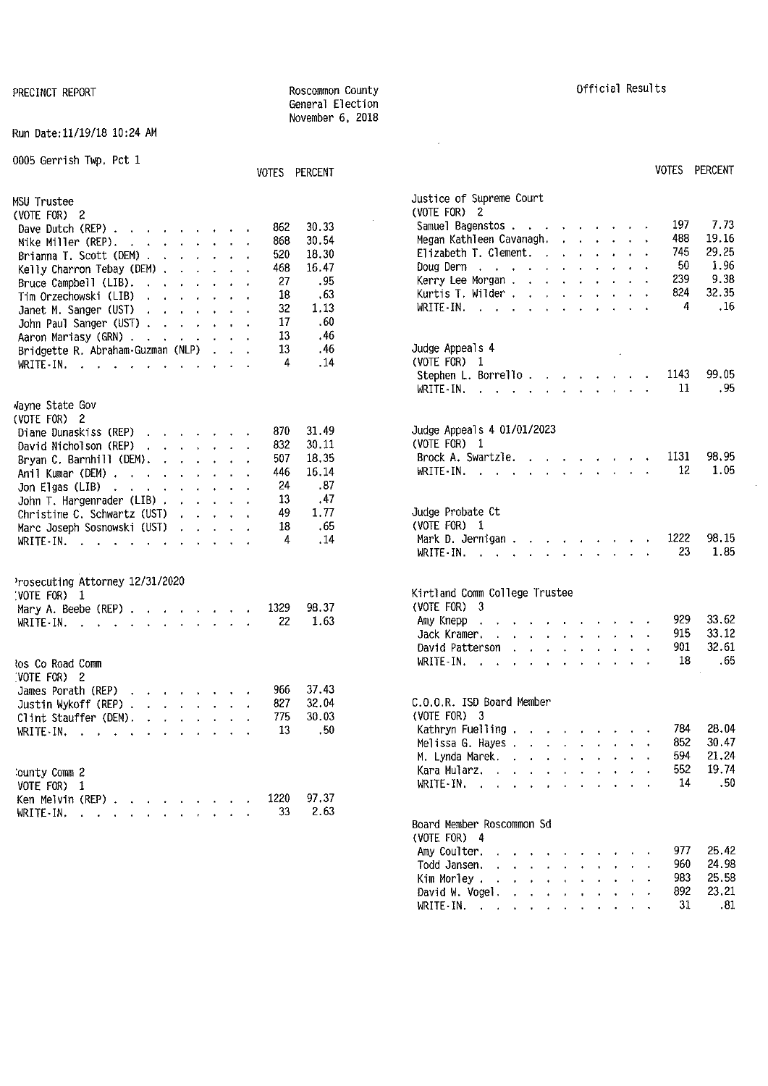Run Date:11/19/18 10:24 AM

| 0005 Gerrish Twp, Pct 1                                                                                                                                                                                                                                                                                                                                                                                                                                      | VOTES PERCENT                                                                                                                                           | VOTES PERCENT                                                                                                                                                                                                                                                                                                                                                                                                                                                                                                                                                               |
|--------------------------------------------------------------------------------------------------------------------------------------------------------------------------------------------------------------------------------------------------------------------------------------------------------------------------------------------------------------------------------------------------------------------------------------------------------------|---------------------------------------------------------------------------------------------------------------------------------------------------------|-----------------------------------------------------------------------------------------------------------------------------------------------------------------------------------------------------------------------------------------------------------------------------------------------------------------------------------------------------------------------------------------------------------------------------------------------------------------------------------------------------------------------------------------------------------------------------|
| <b>MSU Trustee</b><br>(VOTE FOR) $2$<br>Dave Dutch (REP) $\cdots$ $\cdots$ $\cdots$<br>Mike Miller (REP). $\cdot \cdot \cdot \cdot \cdot \cdot$<br>Brianna T. Scott (DEM)<br>Kelly Charron Tebay (DEM) $\cdots$ $\cdots$<br>Bruce Campbell (LIB).<br>Tim Orzechowski (LIB)<br>and the contract of the state of<br>Janet M. Sanger (UST)<br>John Paul Sanger (UST)<br>Aaron Mariasy (GRN)<br>Bridgette R. Abraham Guzman (NLP)<br>WRITE IN. $\cdots$ $\cdots$ | 30.33<br>862<br>30.54<br>868<br>18.30<br>520<br>16.47<br>468<br>.95<br>27<br>.63<br>18<br>1.13<br>32<br>.60<br>17<br>13<br>.46<br>.46<br>13<br>.14<br>4 | Justice of Supreme Court<br>(VOTE FOR) 2<br>7.73<br>197<br>Samuel Bagenstos<br>19.16<br>488<br>Megan Kathleen Cavanagh.<br>29.25<br>745<br>Elizabeth T. Clement. $\cdots$<br>1.96<br>50<br>Doug Dern $\ldots$ $\ldots$ $\ldots$ $\ldots$ $\ldots$<br>9.38<br>239<br>Kerry Lee Morgan<br>824<br>32.35<br>Kurtis T. Wilder<br>.16<br>4<br>WRITE-IN.<br>the contract of the contract of the contract of the contract of the contract of the contract of the contract of<br>Judge Appeals 4<br>(VOTE FOR) 1<br>99.05<br>Stephen L. Borrello. $\ldots$ $\ldots$ $\ldots$<br>1143 |
| Vayne State Gov                                                                                                                                                                                                                                                                                                                                                                                                                                              |                                                                                                                                                         | . 95<br>WRITE-IN, $\cdots$ $\cdots$ $\cdots$<br>11                                                                                                                                                                                                                                                                                                                                                                                                                                                                                                                          |
| (VOTE FOR) 2<br>Diane Dunaskiss (REP)<br>David Nicholson (REP)<br>Bryan C. Barnhill (DEM). $\cdots$ $\cdots$<br>Anil Kumar (DEM)<br>Jon Elgas (LIB) $\ldots$ , $\ldots$ , $\ldots$<br>John T. Hargenrader (LIB)                                                                                                                                                                                                                                              | 31.49<br>870<br>832<br>30 11<br>18.35<br>507<br>446<br>16.14<br>.87<br>24<br>13<br>.47                                                                  | Judge Appeals 4 01/01/2023<br>(VOTE FOR) 1<br>98.95<br>1131<br>Brock A. Swartzle.<br>1.05<br>12<br>WRITE-IN.                                                                                                                                                                                                                                                                                                                                                                                                                                                                |
| Christine C. Schwartz $(UST)$<br>Marc Joseph Sosnowski (UST)<br>WRITE-IN.                                                                                                                                                                                                                                                                                                                                                                                    | 1.77<br>49<br>18<br>. 65<br>.14<br>4                                                                                                                    | Judge Probate Ct<br>$(VOTE$ FOR) 1<br>Mark D. Jernigan<br>1222<br>98.15<br>1.85<br>23<br>WRITE IN $\cdots$ $\cdots$                                                                                                                                                                                                                                                                                                                                                                                                                                                         |
| Prosecuting Attorney 12/31/2020<br>[VOTE FOR] 1<br>Mary A. Beebe (REP) $\ldots$ $\ldots$ $\ldots$<br>WRITE $\cdot$ IN.                                                                                                                                                                                                                                                                                                                                       | 98.37<br>1329<br>22<br>1.63                                                                                                                             | Kirtland Comm College Trustee<br>$(VOTE FOR)$ 3<br>33.62<br>929<br>Amy Knepp. $\cdots$ $\cdots$ $\cdots$ $\cdots$<br>915<br>33.12<br>Jack Kramer.<br>the companion of the companion of the companion                                                                                                                                                                                                                                                                                                                                                                        |
| tos Co Road Comm<br>(VOTE FOR) 2                                                                                                                                                                                                                                                                                                                                                                                                                             |                                                                                                                                                         | 32 61<br>901.<br>David Patterson<br>.65<br>18<br>WRITE IN. $\cdots$ , $\cdots$                                                                                                                                                                                                                                                                                                                                                                                                                                                                                              |
| James Porath (REP)<br>Justin Wykoff (REP)<br>Clint Stauffer (DEM), $\ldots$ , $\ldots$<br>WRITE IN, $\cdots$ $\cdots$                                                                                                                                                                                                                                                                                                                                        | 37.43<br>966<br>32.04<br>827<br>30.03<br>775<br>13<br>50                                                                                                | C.O.O.R. ISD Board Member<br>(VOTE FOR) 3<br>28.04<br>784<br>Kathryn Fuelling<br>30.47<br>852<br>Melissa G. Hayes<br>594<br>21.24<br>M. Lynda Marek.                                                                                                                                                                                                                                                                                                                                                                                                                        |
| County Comm 2<br>VOTE FOR) 1<br>Ken Melvin (REP) $\cdots$ $\cdots$ $\cdots$                                                                                                                                                                                                                                                                                                                                                                                  | 97.37<br>1220<br>2.63<br>33                                                                                                                             | 552<br>19.74<br>Kara Mularz,<br>14<br>.50<br>WRITE-IN. $\cdots$ $\cdots$ $\cdots$<br>Board Member Roscommon Sd                                                                                                                                                                                                                                                                                                                                                                                                                                                              |

PRECINCT REPORT **REPORT REPORT RESULTS REGISTER RESULTS REGISTER RESULTS RESULTS** General Election November 6, 2018

 $\sim 10^{-10}$ 

## **VOTES PERCENT**

 $\mathcal{A}^{\mathcal{A}}$ 

| Justice of Supreme Court<br>(VOTE FOR) | 2                                     |                           |                      |                      |                      |                                                                 |                      |                                             |              |                          |                        |                 |
|----------------------------------------|---------------------------------------|---------------------------|----------------------|----------------------|----------------------|-----------------------------------------------------------------|----------------------|---------------------------------------------|--------------|--------------------------|------------------------|-----------------|
| Samuel Bagenstos                       |                                       |                           |                      |                      |                      |                                                                 |                      |                                             |              |                          | 197                    | 7.73            |
| Megan Kathleen Cavanagh.               |                                       |                           |                      |                      |                      |                                                                 |                      |                                             |              | $\ddot{\phantom{0}}$     | 488                    | 19.16           |
| Elizabeth T. Clement.                  |                                       |                           |                      |                      |                      |                                                                 |                      |                                             |              | $\bullet$                | 745                    | 29.25           |
|                                        |                                       |                           |                      |                      |                      |                                                                 |                      |                                             |              |                          | - 50                   | 1.96            |
| Doug Dern<br>Kerry Lee Morgan          |                                       |                           |                      |                      |                      |                                                                 |                      |                                             |              |                          | 239                    | 9.38            |
|                                        |                                       |                           |                      |                      |                      |                                                                 |                      |                                             |              |                          | 824.                   | 32.35           |
| Kurtis T. Wilder                       |                                       |                           |                      |                      |                      |                                                                 |                      |                                             |              |                          | $\overline{4}$         |                 |
| WRITE-IN.                              |                                       |                           |                      |                      |                      |                                                                 |                      |                                             |              |                          |                        | $\overline{16}$ |
| Judge Appeals 4                        |                                       |                           |                      |                      |                      |                                                                 |                      |                                             |              |                          |                        |                 |
| (VOTE FOR) 1                           |                                       |                           |                      |                      |                      |                                                                 |                      | $\sim$                                      |              |                          |                        |                 |
|                                        |                                       |                           |                      |                      |                      |                                                                 |                      |                                             |              |                          |                        | 1143 99 05      |
| Stephen L. Borrello. $\ldots$          |                                       |                           |                      |                      |                      |                                                                 |                      |                                             |              | $\sim$                   |                        |                 |
| $WRITE-IN.$ .                          |                                       |                           |                      |                      |                      | $\mathbf{r}$ and $\mathbf{r}$ and $\mathbf{r}$ and $\mathbf{r}$ |                      |                                             |              | $\cdot$                  | 11                     | .95             |
| Judge Appeals 4 01/01/2023             |                                       |                           |                      |                      |                      |                                                                 |                      |                                             |              |                          |                        |                 |
| (VOTE FOR) 1                           |                                       |                           |                      |                      |                      |                                                                 |                      |                                             |              |                          |                        |                 |
| Brock A. Swartzle.                     |                                       |                           |                      |                      |                      |                                                                 |                      |                                             |              |                          | $\ldots$ $\ldots$ 1131 | 98.95           |
| WRITE-IN. $\cdots$                     |                                       |                           |                      |                      |                      |                                                                 |                      |                                             |              | and a state of the state | 12                     | 1.05            |
|                                        |                                       |                           |                      |                      |                      |                                                                 |                      |                                             |              |                          |                        |                 |
| Judge Probate Ct                       |                                       |                           |                      |                      |                      |                                                                 |                      |                                             |              |                          |                        |                 |
| (VOTE FOR)                             | 1                                     |                           |                      |                      |                      |                                                                 |                      |                                             |              |                          |                        |                 |
| Mark D. Jernigan                       |                                       |                           |                      |                      |                      |                                                                 |                      |                                             |              |                          | 1222                   | 98 15           |
| WRITE IN.                              |                                       |                           | ä.                   |                      |                      | $\mathcal{L}_{\rm{max}}$                                        |                      | $\mathbf{r}$ and $\mathbf{r}$               |              |                          | 23                     | 1.85            |
|                                        |                                       |                           |                      |                      |                      |                                                                 |                      |                                             |              |                          |                        |                 |
| Kirtland Comm College Trustee          |                                       |                           |                      |                      |                      |                                                                 |                      |                                             |              |                          |                        |                 |
| (VOTE FOR) 3                           |                                       |                           |                      |                      |                      |                                                                 |                      |                                             |              |                          |                        |                 |
| Amy Knepp.                             |                                       |                           |                      |                      |                      |                                                                 |                      |                                             |              |                          | 929 —                  | 33.62           |
| Jack Kramer.                           | and the company of the company of the |                           |                      |                      |                      |                                                                 |                      |                                             |              |                          | 915                    | 33.12           |
| David Patterson .                      |                                       |                           | $\sim 10^{-11}$      | $\mathbf{v}$         |                      | $\bullet$ - $\bullet$ - $\bullet$                               |                      | $\mathbf{z} = \mathbf{z} \mathbf{z}$ .      | $\sim$       |                          | 901                    | 32.61           |
| WRITE IN.                              |                                       | $\mathbf{r} = \mathbf{r}$ |                      | $\ddot{\phantom{0}}$ |                      | $\mathbf{r}$ and $\mathbf{r}$                                   |                      | $\mathbf{r} = \mathbf{r} \times \mathbf{r}$ | $\mathbf{r}$ |                          | 18                     | .65             |
|                                        |                                       |                           |                      |                      |                      |                                                                 |                      |                                             |              |                          |                        |                 |
| C.O.O.R. ISD Board Member              |                                       |                           |                      |                      |                      |                                                                 |                      |                                             |              |                          |                        |                 |
| (VOTE FOR) 3                           |                                       |                           |                      |                      |                      |                                                                 |                      |                                             |              |                          |                        |                 |
| Kathryn Fuelling                       |                                       |                           |                      |                      |                      |                                                                 |                      |                                             |              |                          | 784                    | 28.04           |
| Melissa G. Hayes                       |                                       |                           |                      |                      |                      |                                                                 |                      |                                             |              |                          | 852                    | 30.47           |
| M. Lynda Marek.                        |                                       |                           |                      |                      |                      |                                                                 |                      |                                             |              |                          | 594                    | 21.24           |
| Kara Mularz.                           |                                       |                           |                      |                      |                      |                                                                 |                      |                                             |              |                          |                        | 552 19.74       |
| WRITE-IN.                              |                                       |                           |                      | $\cdot$              | $\cdot$              |                                                                 |                      | $\ddot{\phantom{0}}$                        | $\cdots$     |                          | 14                     | .50             |
|                                        |                                       |                           |                      |                      |                      |                                                                 |                      |                                             |              |                          |                        |                 |
| Board Member Roscommon Sd              |                                       |                           |                      |                      |                      |                                                                 |                      |                                             |              |                          |                        |                 |
| (VOTE FOR) 4                           |                                       |                           |                      |                      |                      |                                                                 |                      |                                             |              |                          |                        |                 |
| Amy Coulter.                           |                                       |                           |                      |                      |                      |                                                                 |                      |                                             |              |                          | 977                    | 25.42           |
| Todd Jansen.                           | $\sim$                                | $\ddot{\phantom{0}}$      | $\ddot{\phantom{0}}$ | $\epsilon$           | $\ddot{\phantom{0}}$ | ¥.                                                              |                      |                                             |              |                          | 960                    | 24.98           |
| Kim Morley.                            |                                       | $\mathcal{A}$             | $\ddot{\phantom{0}}$ | $\ddot{\phantom{0}}$ | $\ddot{\phantom{0}}$ |                                                                 | $\ddot{\phantom{0}}$ |                                             |              |                          | 983                    | 25.58           |
| David W. Vogel.                        |                                       | $\sim$ 100 $\sim$         | $\mathbf{r}$         | $\sim$               | $\ddot{\phantom{0}}$ | $\mathbf{r}$                                                    | $\sim$               | v.                                          |              |                          | 892                    | 23.21           |
| WRITE-IN. $\cdots$                     |                                       |                           |                      |                      |                      | a.                                                              | $\ddot{\phantom{0}}$ | $\ddot{\phantom{0}}$                        |              |                          | 31                     | .81             |
|                                        |                                       |                           |                      |                      |                      |                                                                 |                      |                                             |              |                          |                        |                 |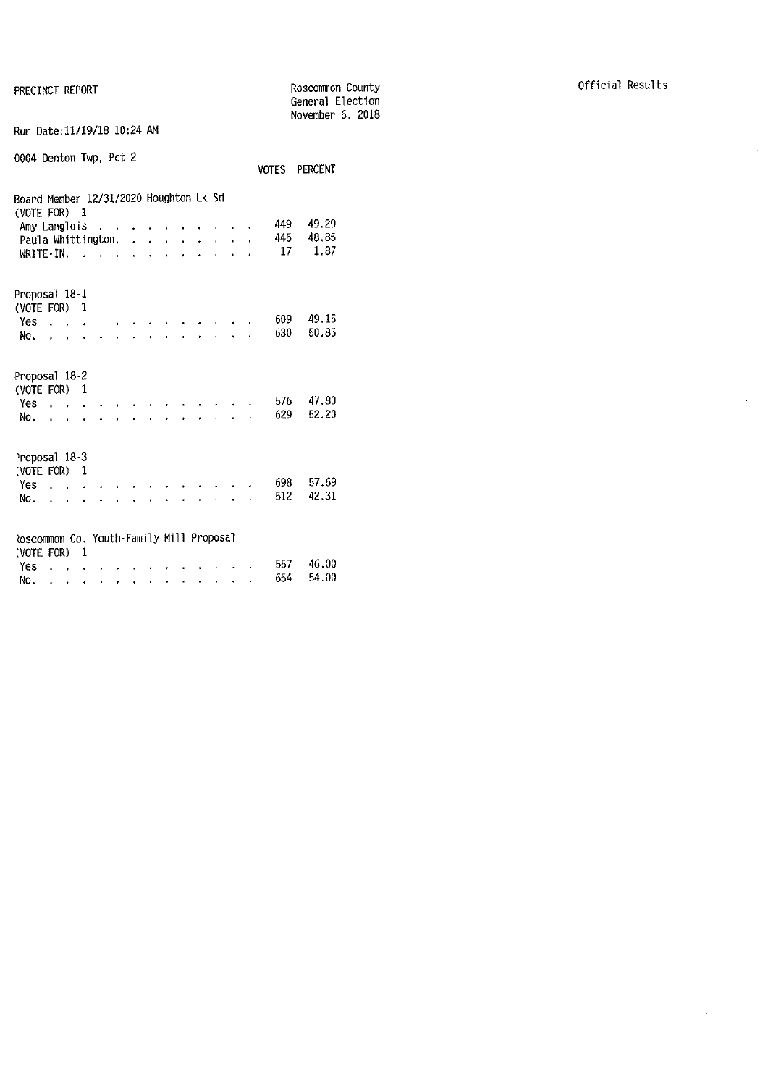PRECINCT REPORT

|                                                        |                      |              |               |   |    |  |  |  |       | General Election<br>November 6, 2018 |  |
|--------------------------------------------------------|----------------------|--------------|---------------|---|----|--|--|--|-------|--------------------------------------|--|
| Run Date: 11/19/18 10:24 AM                            |                      |              |               |   |    |  |  |  |       |                                      |  |
| 0004 Denton Twp, Pct 2                                 |                      |              |               |   |    |  |  |  | VOTES | <b>PERCENT</b>                       |  |
| Board Member 12/31/2020 Houghton Lk Sd<br>(VOTE FOR)   |                      | $\mathbf{1}$ |               |   |    |  |  |  |       |                                      |  |
| Amy Langlois                                           |                      |              | $\sim$ $\sim$ |   |    |  |  |  | 449   | 49.29                                |  |
| Paula Whittington.                                     |                      |              |               |   | J. |  |  |  | 445   | 48.85                                |  |
| $W$ and $W$ and $W$ and $W$ and $W$ and $W$            |                      |              |               |   |    |  |  |  | 17    | 1.87                                 |  |
| Proposal 18-1                                          |                      |              |               |   |    |  |  |  |       |                                      |  |
| (VOTE FOR)<br>Yes                                      |                      | 1            |               |   |    |  |  |  | 609   | 49.15                                |  |
| No.                                                    | $\sim$               |              |               |   |    |  |  |  | 630   | 50.85                                |  |
|                                                        |                      |              |               |   |    |  |  |  |       |                                      |  |
| Proposal 18-2<br>(VOTE FOR) 1                          |                      |              |               |   |    |  |  |  |       |                                      |  |
| Yes                                                    |                      |              |               |   |    |  |  |  | 576   | 47.80                                |  |
| No.                                                    |                      |              |               |   |    |  |  |  | 629   | 52.20                                |  |
|                                                        |                      |              |               |   |    |  |  |  |       |                                      |  |
| Proposal 18-3<br>(VOTE FOR) 1                          |                      |              |               |   |    |  |  |  |       |                                      |  |
| Yes                                                    |                      |              |               |   |    |  |  |  | 698   | 57.69                                |  |
| No.                                                    | $\ddot{\phantom{0}}$ |              |               |   |    |  |  |  | 512   | 42,31                                |  |
|                                                        |                      |              |               |   |    |  |  |  |       |                                      |  |
| Roscommon Co. Youth-Family Mill Proposal<br>(VOTE FOR) |                      | 1            |               |   |    |  |  |  |       |                                      |  |
| Yes                                                    |                      |              |               |   |    |  |  |  | 557   | 46.00                                |  |
| No.                                                    |                      |              |               | ٠ |    |  |  |  | 654   | 54.00                                |  |

Roscommon County

 $\sim 10^7$ 

 $\mathcal{A}^{\mathcal{A}}$ 

 $\sim$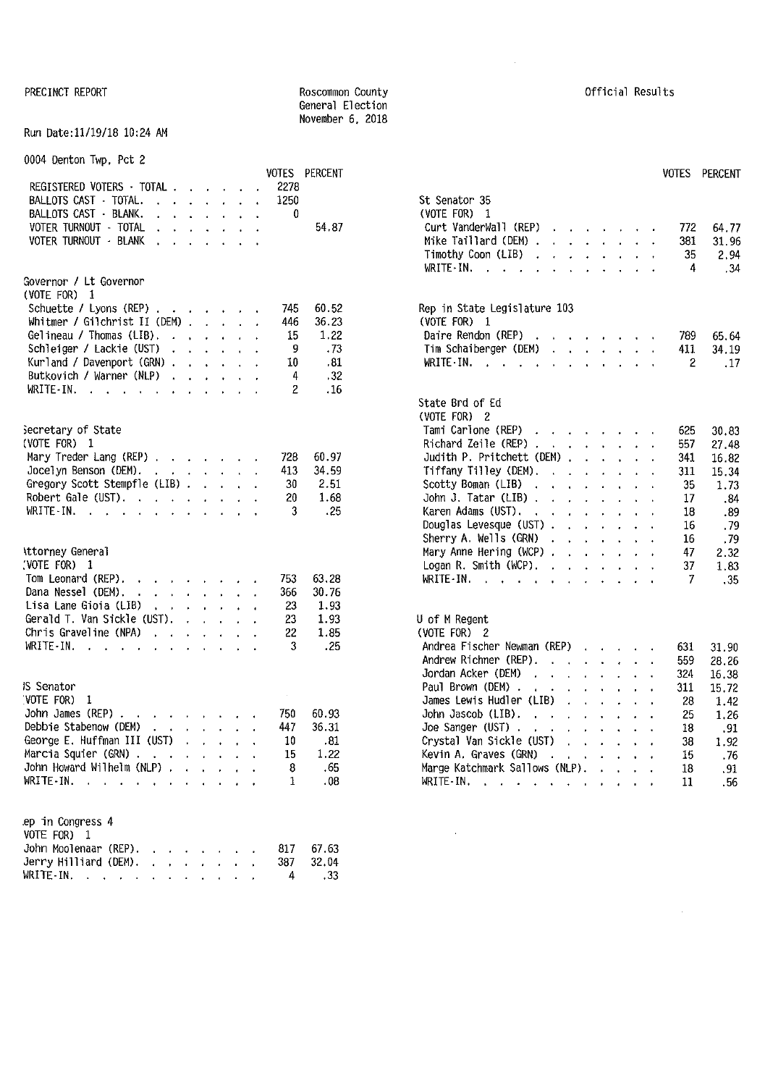#### PRECINCT REPORT **REPORT ROSCOMMON** County **ROSCOMMON** County **COUNTY COUNTY COUNTY COUNTY COUNTY COUNTY COUNTY COUNTY COUNTY COUNTY COUNTY COUNTY COUNTY COUNTY COUNTY COUNTY COUNTY COUNT** General Election November 6, 2018

#### Run Date:11/19/18 10:24 AM

0004 Denton Twp, Pct 2

|                                                                                                                                                                                                                                                            |  |      | VOTES PERCENT | <b>VOTES</b><br>PERCENT                                                                                                                           |       |
|------------------------------------------------------------------------------------------------------------------------------------------------------------------------------------------------------------------------------------------------------------|--|------|---------------|---------------------------------------------------------------------------------------------------------------------------------------------------|-------|
| REGISTERED VOTERS TOTAL                                                                                                                                                                                                                                    |  | 2278 |               |                                                                                                                                                   |       |
| BALLOTS CAST · TOTAL.<br>$\mathbf{r}$ , $\mathbf{r}$ , $\mathbf{r}$ , $\mathbf{r}$ , $\mathbf{r}$                                                                                                                                                          |  | 1250 |               | St Senator 35                                                                                                                                     |       |
| BALLOTS CAST - BLANK.<br>$\mathbf{r}$ and $\mathbf{r}$ and $\mathbf{r}$ and $\mathbf{r}$                                                                                                                                                                   |  | 0    |               | (VOTE FOR) 1                                                                                                                                      |       |
| VOTER TURNOUT - TOTAL<br>$\mathbf{r}$ . The contract of the contract of the contract of the contract of the contract of the contract of the contract of the contract of the contract of the contract of the contract of the contract of the contract of th |  |      | 54.87         | Curt VanderWall (REP)<br>772                                                                                                                      | 64.77 |
| VOTER TURNOUT - BLANK<br>the contract of the contract of                                                                                                                                                                                                   |  |      |               | Mike Taillard (DEM) $\cdots$ $\cdots$ $\cdots$<br>381                                                                                             | 31.96 |
|                                                                                                                                                                                                                                                            |  |      |               | Timothy Coon (LIB)<br>35<br>the contract of the contract of                                                                                       | 2.94  |
|                                                                                                                                                                                                                                                            |  |      |               | $WRITE-IN.$<br>4<br>the contract of the contract of                                                                                               | .34   |
| Governor / Lt Governor                                                                                                                                                                                                                                     |  |      |               |                                                                                                                                                   |       |
| (VOTE FOR) 1                                                                                                                                                                                                                                               |  |      |               |                                                                                                                                                   |       |
| Schuette / Lyons (REP)                                                                                                                                                                                                                                     |  | 745  | 60.52         | Rep in State Legislature 103                                                                                                                      |       |
| Whitmer / Gilchrist II (DEM) $\ldots$                                                                                                                                                                                                                      |  | 446  | 36.23         | (VOTE FOR) 1                                                                                                                                      |       |
|                                                                                                                                                                                                                                                            |  | 15   | 1.22          |                                                                                                                                                   |       |
| Gelineau / Thomas (LIB).                                                                                                                                                                                                                                   |  |      |               | Daire Rendon (REP)<br>789.                                                                                                                        | 65.64 |
| Schleiger / Lackie (UST)                                                                                                                                                                                                                                   |  | 9    | .73           | Tim Schaiberger (DEM)<br>411                                                                                                                      | 34.19 |
| Kurland / Davenport (GRN)                                                                                                                                                                                                                                  |  | 10   | . 81          | WRITE IN. $\cdots$ $\cdots$ $\cdots$ $\cdots$<br>$\overline{2}$                                                                                   | .17   |
| Butkovich / Warner (NLP)                                                                                                                                                                                                                                   |  | 4    | .32           |                                                                                                                                                   |       |
| WRITE-IN.                                                                                                                                                                                                                                                  |  | 2    | .16           |                                                                                                                                                   |       |
|                                                                                                                                                                                                                                                            |  |      |               | State Brd of Ed                                                                                                                                   |       |
|                                                                                                                                                                                                                                                            |  |      |               | (VOTE FOR) 2                                                                                                                                      |       |
| Secretary of State                                                                                                                                                                                                                                         |  |      |               | Tami Carlone (REP)<br>625                                                                                                                         | 30.83 |
| (VOTE FOR) $1$                                                                                                                                                                                                                                             |  |      |               | Richard Zeile (REP) $\cdots$ $\cdots$ $\cdots$<br>557                                                                                             | 27.48 |
| Mary Treder Lang (REP)                                                                                                                                                                                                                                     |  | 728  | 60.97         | Judith P. Pritchett (DEM)<br>341                                                                                                                  | 16.82 |
| Jocelyn Benson (DEM).<br>and the contract of the contract of                                                                                                                                                                                               |  | 413  | 34.59         | Tiffany Tilley (DEM).<br>311                                                                                                                      | 15.34 |
| Gregory Scott Stempfle (LIB)                                                                                                                                                                                                                               |  | 30   | 2.51          | Scotty Boman (LIB)<br>35                                                                                                                          | 1.73  |
| Robert Gale (UST).                                                                                                                                                                                                                                         |  | 20   | 1.68          | John J. Tatar (LIB) $\cdots$ $\cdots$ $\cdots$<br>17                                                                                              | .84   |
| WRITE-IN.                                                                                                                                                                                                                                                  |  | 3    | $-25$         | Karen Adams (UST).<br>18                                                                                                                          | .89   |
|                                                                                                                                                                                                                                                            |  |      |               | Douglas Levesque (UST)<br>16                                                                                                                      | . 79  |
|                                                                                                                                                                                                                                                            |  |      |               | Sherry A. Wells (GRN)<br>16                                                                                                                       | . 79  |
| Attorney General                                                                                                                                                                                                                                           |  |      |               | Mary Anne Hering (WCP) $\cdots$ $\cdots$ $\cdots$<br>47                                                                                           | 2.32  |
| $VOTE FOR$ 1                                                                                                                                                                                                                                               |  |      |               | Logan R. Smith (WCP). $\cdot \cdot \cdot \cdot \cdot$<br>37                                                                                       | 1.83  |
| Tom Leonard (REP).                                                                                                                                                                                                                                         |  | 753  | 63.28         | WRITE-IN.<br>7                                                                                                                                    | .35   |
| Dana Nessel (DEM).<br>the contract of the contract of                                                                                                                                                                                                      |  | 366  | 30.76         |                                                                                                                                                   |       |
| Lisa Lane Gioia (LIB)<br>the contract of the contract of                                                                                                                                                                                                   |  | 23   | 1.93          |                                                                                                                                                   |       |
| Gerald T. Van Sickle (UST).                                                                                                                                                                                                                                |  | 23   | 1.93          | U of M Regent                                                                                                                                     |       |
| Chris Graveline (NPA)<br><b><i>Charles Committee Committee States</i></b>                                                                                                                                                                                  |  | 22   | 1.85          | (VOTE FOR) 2                                                                                                                                      |       |
| WRITE-IN.                                                                                                                                                                                                                                                  |  | 3    | .25           | Andrea Fischer Newman (REP)                                                                                                                       |       |
|                                                                                                                                                                                                                                                            |  |      |               | 631                                                                                                                                               | 31.90 |
|                                                                                                                                                                                                                                                            |  |      |               | Andrew Richner (REP).<br>559                                                                                                                      | 28.26 |
|                                                                                                                                                                                                                                                            |  |      |               | Jordan Acker (DEM)<br>324<br>the contract of the contract of the contract of the contract of the contract of the contract of the contract of      | 16.38 |
| <b>IS Senator</b>                                                                                                                                                                                                                                          |  |      |               | Paul Brown (DEM).<br>the contract of the contract of<br>311                                                                                       | 15,72 |
| VOTE FOR) 1                                                                                                                                                                                                                                                |  |      |               | James Lewis Hudler (LIB)<br>28                                                                                                                    | 1.42  |
| John James (REP) $\cdots$ $\cdots$ $\cdots$ $\cdots$                                                                                                                                                                                                       |  | 750  | 60.93         | John Jascob (LIB).<br>25<br>$\mathbf{r}$ , and $\mathbf{r}$ , and $\mathbf{r}$ , and $\mathbf{r}$                                                 | 1.26  |
| Debbie Stabenow (DEM)<br>$\mathcal{A}$ and $\mathcal{A}$ are also assumed as                                                                                                                                                                               |  | 447  | 36.31         | 18                                                                                                                                                | .91   |
| George E. Huffman III (UST) $\cdots$ , $\cdots$                                                                                                                                                                                                            |  | -10  | - 81          | Crystal Van Sickle (UST)<br>38<br>the contract of the contract of the contract of the contract of the contract of the contract of the contract of | 1.92  |
| Marcia Squier (GRN)                                                                                                                                                                                                                                        |  | 15   | 1.22          | Kevin A. Graves (GRN)<br>15                                                                                                                       | .76   |
| John Howard Wilhelm (NLP)                                                                                                                                                                                                                                  |  | 8    | .65           | Marge Katchmark Sallows (NLP).<br>18                                                                                                              | .91   |
| WRITE-IN.                                                                                                                                                                                                                                                  |  | 1    | .08           | WRITE-IN.<br>11                                                                                                                                   | .56   |
|                                                                                                                                                                                                                                                            |  |      |               |                                                                                                                                                   |       |
| ep in Congress 4<br>VOTE FOR) 1                                                                                                                                                                                                                            |  |      |               |                                                                                                                                                   |       |
| John Moolenaar (REP).                                                                                                                                                                                                                                      |  | 817  | 67.63         |                                                                                                                                                   |       |
| Jerry Hilliard (DEM). $\cdot \cdot \cdot \cdot \cdot$                                                                                                                                                                                                      |  | 387  | 32.04         |                                                                                                                                                   |       |
| WRITE-IN.                                                                                                                                                                                                                                                  |  | 4    | .33           |                                                                                                                                                   |       |
|                                                                                                                                                                                                                                                            |  |      |               |                                                                                                                                                   |       |

| <b>VOTES</b><br>2278 | PERCENT | <b>VOTES</b>                                                                                                                                                                                 | <b>PERCENT</b> |
|----------------------|---------|----------------------------------------------------------------------------------------------------------------------------------------------------------------------------------------------|----------------|
| 1250                 |         | St Senator 35                                                                                                                                                                                |                |
| 0                    |         | (VOTE FOR)<br>1                                                                                                                                                                              |                |
|                      | 54.87   | Curt VanderWall (REP)<br>772<br>$\mathbf{r}$<br>$\mathbf{A}$                                                                                                                                 | 64.77          |
|                      |         | Mike Taillard (DEM) .<br>381<br>$\mathbf{r}^{(1)}$<br>$\ddot{\phantom{0}}$<br>$\ddot{\bullet}$<br>$\mathbf{v}^{(i)}$<br>$\mathbf{r}$<br>$\ddot{\phantom{a}}$<br>$\ddot{\phantom{0}}$         | 31 96          |
|                      |         | Timothy Coon (LIB).<br>35<br>$\ddot{\phantom{0}}$                                                                                                                                            | 2.94           |
|                      |         | WRITE - IN.<br>4<br>$\mathbf{r}$<br>$\sim$ $\sim$                                                                                                                                            | .34            |
| 745                  | 60.52   | Rep in State Legislature 103                                                                                                                                                                 |                |
| 446                  | 36.23   | (VOTE FOR) 1                                                                                                                                                                                 |                |
| 15                   | 1.22    | Daire Rendon (REP)<br>$\sim$ $\sim$ $\sim$ $\sim$ $\sim$ $\sim$<br>789<br>$\ddot{\phantom{0}}$                                                                                               | 65.64          |
| 9                    | .73     | Tim Schaiberger (DEM)<br>411<br>$\ddot{\phantom{a}}$<br>l.                                                                                                                                   | 34.19          |
| 10                   | .81     | WRITE IN.<br>$\overline{2}$<br>$\sim$ $\sim$<br>$\mathbf{r}$<br>$\overline{\phantom{a}}$<br>$\mathbf{r}$<br>$\mathbf{r}$<br>$\mathbf{r}$<br>$\ddot{\phantom{a}}$                             | .17            |
| 4                    | .32     |                                                                                                                                                                                              |                |
| $\overline{2}$       | .16     |                                                                                                                                                                                              |                |
|                      |         | State Brd of Ed                                                                                                                                                                              |                |
|                      |         | (VOTE FOR) 2                                                                                                                                                                                 |                |
|                      |         | Tami Carlone (REP)                                                                                                                                                                           |                |
|                      |         | 625<br>and a strategic and<br>$\mathbf{v}$<br>Richard Zeile (REP).                                                                                                                           | 30.83          |
|                      |         | 557<br>$\mathbf{r}$<br>$\ddot{\phantom{0}}$<br>L.<br>$\ddot{\phantom{0}}$                                                                                                                    | 27.48          |
| 728                  | 60.97   | Judith P. Pritchett (DEM).<br>$\ddot{\phantom{0}}$<br>341<br>$\mathbf{r}$                                                                                                                    | 16.82          |
| 413                  | 34.59   | Tiffany Tilley (DEM).<br>311<br>÷.<br>$\mathbf{r}$<br>l.<br>$\ddot{\phantom{0}}$<br>$\ddot{\phantom{0}}$<br>$\ddot{\phantom{a}}$<br>$\ddot{\phantom{0}}$                                     | 15.34          |
| 30                   | 2.51    | Scotty Boman (LIB)<br>35<br>$\sim$<br>$\mathbf{r}$<br>$\mathbf{r}$<br>¥.<br>$\mathbf{r}$<br>$\mathbf{r}$<br>$\ddot{\phantom{0}}$                                                             | 1.73           |
| 20                   | 1.68    | John J. Tatar (LIB).<br><b>Contract Contract</b><br>17<br>$\ddot{\phantom{0}}$                                                                                                               | .84            |
| 3                    | $-25$   | Karen Adams (UST).<br>18<br><b>Contract Contract</b><br>$\mathbf{r} = \mathbf{r} \times \mathbf{r}$<br>$\mathbf{r}$<br>$\mathbf{r}$                                                          | .89            |
|                      |         | Douglas Levesque (UST).<br>$\mathbf{A}^{\text{max}}$<br>16<br>$\ddot{\phantom{a}}$<br>$\mathbf{r}$<br>$\mathbf{r}$                                                                           | . 79           |
|                      |         | Sherry A. Wells (GRN).<br>16<br>$\mathbf{r}$<br>$\mathbf{r}$<br>$\mathbf{r}$<br>$\ddot{\phantom{0}}$<br>$\ddot{\phantom{a}}$<br>$\ddot{\phantom{0}}$                                         | .79            |
|                      |         | Mary Anne Hering (WCP) .<br>47<br>$\mathbf{r}$ and $\mathbf{r}$ and $\mathbf{r}$<br>$\mathbf{r}$<br>$\cdot$                                                                                  | 2.32           |
|                      |         | Logan R. Smith (WCP). .<br>37<br>$1 - 1 - 1 = 1$<br>$\mathbf{r}$<br>$\mathbf{L}$                                                                                                             | 1.83           |
| 753                  | 63.28   | WRITE-IN<br>7<br>$\mathbf{r}$ and $\mathbf{r}$ and $\mathbf{r}$ and $\mathbf{r}$<br>$\mathbf{r} = \mathbf{r}$<br>$\ddot{\phantom{a}}$<br>$\sim 10^{-11}$                                     | -35            |
| 366                  | 30.76   |                                                                                                                                                                                              |                |
| 23                   | 1.93    |                                                                                                                                                                                              |                |
| 23                   | 1.93    | U of M Regent                                                                                                                                                                                |                |
| 22                   | 1.85    | (VOTE FOR) 2                                                                                                                                                                                 |                |
| 3                    | .25     | Andrea Fischer Newman (REP)<br>631<br>$\mathbf{r} = \mathbf{r} + \mathbf{r}$ .                                                                                                               | 31.90          |
|                      |         | Andrew Richner (REP).<br>559<br>$\mathcal{L}^{\mathcal{L}}$<br><b>College</b><br>$\ddot{\phantom{0}}$<br>$\ddot{\phantom{0}}$<br>$\mathbf{r}$                                                | 28.26          |
|                      |         | Jordan Acker (DEM)<br>324<br>$\sim$<br>$\mathbf{r}$<br>$\mathbf{r} = \mathbf{r}$<br>$\mathbf{r}$<br>$\mathbf{r}$                                                                             | 16.38          |
|                      |         | Paul Brown (DEM).<br>311<br>$\mathbf{L}^{\left(1\right)}$ , $\mathbf{L}^{\left(1\right)}$ , $\mathbf{L}^{\left(1\right)}$ , $\mathbf{L}^{\left(2\right)}$<br>$\sim 10^{-11}$<br>$\mathbf{r}$ | 15,72          |
|                      |         | James Lewis Hudler (LIB)<br>$\mathbf{r}$<br>$\mathbf{r}$<br>$\sim$<br>$\mathbf{r}$<br>28                                                                                                     | 1.42           |
| 750                  | 60.93   | John Jascob (LIB).<br>25<br>the contract of the contract of the contract of                                                                                                                  | 1.26           |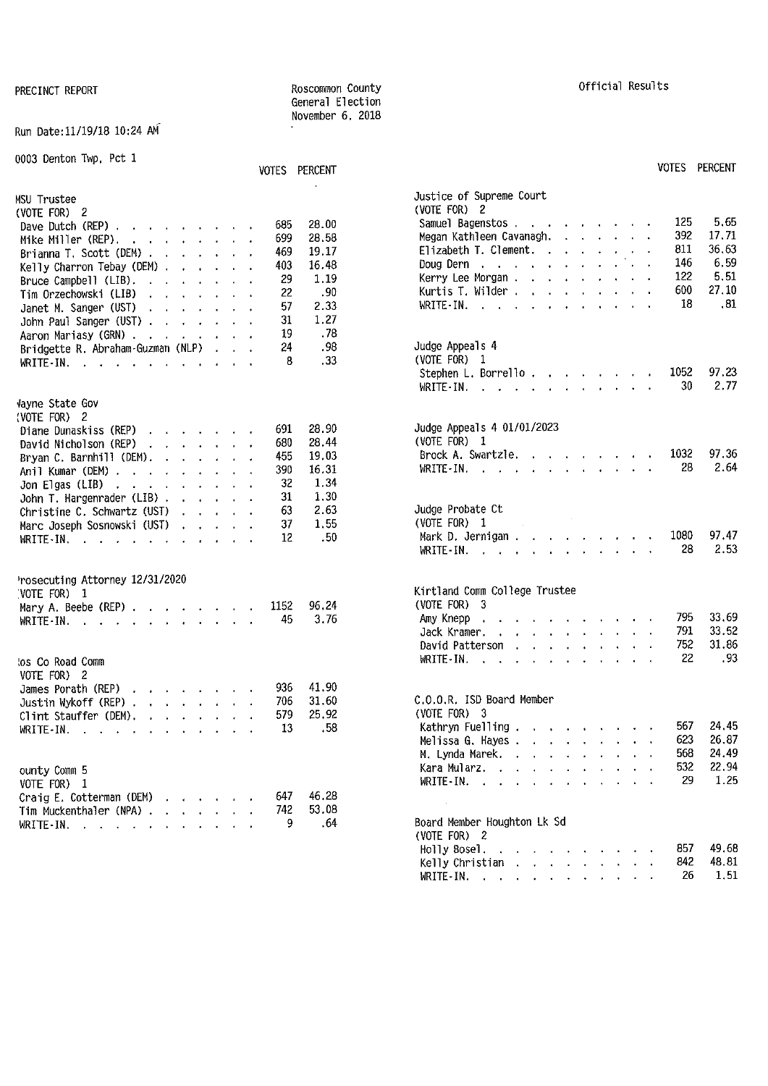#### Run Date:11/19/18 10:24 AM

| 0003 Denton Twp, Pct 1                                                                                                                                                                                                                                                                        |                                                  | VOTES PERCENT                                                   | <b>VOTES PERCENT</b>                                                                                                                                                                                                                                                                                                                                                           |
|-----------------------------------------------------------------------------------------------------------------------------------------------------------------------------------------------------------------------------------------------------------------------------------------------|--------------------------------------------------|-----------------------------------------------------------------|--------------------------------------------------------------------------------------------------------------------------------------------------------------------------------------------------------------------------------------------------------------------------------------------------------------------------------------------------------------------------------|
| MSU Trustee<br>(VOTE FOR) 2<br>Dave Dutch (REP) $\cdots$ $\cdots$ $\cdots$<br>Mike Miller (REP).<br>and the contract of the con-<br>Brianna T. Scott (DEM)<br>Kelly Charron Tebay (DEM)<br>Bruce Campbell (LIB). $\ldots$ $\ldots$ $\ldots$<br>Tim Orzechowski (LIB)<br>Janet M. Sanger (UST) | 685<br>699<br>469<br>403<br>29<br>22<br>57<br>31 | 28.00<br>28.58<br>19.17<br>16.48<br>1.19<br>.90<br>2.33<br>1.27 | Justice of Supreme Court<br>(VOTE FOR) 2<br>125<br>5.65<br>Samuel Bagenstos<br>392<br>17.71<br>Megan Kathleen Cavanagh. $\cdots$ $\cdots$<br>36.63<br>811<br>Elizabeth T. Clement.<br>6.59<br>146<br>Doug Dern $\cdots$ $\cdots$ $\cdots$ $\cdots$<br>122<br>5.51<br>Kerry Lee Morgan<br>27.10<br>600<br>Kurtis T. Wilder $\ldots$ $\ldots$ $\ldots$<br>.81<br>18<br>WRITE-IN. |
| John Paul Sanger (UST)<br>Aaron Mariasy (GRN)<br>Bridgette R. Abraham-Guzman (NLP)<br>WRITE-IN.                                                                                                                                                                                               | 19<br>24<br>8                                    | .78<br>.98<br>.33                                               | Judge Appeals 4<br>(VOTE FOR) 1<br>97.23<br>1052<br>30<br>2.77<br>WRITE - IN. $\ldots$ $\ldots$ $\ldots$ $\ldots$ $\ldots$                                                                                                                                                                                                                                                     |
| Vayne State Gov<br>(VOTE FOR) 2<br>Diane Dunaskiss (REP)<br>David Nicholson (REP)<br>Bryan C. Barnhill (DEM). $\cdot \cdot \cdot \cdot \cdot$<br>Anil Kumar (DEM)<br>Jon Elgas (LIB) $\ldots$ $\ldots$ $\ldots$ $\ldots$                                                                      | 691<br>680<br>455<br>390<br>32                   | 28.90<br>28.44<br>19.03<br>16.31<br>1.34                        | Judge Appeals 4 01/01/2023<br>(VOTE FOR) 1<br>97.36<br>1032<br>Brock A. Swartzle.<br>2.64<br>28<br>WRITE - IN, $\cdots$ , $\cdots$ , $\cdots$                                                                                                                                                                                                                                  |
| John T. Hargenrader (LIB) $\cdot \cdot \cdot \cdot \cdot$<br>Christine C. Schwartz (UST)<br>and the company of the<br>Marc Joseph Sosnowski (UST)<br>and the contract of the con-<br>WRITE-IN, $\cdots$ , $\cdots$                                                                            | 31<br>63<br>37<br>12                             | 1.30<br>2.63<br>1.55<br>.50                                     | Judge Probate Ct<br>$\label{eq:2.1} \frac{1}{\sqrt{2}}\int_{\mathbb{R}^3} \frac{1}{\sqrt{2}}\left(\frac{1}{\sqrt{2}}\right)^2 \frac{1}{\sqrt{2}}\left(\frac{1}{\sqrt{2}}\right)^2 \frac{1}{\sqrt{2}}\left(\frac{1}{\sqrt{2}}\right)^2.$<br>(VOTE FOR) $1$<br>97.47<br>Mark D. Jernigan<br>1080<br>28<br>2.53<br>WRITE-IN.                                                      |
| Prosecuting Attorney 12/31/2020<br>(VOTE FOR) 1<br>Mary A. Beebe (REP) $\cdots$ $\cdots$ $\cdots$<br>WRITE-IN. $\cdots$ $\cdots$ $\cdots$                                                                                                                                                     | 1152<br>45                                       | 96.24<br>3.76                                                   | Kirtland Comm College Trustee<br>$(VOTE FOR)$ 3<br>33.69<br>795<br>Amy Knepp<br>the contract of the contract of the contract of<br>791<br>33.52<br>Jack Kramer.<br>and the company of the company of the<br>31.86<br>752<br>David Patterson                                                                                                                                    |
| tos Co Road Comm<br>VOTE FOR) 2<br>James Porath (REP)<br>design and a state of the state<br>Justin Wykoff (REP)<br>Clint Stauffer (DEM). $\cdot \cdot \cdot \cdot \cdot$                                                                                                                      | 936<br>706<br>579                                | 41.90<br>31.60<br>25.92                                         | 22<br>. 93<br>WRITE-IN.<br>C.O.O.R. ISD Board Member<br>(VOTE FOR) $3$                                                                                                                                                                                                                                                                                                         |
| WRITE-IN. $\cdots$ $\cdots$ $\cdots$<br>ounty Comm 5<br>VOTE FOR) 1                                                                                                                                                                                                                           | 13                                               | .58                                                             | 567 24.45<br>Kathryn Fuelling<br>623<br>26.87<br>Melissa G. Hayes<br>568<br>24.49<br>M. Lynda Marek.<br>22.94<br>532<br>Kara Mularz.<br>the contract of the contract of the contract of the contract of the contract of the contract of the contract of<br>1.25<br>29<br>WRITE - IN, $\cdots$ $\cdots$ $\cdots$ $\cdots$                                                       |
| Craig E. Cotterman (DEM) $\cdots$ $\cdots$<br>Tim Muckenthaler (NPA)<br>$\mathcal{A}=\mathcal{A}$<br>WRITE-IN. $\cdots$ $\cdots$ $\cdots$                                                                                                                                                     | 647<br>742<br>9                                  | 46.28<br>53.08<br>.64                                           | Board Member Houghton Lk Sd<br>(VOTE FOR) 2                                                                                                                                                                                                                                                                                                                                    |

General Election November 6, 2018

## VOTES PERCENT **VOTES** PERCENT Justice of Supreme Court<br>(VOTE FOR) 2  $Kerry Lee Morgan . . . . . . . . . . 122 5.51$ <br> $Kurtis T. Wilder . . . . . . . . 600 27.10$ Judge Appeals 4  $(VOTE$  FOR)  $1$ Stephen L. Borrello . . . . . . . . 1052 97.23<br>WRITE-IN. . . . . . . . . . . . . . . 30 2.77 WRITE· IN. 30 2.77 Judge Appeals 4 01/01/2023  $(VOTE$  FOR)  $1$ Brock A. Swartzle. . . . . . . . . 1032 97.36<br>WRITE-IN. . . . . . . . . . . . . 28 2.64  $\text{WRITE-IN.}$  , , , , , , , , , , , , , Judge Probate Ct<br>(VOTE FOR) 1 WRITE-IN. . . . . . . . . . . . 28 2.53 Kirtland Comm College Trustee (VOTE FOR)  $3$ Jack Kramer. . . . . . . . . . . 791 33.52 David Patterson . . . . . . . . . 752 31.86 C.O.O.R. ISD Board Member (VOTE FOR) 3 Melissa G. Hayes . . . . . . . . . . 623 26.87 M. Lynda Marek. . . . . . . . . . 568 24.49 Board Member Houghton Lk Sd

Holly Basel, 857 49,68 Kelly Christian . . . . . . . . 842 48.81 WRITE-IN. . . . . . . . . . . 26 1.51

### PRECINCT REPORT **REPORT Results** Roscommon County Results Results and Official Results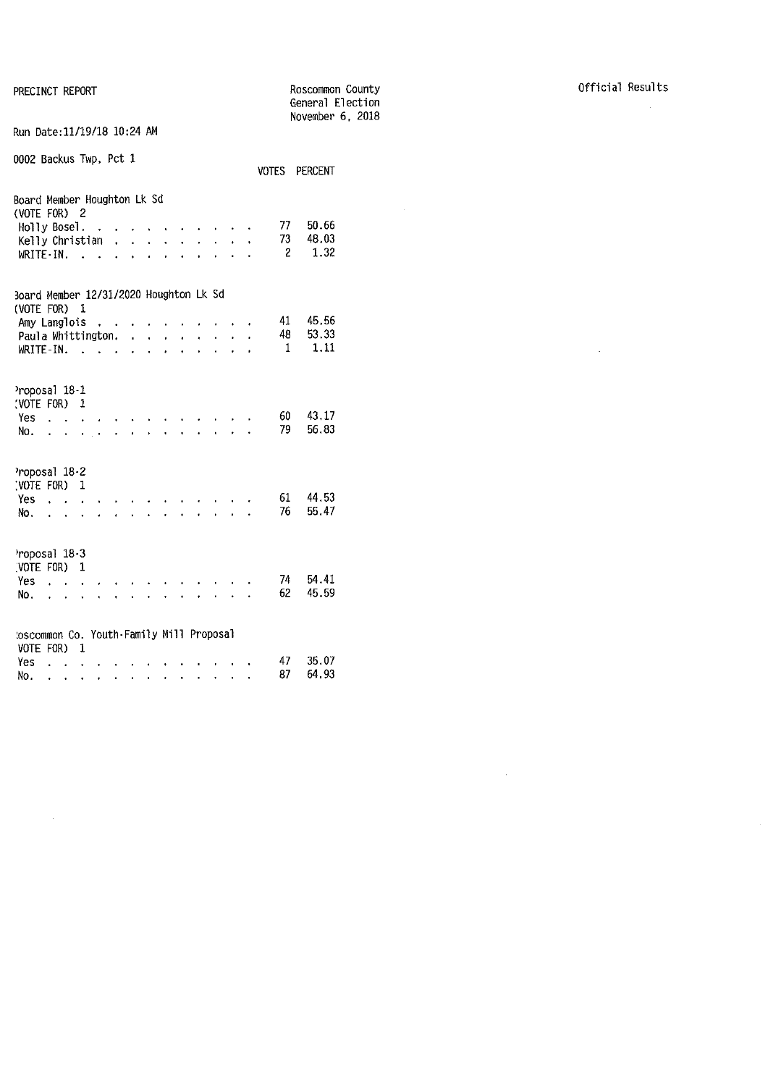PRECINCT REPORT

No.

|                                                                                                                                                                                                    | General Election<br>November 6, 2018 |
|----------------------------------------------------------------------------------------------------------------------------------------------------------------------------------------------------|--------------------------------------|
| Run Date:11/19/18 10:24 AM                                                                                                                                                                         |                                      |
| 0002 Backus Twp, Pct 1                                                                                                                                                                             | VOTES PERCENT                        |
| Board Member Houghton Lk Sd                                                                                                                                                                        |                                      |
| (VOTE FOR) 2                                                                                                                                                                                       |                                      |
| Holly Bosel. .<br>and a strain and a strain of the strain of                                                                                                                                       | - 77<br>50.66                        |
| $\mathbf{r} = \mathbf{r}$<br>Kelly Christian $\cdot \cdot \cdot$<br>$\ddot{\phantom{0}}$                                                                                                           | 73<br>48.03                          |
| WRITE - IN.<br><b><i>Carlo Carlo Carlo Carlo</i></b><br>$\overline{a}$<br>$\ddot{\phantom{0}}$<br>$\mathbf{r}$ and $\mathbf{r}$<br>L.                                                              | 1.32<br>$\overline{2}$               |
|                                                                                                                                                                                                    |                                      |
| Board Member 12/31/2020 Houghton Lk Sd<br>(VOTE FOR) 1                                                                                                                                             |                                      |
| Amy Langlois<br><b>Contract Contract</b><br>$\ddot{\phantom{0}}$                                                                                                                                   | 45.56<br>41                          |
| Paula Whittington.<br>$\ddot{\phantom{0}}$                                                                                                                                                         | 48<br>53.33                          |
| $WRITE-IN.$<br>t.<br>$\overline{a}$                                                                                                                                                                | 1.11<br>$\overline{1}$               |
|                                                                                                                                                                                                    |                                      |
| Proposal 18-1                                                                                                                                                                                      |                                      |
| (VOTE FOR) 1                                                                                                                                                                                       |                                      |
| Yes                                                                                                                                                                                                | 60 -<br>43.17                        |
| المعارف والمنافر والفارق والقارب والمنافر<br>No.                                                                                                                                                   | 79<br>56.83                          |
|                                                                                                                                                                                                    |                                      |
| Proposal 18-2                                                                                                                                                                                      |                                      |
| (VOTE FOR) 1                                                                                                                                                                                       |                                      |
| $Yes \ldots$                                                                                                                                                                                       | 44.53<br>61<br>76<br>55.47           |
| No.<br>$\mathbf{r}$<br>$\ddot{\phantom{0}}$<br>$\alpha$ , $\alpha$ , $\alpha$ , $\alpha$<br>$\ddot{\phantom{0}}$<br>$\mathbf{r} = \mathbf{r} + \mathbf{r}$<br>$\ddot{\phantom{0}}$<br>$\mathbf{r}$ |                                      |
| Proposal 18-3                                                                                                                                                                                      |                                      |
| (VOTE FOR)<br>1                                                                                                                                                                                    |                                      |
| Yes<br>$\cdot$ $\cdot$                                                                                                                                                                             | 74<br>54.41                          |
| No.<br>$\ddotsc$<br>$\ddot{\phantom{0}}$<br>$\mathbf{r} = \mathbf{r} + \mathbf{r}$ .                                                                                                               | 45.59<br>62                          |
|                                                                                                                                                                                                    |                                      |
|                                                                                                                                                                                                    |                                      |
|                                                                                                                                                                                                    |                                      |
| toscommon Co. Youth-Family Mill Proposal<br>VOTE FOR)<br>- 1                                                                                                                                       |                                      |

Roscommon County

87 64.93

 $\mathcal{L}^{\text{max}}_{\text{max}}$ 

 $\mathcal{L}^{\text{max}}_{\text{max}}$  and  $\mathcal{L}^{\text{max}}_{\text{max}}$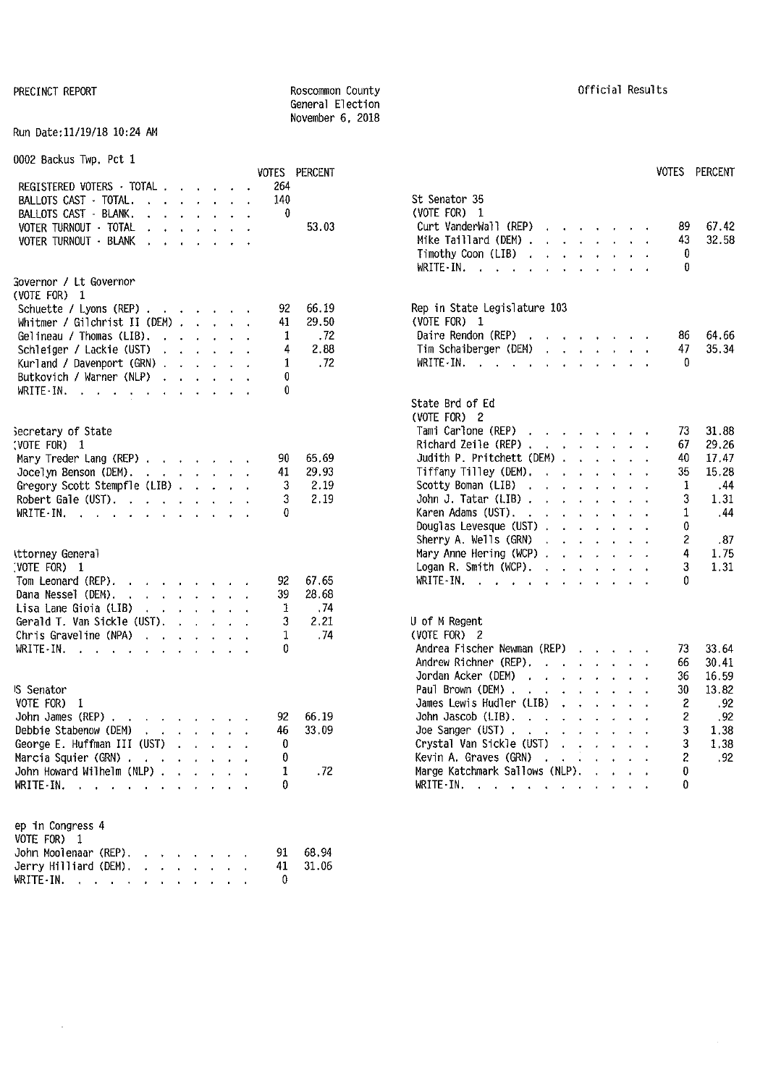#### PRECINCT REPORT **REPORT ROSCOMMON** County **ROSCOMMON** County **COUNTY CONTRECINCT REPORT** General Election November 6, 2018

#### Run Date:11/19/18 10:24 AM

| 0002 Backus Twp. Pct 1                                                                                                                                                                                                                                                                                                                                                                                                                            |  |                     |     |               |                                                                                                                      |      |
|---------------------------------------------------------------------------------------------------------------------------------------------------------------------------------------------------------------------------------------------------------------------------------------------------------------------------------------------------------------------------------------------------------------------------------------------------|--|---------------------|-----|---------------|----------------------------------------------------------------------------------------------------------------------|------|
|                                                                                                                                                                                                                                                                                                                                                                                                                                                   |  |                     |     | VOTES PERCENT | VOTES PERCENT                                                                                                        |      |
| REGISTERED VOTERS TOTAL                                                                                                                                                                                                                                                                                                                                                                                                                           |  |                     | 264 |               |                                                                                                                      |      |
| BALLOTS CAST - TOTAL.<br>$\mathbf{A} = \mathbf{A} \mathbf{A} + \mathbf{A} \mathbf{A} + \mathbf{A} \mathbf{A} + \mathbf{A} \mathbf{A} + \mathbf{A} \mathbf{A} + \mathbf{A} \mathbf{A} + \mathbf{A} \mathbf{A} + \mathbf{A} \mathbf{A} + \mathbf{A} \mathbf{A} + \mathbf{A} \mathbf{A} + \mathbf{A} \mathbf{A} + \mathbf{A} \mathbf{A} + \mathbf{A} \mathbf{A} + \mathbf{A} \mathbf{A} + \mathbf{A} \mathbf{A} + \mathbf{A} \mathbf{A} + \mathbf{A$ |  |                     | 140 |               | St Senator 35                                                                                                        |      |
| BALLOTS CAST - BLANK.<br>$\mathbf{r}$ , $\mathbf{r}$ , $\mathbf{r}$ , $\mathbf{r}$ , $\mathbf{r}$ , $\mathbf{r}$                                                                                                                                                                                                                                                                                                                                  |  |                     | 0   |               | (VOTE FOR) 1                                                                                                         |      |
| VOTER TURNOUT - TOTAL<br>$\mathbf{r}$ , $\mathbf{r}$ , $\mathbf{r}$ , $\mathbf{r}$ , $\mathbf{r}$                                                                                                                                                                                                                                                                                                                                                 |  |                     |     | 53.03         | 67.42<br>Curt VanderWall $(REP)$ , , , , , , ,<br>89                                                                 |      |
| VOTER TURNOUT - BLANK<br>$\mathbf{r}$ . The contract of the contract of the contract of the contract of the contract of the contract of the contract of the contract of the contract of the contract of the contract of the contract of the contract of th                                                                                                                                                                                        |  | $\bullet$ $\bullet$ |     |               | 32.58<br>Mike Taillard (DEM) $\cdot \cdot \cdot \cdot \cdot \cdot \cdot$<br>43                                       |      |
|                                                                                                                                                                                                                                                                                                                                                                                                                                                   |  |                     |     |               | 0<br>Timothy Coon (LIB)<br>$\mathbf{r}$ , $\mathbf{r}$ , $\mathbf{r}$ , $\mathbf{r}$ , $\mathbf{r}$ , $\mathbf{r}$   |      |
|                                                                                                                                                                                                                                                                                                                                                                                                                                                   |  |                     |     |               | $\Omega$<br>WRITE-IN.                                                                                                |      |
| Governor / Lt Governor<br>(VOTE FOR) 1                                                                                                                                                                                                                                                                                                                                                                                                            |  |                     |     |               |                                                                                                                      |      |
|                                                                                                                                                                                                                                                                                                                                                                                                                                                   |  |                     | 92  | 66.19         | Rep in State Legislature 103                                                                                         |      |
| Schuette / Lyons (REP)<br>Whitmer / Gilchrist II (DEM) $\ldots$ $\ldots$                                                                                                                                                                                                                                                                                                                                                                          |  |                     | 41  | 29.50         | (VOTE FOR) 1                                                                                                         |      |
| Gelineau / Thomas (LIB).                                                                                                                                                                                                                                                                                                                                                                                                                          |  |                     | 1   | .72           | Daire Rendon (REP)<br>86<br>64.66                                                                                    |      |
| Schleiger / Lackie (UST) , , , , , , ,                                                                                                                                                                                                                                                                                                                                                                                                            |  |                     | 4   | 2.88          | 35.34<br>Tim Schaiberger (DEM)<br>47<br>the control of the control of                                                |      |
| Kurland / Davenport (GRN)                                                                                                                                                                                                                                                                                                                                                                                                                         |  |                     | 1   | .72           | 0<br>WRITE-IN.                                                                                                       |      |
| Butkovich / Warner (NLP)                                                                                                                                                                                                                                                                                                                                                                                                                          |  |                     | 0   |               |                                                                                                                      |      |
| WRITE IN. $\cdots$ $\cdots$ $\cdots$ $\cdots$                                                                                                                                                                                                                                                                                                                                                                                                     |  |                     | 0   |               |                                                                                                                      |      |
|                                                                                                                                                                                                                                                                                                                                                                                                                                                   |  |                     |     |               | State Brd of Ed                                                                                                      |      |
|                                                                                                                                                                                                                                                                                                                                                                                                                                                   |  |                     |     |               | (VOTE FOR) 2                                                                                                         |      |
| Secretary of State                                                                                                                                                                                                                                                                                                                                                                                                                                |  |                     |     |               | Tami Carlone (REP)<br>31.88<br>73                                                                                    |      |
| (VOTE FOR) 1                                                                                                                                                                                                                                                                                                                                                                                                                                      |  |                     |     |               | Richard Zeile (REP) $\cdots$ $\cdots$ $\cdots$<br>29.26<br>67                                                        |      |
| Mary Treder Lang (REP)                                                                                                                                                                                                                                                                                                                                                                                                                            |  |                     | 90  | 65.69         | Judith P. Pritchett (DEM) $\ldots$ $\ldots$<br>40<br>17.47                                                           |      |
| Jocelyn Benson (DEM).                                                                                                                                                                                                                                                                                                                                                                                                                             |  |                     | 41  | 29.93         | Tiffany Tilley (DEM).<br>15.28<br>35<br>the contract of the contract of                                              |      |
| Gregory Scott Stempfle (LIB)                                                                                                                                                                                                                                                                                                                                                                                                                      |  |                     | 3   | 2.19          | 1<br>Scotty Boman (LIB)<br>the contract of the contract of the                                                       | .44  |
| Robert Gale (UST).                                                                                                                                                                                                                                                                                                                                                                                                                                |  |                     | 3   | 2.19          | 3<br>John J. Tatar (LIB) $\cdot \cdot \cdot \cdot \cdot \cdot$<br>1.31                                               |      |
| WRITE-IN.                                                                                                                                                                                                                                                                                                                                                                                                                                         |  |                     | 0   |               | Karen Adams (UST).<br>1                                                                                              | . 44 |
|                                                                                                                                                                                                                                                                                                                                                                                                                                                   |  |                     |     |               | Douglas Levesque (UST)<br>0                                                                                          |      |
|                                                                                                                                                                                                                                                                                                                                                                                                                                                   |  |                     |     |               | Sherry A. Wells (GRN)<br>and the contract of the contract of                                                         | - 87 |
| ittorney General                                                                                                                                                                                                                                                                                                                                                                                                                                  |  |                     |     |               | Mary Anne Hering (WCP)<br>4<br>1.75                                                                                  |      |
| (VOTE FOR) 1                                                                                                                                                                                                                                                                                                                                                                                                                                      |  |                     |     |               | 3<br>1.31<br>Logan R. Smith (WCP). $\cdot \cdot \cdot \cdot \cdot \cdot$                                             |      |
| Tom Leonard (REP).<br>the contract of the contract of the                                                                                                                                                                                                                                                                                                                                                                                         |  |                     | 92  | 67.65         | WRITE-IN.<br>0                                                                                                       |      |
| Dana Nessel (DEM).<br>and a state of the state of the state of                                                                                                                                                                                                                                                                                                                                                                                    |  |                     | 39  | 28.68         |                                                                                                                      |      |
| Lisa Lane Gioia (LIB)<br>the contract of the contract of the contract of the contract of the contract of the contract of the contract of                                                                                                                                                                                                                                                                                                          |  |                     | 1   | . 74          |                                                                                                                      |      |
| Gerald T. Van Sickle (UST). $\cdot \cdot \cdot \cdot$                                                                                                                                                                                                                                                                                                                                                                                             |  |                     | 3   | 2.21          | U of M Regent                                                                                                        |      |
| Chris Graveline (NPA)                                                                                                                                                                                                                                                                                                                                                                                                                             |  |                     | 1   | . 74          | (VOTE FOR) 2                                                                                                         |      |
| WRITE-IN. $\cdots$ $\cdots$                                                                                                                                                                                                                                                                                                                                                                                                                       |  |                     | 0   |               | Andrea Fischer Newman (REP)<br>33.64<br>73                                                                           |      |
|                                                                                                                                                                                                                                                                                                                                                                                                                                                   |  |                     |     |               | Andrew Richner (REP).<br>30.41<br>66                                                                                 |      |
|                                                                                                                                                                                                                                                                                                                                                                                                                                                   |  |                     |     |               | Jordan Acker (DEM)<br>16.59<br>the contract of the contract of the contract of the contract of the contract of<br>36 |      |
| <b>S</b> Senator                                                                                                                                                                                                                                                                                                                                                                                                                                  |  |                     |     |               | Paul Brown (DEM)<br>13.82<br>30                                                                                      |      |
| VOTE FOR) 1                                                                                                                                                                                                                                                                                                                                                                                                                                       |  |                     |     |               | James Lewis Hudler (LIB)<br>2<br>.92<br><b>Carl Contract Contract</b>                                                |      |
| John James (REP)                                                                                                                                                                                                                                                                                                                                                                                                                                  |  |                     | 92  | 66.19         | .92<br>2<br>John Jascob (LIB), $\cdot \cdot \cdot \cdot \cdot$                                                       |      |
| Debbie Stabenow (DEM)<br>the contract of the contract of the contract of the contract of the contract of the contract of the contract of                                                                                                                                                                                                                                                                                                          |  |                     | 46  | 33.09         | 1.38<br>Joe Sanger (UST) $\cdots$ $\cdots$ $\cdots$ $\cdots$                                                         |      |
| George E. Huffman III (UST)                                                                                                                                                                                                                                                                                                                                                                                                                       |  |                     | 0   |               | Crystal Van Sickle (UST)<br>1.38<br>3                                                                                |      |
| Marcia Squier (GRN)                                                                                                                                                                                                                                                                                                                                                                                                                               |  |                     | 0   |               | Kevin A. Graves (GRN)<br>$\overline{c}$                                                                              | .92  |
| John Howard Wilhelm (NLP)                                                                                                                                                                                                                                                                                                                                                                                                                         |  |                     | 1   | .72           | Marge Katchmark Sallows (NLP).<br>0                                                                                  |      |
| WRITE-IN.                                                                                                                                                                                                                                                                                                                                                                                                                                         |  |                     | 0   |               | 0<br>WRITE-IN.                                                                                                       |      |
|                                                                                                                                                                                                                                                                                                                                                                                                                                                   |  |                     |     |               |                                                                                                                      |      |
|                                                                                                                                                                                                                                                                                                                                                                                                                                                   |  |                     |     |               |                                                                                                                      |      |
| ep in Congress 4                                                                                                                                                                                                                                                                                                                                                                                                                                  |  |                     |     |               |                                                                                                                      |      |
| VOTE FOR) 1                                                                                                                                                                                                                                                                                                                                                                                                                                       |  |                     |     |               |                                                                                                                      |      |
| John Moolenaar (REP).                                                                                                                                                                                                                                                                                                                                                                                                                             |  |                     | 91  | 68.94         |                                                                                                                      |      |
| Jerry Hilliard (DEM).                                                                                                                                                                                                                                                                                                                                                                                                                             |  |                     | 41  | 31.06         |                                                                                                                      |      |

WRITE  $\cdot$  IN. . . . . . . . . . . . 0

 $\bar{z}$ 

|                                   | VOTES PERCENT                        |                                                                                                                                                                                                                                                                                                                                                                                                                                                                                                                                                                                                                                                                                                                                                                                                                                                                                                          | VOTES PERCENT                                                                                                               |
|-----------------------------------|--------------------------------------|----------------------------------------------------------------------------------------------------------------------------------------------------------------------------------------------------------------------------------------------------------------------------------------------------------------------------------------------------------------------------------------------------------------------------------------------------------------------------------------------------------------------------------------------------------------------------------------------------------------------------------------------------------------------------------------------------------------------------------------------------------------------------------------------------------------------------------------------------------------------------------------------------------|-----------------------------------------------------------------------------------------------------------------------------|
| 264<br>140<br>0                   | 53.03                                | St Senator 35<br>(VOTE FOR)<br>- 1<br>Curt VanderWall (REP)<br>$\sim$<br>Mike Taillard (DEM).<br>$\sim$ $\sim$ $\sim$<br>$\mathbf{r}$<br>$\ddot{\phantom{a}}$<br>$\mathcal{L}^{\text{max}}$<br>$\mathbf{r}$<br>Timothy Coon (LIB)<br>$\ddot{\phantom{a}}$<br>$\ddot{\phantom{0}}$<br>$\ddot{\phantom{0}}$<br>$\ddot{\phantom{a}}$<br>WRITE-IN.                                                                                                                                                                                                                                                                                                                                                                                                                                                                                                                                                           | 67.42<br>89.<br>43<br>32.58<br>0<br>0                                                                                       |
| 92<br>41<br>1<br>4<br>1<br>0<br>0 | 66.19<br>29.50<br>.72<br>2.88<br>.72 | Rep in State Legislature 103<br>(VOTE FOR) 1<br>Daire Rendon (REP)<br>$\mathbf{r}$<br><b><i>Charles Committee Committee States</i></b><br>Tim Schaiberger (DEM)<br>$\ddot{\phantom{a}}$<br>WRITE IN.<br>$\Delta$                                                                                                                                                                                                                                                                                                                                                                                                                                                                                                                                                                                                                                                                                         | 86<br>64.66<br>47<br>35.34<br>0                                                                                             |
| 90<br>41<br>3<br>3<br>0           | 65.69<br>29.93<br>2.19<br>2,19       | State Brd of Ed<br>(VOTE FOR) 2<br>Tami Carlone (REP)<br>$\mathbf{r} = \mathbf{r} \times \mathbf{r} = \mathbf{r} \times \mathbf{r} = \mathbf{r} \times \mathbf{r}$<br>Richard Zeile (REP).<br>$\ddot{\phantom{0}}$<br>$\mathbf{r}$<br>Judith P. Pritchett (DEM) .<br>t.<br>Tiffany Tilley (DEM).<br>$\mathbf{r}$<br>$\ddot{\phantom{0}}$<br>$\sim$<br>s.<br>$\mathbf{r}$<br>Scotty Boman (LIB)<br>$\sim$<br>$\mathbf{r}$<br>$\ddot{\phantom{0}}$<br>$\ddot{\phantom{a}}$<br>John J. Tatar (LIB).<br>$\mathbf{r}$<br>$\Delta$ .<br>$\ddot{\phantom{0}}$<br>Karen Adams (UST).<br>$\mathcal{A}^{\mathcal{A}}$ and $\mathcal{A}^{\mathcal{A}}$<br>$\ddot{\phantom{0}}$<br>$\ddot{\phantom{a}}$<br>$\ddot{\phantom{a}}$<br>$\ddot{\phantom{0}}$<br>Douglas Levesque (UST).<br>$\mathbf{A}$<br>$\mathbf{L}$<br>Sherry A. Wells (GRN).<br>$\ddot{\phantom{a}}$<br>$\mathbf{A}$<br>$\mathbf{r}$<br>$\mathbf{r}$ | 31.88<br>73<br>67<br>29.26<br>40<br>17.47<br>15.28<br>35<br>1<br>.44<br>3<br>1.31<br>1<br>.44<br>0<br>$\overline{c}$<br>.87 |
| 92<br>39<br>1<br>3<br>1<br>0      | 67.65<br>28.68<br>.74<br>2.21<br>.74 | Mary Anne Hering (WCP).<br>¥.<br>$\mathbf{r}^{(1)}$<br>$\ddot{\phantom{0}}$<br>$\mathbf{r}$<br>Logan R. Smith (WCP).<br>$\sim$<br>¥.<br>$\ddot{\phantom{0}}$<br>$\bullet$<br>$WRITE-IN.$ $\ldots$<br>U of M Regent<br>(VOTE FOR) 2<br>Andrea Fischer Newman (REP)<br><b>Contract Contract</b>                                                                                                                                                                                                                                                                                                                                                                                                                                                                                                                                                                                                            | 4<br>1.75<br>3<br>1.31<br>0<br>73<br>33.64                                                                                  |
| 92<br>46<br>0<br>A                | 66 19<br>33.09                       | Andrew Richner (REP).<br>$\sim$ $\sim$<br>$\mathbf{r}$<br>Jordan Acker (DEM)<br>$\mathbf{r}$ and $\mathbf{r}$<br>a control<br>$\cdot$<br>Paul Brown (DEM).<br>$\ddot{\phantom{0}}$<br><b>Contract Contract</b><br>$\ddot{\phantom{a}}$<br>James Lewis Hudler (LIB)<br>$\ddot{\phantom{a}}$<br>$\mathbf{L}^{\text{max}}$<br>John Jascob (LIB).<br>$\mathbf{A}^{\text{max}}$<br>$\ddot{\phantom{a}}$<br>$\cdot$<br>Joe Sanger (UST)<br>$\ddot{\phantom{a}}$<br>$\ddot{\phantom{0}}$<br>Crystal Van Sickle (UST)<br>Kevin A. Graves (GRN)                                                                                                                                                                                                                                                                                                                                                                   | 66<br>30.41<br>16.59<br>36<br>13.82<br>30<br>2<br>.92<br>$\overline{c}$<br>.92<br>3<br>1.38<br>3<br>1.38<br>2<br>92         |